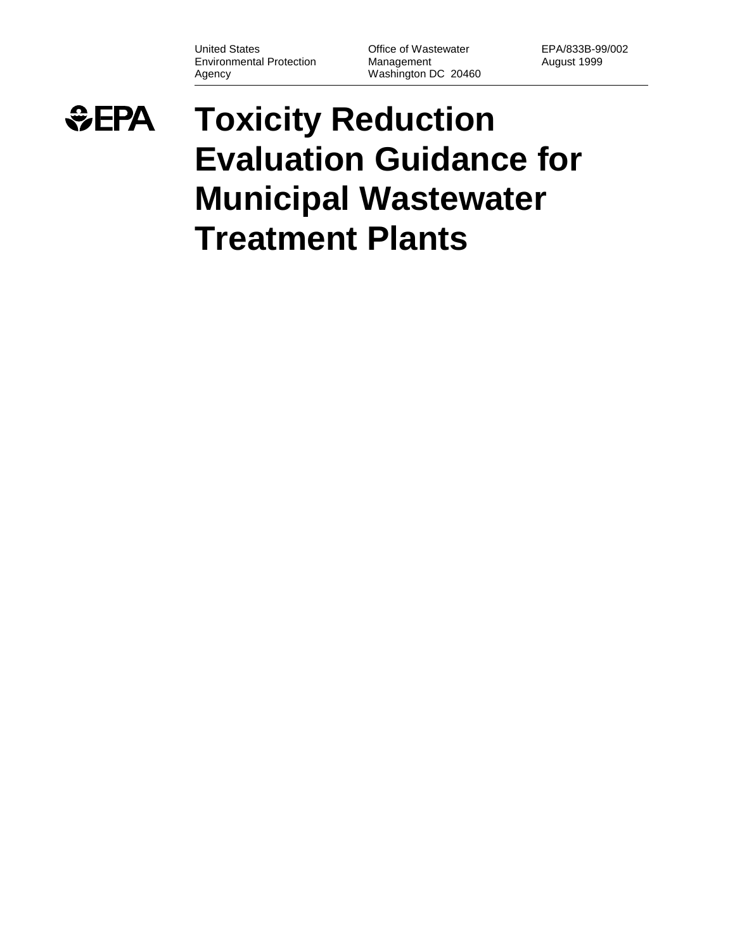United States **Office of Wastewater** EPA/833B-99/002 Environmental Protection Management Management August 1999 Agency Washington DC 20460

## *<u>GEPA</u>* **Toxicity Reduction Evaluation Guidance for Municipal Wastewater Treatment Plants**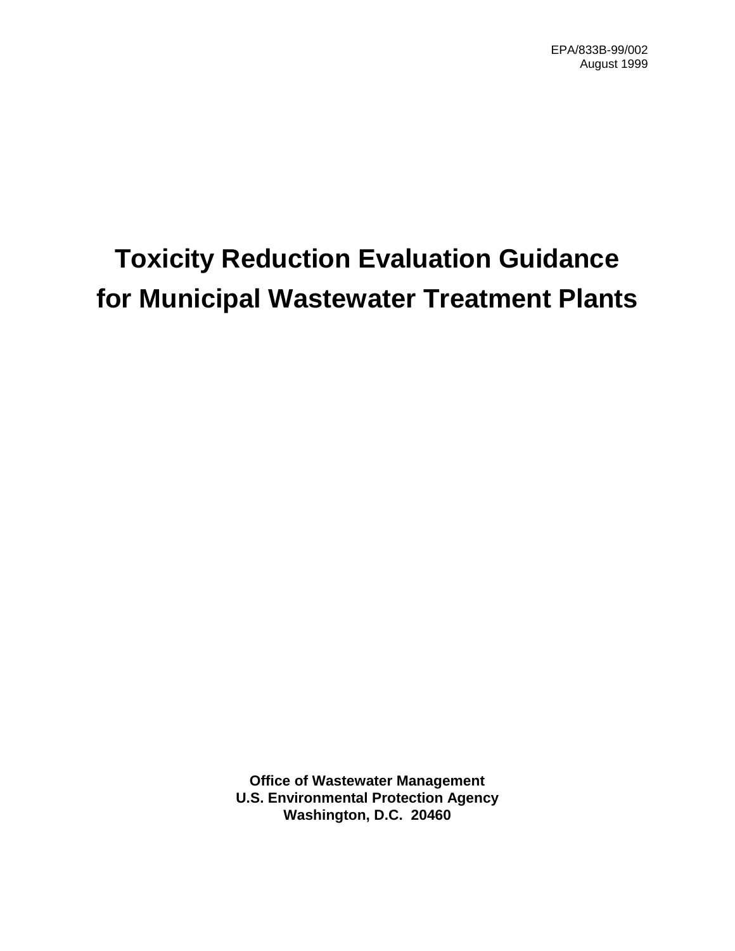# **Toxicity Reduction Evaluation Guidance for Municipal Wastewater Treatment Plants**

**Office of Wastewater Management U.S. Environmental Protection Agency Washington, D.C. 20460**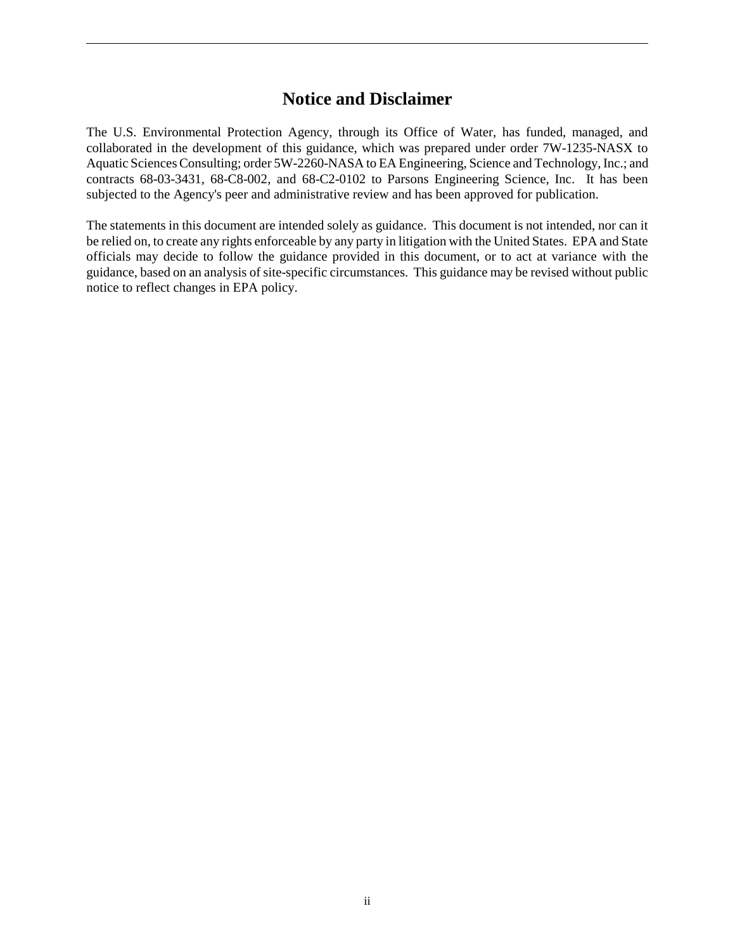### **Notice and Disclaimer**

The U.S. Environmental Protection Agency, through its Office of Water, has funded, managed, and collaborated in the development of this guidance, which was prepared under order 7W-1235-NASX to Aquatic Sciences Consulting; order 5W-2260-NASA to EA Engineering, Science and Technology, Inc.; and contracts 68-03-3431, 68-C8-002, and 68-C2-0102 to Parsons Engineering Science, Inc. It has been subjected to the Agency's peer and administrative review and has been approved for publication.

The statements in this document are intended solely as guidance. This document is not intended, nor can it be relied on, to create any rights enforceable by any party in litigation with the United States. EPA and State officials may decide to follow the guidance provided in this document, or to act at variance with the guidance, based on an analysis of site-specific circumstances. This guidance may be revised without public notice to reflect changes in EPA policy.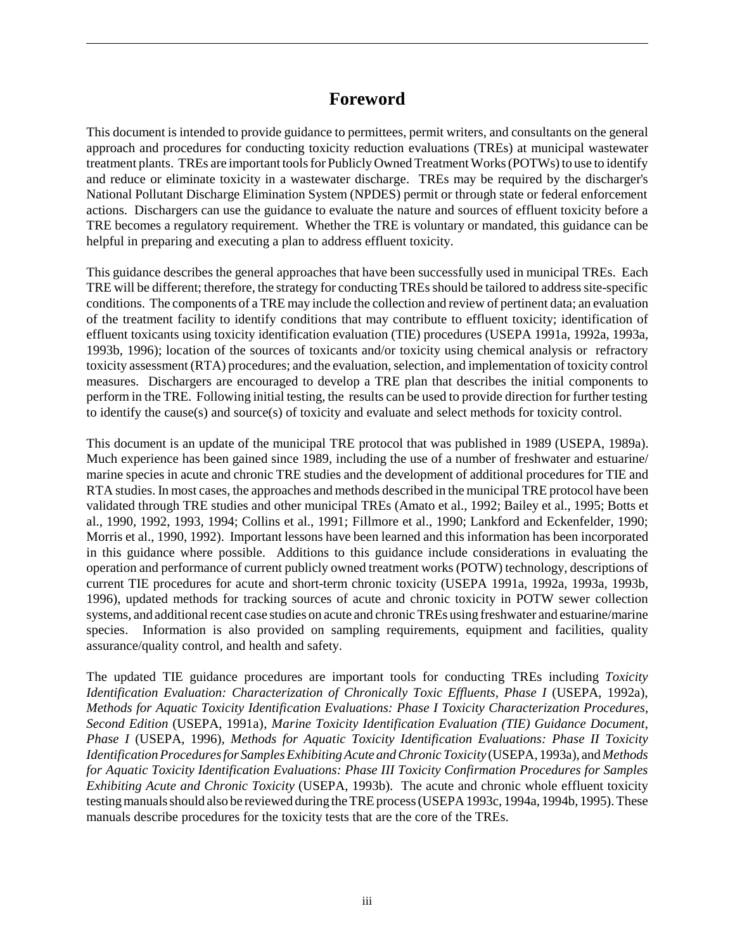### **Foreword**

This document is intended to provide guidance to permittees, permit writers, and consultants on the general approach and procedures for conducting toxicity reduction evaluations (TREs) at municipal wastewater treatment plants. TREs are important tools for Publicly Owned Treatment Works (POTWs) to use to identify and reduce or eliminate toxicity in a wastewater discharge. TREs may be required by the discharger's National Pollutant Discharge Elimination System (NPDES) permit or through state or federal enforcement actions. Dischargers can use the guidance to evaluate the nature and sources of effluent toxicity before a TRE becomes a regulatory requirement. Whether the TRE is voluntary or mandated, this guidance can be helpful in preparing and executing a plan to address effluent toxicity.

This guidance describes the general approaches that have been successfully used in municipal TREs. Each TRE will be different; therefore, the strategy for conducting TREs should be tailored to address site-specific conditions. The components of a TRE may include the collection and review of pertinent data; an evaluation of the treatment facility to identify conditions that may contribute to effluent toxicity; identification of effluent toxicants using toxicity identification evaluation (TIE) procedures (USEPA 1991a, 1992a, 1993a, 1993b, 1996); location of the sources of toxicants and/or toxicity using chemical analysis or refractory toxicity assessment (RTA) procedures; and the evaluation, selection, and implementation of toxicity control measures. Dischargers are encouraged to develop a TRE plan that describes the initial components to perform in the TRE. Following initial testing, the results can be used to provide direction for further testing to identify the cause(s) and source(s) of toxicity and evaluate and select methods for toxicity control.

This document is an update of the municipal TRE protocol that was published in 1989 (USEPA, 1989a). Much experience has been gained since 1989, including the use of a number of freshwater and estuarine/ marine species in acute and chronic TRE studies and the development of additional procedures for TIE and RTA studies. In most cases, the approaches and methods described in the municipal TRE protocol have been validated through TRE studies and other municipal TREs (Amato et al., 1992; Bailey et al., 1995; Botts et al., 1990, 1992, 1993, 1994; Collins et al., 1991; Fillmore et al., 1990; Lankford and Eckenfelder, 1990; Morris et al., 1990, 1992). Important lessons have been learned and this information has been incorporated in this guidance where possible. Additions to this guidance include considerations in evaluating the operation and performance of current publicly owned treatment works (POTW) technology, descriptions of current TIE procedures for acute and short-term chronic toxicity (USEPA 1991a, 1992a, 1993a, 1993b, 1996), updated methods for tracking sources of acute and chronic toxicity in POTW sewer collection systems, and additional recent case studies on acute and chronic TREs using freshwater and estuarine/marine species. Information is also provided on sampling requirements, equipment and facilities, quality assurance/quality control, and health and safety.

The updated TIE guidance procedures are important tools for conducting TREs including *Toxicity Identification Evaluation: Characterization of Chronically Toxic Effluents, Phase I (USEPA, 1992a), Methods for Aquatic Toxicity Identification Evaluations: Phase I Toxicity Characterization Procedures, Second Edition* (USEPA, 1991a), *Marine Toxicity Identification Evaluation (TIE) Guidance Document, Phase I* (USEPA, 1996)*, Methods for Aquatic Toxicity Identification Evaluations: Phase II Toxicity Identification Procedures for Samples Exhibiting Acute and Chronic Toxicity* (USEPA, 1993a), and *Methods for Aquatic Toxicity Identification Evaluations: Phase III Toxicity Confirmation Procedures for Samples Exhibiting Acute and Chronic Toxicity* (USEPA, 1993b). The acute and chronic whole effluent toxicity testing manuals should also be reviewed during the TRE process (USEPA 1993c, 1994a, 1994b, 1995). These manuals describe procedures for the toxicity tests that are the core of the TREs.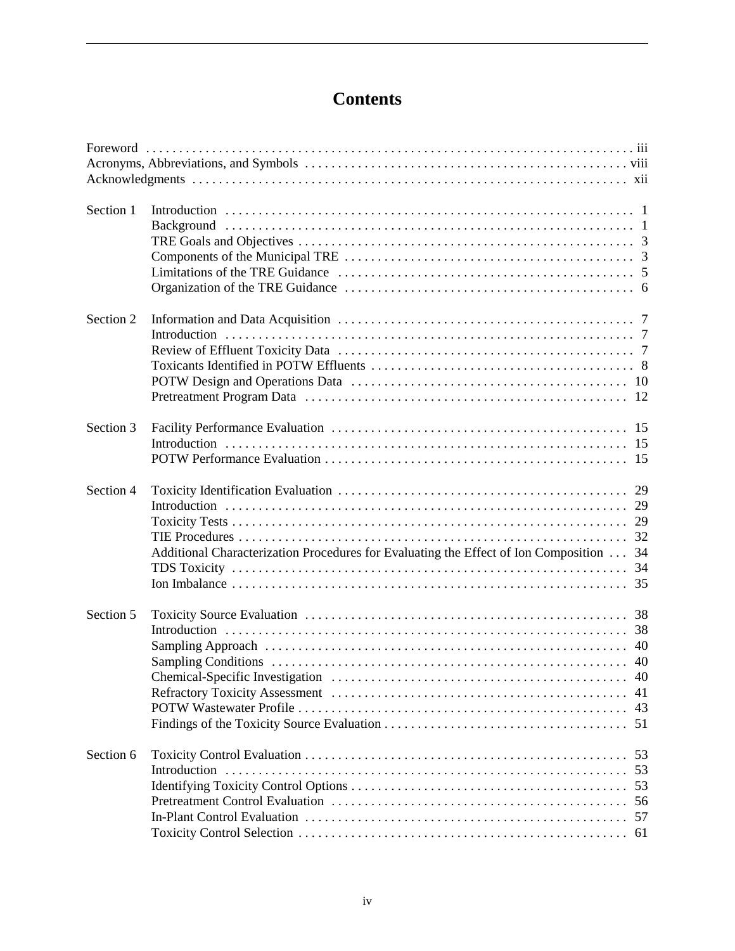## **Contents**

| Section 1 |                                                                                                 |
|-----------|-------------------------------------------------------------------------------------------------|
| Section 2 |                                                                                                 |
| Section 3 |                                                                                                 |
| Section 4 | 32<br>Additional Characterization Procedures for Evaluating the Effect of Ion Composition<br>34 |
| Section 5 | 51                                                                                              |
| Section 6 | 53<br>53<br>53<br>56<br>57                                                                      |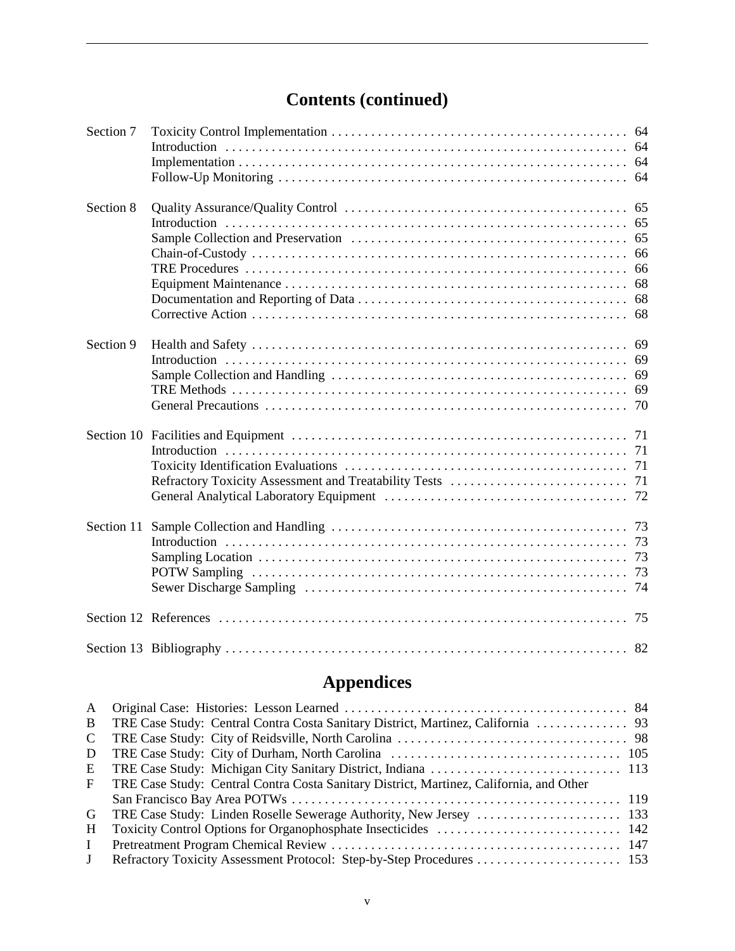## **Contents (continued)**

| Section 7  |  |
|------------|--|
|            |  |
|            |  |
| Section 8  |  |
|            |  |
|            |  |
|            |  |
|            |  |
|            |  |
|            |  |
|            |  |
| Section 9  |  |
|            |  |
|            |  |
|            |  |
|            |  |
|            |  |
|            |  |
|            |  |
|            |  |
|            |  |
| Section 11 |  |
|            |  |
|            |  |
|            |  |
|            |  |
|            |  |
|            |  |

## **Appendices**

| $\mathbf{A}$ |                                                                                         |
|--------------|-----------------------------------------------------------------------------------------|
| B            |                                                                                         |
| C            |                                                                                         |
| D            |                                                                                         |
| E            |                                                                                         |
| $\mathbf{F}$ | TRE Case Study: Central Contra Costa Sanitary District, Martinez, California, and Other |
|              |                                                                                         |
| G            |                                                                                         |
| H            |                                                                                         |
| $\mathbf{I}$ |                                                                                         |
| $\Gamma$     |                                                                                         |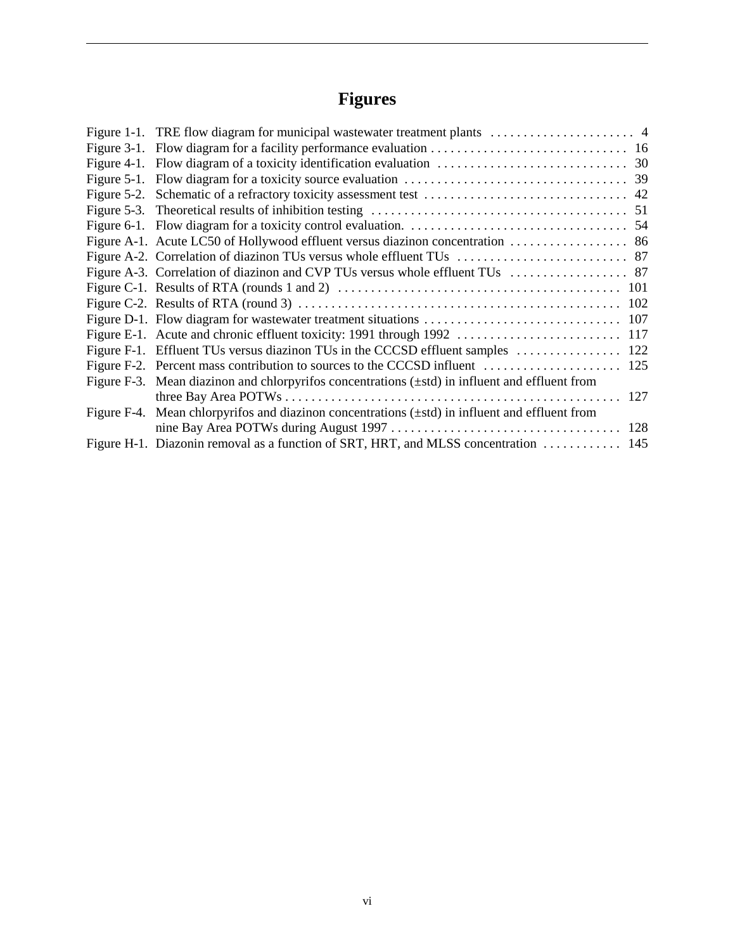## **Figures**

| Figure F-3. Mean diazinon and chlorpyrifos concentrations $(\pm std)$ in influent and effluent from |  |
|-----------------------------------------------------------------------------------------------------|--|
|                                                                                                     |  |
| Figure F-4. Mean chlorpyrifos and diazinon concentrations $(\pm std)$ in influent and effluent from |  |
|                                                                                                     |  |
| Figure H-1. Diazonin removal as a function of SRT, HRT, and MLSS concentration  145                 |  |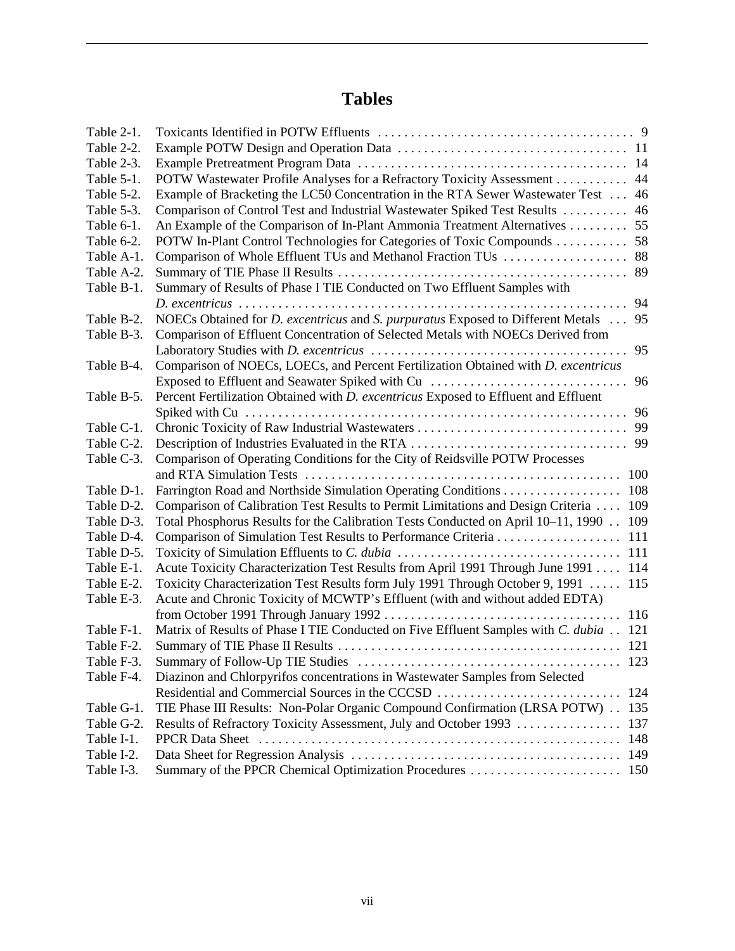## **Tables**

| Table 2-1. |                                                                                                     |
|------------|-----------------------------------------------------------------------------------------------------|
| Table 2-2. |                                                                                                     |
| Table 2-3. |                                                                                                     |
| Table 5-1. | POTW Wastewater Profile Analyses for a Refractory Toxicity Assessment<br>44                         |
| Table 5-2. | Example of Bracketing the LC50 Concentration in the RTA Sewer Wastewater Test<br>46                 |
| Table 5-3. | Comparison of Control Test and Industrial Wastewater Spiked Test Results<br>46                      |
| Table 6-1. | An Example of the Comparison of In-Plant Ammonia Treatment Alternatives<br>55                       |
| Table 6-2. | POTW In-Plant Control Technologies for Categories of Toxic Compounds<br>58                          |
| Table A-1. | Comparison of Whole Effluent TUs and Methanol Fraction TUs<br>88                                    |
| Table A-2. | 89                                                                                                  |
| Table B-1. | Summary of Results of Phase I TIE Conducted on Two Effluent Samples with                            |
|            | 94                                                                                                  |
| Table B-2. | NOECs Obtained for <i>D. excentricus</i> and <i>S. purpuratus</i> Exposed to Different Metals<br>95 |
| Table B-3. | Comparison of Effluent Concentration of Selected Metals with NOECs Derived from                     |
|            | 95                                                                                                  |
| Table B-4. | Comparison of NOECs, LOECs, and Percent Fertilization Obtained with D. excentricus                  |
|            | Exposed to Effluent and Seawater Spiked with Cu<br>96                                               |
| Table B-5. | Percent Fertilization Obtained with D. excentricus Exposed to Effluent and Effluent                 |
|            | 96                                                                                                  |
| Table C-1. | Chronic Toxicity of Raw Industrial Wastewaters<br>99                                                |
| Table C-2. | Description of Industries Evaluated in the RTA<br>99                                                |
| Table C-3. | Comparison of Operating Conditions for the City of Reidsville POTW Processes                        |
|            |                                                                                                     |
| Table D-1. | Farrington Road and Northside Simulation Operating Conditions 108                                   |
| Table D-2. | Comparison of Calibration Test Results to Permit Limitations and Design Criteria<br>109             |
| Table D-3. | Total Phosphorus Results for the Calibration Tests Conducted on April 10-11, 1990<br>109            |
| Table D-4. | 111                                                                                                 |
| Table D-5. |                                                                                                     |
| Table E-1. | Acute Toxicity Characterization Test Results from April 1991 Through June 1991 114                  |
| Table E-2. | Toxicity Characterization Test Results form July 1991 Through October 9, 1991  115                  |
| Table E-3. | Acute and Chronic Toxicity of MCWTP's Effluent (with and without added EDTA)                        |
|            | 116                                                                                                 |
| Table F-1. | Matrix of Results of Phase I TIE Conducted on Five Effluent Samples with C. dubia 121               |
| Table F-2. | 121                                                                                                 |
| Table F-3. | $\ldots \ldots 123$                                                                                 |
| Table F-4. | Diazinon and Chlorpyrifos concentrations in Wastewater Samples from Selected                        |
|            | Residential and Commercial Sources in the CCCSD<br>124                                              |
| Table G-1. | TIE Phase III Results: Non-Polar Organic Compound Confirmation (LRSA POTW) 135                      |
| Table G-2. | Results of Refractory Toxicity Assessment, July and October 1993<br>137                             |
| Table I-1. | 148                                                                                                 |
| Table I-2. |                                                                                                     |
| Table I-3. |                                                                                                     |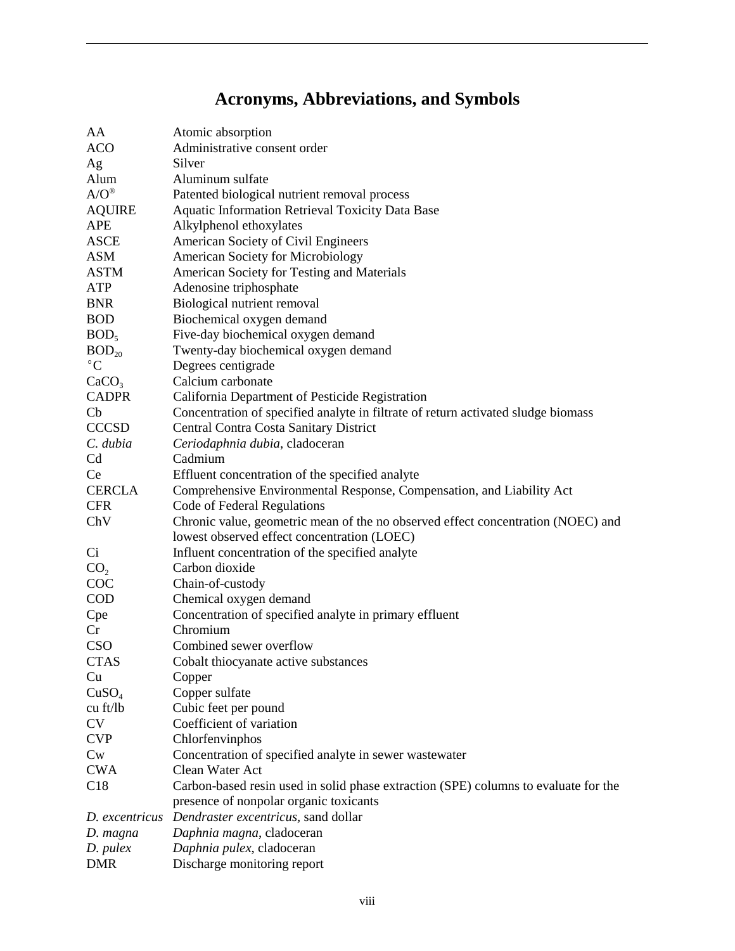## **Acronyms, Abbreviations, and Symbols**

| AA                  | Atomic absorption                                                                   |  |  |
|---------------------|-------------------------------------------------------------------------------------|--|--|
| <b>ACO</b>          | Administrative consent order                                                        |  |  |
| Ag                  | Silver                                                                              |  |  |
| Alum                | Aluminum sulfate                                                                    |  |  |
| $A/O^{\circledast}$ | Patented biological nutrient removal process                                        |  |  |
| <b>AQUIRE</b>       | Aquatic Information Retrieval Toxicity Data Base                                    |  |  |
| <b>APE</b>          | Alkylphenol ethoxylates                                                             |  |  |
| <b>ASCE</b>         | American Society of Civil Engineers                                                 |  |  |
| ASM                 | American Society for Microbiology                                                   |  |  |
| <b>ASTM</b>         | American Society for Testing and Materials                                          |  |  |
| <b>ATP</b>          | Adenosine triphosphate                                                              |  |  |
| <b>BNR</b>          | Biological nutrient removal                                                         |  |  |
| <b>BOD</b>          | Biochemical oxygen demand                                                           |  |  |
| BOD <sub>5</sub>    | Five-day biochemical oxygen demand                                                  |  |  |
| $BOD_{20}$          | Twenty-day biochemical oxygen demand                                                |  |  |
| $^{\circ}C$         | Degrees centigrade                                                                  |  |  |
| CaCO <sub>3</sub>   | Calcium carbonate                                                                   |  |  |
| <b>CADPR</b>        | California Department of Pesticide Registration                                     |  |  |
| $\mathbf{C}$        | Concentration of specified analyte in filtrate of return activated sludge biomass   |  |  |
| <b>CCCSD</b>        | Central Contra Costa Sanitary District                                              |  |  |
| C. dubia            | Ceriodaphnia dubia, cladoceran                                                      |  |  |
| Cd                  | Cadmium                                                                             |  |  |
| Ce                  | Effluent concentration of the specified analyte                                     |  |  |
| <b>CERCLA</b>       | Comprehensive Environmental Response, Compensation, and Liability Act               |  |  |
| <b>CFR</b>          | Code of Federal Regulations                                                         |  |  |
| ChV                 | Chronic value, geometric mean of the no observed effect concentration (NOEC) and    |  |  |
|                     | lowest observed effect concentration (LOEC)                                         |  |  |
| Ci                  | Influent concentration of the specified analyte                                     |  |  |
| CO <sub>2</sub>     | Carbon dioxide                                                                      |  |  |
| COC                 | Chain-of-custody                                                                    |  |  |
| <b>COD</b>          | Chemical oxygen demand                                                              |  |  |
| Cpe                 | Concentration of specified analyte in primary effluent                              |  |  |
| Cr                  | Chromium                                                                            |  |  |
| CSO                 | Combined sewer overflow                                                             |  |  |
| <b>CTAS</b>         | Cobalt thiocyanate active substances                                                |  |  |
| Cu                  | Copper                                                                              |  |  |
| CuSO <sub>4</sub>   | Copper sulfate                                                                      |  |  |
| cu ft/lb            | Cubic feet per pound                                                                |  |  |
| CV                  | Coefficient of variation                                                            |  |  |
| <b>CVP</b>          | Chlorfenvinphos                                                                     |  |  |
| $C_{W}$             | Concentration of specified analyte in sewer wastewater                              |  |  |
| <b>CWA</b>          | Clean Water Act                                                                     |  |  |
| C18                 | Carbon-based resin used in solid phase extraction (SPE) columns to evaluate for the |  |  |
|                     | presence of nonpolar organic toxicants                                              |  |  |
| D. excentricus      | Dendraster excentricus, sand dollar                                                 |  |  |
| D. magna            | Daphnia magna, cladoceran                                                           |  |  |
| $D.$ pulex          | Daphnia pulex, cladoceran                                                           |  |  |
| <b>DMR</b>          | Discharge monitoring report                                                         |  |  |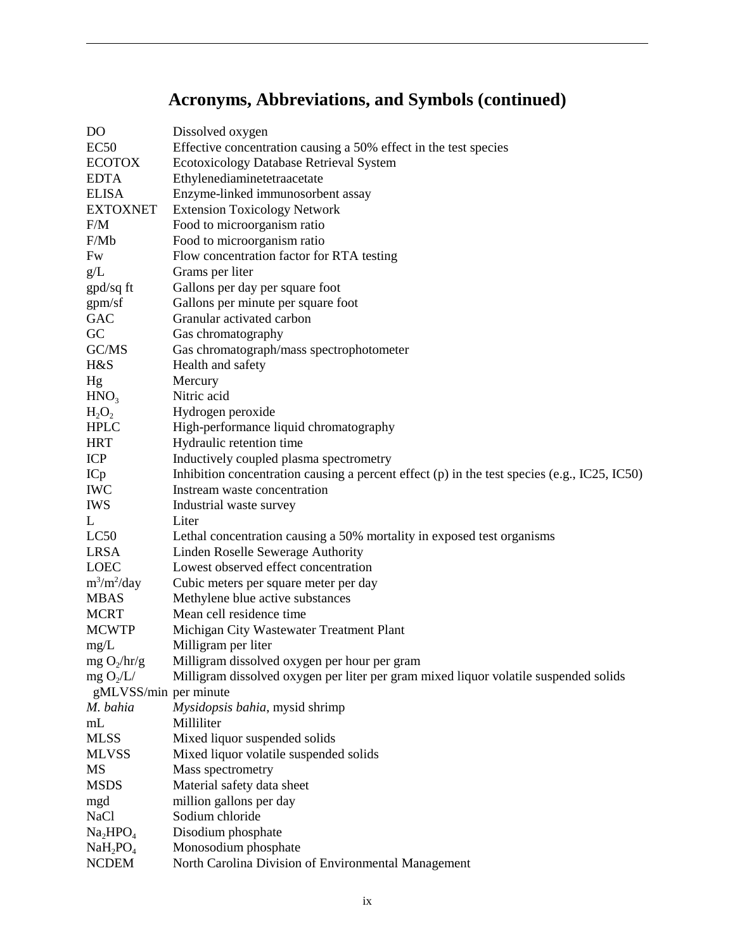## **Acronyms, Abbreviations, and Symbols (continued)**

| DO                               | Dissolved oxygen                                                                                 |  |  |
|----------------------------------|--------------------------------------------------------------------------------------------------|--|--|
| EC50                             | Effective concentration causing a 50% effect in the test species                                 |  |  |
| <b>ECOTOX</b>                    | Ecotoxicology Database Retrieval System                                                          |  |  |
| <b>EDTA</b>                      | Ethylenediaminetetraacetate                                                                      |  |  |
| <b>ELISA</b>                     | Enzyme-linked immunosorbent assay                                                                |  |  |
| <b>EXTOXNET</b>                  | <b>Extension Toxicology Network</b>                                                              |  |  |
| F/M                              | Food to microorganism ratio                                                                      |  |  |
| F/Mb                             | Food to microorganism ratio                                                                      |  |  |
| Fw                               | Flow concentration factor for RTA testing                                                        |  |  |
| g/L                              | Grams per liter                                                                                  |  |  |
| gpd/sq ft                        | Gallons per day per square foot                                                                  |  |  |
| gpm/sf                           | Gallons per minute per square foot                                                               |  |  |
| <b>GAC</b>                       | Granular activated carbon                                                                        |  |  |
| GC                               | Gas chromatography                                                                               |  |  |
| GC/MS                            | Gas chromatograph/mass spectrophotometer                                                         |  |  |
| H&S                              | Health and safety                                                                                |  |  |
| Hg                               | Mercury                                                                                          |  |  |
| HNO <sub>3</sub>                 | Nitric acid                                                                                      |  |  |
| $H_2O_2$                         | Hydrogen peroxide                                                                                |  |  |
| <b>HPLC</b>                      | High-performance liquid chromatography                                                           |  |  |
| <b>HRT</b>                       | Hydraulic retention time                                                                         |  |  |
| <b>ICP</b>                       | Inductively coupled plasma spectrometry                                                          |  |  |
| ICp                              | Inhibition concentration causing a percent effect $(p)$ in the test species $(e.g., IC25, IC50)$ |  |  |
| <b>IWC</b>                       | Instream waste concentration                                                                     |  |  |
| <b>IWS</b>                       | Industrial waste survey                                                                          |  |  |
| L                                | Liter                                                                                            |  |  |
| LC <sub>50</sub>                 | Lethal concentration causing a 50% mortality in exposed test organisms                           |  |  |
| <b>LRSA</b>                      | Linden Roselle Sewerage Authority                                                                |  |  |
| <b>LOEC</b>                      | Lowest observed effect concentration                                                             |  |  |
| $m^3/m^2/day$                    | Cubic meters per square meter per day                                                            |  |  |
| <b>MBAS</b>                      | Methylene blue active substances                                                                 |  |  |
| <b>MCRT</b>                      | Mean cell residence time                                                                         |  |  |
| <b>MCWTP</b>                     | Michigan City Wastewater Treatment Plant                                                         |  |  |
| mg/L                             | Milligram per liter                                                                              |  |  |
| $mg O_2/hr/g$                    | Milligram dissolved oxygen per hour per gram                                                     |  |  |
| mg O <sub>2</sub> /L/            | Milligram dissolved oxygen per liter per gram mixed liquor volatile suspended solids             |  |  |
| gMLVSS/min per minute            |                                                                                                  |  |  |
| M. bahia                         | Mysidopsis bahia, mysid shrimp                                                                   |  |  |
| mL                               | Milliliter                                                                                       |  |  |
| <b>MLSS</b>                      | Mixed liquor suspended solids                                                                    |  |  |
| <b>MLVSS</b>                     | Mixed liquor volatile suspended solids                                                           |  |  |
| MS                               | Mass spectrometry                                                                                |  |  |
| <b>MSDS</b>                      | Material safety data sheet                                                                       |  |  |
| mgd                              | million gallons per day                                                                          |  |  |
| <b>NaCl</b>                      | Sodium chloride                                                                                  |  |  |
| Na <sub>2</sub> HPO <sub>4</sub> | Disodium phosphate                                                                               |  |  |
| $NaH_2PO_4$                      | Monosodium phosphate                                                                             |  |  |
| <b>NCDEM</b>                     | North Carolina Division of Environmental Management                                              |  |  |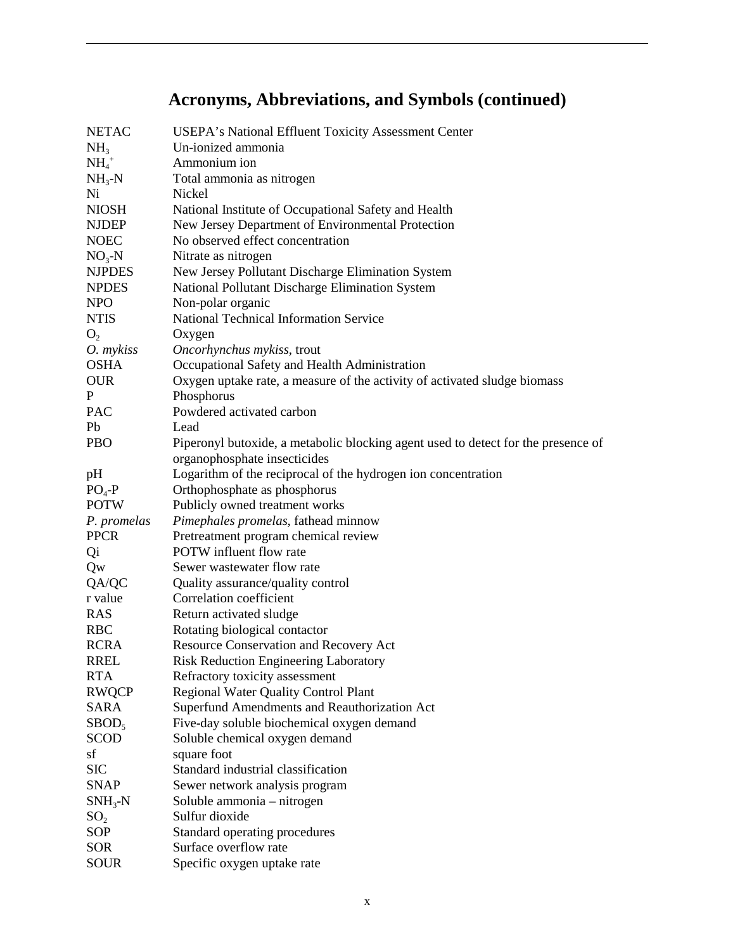## **Acronyms, Abbreviations, and Symbols (continued)**

| <b>NETAC</b>    | USEPA's National Effluent Toxicity Assessment Center                              |  |  |  |
|-----------------|-----------------------------------------------------------------------------------|--|--|--|
| NH <sub>3</sub> | Un-ionized ammonia                                                                |  |  |  |
| $NH4+$          | Ammonium ion                                                                      |  |  |  |
| $NH3-N$         | Total ammonia as nitrogen                                                         |  |  |  |
| Ni              | Nickel                                                                            |  |  |  |
| <b>NIOSH</b>    | National Institute of Occupational Safety and Health                              |  |  |  |
| <b>NJDEP</b>    | New Jersey Department of Environmental Protection                                 |  |  |  |
| <b>NOEC</b>     | No observed effect concentration                                                  |  |  |  |
| $NO3-N$         | Nitrate as nitrogen                                                               |  |  |  |
| <b>NJPDES</b>   | New Jersey Pollutant Discharge Elimination System                                 |  |  |  |
| <b>NPDES</b>    | National Pollutant Discharge Elimination System                                   |  |  |  |
| <b>NPO</b>      | Non-polar organic                                                                 |  |  |  |
| <b>NTIS</b>     | National Technical Information Service                                            |  |  |  |
| O <sub>2</sub>  | Oxygen                                                                            |  |  |  |
| O. mykiss       | Oncorhynchus mykiss, trout                                                        |  |  |  |
| <b>OSHA</b>     | Occupational Safety and Health Administration                                     |  |  |  |
| <b>OUR</b>      | Oxygen uptake rate, a measure of the activity of activated sludge biomass         |  |  |  |
| P               | Phosphorus                                                                        |  |  |  |
| <b>PAC</b>      | Powdered activated carbon                                                         |  |  |  |
| Pb              | Lead                                                                              |  |  |  |
| <b>PBO</b>      | Piperonyl butoxide, a metabolic blocking agent used to detect for the presence of |  |  |  |
|                 | organophosphate insecticides                                                      |  |  |  |
| pH              | Logarithm of the reciprocal of the hydrogen ion concentration                     |  |  |  |
| $PO4-P$         | Orthophosphate as phosphorus                                                      |  |  |  |
| <b>POTW</b>     | Publicly owned treatment works                                                    |  |  |  |
| P. promelas     | Pimephales promelas, fathead minnow                                               |  |  |  |
| <b>PPCR</b>     | Pretreatment program chemical review                                              |  |  |  |
| Qi              | POTW influent flow rate                                                           |  |  |  |
| Qw              | Sewer wastewater flow rate                                                        |  |  |  |
| QA/QC           | Quality assurance/quality control                                                 |  |  |  |
| r value         | Correlation coefficient                                                           |  |  |  |
| <b>RAS</b>      | Return activated sludge                                                           |  |  |  |
| <b>RBC</b>      | Rotating biological contactor                                                     |  |  |  |
| <b>RCRA</b>     | <b>Resource Conservation and Recovery Act</b>                                     |  |  |  |
| <b>RREL</b>     | <b>Risk Reduction Engineering Laboratory</b>                                      |  |  |  |
| <b>RTA</b>      | Refractory toxicity assessment                                                    |  |  |  |
| <b>RWQCP</b>    | <b>Regional Water Quality Control Plant</b>                                       |  |  |  |
| <b>SARA</b>     | Superfund Amendments and Reauthorization Act                                      |  |  |  |
| $SBOD_5$        | Five-day soluble biochemical oxygen demand                                        |  |  |  |
| <b>SCOD</b>     | Soluble chemical oxygen demand                                                    |  |  |  |
| sf              | square foot                                                                       |  |  |  |
| <b>SIC</b>      | Standard industrial classification                                                |  |  |  |
| <b>SNAP</b>     | Sewer network analysis program                                                    |  |  |  |
| $SNH_3-N$       |                                                                                   |  |  |  |
| SO <sub>2</sub> | Soluble ammonia - nitrogen<br>Sulfur dioxide                                      |  |  |  |
| SOP             | Standard operating procedures                                                     |  |  |  |
| <b>SOR</b>      | Surface overflow rate                                                             |  |  |  |
|                 |                                                                                   |  |  |  |
| <b>SOUR</b>     | Specific oxygen uptake rate                                                       |  |  |  |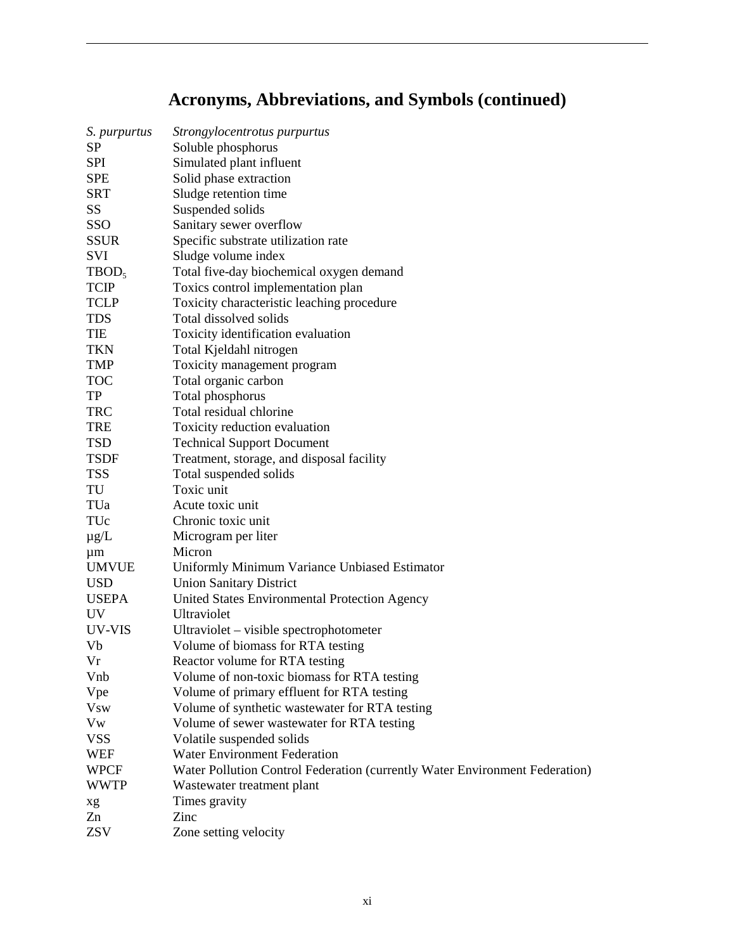## **Acronyms, Abbreviations, and Symbols (continued)**

| S. <i>purpurtus</i> | Strongylocentrotus purpurtus                                                |  |  |  |
|---------------------|-----------------------------------------------------------------------------|--|--|--|
| SP                  | Soluble phosphorus                                                          |  |  |  |
| <b>SPI</b>          | Simulated plant influent                                                    |  |  |  |
| <b>SPE</b>          | Solid phase extraction                                                      |  |  |  |
| <b>SRT</b>          | Sludge retention time                                                       |  |  |  |
| SS                  | Suspended solids                                                            |  |  |  |
| SSO                 | Sanitary sewer overflow                                                     |  |  |  |
| <b>SSUR</b>         | Specific substrate utilization rate                                         |  |  |  |
| <b>SVI</b>          | Sludge volume index                                                         |  |  |  |
| TBOD <sub>5</sub>   | Total five-day biochemical oxygen demand                                    |  |  |  |
| <b>TCIP</b>         | Toxics control implementation plan                                          |  |  |  |
| <b>TCLP</b>         | Toxicity characteristic leaching procedure                                  |  |  |  |
| <b>TDS</b>          | Total dissolved solids                                                      |  |  |  |
| TIE                 | Toxicity identification evaluation                                          |  |  |  |
| <b>TKN</b>          | Total Kjeldahl nitrogen                                                     |  |  |  |
| <b>TMP</b>          | Toxicity management program                                                 |  |  |  |
| <b>TOC</b>          | Total organic carbon                                                        |  |  |  |
| TP                  | Total phosphorus                                                            |  |  |  |
| <b>TRC</b>          | Total residual chlorine                                                     |  |  |  |
| <b>TRE</b>          | Toxicity reduction evaluation                                               |  |  |  |
| <b>TSD</b>          | <b>Technical Support Document</b>                                           |  |  |  |
| <b>TSDF</b>         | Treatment, storage, and disposal facility                                   |  |  |  |
| <b>TSS</b>          | Total suspended solids                                                      |  |  |  |
| TU                  | Toxic unit                                                                  |  |  |  |
| TUa                 | Acute toxic unit                                                            |  |  |  |
| TUc                 | Chronic toxic unit                                                          |  |  |  |
| $\mu$ g/L           | Microgram per liter                                                         |  |  |  |
| $\mu$ m             | Micron                                                                      |  |  |  |
| <b>UMVUE</b>        | Uniformly Minimum Variance Unbiased Estimator                               |  |  |  |
| <b>USD</b>          | <b>Union Sanitary District</b>                                              |  |  |  |
| <b>USEPA</b>        | United States Environmental Protection Agency                               |  |  |  |
| <b>UV</b>           | Ultraviolet                                                                 |  |  |  |
| UV-VIS              | Ultraviolet – visible spectrophotometer                                     |  |  |  |
| Vb                  | Volume of biomass for RTA testing                                           |  |  |  |
| Vr                  | Reactor volume for RTA testing                                              |  |  |  |
| Vnb                 | Volume of non-toxic biomass for RTA testing                                 |  |  |  |
| Vpe                 | Volume of primary effluent for RTA testing                                  |  |  |  |
| <b>V</b> sw         | Volume of synthetic wastewater for RTA testing                              |  |  |  |
| Vw                  | Volume of sewer wastewater for RTA testing                                  |  |  |  |
| <b>VSS</b>          | Volatile suspended solids                                                   |  |  |  |
| <b>WEF</b>          | <b>Water Environment Federation</b>                                         |  |  |  |
| <b>WPCF</b>         | Water Pollution Control Federation (currently Water Environment Federation) |  |  |  |
| <b>WWTP</b>         | Wastewater treatment plant                                                  |  |  |  |
| xg                  | Times gravity                                                               |  |  |  |
| Zn                  | Zinc                                                                        |  |  |  |
| <b>ZSV</b>          | Zone setting velocity                                                       |  |  |  |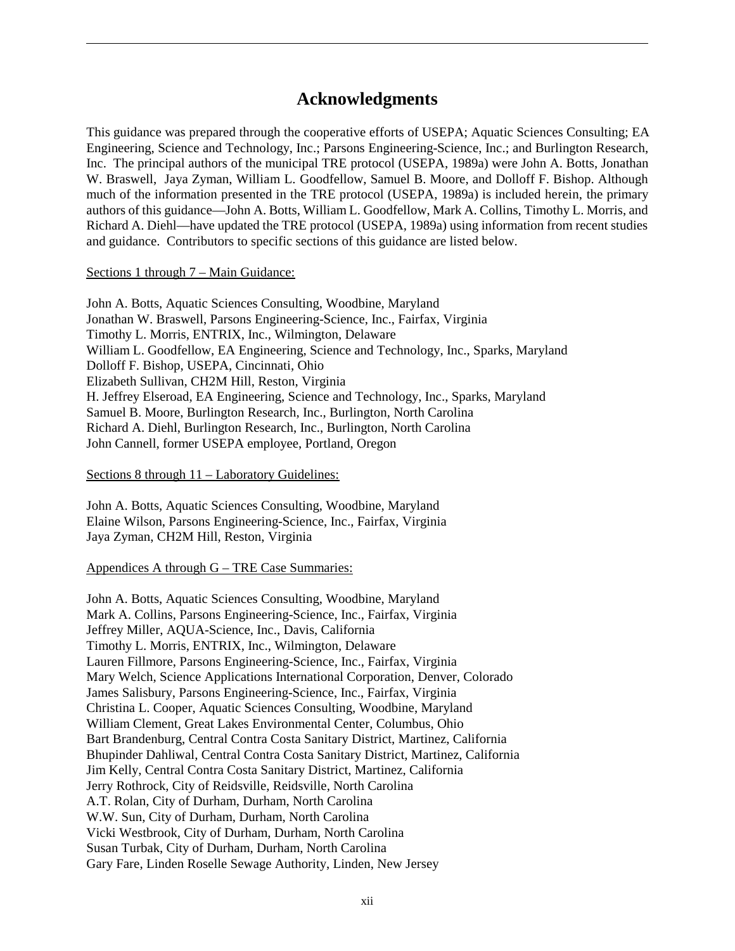### **Acknowledgments**

This guidance was prepared through the cooperative efforts of USEPA; Aquatic Sciences Consulting; EA Engineering, Science and Technology, Inc.; Parsons Engineering-Science, Inc.; and Burlington Research, Inc. The principal authors of the municipal TRE protocol (USEPA, 1989a) were John A. Botts, Jonathan W. Braswell, Jaya Zyman, William L. Goodfellow, Samuel B. Moore, and Dolloff F. Bishop. Although much of the information presented in the TRE protocol (USEPA, 1989a) is included herein, the primary authors of this guidance—John A. Botts, William L. Goodfellow, Mark A. Collins, Timothy L. Morris, and Richard A. Diehl—have updated the TRE protocol (USEPA, 1989a) using information from recent studies and guidance. Contributors to specific sections of this guidance are listed below.

### Sections 1 through 7 – Main Guidance:

John A. Botts, Aquatic Sciences Consulting, Woodbine, Maryland Jonathan W. Braswell, Parsons Engineering-Science, Inc., Fairfax, Virginia Timothy L. Morris, ENTRIX, Inc., Wilmington, Delaware William L. Goodfellow, EA Engineering, Science and Technology, Inc., Sparks, Maryland Dolloff F. Bishop, USEPA, Cincinnati, Ohio Elizabeth Sullivan, CH2M Hill, Reston, Virginia H. Jeffrey Elseroad, EA Engineering, Science and Technology, Inc., Sparks, Maryland Samuel B. Moore, Burlington Research, Inc., Burlington, North Carolina Richard A. Diehl, Burlington Research, Inc., Burlington, North Carolina John Cannell, former USEPA employee, Portland, Oregon

### Sections 8 through 11 – Laboratory Guidelines:

John A. Botts, Aquatic Sciences Consulting, Woodbine, Maryland Elaine Wilson, Parsons Engineering-Science, Inc., Fairfax, Virginia Jaya Zyman, CH2M Hill, Reston, Virginia

### Appendices A through G – TRE Case Summaries:

John A. Botts, Aquatic Sciences Consulting, Woodbine, Maryland Mark A. Collins, Parsons Engineering-Science, Inc., Fairfax, Virginia Jeffrey Miller, AQUA-Science, Inc., Davis, California Timothy L. Morris, ENTRIX, Inc., Wilmington, Delaware Lauren Fillmore, Parsons Engineering-Science, Inc., Fairfax, Virginia Mary Welch, Science Applications International Corporation, Denver, Colorado James Salisbury, Parsons Engineering-Science, Inc., Fairfax, Virginia Christina L. Cooper, Aquatic Sciences Consulting, Woodbine, Maryland William Clement, Great Lakes Environmental Center, Columbus, Ohio Bart Brandenburg, Central Contra Costa Sanitary District, Martinez, California Bhupinder Dahliwal, Central Contra Costa Sanitary District, Martinez, California Jim Kelly, Central Contra Costa Sanitary District, Martinez, California Jerry Rothrock, City of Reidsville, Reidsville, North Carolina A.T. Rolan, City of Durham, Durham, North Carolina W.W. Sun, City of Durham, Durham, North Carolina Vicki Westbrook, City of Durham, Durham, North Carolina Susan Turbak, City of Durham, Durham, North Carolina Gary Fare, Linden Roselle Sewage Authority, Linden, New Jersey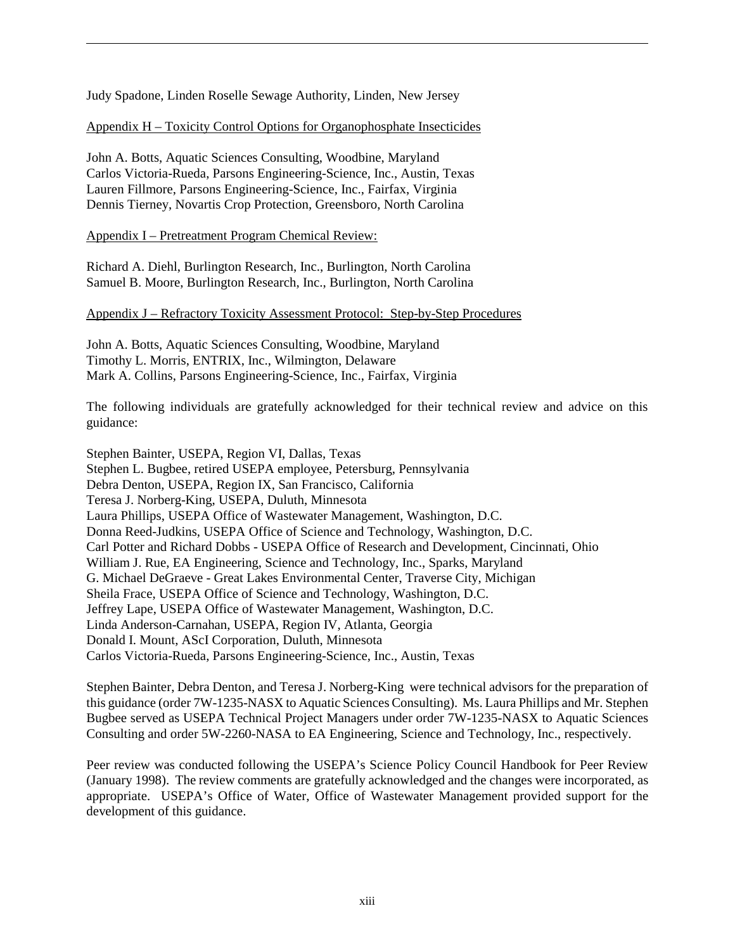Judy Spadone, Linden Roselle Sewage Authority, Linden, New Jersey

Appendix H – Toxicity Control Options for Organophosphate Insecticides

John A. Botts, Aquatic Sciences Consulting, Woodbine, Maryland Carlos Victoria-Rueda, Parsons Engineering-Science, Inc., Austin, Texas Lauren Fillmore, Parsons Engineering-Science, Inc., Fairfax, Virginia Dennis Tierney, Novartis Crop Protection, Greensboro, North Carolina

Appendix I – Pretreatment Program Chemical Review:

Richard A. Diehl, Burlington Research, Inc., Burlington, North Carolina Samuel B. Moore, Burlington Research, Inc., Burlington, North Carolina

### Appendix J – Refractory Toxicity Assessment Protocol: Step-by-Step Procedures

John A. Botts, Aquatic Sciences Consulting, Woodbine, Maryland Timothy L. Morris, ENTRIX, Inc., Wilmington, Delaware Mark A. Collins, Parsons Engineering-Science, Inc., Fairfax, Virginia

The following individuals are gratefully acknowledged for their technical review and advice on this guidance:

Stephen Bainter, USEPA, Region VI, Dallas, Texas Stephen L. Bugbee, retired USEPA employee, Petersburg, Pennsylvania Debra Denton, USEPA, Region IX, San Francisco, California Teresa J. Norberg-King, USEPA, Duluth, Minnesota Laura Phillips, USEPA Office of Wastewater Management, Washington, D.C. Donna Reed-Judkins, USEPA Office of Science and Technology, Washington, D.C. Carl Potter and Richard Dobbs - USEPA Office of Research and Development, Cincinnati, Ohio William J. Rue, EA Engineering, Science and Technology, Inc., Sparks, Maryland G. Michael DeGraeve - Great Lakes Environmental Center, Traverse City, Michigan Sheila Frace, USEPA Office of Science and Technology, Washington, D.C. Jeffrey Lape, USEPA Office of Wastewater Management, Washington, D.C. Linda Anderson-Carnahan, USEPA, Region IV, Atlanta, Georgia Donald I. Mount, AScI Corporation, Duluth, Minnesota Carlos Victoria-Rueda, Parsons Engineering-Science, Inc., Austin, Texas

Stephen Bainter, Debra Denton, and Teresa J. Norberg-King were technical advisors for the preparation of this guidance (order 7W-1235-NASX to Aquatic Sciences Consulting). Ms. Laura Phillips and Mr. Stephen Bugbee served as USEPA Technical Project Managers under order 7W-1235-NASX to Aquatic Sciences Consulting and order 5W-2260-NASA to EA Engineering, Science and Technology, Inc., respectively.

Peer review was conducted following the USEPA's Science Policy Council Handbook for Peer Review (January 1998). The review comments are gratefully acknowledged and the changes were incorporated, as appropriate. USEPA's Office of Water, Office of Wastewater Management provided support for the development of this guidance.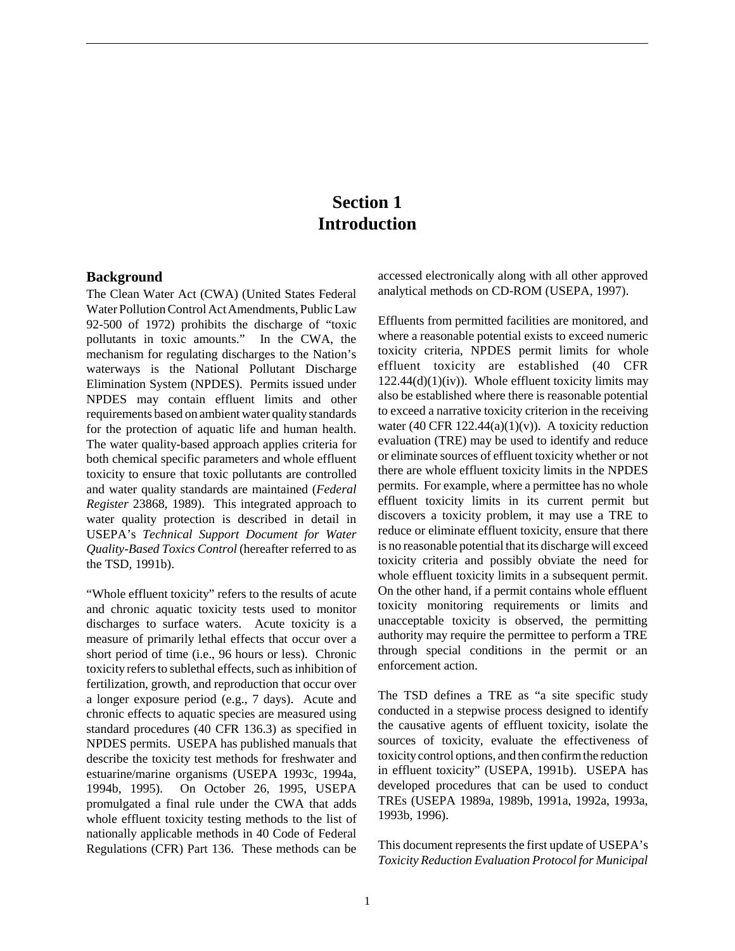### **Section 1 Introduction**

#### **Background**

The Clean Water Act (CWA) (United States Federal Water Pollution Control Act Amendments, Public Law 92-500 of 1972) prohibits the discharge of "toxic pollutants in toxic amounts." In the CWA, the mechanism for regulating discharges to the Nation's waterways is the National Pollutant Discharge Elimination System (NPDES). Permits issued under NPDES may contain effluent limits and other requirements based on ambient water quality standards for the protection of aquatic life and human health. The water quality-based approach applies criteria for both chemical specific parameters and whole effluent toxicity to ensure that toxic pollutants are controlled and water quality standards are maintained (*Federal Register* 23868, 1989). This integrated approach to water quality protection is described in detail in USEPA's *Technical Support Document for Water Quality-Based Toxics Control* (hereafter referred to as the TSD, 1991b).

"Whole effluent toxicity" refers to the results of acute and chronic aquatic toxicity tests used to monitor discharges to surface waters. Acute toxicity is a measure of primarily lethal effects that occur over a short period of time (i.e., 96 hours or less). Chronic toxicity refers to sublethal effects, such as inhibition of fertilization, growth, and reproduction that occur over a longer exposure period (e.g., 7 days). Acute and chronic effects to aquatic species are measured using standard procedures (40 CFR 136.3) as specified in NPDES permits. USEPA has published manuals that describe the toxicity test methods for freshwater and estuarine/marine organisms (USEPA 1993c, 1994a, 1994b, 1995). On October 26, 1995, USEPA promulgated a final rule under the CWA that adds whole effluent toxicity testing methods to the list of nationally applicable methods in 40 Code of Federal Regulations (CFR) Part 136. These methods can be

accessed electronically along with all other approved analytical methods on CD-ROM (USEPA, 1997).

Effluents from permitted facilities are monitored, and where a reasonable potential exists to exceed numeric toxicity criteria, NPDES permit limits for whole effluent toxicity are established (40 CFR  $122.44(d)(1)(iv)$ . Whole effluent toxicity limits may also be established where there is reasonable potential to exceed a narrative toxicity criterion in the receiving water (40 CFR 122.44(a)(1)(v)). A toxicity reduction evaluation (TRE) may be used to identify and reduce or eliminate sources of effluent toxicity whether or not there are whole effluent toxicity limits in the NPDES permits. For example, where a permittee has no whole effluent toxicity limits in its current permit but discovers a toxicity problem, it may use a TRE to reduce or eliminate effluent toxicity, ensure that there is no reasonable potential that its discharge will exceed toxicity criteria and possibly obviate the need for whole effluent toxicity limits in a subsequent permit. On the other hand, if a permit contains whole effluent toxicity monitoring requirements or limits and unacceptable toxicity is observed, the permitting authority may require the permittee to perform a TRE through special conditions in the permit or an enforcement action.

The TSD defines a TRE as "a site specific study conducted in a stepwise process designed to identify the causative agents of effluent toxicity, isolate the sources of toxicity, evaluate the effectiveness of toxicity control options, and then confirm the reduction in effluent toxicity" (USEPA, 1991b). USEPA has developed procedures that can be used to conduct TREs (USEPA 1989a, 1989b, 1991a, 1992a, 1993a, 1993b, 1996).

This document represents the first update of USEPA's *Toxicity Reduction Evaluation Protocol for Municipal*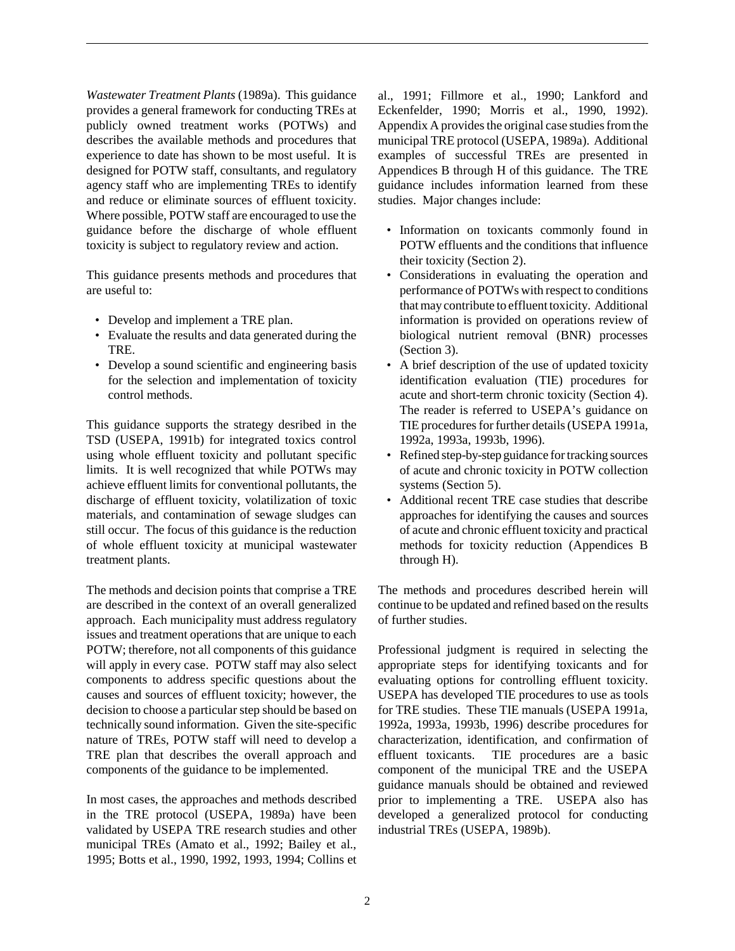*Wastewater Treatment Plants* (1989a). This guidance provides a general framework for conducting TREs at publicly owned treatment works (POTWs) and describes the available methods and procedures that experience to date has shown to be most useful. It is designed for POTW staff, consultants, and regulatory agency staff who are implementing TREs to identify and reduce or eliminate sources of effluent toxicity. Where possible, POTW staff are encouraged to use the guidance before the discharge of whole effluent toxicity is subject to regulatory review and action.

This guidance presents methods and procedures that are useful to:

- Develop and implement a TRE plan.
- Evaluate the results and data generated during the TRE.
- Develop a sound scientific and engineering basis for the selection and implementation of toxicity control methods.

This guidance supports the strategy desribed in the TSD (USEPA, 1991b) for integrated toxics control using whole effluent toxicity and pollutant specific limits. It is well recognized that while POTWs may achieve effluent limits for conventional pollutants, the discharge of effluent toxicity, volatilization of toxic materials, and contamination of sewage sludges can still occur. The focus of this guidance is the reduction of whole effluent toxicity at municipal wastewater treatment plants.

The methods and decision points that comprise a TRE are described in the context of an overall generalized approach. Each municipality must address regulatory issues and treatment operations that are unique to each POTW; therefore, not all components of this guidance will apply in every case. POTW staff may also select components to address specific questions about the causes and sources of effluent toxicity; however, the decision to choose a particular step should be based on technically sound information. Given the site-specific nature of TREs, POTW staff will need to develop a TRE plan that describes the overall approach and components of the guidance to be implemented.

In most cases, the approaches and methods described in the TRE protocol (USEPA, 1989a) have been validated by USEPA TRE research studies and other municipal TREs (Amato et al., 1992; Bailey et al., 1995; Botts et al., 1990, 1992, 1993, 1994; Collins et al., 1991; Fillmore et al., 1990; Lankford and Eckenfelder, 1990; Morris et al., 1990, 1992). Appendix A provides the original case studies from the municipal TRE protocol (USEPA, 1989a). Additional examples of successful TREs are presented in Appendices B through H of this guidance. The TRE guidance includes information learned from these studies. Major changes include:

- Information on toxicants commonly found in POTW effluents and the conditions that influence their toxicity (Section 2).
- Considerations in evaluating the operation and performance of POTWs with respect to conditions that may contribute to effluent toxicity. Additional information is provided on operations review of biological nutrient removal (BNR) processes (Section 3).
- A brief description of the use of updated toxicity identification evaluation (TIE) procedures for acute and short-term chronic toxicity (Section 4). The reader is referred to USEPA's guidance on TIE procedures for further details (USEPA 1991a, 1992a, 1993a, 1993b, 1996).
- Refined step-by-step guidance for tracking sources of acute and chronic toxicity in POTW collection systems (Section 5).
- Additional recent TRE case studies that describe approaches for identifying the causes and sources of acute and chronic effluent toxicity and practical methods for toxicity reduction (Appendices B through H).

The methods and procedures described herein will continue to be updated and refined based on the results of further studies.

Professional judgment is required in selecting the appropriate steps for identifying toxicants and for evaluating options for controlling effluent toxicity. USEPA has developed TIE procedures to use as tools for TRE studies. These TIE manuals (USEPA 1991a, 1992a, 1993a, 1993b, 1996) describe procedures for characterization, identification, and confirmation of effluent toxicants. TIE procedures are a basic component of the municipal TRE and the USEPA guidance manuals should be obtained and reviewed prior to implementing a TRE. USEPA also has developed a generalized protocol for conducting industrial TREs (USEPA, 1989b).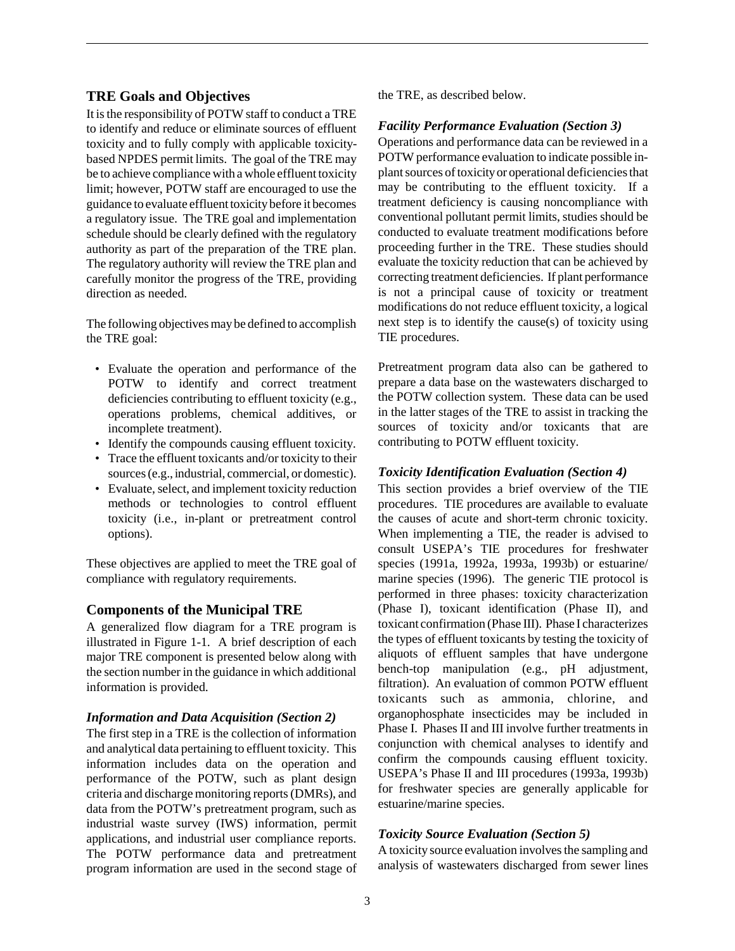### **TRE Goals and Objectives**

It is the responsibility of POTW staff to conduct a TRE to identify and reduce or eliminate sources of effluent toxicity and to fully comply with applicable toxicitybased NPDES permit limits. The goal of the TRE may be to achieve compliance with a whole effluent toxicity limit; however, POTW staff are encouraged to use the guidance to evaluate effluent toxicity before it becomes a regulatory issue. The TRE goal and implementation schedule should be clearly defined with the regulatory authority as part of the preparation of the TRE plan. The regulatory authority will review the TRE plan and carefully monitor the progress of the TRE, providing direction as needed.

The following objectives may be defined to accomplish the TRE goal:

- Evaluate the operation and performance of the POTW to identify and correct treatment deficiencies contributing to effluent toxicity (e.g., operations problems, chemical additives, or incomplete treatment).
- Identify the compounds causing effluent toxicity.
- Trace the effluent toxicants and/or toxicity to their sources (e.g., industrial, commercial, or domestic).
- Evaluate, select, and implement toxicity reduction methods or technologies to control effluent toxicity (i.e., in-plant or pretreatment control options).

These objectives are applied to meet the TRE goal of compliance with regulatory requirements.

### **Components of the Municipal TRE**

A generalized flow diagram for a TRE program is illustrated in Figure 1-1. A brief description of each major TRE component is presented below along with the section number in the guidance in which additional information is provided.

### *Information and Data Acquisition (Section 2)*

The first step in a TRE is the collection of information and analytical data pertaining to effluent toxicity. This information includes data on the operation and performance of the POTW, such as plant design criteria and discharge monitoring reports (DMRs), and data from the POTW's pretreatment program, such as industrial waste survey (IWS) information, permit applications, and industrial user compliance reports. The POTW performance data and pretreatment program information are used in the second stage of

the TRE, as described below.

### *Facility Performance Evaluation (Section 3)*

Operations and performance data can be reviewed in a POTW performance evaluation to indicate possible inplant sources of toxicity or operational deficiencies that may be contributing to the effluent toxicity. If a treatment deficiency is causing noncompliance with conventional pollutant permit limits, studies should be conducted to evaluate treatment modifications before proceeding further in the TRE. These studies should evaluate the toxicity reduction that can be achieved by correcting treatment deficiencies. If plant performance is not a principal cause of toxicity or treatment modifications do not reduce effluent toxicity, a logical next step is to identify the cause(s) of toxicity using TIE procedures.

Pretreatment program data also can be gathered to prepare a data base on the wastewaters discharged to the POTW collection system. These data can be used in the latter stages of the TRE to assist in tracking the sources of toxicity and/or toxicants that are contributing to POTW effluent toxicity.

### *Toxicity Identification Evaluation (Section 4)*

This section provides a brief overview of the TIE procedures. TIE procedures are available to evaluate the causes of acute and short-term chronic toxicity. When implementing a TIE, the reader is advised to consult USEPA's TIE procedures for freshwater species (1991a, 1992a, 1993a, 1993b) or estuarine/ marine species (1996). The generic TIE protocol is performed in three phases: toxicity characterization (Phase I), toxicant identification (Phase II), and toxicant confirmation (Phase III). Phase I characterizes the types of effluent toxicants by testing the toxicity of aliquots of effluent samples that have undergone bench-top manipulation (e.g., pH adjustment, filtration). An evaluation of common POTW effluent toxicants such as ammonia, chlorine, and organophosphate insecticides may be included in Phase I. Phases II and III involve further treatments in conjunction with chemical analyses to identify and confirm the compounds causing effluent toxicity. USEPA's Phase II and III procedures (1993a, 1993b) for freshwater species are generally applicable for estuarine/marine species.

### *Toxicity Source Evaluation (Section 5)*

A toxicity source evaluation involves the sampling and analysis of wastewaters discharged from sewer lines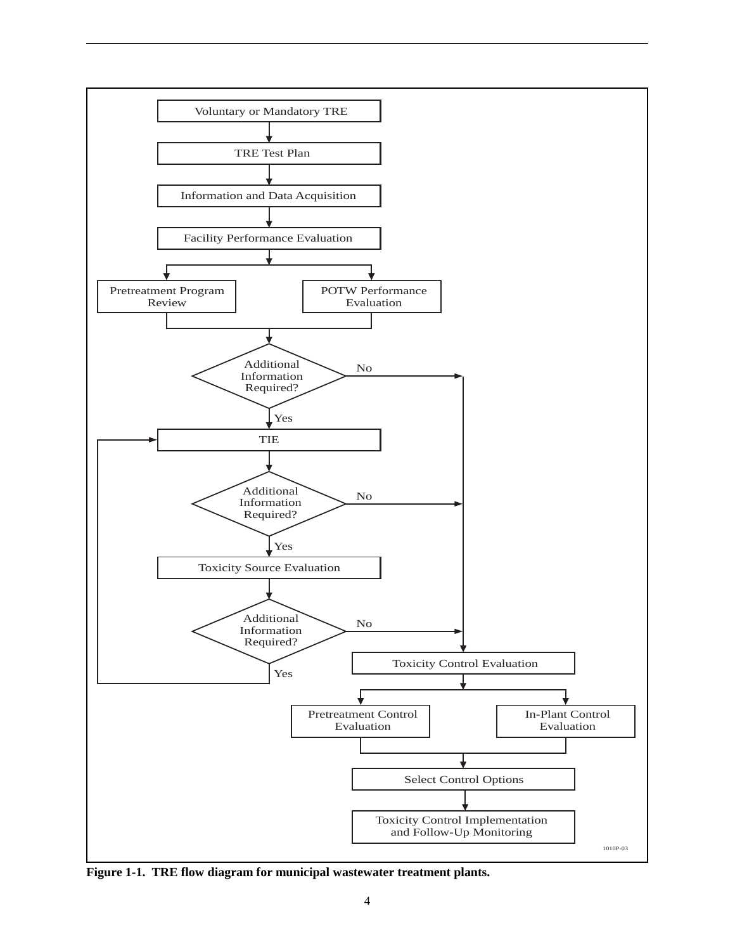

**Figure 1-1. TRE flow diagram for municipal wastewater treatment plants.**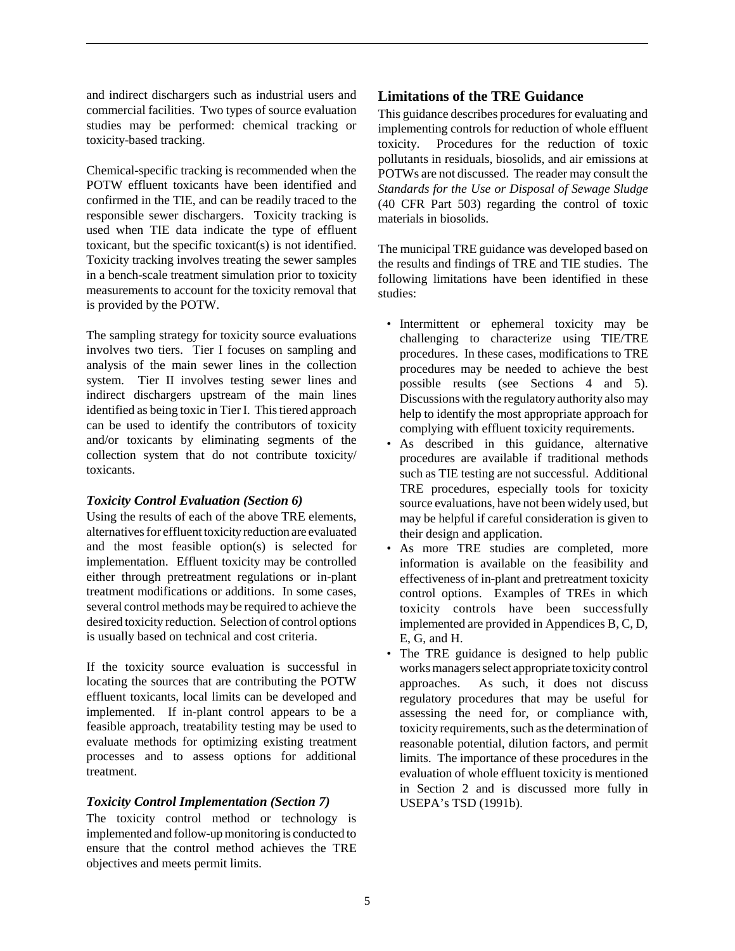and indirect dischargers such as industrial users and commercial facilities. Two types of source evaluation studies may be performed: chemical tracking or toxicity-based tracking.

Chemical-specific tracking is recommended when the POTW effluent toxicants have been identified and confirmed in the TIE, and can be readily traced to the responsible sewer dischargers. Toxicity tracking is used when TIE data indicate the type of effluent toxicant, but the specific toxicant(s) is not identified. Toxicity tracking involves treating the sewer samples in a bench-scale treatment simulation prior to toxicity measurements to account for the toxicity removal that is provided by the POTW.

The sampling strategy for toxicity source evaluations involves two tiers. Tier I focuses on sampling and analysis of the main sewer lines in the collection system. Tier II involves testing sewer lines and indirect dischargers upstream of the main lines identified as being toxic in Tier I. This tiered approach can be used to identify the contributors of toxicity and/or toxicants by eliminating segments of the collection system that do not contribute toxicity/ toxicants.

### *Toxicity Control Evaluation (Section 6)*

Using the results of each of the above TRE elements, alternatives for effluent toxicity reduction are evaluated and the most feasible option(s) is selected for implementation. Effluent toxicity may be controlled either through pretreatment regulations or in-plant treatment modifications or additions. In some cases, several control methods may be required to achieve the desired toxicity reduction. Selection of control options is usually based on technical and cost criteria.

If the toxicity source evaluation is successful in locating the sources that are contributing the POTW effluent toxicants, local limits can be developed and implemented. If in-plant control appears to be a feasible approach, treatability testing may be used to evaluate methods for optimizing existing treatment processes and to assess options for additional treatment.

### *Toxicity Control Implementation (Section 7)*

The toxicity control method or technology is implemented and follow-up monitoring is conducted to ensure that the control method achieves the TRE objectives and meets permit limits.

### **Limitations of the TRE Guidance**

This guidance describes procedures for evaluating and implementing controls for reduction of whole effluent toxicity. Procedures for the reduction of toxic pollutants in residuals, biosolids, and air emissions at POTWs are not discussed. The reader may consult the *Standards for the Use or Disposal of Sewage Sludge* (40 CFR Part 503) regarding the control of toxic materials in biosolids.

The municipal TRE guidance was developed based on the results and findings of TRE and TIE studies. The following limitations have been identified in these studies:

- Intermittent or ephemeral toxicity may be challenging to characterize using TIE/TRE procedures. In these cases, modifications to TRE procedures may be needed to achieve the best possible results (see Sections 4 and 5). Discussions with the regulatory authority also may help to identify the most appropriate approach for complying with effluent toxicity requirements.
- As described in this guidance, alternative procedures are available if traditional methods such as TIE testing are not successful. Additional TRE procedures, especially tools for toxicity source evaluations, have not been widely used, but may be helpful if careful consideration is given to their design and application.
- As more TRE studies are completed, more information is available on the feasibility and effectiveness of in-plant and pretreatment toxicity control options. Examples of TREs in which toxicity controls have been successfully implemented are provided in Appendices B, C, D, E, G, and H.
- The TRE guidance is designed to help public works managers select appropriate toxicity control approaches. As such, it does not discuss regulatory procedures that may be useful for assessing the need for, or compliance with, toxicity requirements, such as the determination of reasonable potential, dilution factors, and permit limits. The importance of these procedures in the evaluation of whole effluent toxicity is mentioned in Section 2 and is discussed more fully in USEPA's TSD (1991b).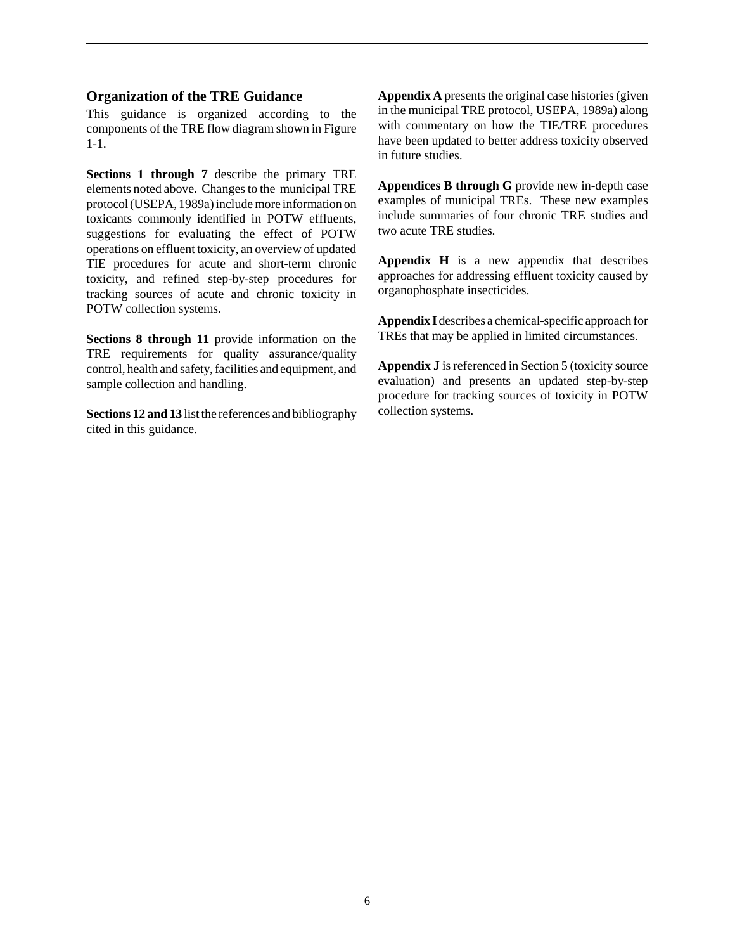#### **Organization of the TRE Guidance**

This guidance is organized according to the components of the TRE flow diagram shown in Figure 1-1.

**Sections 1 through 7** describe the primary TRE elements noted above. Changes to the municipal TRE protocol (USEPA, 1989a) include more information on toxicants commonly identified in POTW effluents, suggestions for evaluating the effect of POTW operations on effluent toxicity, an overview of updated TIE procedures for acute and short-term chronic toxicity, and refined step-by-step procedures for tracking sources of acute and chronic toxicity in POTW collection systems.

**Sections 8 through 11** provide information on the TRE requirements for quality assurance/quality control, health and safety, facilities and equipment, and sample collection and handling.

**Sections 12 and 13** list the references and bibliography cited in this guidance.

**Appendix A** presents the original case histories (given in the municipal TRE protocol, USEPA, 1989a) along with commentary on how the TIE/TRE procedures have been updated to better address toxicity observed in future studies.

**Appendices B through G** provide new in-depth case examples of municipal TREs. These new examples include summaries of four chronic TRE studies and two acute TRE studies.

**Appendix H** is a new appendix that describes approaches for addressing effluent toxicity caused by organophosphate insecticides.

**Appendix I** describes a chemical-specific approach for TREs that may be applied in limited circumstances.

**Appendix J** is referenced in Section 5 (toxicity source evaluation) and presents an updated step-by-step procedure for tracking sources of toxicity in POTW collection systems.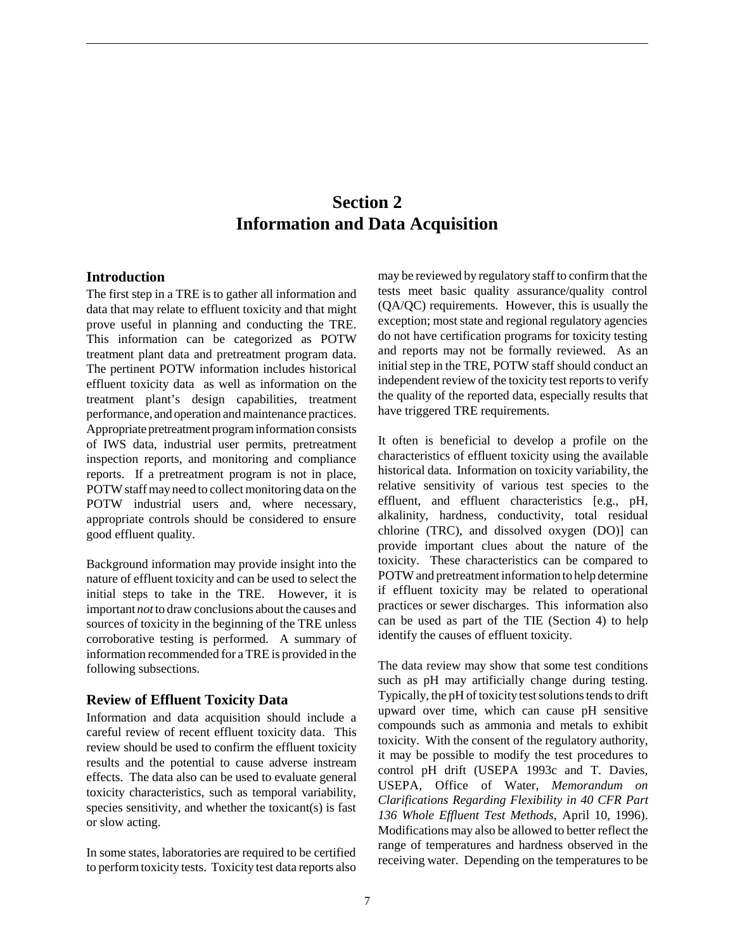### **Section 2 Information and Data Acquisition**

### **Introduction**

The first step in a TRE is to gather all information and data that may relate to effluent toxicity and that might prove useful in planning and conducting the TRE. This information can be categorized as POTW treatment plant data and pretreatment program data. The pertinent POTW information includes historical effluent toxicity data as well as information on the treatment plant's design capabilities, treatment performance, and operation and maintenance practices. Appropriate pretreatment program information consists of IWS data, industrial user permits, pretreatment inspection reports, and monitoring and compliance reports. If a pretreatment program is not in place, POTW staff may need to collect monitoring data on the POTW industrial users and, where necessary, appropriate controls should be considered to ensure good effluent quality.

Background information may provide insight into the nature of effluent toxicity and can be used to select the initial steps to take in the TRE. However, it is important *not* to draw conclusions about the causes and sources of toxicity in the beginning of the TRE unless corroborative testing is performed. A summary of information recommended for a TRE is provided in the following subsections.

### **Review of Effluent Toxicity Data**

Information and data acquisition should include a careful review of recent effluent toxicity data. This review should be used to confirm the effluent toxicity results and the potential to cause adverse instream effects. The data also can be used to evaluate general toxicity characteristics, such as temporal variability, species sensitivity, and whether the toxicant(s) is fast or slow acting.

In some states, laboratories are required to be certified to perform toxicity tests. Toxicity test data reports also may be reviewed by regulatory staff to confirm that the tests meet basic quality assurance/quality control (QA/QC) requirements. However, this is usually the exception; most state and regional regulatory agencies do not have certification programs for toxicity testing and reports may not be formally reviewed. As an initial step in the TRE, POTW staff should conduct an independent review of the toxicity test reports to verify the quality of the reported data, especially results that have triggered TRE requirements.

It often is beneficial to develop a profile on the characteristics of effluent toxicity using the available historical data. Information on toxicity variability, the relative sensitivity of various test species to the effluent, and effluent characteristics [e.g., pH, alkalinity, hardness, conductivity, total residual chlorine (TRC), and dissolved oxygen (DO)] can provide important clues about the nature of the toxicity. These characteristics can be compared to POTW and pretreatment information to help determine if effluent toxicity may be related to operational practices or sewer discharges. This information also can be used as part of the TIE (Section 4) to help identify the causes of effluent toxicity.

The data review may show that some test conditions such as pH may artificially change during testing. Typically, the pH of toxicity test solutions tends to drift upward over time, which can cause pH sensitive compounds such as ammonia and metals to exhibit toxicity. With the consent of the regulatory authority, it may be possible to modify the test procedures to control pH drift (USEPA 1993c and T. Davies, USEPA, Office of Water, *Memorandum on Clarifications Regarding Flexibility in 40 CFR Part 136 Whole Effluent Test Methods*, April 10, 1996). Modifications may also be allowed to better reflect the range of temperatures and hardness observed in the receiving water. Depending on the temperatures to be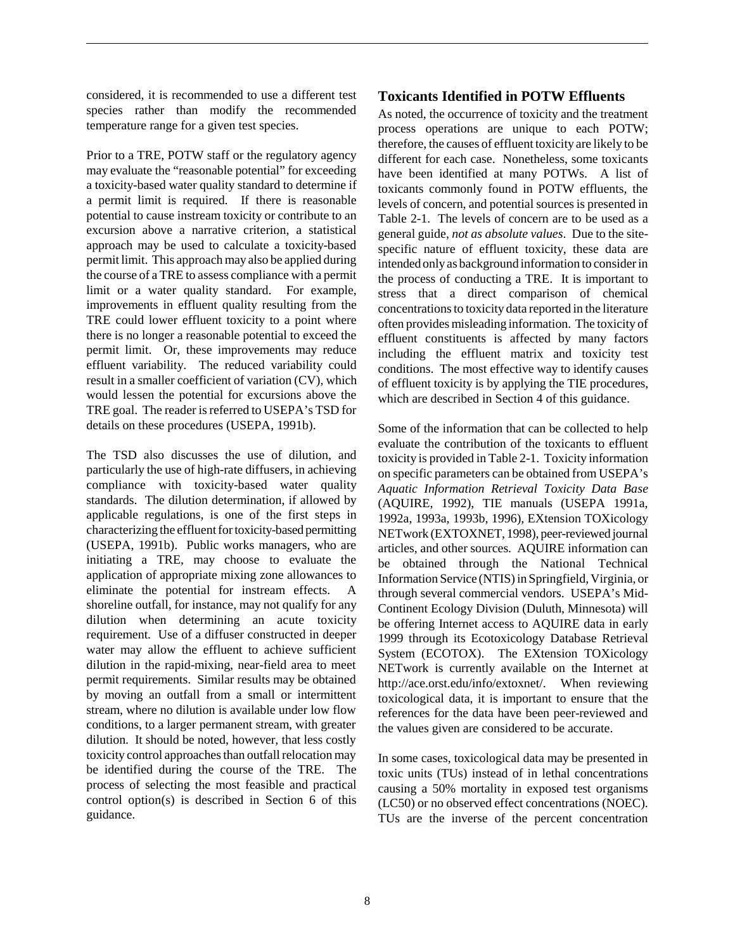considered, it is recommended to use a different test species rather than modify the recommended temperature range for a given test species.

Prior to a TRE, POTW staff or the regulatory agency may evaluate the "reasonable potential" for exceeding a toxicity-based water quality standard to determine if a permit limit is required. If there is reasonable potential to cause instream toxicity or contribute to an excursion above a narrative criterion, a statistical approach may be used to calculate a toxicity-based permit limit. This approach may also be applied during the course of a TRE to assess compliance with a permit limit or a water quality standard. For example, improvements in effluent quality resulting from the TRE could lower effluent toxicity to a point where there is no longer a reasonable potential to exceed the permit limit. Or, these improvements may reduce effluent variability. The reduced variability could result in a smaller coefficient of variation (CV), which would lessen the potential for excursions above the TRE goal. The reader is referred to USEPA's TSD for details on these procedures (USEPA, 1991b).

The TSD also discusses the use of dilution, and particularly the use of high-rate diffusers, in achieving compliance with toxicity-based water quality standards. The dilution determination, if allowed by applicable regulations, is one of the first steps in characterizing the effluent for toxicity-based permitting (USEPA, 1991b). Public works managers, who are initiating a TRE, may choose to evaluate the application of appropriate mixing zone allowances to eliminate the potential for instream effects. A shoreline outfall, for instance, may not qualify for any dilution when determining an acute toxicity requirement. Use of a diffuser constructed in deeper water may allow the effluent to achieve sufficient dilution in the rapid-mixing, near-field area to meet permit requirements. Similar results may be obtained by moving an outfall from a small or intermittent stream, where no dilution is available under low flow conditions, to a larger permanent stream, with greater dilution. It should be noted, however, that less costly toxicity control approaches than outfall relocation may be identified during the course of the TRE. The process of selecting the most feasible and practical control option(s) is described in Section 6 of this guidance.

### **Toxicants Identified in POTW Effluents**

As noted, the occurrence of toxicity and the treatment process operations are unique to each POTW; therefore, the causes of effluent toxicity are likely to be different for each case. Nonetheless, some toxicants have been identified at many POTWs. A list of toxicants commonly found in POTW effluents, the levels of concern, and potential sources is presented in Table 2-1. The levels of concern are to be used as a general guide, *not as absolute values*. Due to the sitespecific nature of effluent toxicity, these data are intended only as background information to consider in the process of conducting a TRE. It is important to stress that a direct comparison of chemical concentrations to toxicity data reported in the literature often provides misleading information. The toxicity of effluent constituents is affected by many factors including the effluent matrix and toxicity test conditions. The most effective way to identify causes of effluent toxicity is by applying the TIE procedures, which are described in Section 4 of this guidance.

Some of the information that can be collected to help evaluate the contribution of the toxicants to effluent toxicity is provided in Table 2-1. Toxicity information on specific parameters can be obtained from USEPA's *Aquatic Information Retrieval Toxicity Data Base* (AQUIRE, 1992), TIE manuals (USEPA 1991a, 1992a, 1993a, 1993b, 1996), EXtension TOXicology NETwork (EXTOXNET, 1998), peer-reviewed journal articles, and other sources. AQUIRE information can be obtained through the National Technical Information Service (NTIS) in Springfield, Virginia, or through several commercial vendors. USEPA's Mid-Continent Ecology Division (Duluth, Minnesota) will be offering Internet access to AQUIRE data in early 1999 through its Ecotoxicology Database Retrieval System (ECOTOX). The EXtension TOXicology NETwork is currently available on the Internet at http://ace.orst.edu/info/extoxnet/. When reviewing toxicological data, it is important to ensure that the references for the data have been peer-reviewed and the values given are considered to be accurate.

In some cases, toxicological data may be presented in toxic units (TUs) instead of in lethal concentrations causing a 50% mortality in exposed test organisms (LC50) or no observed effect concentrations (NOEC). TUs are the inverse of the percent concentration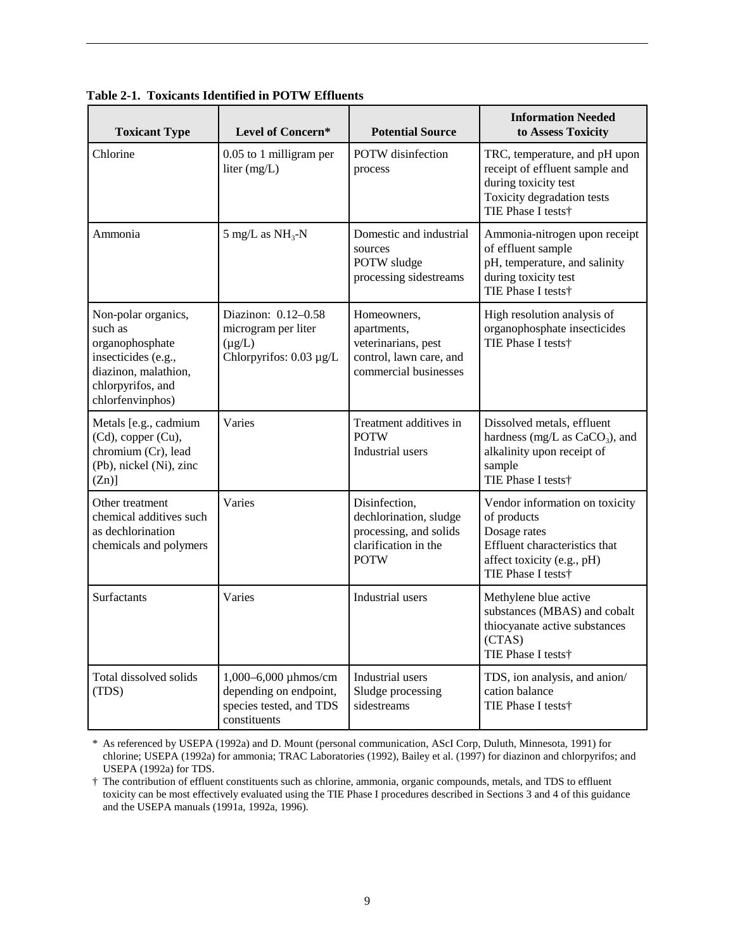| <b>Toxicant Type</b>                                                                                                                      | Level of Concern*                                                                         | <b>Potential Source</b>                                                                                  | <b>Information Needed</b><br>to Assess Toxicity                                                                                                    |
|-------------------------------------------------------------------------------------------------------------------------------------------|-------------------------------------------------------------------------------------------|----------------------------------------------------------------------------------------------------------|----------------------------------------------------------------------------------------------------------------------------------------------------|
| Chlorine                                                                                                                                  | 0.05 to 1 milligram per<br>liter $(mg/L)$                                                 | POTW disinfection<br>process                                                                             | TRC, temperature, and pH upon<br>receipt of effluent sample and<br>during toxicity test<br>Toxicity degradation tests<br>TIE Phase I tests†        |
| Ammonia                                                                                                                                   | $5 \text{ mg/L}$ as NH <sub>3</sub> -N                                                    | Domestic and industrial<br>sources<br>POTW sludge<br>processing sidestreams                              | Ammonia-nitrogen upon receipt<br>of effluent sample<br>pH, temperature, and salinity<br>during toxicity test<br>TIE Phase I tests†                 |
| Non-polar organics,<br>such as<br>organophosphate<br>insecticides (e.g.,<br>diazinon, malathion,<br>chlorpyrifos, and<br>chlorfenvinphos) | Diazinon: 0.12-0.58<br>microgram per liter<br>$(\mu g/L)$<br>Chlorpyrifos: 0.03 µg/L      | Homeowners,<br>apartments,<br>veterinarians, pest<br>control, lawn care, and<br>commercial businesses    | High resolution analysis of<br>organophosphate insecticides<br>TIE Phase I tests†                                                                  |
| Metals [e.g., cadmium<br>(Cd), copper (Cu),<br>chromium (Cr), lead<br>(Pb), nickel (Ni), zinc<br>$(Zn)$ ]                                 | Varies                                                                                    | Treatment additives in<br><b>POTW</b><br>Industrial users                                                | Dissolved metals, effluent<br>hardness (mg/L as $CaCO3$ ), and<br>alkalinity upon receipt of<br>sample<br>TIE Phase I tests†                       |
| Other treatment<br>chemical additives such<br>as dechlorination<br>chemicals and polymers                                                 | Varies                                                                                    | Disinfection,<br>dechlorination, sludge<br>processing, and solids<br>clarification in the<br><b>POTW</b> | Vendor information on toxicity<br>of products<br>Dosage rates<br>Effluent characteristics that<br>affect toxicity (e.g., pH)<br>TIE Phase I tests† |
| Surfactants                                                                                                                               | Varies                                                                                    | Industrial users                                                                                         | Methylene blue active<br>substances (MBAS) and cobalt<br>thiocyanate active substances<br>(CTAS)<br>TIE Phase I tests†                             |
| Total dissolved solids<br>(TDS)                                                                                                           | 1,000-6,000 µhmos/cm<br>depending on endpoint,<br>species tested, and TDS<br>constituents | Industrial users<br>Sludge processing<br>sidestreams                                                     | TDS, ion analysis, and anion/<br>cation balance<br>TIE Phase I tests†                                                                              |

**Table 2-1. Toxicants Identified in POTW Effluents**

\* As referenced by USEPA (1992a) and D. Mount (personal communication, AScI Corp, Duluth, Minnesota, 1991) for chlorine; USEPA (1992a) for ammonia; TRAC Laboratories (1992), Bailey et al. (1997) for diazinon and chlorpyrifos; and USEPA (1992a) for TDS.

† The contribution of effluent constituents such as chlorine, ammonia, organic compounds, metals, and TDS to effluent toxicity can be most effectively evaluated using the TIE Phase I procedures described in Sections 3 and 4 of this guidance and the USEPA manuals (1991a, 1992a, 1996).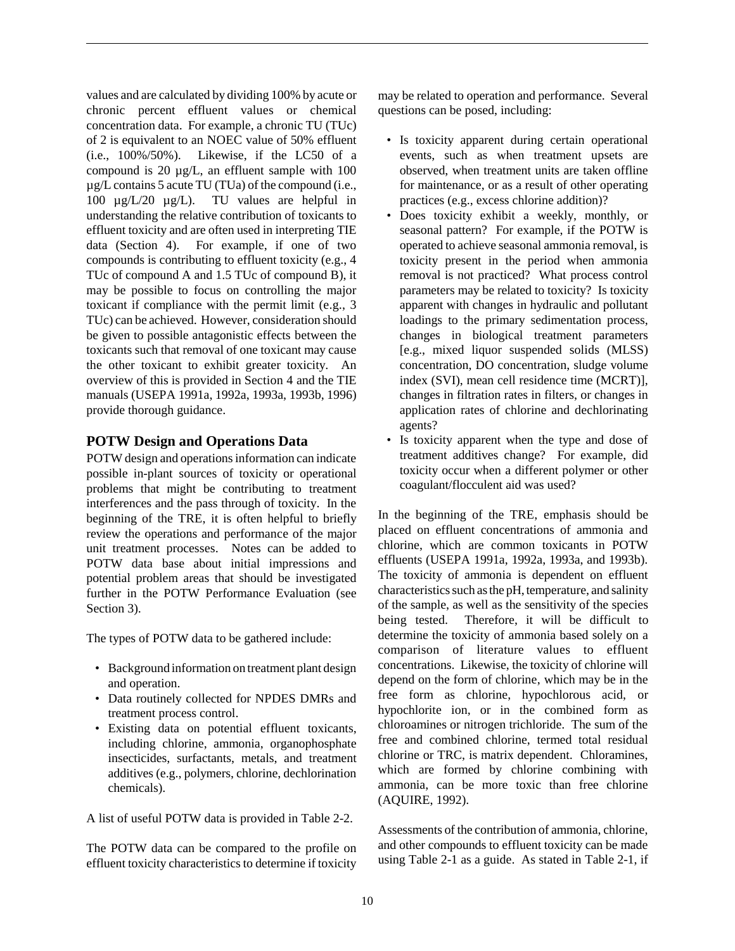values and are calculated by dividing 100% by acute or chronic percent effluent values or chemical concentration data. For example, a chronic TU (TUc) of 2 is equivalent to an NOEC value of 50% effluent (i.e., 100%/50%). Likewise, if the LC50 of a compound is 20 µg/L, an effluent sample with 100 µg/L contains 5 acute TU (TUa) of the compound (i.e., 100 µg/L/20 µg/L). TU values are helpful in understanding the relative contribution of toxicants to effluent toxicity and are often used in interpreting TIE data (Section 4). For example, if one of two compounds is contributing to effluent toxicity (e.g., 4 TUc of compound A and 1.5 TUc of compound B), it may be possible to focus on controlling the major toxicant if compliance with the permit limit (e.g., 3 TUc) can be achieved. However, consideration should be given to possible antagonistic effects between the toxicants such that removal of one toxicant may cause the other toxicant to exhibit greater toxicity. An overview of this is provided in Section 4 and the TIE manuals (USEPA 1991a, 1992a, 1993a, 1993b, 1996) provide thorough guidance.

### **POTW Design and Operations Data**

POTW design and operations information can indicate possible in-plant sources of toxicity or operational problems that might be contributing to treatment interferences and the pass through of toxicity. In the beginning of the TRE, it is often helpful to briefly review the operations and performance of the major unit treatment processes. Notes can be added to POTW data base about initial impressions and potential problem areas that should be investigated further in the POTW Performance Evaluation (see Section 3).

The types of POTW data to be gathered include:

- Background information on treatment plant design and operation.
- Data routinely collected for NPDES DMRs and treatment process control.
- Existing data on potential effluent toxicants, including chlorine, ammonia, organophosphate insecticides, surfactants, metals, and treatment additives (e.g., polymers, chlorine, dechlorination chemicals).

A list of useful POTW data is provided in Table 2-2.

The POTW data can be compared to the profile on effluent toxicity characteristics to determine if toxicity

may be related to operation and performance. Several questions can be posed, including:

- Is toxicity apparent during certain operational events, such as when treatment upsets are observed, when treatment units are taken offline for maintenance, or as a result of other operating practices (e.g., excess chlorine addition)?
- Does toxicity exhibit a weekly, monthly, or seasonal pattern? For example, if the POTW is operated to achieve seasonal ammonia removal, is toxicity present in the period when ammonia removal is not practiced? What process control parameters may be related to toxicity? Is toxicity apparent with changes in hydraulic and pollutant loadings to the primary sedimentation process, changes in biological treatment parameters [e.g., mixed liquor suspended solids (MLSS) concentration, DO concentration, sludge volume index (SVI), mean cell residence time (MCRT)], changes in filtration rates in filters, or changes in application rates of chlorine and dechlorinating agents?
- Is toxicity apparent when the type and dose of treatment additives change? For example, did toxicity occur when a different polymer or other coagulant/flocculent aid was used?

In the beginning of the TRE, emphasis should be placed on effluent concentrations of ammonia and chlorine, which are common toxicants in POTW effluents (USEPA 1991a, 1992a, 1993a, and 1993b). The toxicity of ammonia is dependent on effluent characteristics such as the pH, temperature, and salinity of the sample, as well as the sensitivity of the species being tested. Therefore, it will be difficult to determine the toxicity of ammonia based solely on a comparison of literature values to effluent concentrations. Likewise, the toxicity of chlorine will depend on the form of chlorine, which may be in the free form as chlorine, hypochlorous acid, or hypochlorite ion, or in the combined form as chloroamines or nitrogen trichloride. The sum of the free and combined chlorine, termed total residual chlorine or TRC, is matrix dependent. Chloramines, which are formed by chlorine combining with ammonia, can be more toxic than free chlorine (AQUIRE, 1992).

Assessments of the contribution of ammonia, chlorine, and other compounds to effluent toxicity can be made using Table 2-1 as a guide. As stated in Table 2-1, if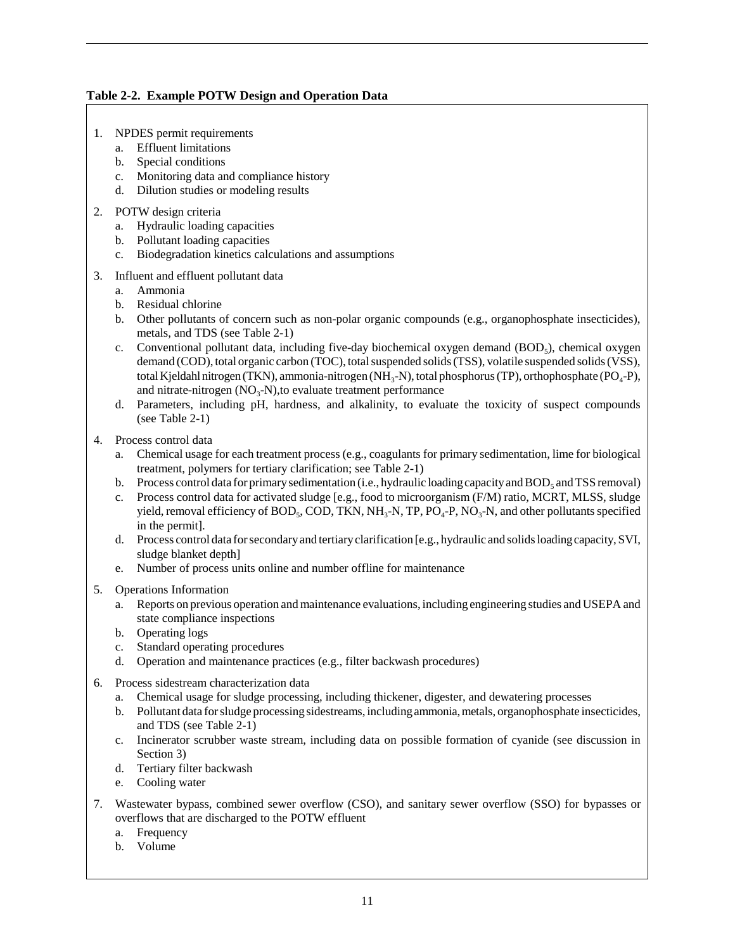### **Table 2-2. Example POTW Design and Operation Data**

- 1. NPDES permit requirements
	- a. Effluent limitations
	- b. Special conditions
	- c. Monitoring data and compliance history
	- d. Dilution studies or modeling results
- 2. POTW design criteria
	- a. Hydraulic loading capacities
	- b. Pollutant loading capacities
	- c. Biodegradation kinetics calculations and assumptions
- 3. Influent and effluent pollutant data
	- a. Ammonia
	- b. Residual chlorine
	- b. Other pollutants of concern such as non-polar organic compounds (e.g., organophosphate insecticides), metals, and TDS (see Table 2-1)
	- c. Conventional pollutant data, including five-day biochemical oxygen demand (BOD<sub>5</sub>), chemical oxygen demand (COD), total organic carbon (TOC), total suspended solids (TSS), volatile suspended solids (VSS), total Kjeldahl nitrogen (TKN), ammonia-nitrogen (NH<sub>3</sub>-N), total phosphorus (TP), orthophosphate (PO<sub>4</sub>-P), and nitrate-nitrogen  $(NO_3-N)$ , to evaluate treatment performance
	- d. Parameters, including pH, hardness, and alkalinity, to evaluate the toxicity of suspect compounds (see Table 2-1)
- 4. Process control data
	- a. Chemical usage for each treatment process (e.g., coagulants for primary sedimentation, lime for biological treatment, polymers for tertiary clarification; see Table 2-1)
	- b. Process control data for primary sedimentation (i.e., hydraulic loading capacity and BOD<sub>5</sub> and TSS removal)
	- c. Process control data for activated sludge [e.g., food to microorganism (F/M) ratio, MCRT, MLSS, sludge yield, removal efficiency of BOD<sub>5</sub>, COD, TKN, NH<sub>3</sub>-N, TP, PO<sub>4</sub>-P, NO<sub>3</sub>-N, and other pollutants specified in the permit].
	- d. Process control data for secondary and tertiary clarification [e.g., hydraulic and solids loading capacity, SVI, sludge blanket depth]
	- e. Number of process units online and number offline for maintenance
- 5. Operations Information
	- a. Reports on previous operation and maintenance evaluations, including engineering studies and USEPA and state compliance inspections
	- b. Operating logs
	- c. Standard operating procedures
	- d. Operation and maintenance practices (e.g., filter backwash procedures)
- 6. Process sidestream characterization data
	- a. Chemical usage for sludge processing, including thickener, digester, and dewatering processes
	- b. Pollutant data for sludge processing sidestreams, including ammonia, metals, organophosphate insecticides, and TDS (see Table 2-1)
	- c. Incinerator scrubber waste stream, including data on possible formation of cyanide (see discussion in Section 3)
	- d. Tertiary filter backwash
	- e. Cooling water
- 7. Wastewater bypass, combined sewer overflow (CSO), and sanitary sewer overflow (SSO) for bypasses or overflows that are discharged to the POTW effluent
	- a. Frequency
	- b. Volume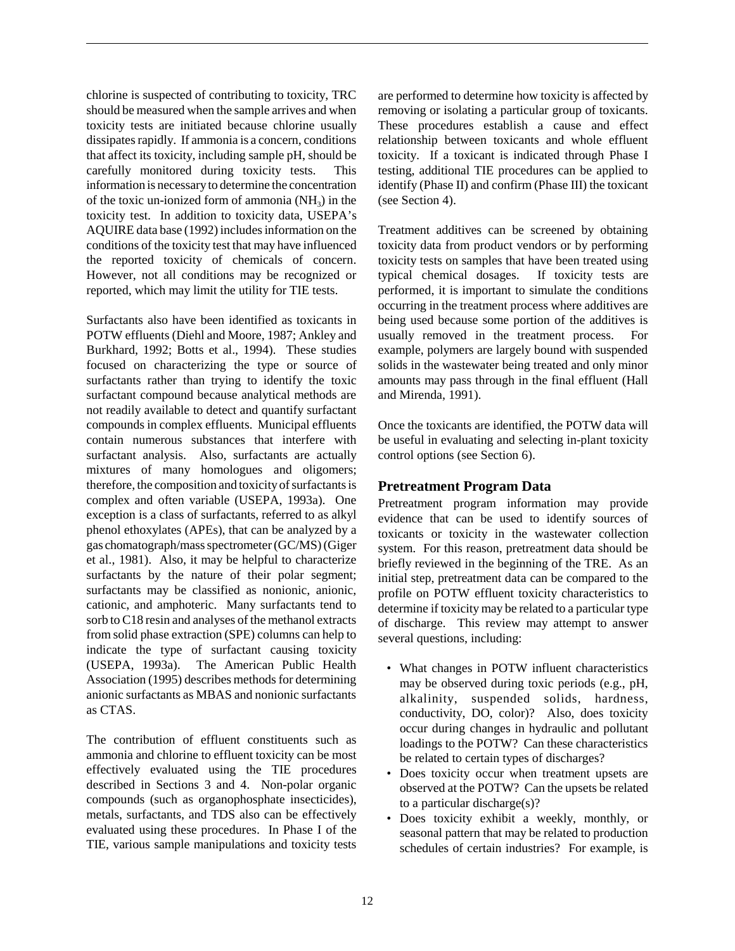chlorine is suspected of contributing to toxicity, TRC should be measured when the sample arrives and when toxicity tests are initiated because chlorine usually dissipates rapidly. If ammonia is a concern, conditions that affect its toxicity, including sample pH, should be carefully monitored during toxicity tests. This information is necessary to determine the concentration of the toxic un-ionized form of ammonia  $(NH<sub>2</sub>)$  in the toxicity test. In addition to toxicity data, USEPA's AQUIRE data base (1992) includes information on the conditions of the toxicity test that may have influenced the reported toxicity of chemicals of concern. However, not all conditions may be recognized or reported, which may limit the utility for TIE tests.

Surfactants also have been identified as toxicants in POTW effluents (Diehl and Moore, 1987; Ankley and Burkhard, 1992; Botts et al., 1994). These studies focused on characterizing the type or source of surfactants rather than trying to identify the toxic surfactant compound because analytical methods are not readily available to detect and quantify surfactant compounds in complex effluents. Municipal effluents contain numerous substances that interfere with surfactant analysis. Also, surfactants are actually mixtures of many homologues and oligomers; therefore, the composition and toxicity of surfactants is complex and often variable (USEPA, 1993a). One exception is a class of surfactants, referred to as alkyl phenol ethoxylates (APEs), that can be analyzed by a gas chomatograph/mass spectrometer (GC/MS) (Giger et al., 1981). Also, it may be helpful to characterize surfactants by the nature of their polar segment; surfactants may be classified as nonionic, anionic, cationic, and amphoteric. Many surfactants tend to sorb to C18 resin and analyses of the methanol extracts from solid phase extraction (SPE) columns can help to indicate the type of surfactant causing toxicity (USEPA, 1993a). The American Public Health Association (1995) describes methods for determining anionic surfactants as MBAS and nonionic surfactants as CTAS.

The contribution of effluent constituents such as ammonia and chlorine to effluent toxicity can be most effectively evaluated using the TIE procedures described in Sections 3 and 4. Non-polar organic compounds (such as organophosphate insecticides), metals, surfactants, and TDS also can be effectively evaluated using these procedures. In Phase I of the TIE, various sample manipulations and toxicity tests

are performed to determine how toxicity is affected by removing or isolating a particular group of toxicants. These procedures establish a cause and effect relationship between toxicants and whole effluent toxicity. If a toxicant is indicated through Phase I testing, additional TIE procedures can be applied to identify (Phase II) and confirm (Phase III) the toxicant (see Section 4).

Treatment additives can be screened by obtaining toxicity data from product vendors or by performing toxicity tests on samples that have been treated using typical chemical dosages. If toxicity tests are performed, it is important to simulate the conditions occurring in the treatment process where additives are being used because some portion of the additives is usually removed in the treatment process. For example, polymers are largely bound with suspended solids in the wastewater being treated and only minor amounts may pass through in the final effluent (Hall and Mirenda, 1991).

Once the toxicants are identified, the POTW data will be useful in evaluating and selecting in-plant toxicity control options (see Section 6).

### **Pretreatment Program Data**

Pretreatment program information may provide evidence that can be used to identify sources of toxicants or toxicity in the wastewater collection system. For this reason, pretreatment data should be briefly reviewed in the beginning of the TRE. As an initial step, pretreatment data can be compared to the profile on POTW effluent toxicity characteristics to determine if toxicity may be related to a particular type of discharge. This review may attempt to answer several questions, including:

- What changes in POTW influent characteristics may be observed during toxic periods (e.g., pH, alkalinity, suspended solids, hardness, conductivity, DO, color)? Also, does toxicity occur during changes in hydraulic and pollutant loadings to the POTW? Can these characteristics be related to certain types of discharges?
- Does toxicity occur when treatment upsets are observed at the POTW? Can the upsets be related to a particular discharge(s)?
- Does toxicity exhibit a weekly, monthly, or seasonal pattern that may be related to production schedules of certain industries? For example, is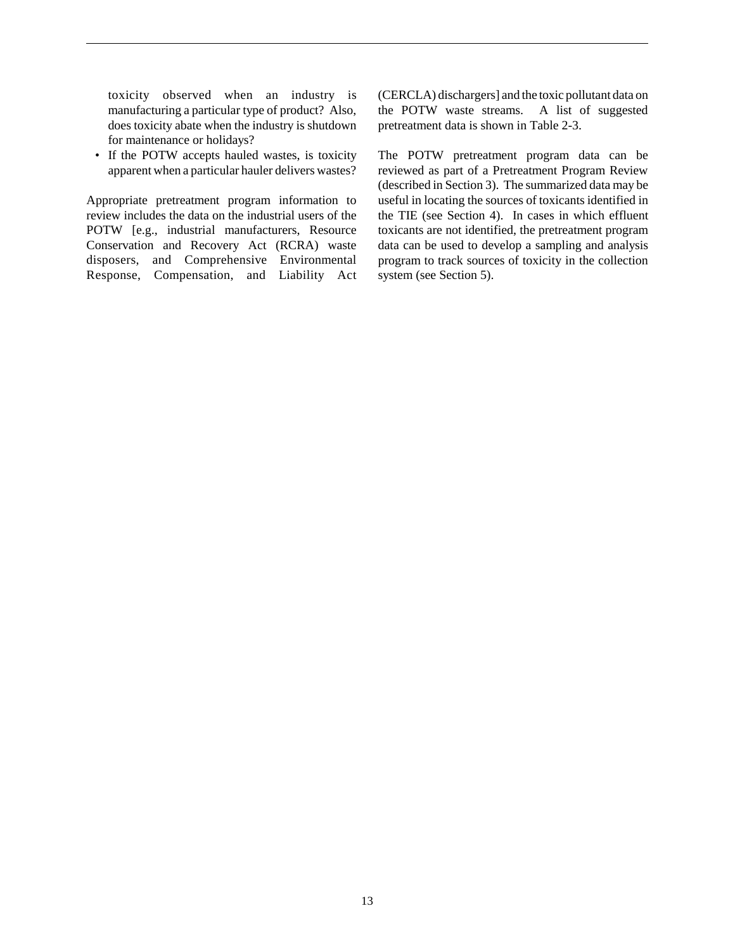toxicity observed when an industry is manufacturing a particular type of product? Also, does toxicity abate when the industry is shutdown for maintenance or holidays?

• If the POTW accepts hauled wastes, is toxicity apparent when a particular hauler delivers wastes?

Appropriate pretreatment program information to review includes the data on the industrial users of the POTW [e.g., industrial manufacturers, Resource Conservation and Recovery Act (RCRA) waste disposers, and Comprehensive Environmental Response, Compensation, and Liability Act (CERCLA) dischargers] and the toxic pollutant data on the POTW waste streams. A list of suggested pretreatment data is shown in Table 2-3.

The POTW pretreatment program data can be reviewed as part of a Pretreatment Program Review (described in Section 3). The summarized data may be useful in locating the sources of toxicants identified in the TIE (see Section 4). In cases in which effluent toxicants are not identified, the pretreatment program data can be used to develop a sampling and analysis program to track sources of toxicity in the collection system (see Section 5).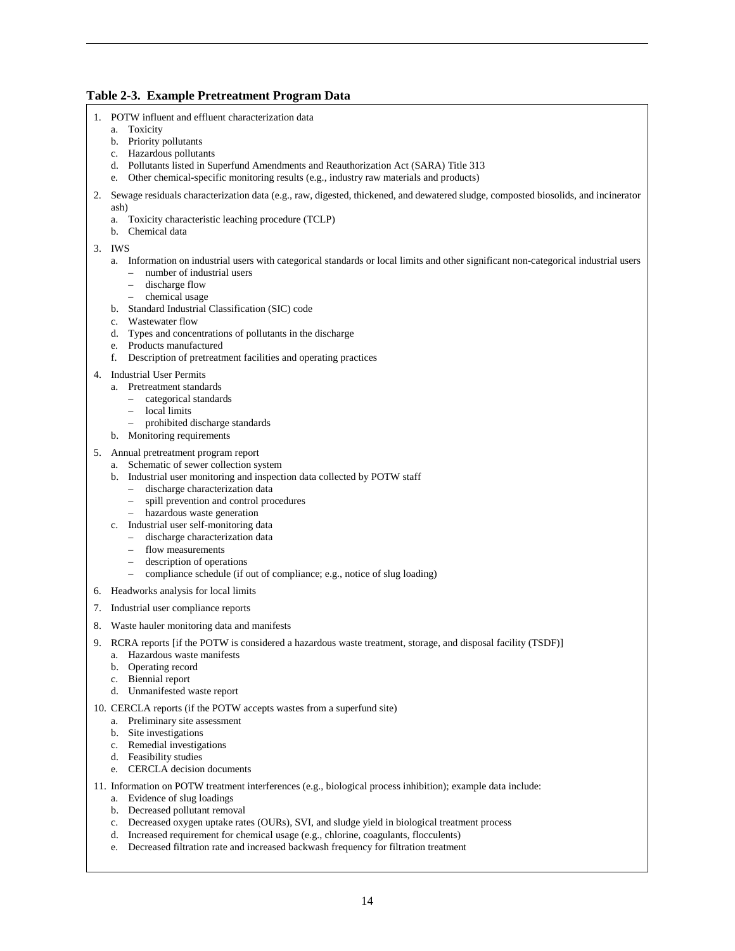### **Table 2-3. Example Pretreatment Program Data**

- 1. POTW influent and effluent characterization data
	- a. Toxicity
		- b. Priority pollutants
		- c. Hazardous pollutants
		- d. Pollutants listed in Superfund Amendments and Reauthorization Act (SARA) Title 313
		- e. Other chemical-specific monitoring results (e.g., industry raw materials and products)
- 2. Sewage residuals characterization data (e.g., raw, digested, thickened, and dewatered sludge, composted biosolids, and incinerator ash)
	- a. Toxicity characteristic leaching procedure (TCLP)
	- b. Chemical data

3. IWS

- a. Information on industrial users with categorical standards or local limits and other significant non-categorical industrial users
	- number of industrial users
		- discharge flow
	- chemical usage
- b. Standard Industrial Classification (SIC) code
- c. Wastewater flow
- d. Types and concentrations of pollutants in the discharge
- e. Products manufactured
- f. Description of pretreatment facilities and operating practices
- 4. Industrial User Permits
	- a. Pretreatment standards
		- categorical standards
		- local limits
		- prohibited discharge standards
	- b. Monitoring requirements
- 5. Annual pretreatment program report
	- a. Schematic of sewer collection system
	- b. Industrial user monitoring and inspection data collected by POTW staff
		- discharge characterization data
		- spill prevention and control procedures
		- hazardous waste generation
	- c. Industrial user self-monitoring data
		- discharge characterization data
		- flow measurements
		- description of operations
		- compliance schedule (if out of compliance; e.g., notice of slug loading)
- 6. Headworks analysis for local limits
- 7. Industrial user compliance reports
- 8. Waste hauler monitoring data and manifests
- 9. RCRA reports [if the POTW is considered a hazardous waste treatment, storage, and disposal facility (TSDF)]
	- a. Hazardous waste manifests
	- b. Operating record
	- c. Biennial report
	- d. Unmanifested waste report
- 10. CERCLA reports (if the POTW accepts wastes from a superfund site)
	- a. Preliminary site assessment
	- b. Site investigations
	- c. Remedial investigations
	- d. Feasibility studies
	- e. CERCLA decision documents
- 11. Information on POTW treatment interferences (e.g., biological process inhibition); example data include:
	- a. Evidence of slug loadings
	- b. Decreased pollutant removal
	- c. Decreased oxygen uptake rates (OURs), SVI, and sludge yield in biological treatment process
	- d. Increased requirement for chemical usage (e.g., chlorine, coagulants, flocculents)
	- e. Decreased filtration rate and increased backwash frequency for filtration treatment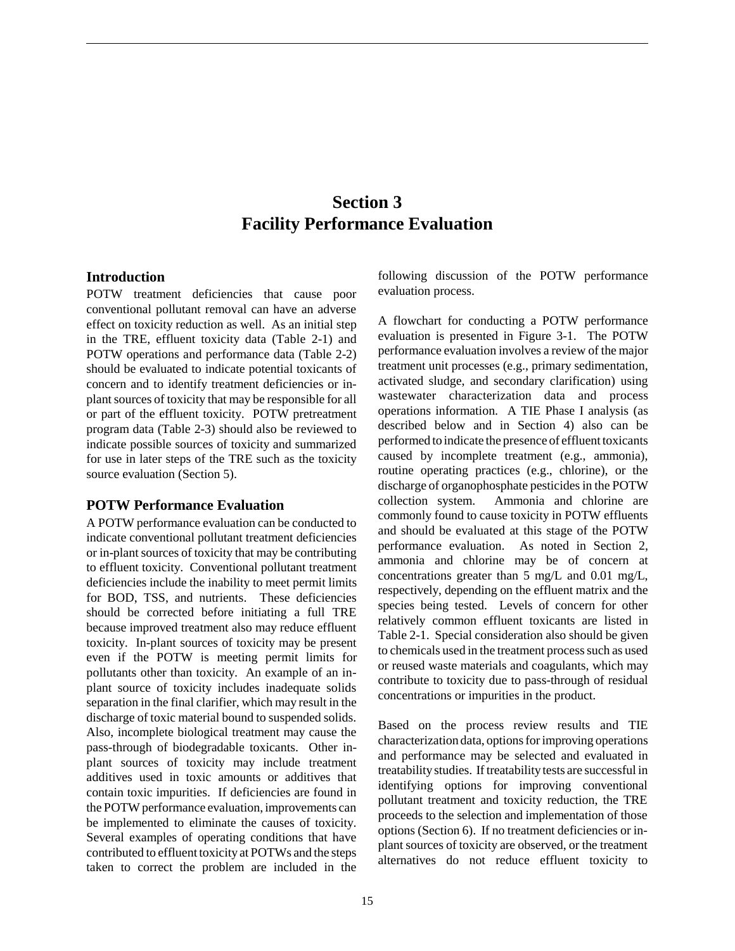### **Section 3 Facility Performance Evaluation**

### **Introduction**

POTW treatment deficiencies that cause poor conventional pollutant removal can have an adverse effect on toxicity reduction as well. As an initial step in the TRE, effluent toxicity data (Table 2-1) and POTW operations and performance data (Table 2-2) should be evaluated to indicate potential toxicants of concern and to identify treatment deficiencies or inplant sources of toxicity that may be responsible for all or part of the effluent toxicity. POTW pretreatment program data (Table 2-3) should also be reviewed to indicate possible sources of toxicity and summarized for use in later steps of the TRE such as the toxicity source evaluation (Section 5).

### **POTW Performance Evaluation**

A POTW performance evaluation can be conducted to indicate conventional pollutant treatment deficiencies or in-plant sources of toxicity that may be contributing to effluent toxicity. Conventional pollutant treatment deficiencies include the inability to meet permit limits for BOD, TSS, and nutrients. These deficiencies should be corrected before initiating a full TRE because improved treatment also may reduce effluent toxicity. In-plant sources of toxicity may be present even if the POTW is meeting permit limits for pollutants other than toxicity. An example of an inplant source of toxicity includes inadequate solids separation in the final clarifier, which may result in the discharge of toxic material bound to suspended solids. Also, incomplete biological treatment may cause the pass-through of biodegradable toxicants. Other inplant sources of toxicity may include treatment additives used in toxic amounts or additives that contain toxic impurities.If deficiencies are found in the POTW performance evaluation, improvements can be implemented to eliminate the causes of toxicity. Several examples of operating conditions that have contributed to effluent toxicity at POTWs and the steps taken to correct the problem are included in the

following discussion of the POTW performance evaluation process.

A flowchart for conducting a POTW performance evaluation is presented in Figure 3-1. The POTW performance evaluation involves a review of the major treatment unit processes (e.g., primary sedimentation, activated sludge, and secondary clarification) using wastewater characterization data and process operations information. A TIE Phase I analysis (as described below and in Section 4) also can be performed to indicate the presence of effluent toxicants caused by incomplete treatment (e.g., ammonia), routine operating practices (e.g., chlorine), or the discharge of organophosphate pesticides in the POTW collection system. Ammonia and chlorine are commonly found to cause toxicity in POTW effluents and should be evaluated at this stage of the POTW performance evaluation. As noted in Section 2, ammonia and chlorine may be of concern at concentrations greater than 5 mg/L and 0.01 mg/L, respectively, depending on the effluent matrix and the species being tested. Levels of concern for other relatively common effluent toxicants are listed in Table 2-1. Special consideration also should be given to chemicals used in the treatment process such as used or reused waste materials and coagulants, which may contribute to toxicity due to pass-through of residual concentrations or impurities in the product.

Based on the process review results and TIE characterization data, options for improving operations and performance may be selected and evaluated in treatability studies. If treatability tests are successful in identifying options for improving conventional pollutant treatment and toxicity reduction, the TRE proceeds to the selection and implementation of those options (Section 6). If no treatment deficiencies or inplant sources of toxicity are observed, or the treatment alternatives do not reduce effluent toxicity to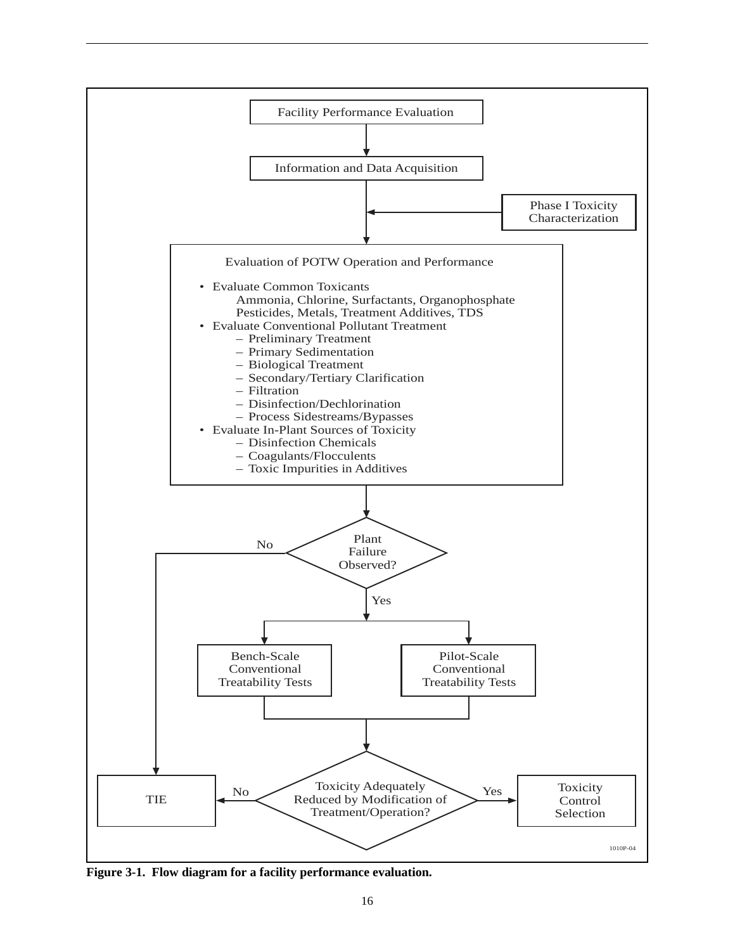

**Figure 3-1. Flow diagram for a facility performance evaluation.**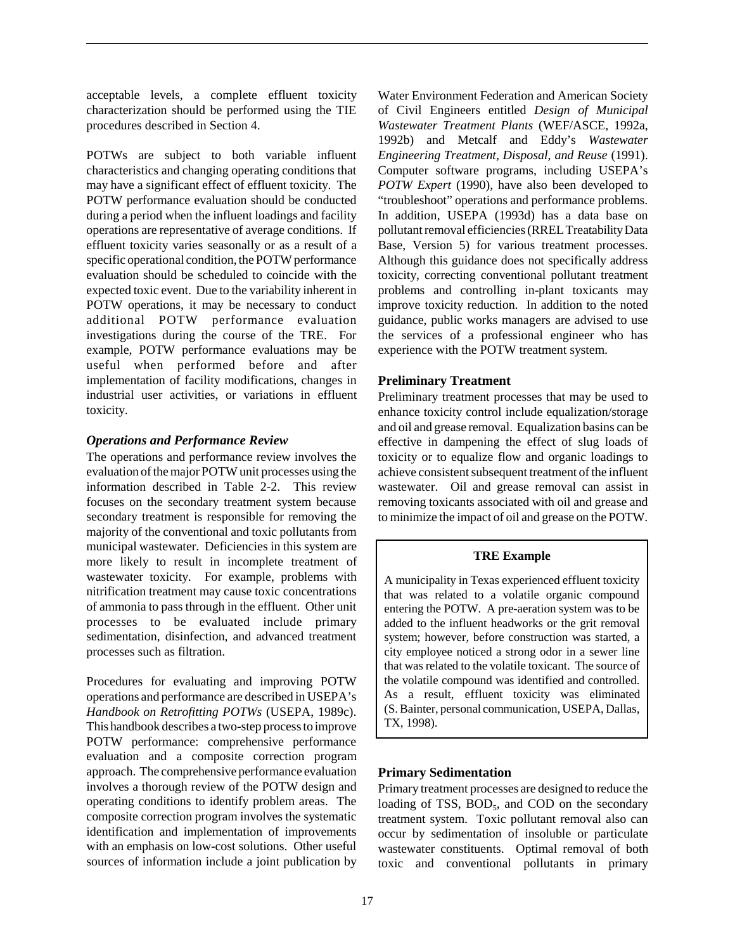acceptable levels, a complete effluent toxicity characterization should be performed using the TIE procedures described in Section 4.

POTWs are subject to both variable influent characteristics and changing operating conditions that may have a significant effect of effluent toxicity. The POTW performance evaluation should be conducted during a period when the influent loadings and facility operations are representative of average conditions. If effluent toxicity varies seasonally or as a result of a specific operational condition, the POTW performance evaluation should be scheduled to coincide with the expected toxic event. Due to the variability inherent in POTW operations, it may be necessary to conduct additional POTW performance evaluation investigations during the course of the TRE. For example, POTW performance evaluations may be useful when performed before and after implementation of facility modifications, changes in industrial user activities, or variations in effluent toxicity.

### *Operations and Performance Review*

The operations and performance review involves the evaluation of the major POTW unit processes using the information described in Table 2-2. This review focuses on the secondary treatment system because secondary treatment is responsible for removing the majority of the conventional and toxic pollutants from municipal wastewater. Deficiencies in this system are more likely to result in incomplete treatment of wastewater toxicity. For example, problems with nitrification treatment may cause toxic concentrations of ammonia to pass through in the effluent. Other unit processes to be evaluated include primary sedimentation, disinfection, and advanced treatment processes such as filtration.

Procedures for evaluating and improving POTW operations and performance are described in USEPA's *Handbook on Retrofitting POTWs* (USEPA, 1989c). This handbook describes a two-step process to improve POTW performance: comprehensive performance evaluation and a composite correction program approach. The comprehensive performance evaluation involves a thorough review of the POTW design and operating conditions to identify problem areas. The composite correction program involves the systematic identification and implementation of improvements with an emphasis on low-cost solutions. Other useful sources of information include a joint publication by

Water Environment Federation and American Society of Civil Engineers entitled *Design of Municipal Wastewater Treatment Plants* (WEF/ASCE, 1992a, 1992b) and Metcalf and Eddy's *Wastewater Engineering Treatment, Disposal, and Reuse* (1991). Computer software programs, including USEPA's *POTW Expert* (1990), have also been developed to "troubleshoot" operations and performance problems. In addition, USEPA (1993d) has a data base on pollutant removal efficiencies (RREL Treatability Data Base, Version 5) for various treatment processes. Although this guidance does not specifically address toxicity, correcting conventional pollutant treatment problems and controlling in-plant toxicants may improve toxicity reduction. In addition to the noted guidance, public works managers are advised to use the services of a professional engineer who has experience with the POTW treatment system.

### **Preliminary Treatment**

Preliminary treatment processes that may be used to enhance toxicity control include equalization/storage and oil and grease removal. Equalization basins can be effective in dampening the effect of slug loads of toxicity or to equalize flow and organic loadings to achieve consistent subsequent treatment of the influent wastewater. Oil and grease removal can assist in removing toxicants associated with oil and grease and to minimize the impact of oil and grease on the POTW.

### **TRE Example**

A municipality in Texas experienced effluent toxicity that was related to a volatile organic compound entering the POTW. A pre-aeration system was to be added to the influent headworks or the grit removal system; however, before construction was started, a city employee noticed a strong odor in a sewer line that was related to the volatile toxicant. The source of the volatile compound was identified and controlled. As a result, effluent toxicity was eliminated (S. Bainter, personal communication, USEPA, Dallas, TX, 1998).

### **Primary Sedimentation**

Primary treatment processes are designed to reduce the loading of TSS, BOD<sub>5</sub>, and COD on the secondary treatment system. Toxic pollutant removal also can occur by sedimentation of insoluble or particulate wastewater constituents. Optimal removal of both toxic and conventional pollutants in primary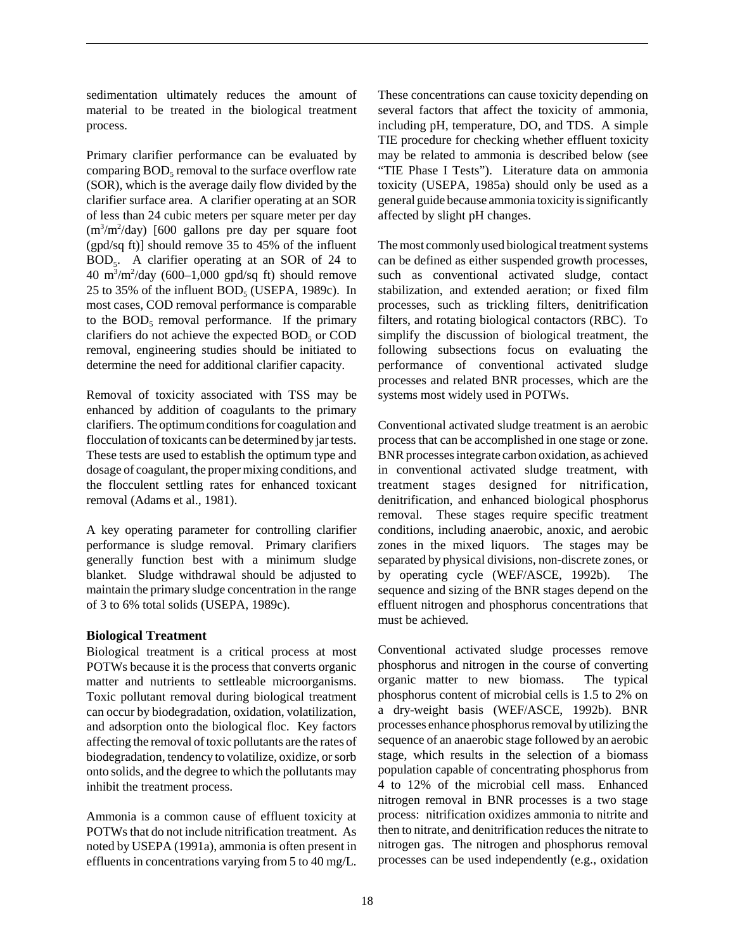sedimentation ultimately reduces the amount of material to be treated in the biological treatment process.

Primary clarifier performance can be evaluated by comparing  $BOD<sub>5</sub>$  removal to the surface overflow rate (SOR), which is the average daily flow divided by the clarifier surface area. A clarifier operating at an SOR of less than 24 cubic meters per square meter per day  $(m^3/m^2/day)$  [600 gallons pre day per square foot (gpd/sq ft)] should remove 35 to 45% of the influent  $BOD<sub>5</sub>$ . A clarifier operating at an SOR of 24 to  $40 \text{ m}^3/\text{m}^2/\text{day}$  (600–1,000 gpd/sq ft) should remove 25 to 35% of the influent  $BOD<sub>5</sub>$  (USEPA, 1989c). In most cases, COD removal performance is comparable to the  $BOD<sub>5</sub>$  removal performance. If the primary clarifiers do not achieve the expected  $BOD<sub>5</sub>$  or COD removal, engineering studies should be initiated to determine the need for additional clarifier capacity.

Removal of toxicity associated with TSS may be enhanced by addition of coagulants to the primary clarifiers. The optimum conditions for coagulation and flocculation of toxicants can be determined by jar tests. These tests are used to establish the optimum type and dosage of coagulant, the proper mixing conditions, and the flocculent settling rates for enhanced toxicant removal (Adams et al., 1981).

A key operating parameter for controlling clarifier performance is sludge removal. Primary clarifiers generally function best with a minimum sludge blanket. Sludge withdrawal should be adjusted to maintain the primary sludge concentration in the range of 3 to 6% total solids (USEPA, 1989c).

### **Biological Treatment**

Biological treatment is a critical process at most POTWs because it is the process that converts organic matter and nutrients to settleable microorganisms. Toxic pollutant removal during biological treatment can occur by biodegradation, oxidation, volatilization, and adsorption onto the biological floc. Key factors affecting the removal of toxic pollutants are the rates of biodegradation, tendency to volatilize, oxidize, or sorb onto solids, and the degree to which the pollutants may inhibit the treatment process.

Ammonia is a common cause of effluent toxicity at POTWs that do not include nitrification treatment. As noted by USEPA (1991a), ammonia is often present in effluents in concentrations varying from 5 to 40 mg/L. These concentrations can cause toxicity depending on several factors that affect the toxicity of ammonia, including pH, temperature, DO, and TDS. A simple TIE procedure for checking whether effluent toxicity may be related to ammonia is described below (see "TIE Phase I Tests"). Literature data on ammonia toxicity (USEPA, 1985a) should only be used as a general guide because ammonia toxicity is significantly affected by slight pH changes.

The most commonly used biological treatment systems can be defined as either suspended growth processes, such as conventional activated sludge, contact stabilization, and extended aeration; or fixed film processes, such as trickling filters, denitrification filters, and rotating biological contactors (RBC). To simplify the discussion of biological treatment, the following subsections focus on evaluating the performance of conventional activated sludge processes and related BNR processes, which are the systems most widely used in POTWs.

Conventional activated sludge treatment is an aerobic process that can be accomplished in one stage or zone. BNR processes integrate carbon oxidation, as achieved in conventional activated sludge treatment, with treatment stages designed for nitrification, denitrification, and enhanced biological phosphorus removal. These stages require specific treatment conditions, including anaerobic, anoxic, and aerobic zones in the mixed liquors. The stages may be separated by physical divisions, non-discrete zones, or by operating cycle (WEF/ASCE, 1992b). The sequence and sizing of the BNR stages depend on the effluent nitrogen and phosphorus concentrations that must be achieved.

Conventional activated sludge processes remove phosphorus and nitrogen in the course of converting organic matter to new biomass. The typical phosphorus content of microbial cells is 1.5 to 2% on a dry-weight basis (WEF/ASCE, 1992b). BNR processes enhance phosphorus removal by utilizing the sequence of an anaerobic stage followed by an aerobic stage, which results in the selection of a biomass population capable of concentrating phosphorus from 4 to 12% of the microbial cell mass. Enhanced nitrogen removal in BNR processes is a two stage process: nitrification oxidizes ammonia to nitrite and then to nitrate, and denitrification reduces the nitrate to nitrogen gas. The nitrogen and phosphorus removal processes can be used independently (e.g., oxidation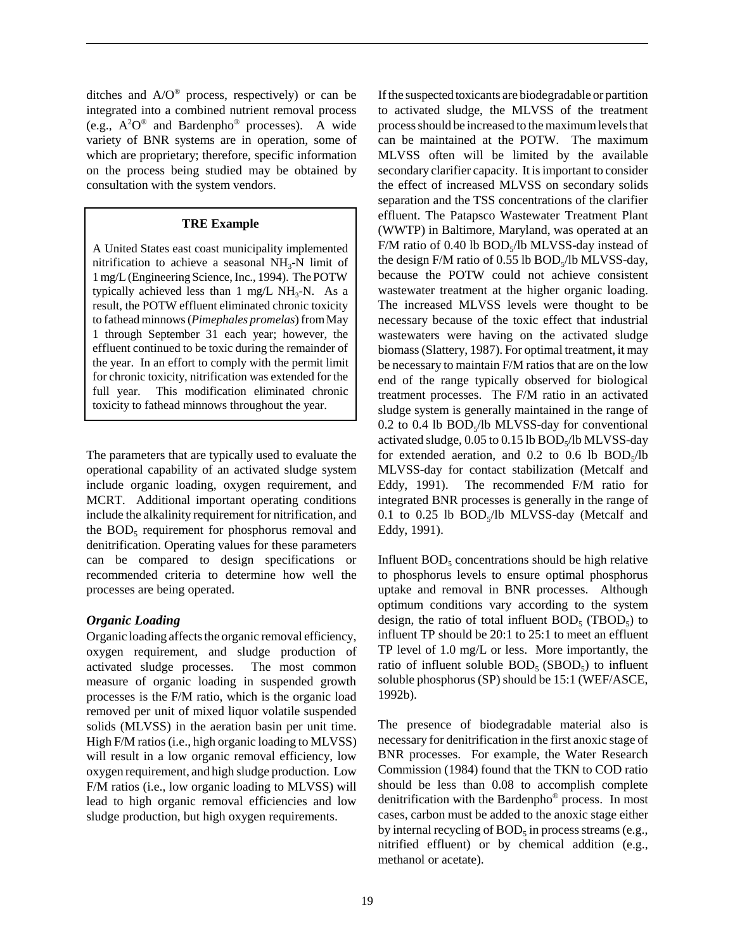ditches and  $A/O^{\circledast}$  process, respectively) or can be integrated into a combined nutrient removal process (e.g.,  $A^2O^{\circledast}$  and Bardenpho<sup>®</sup> processes). A wide variety of BNR systems are in operation, some of which are proprietary; therefore, specific information on the process being studied may be obtained by consultation with the system vendors.

#### **TRE Example**

A United States east coast municipality implemented nitrification to achieve a seasonal  $NH<sub>3</sub>-N$  limit of 1 mg/L (Engineering Science, Inc., 1994). The POTW typically achieved less than 1 mg/L  $NH<sub>3</sub>-N$ . As a result, the POTW effluent eliminated chronic toxicity to fathead minnows (*Pimephales promelas*) from May 1 through September 31 each year; however, the effluent continued to be toxic during the remainder of the year. In an effort to comply with the permit limit for chronic toxicity, nitrification was extended for the full year. This modification eliminated chronic toxicity to fathead minnows throughout the year.

The parameters that are typically used to evaluate the operational capability of an activated sludge system include organic loading, oxygen requirement, and MCRT. Additional important operating conditions include the alkalinity requirement for nitrification, and the  $BOD<sub>5</sub>$  requirement for phosphorus removal and denitrification. Operating values for these parameters can be compared to design specifications or recommended criteria to determine how well the processes are being operated.

### *Organic Loading*

Organic loading affects the organic removal efficiency, oxygen requirement, and sludge production of activated sludge processes. The most common measure of organic loading in suspended growth processes is the F/M ratio, which is the organic load removed per unit of mixed liquor volatile suspended solids (MLVSS) in the aeration basin per unit time. High F/M ratios (i.e., high organic loading to MLVSS) will result in a low organic removal efficiency, low oxygen requirement, and high sludge production. Low F/M ratios (i.e., low organic loading to MLVSS) will lead to high organic removal efficiencies and low sludge production, but high oxygen requirements.

If the suspected toxicants are biodegradable or partition to activated sludge, the MLVSS of the treatment process should be increased to the maximum levels that can be maintained at the POTW. The maximum MLVSS often will be limited by the available secondary clarifier capacity. It is important to consider the effect of increased MLVSS on secondary solids separation and the TSS concentrations of the clarifier effluent. The Patapsco Wastewater Treatment Plant (WWTP) in Baltimore, Maryland, was operated at an F/M ratio of 0.40 lb  $BOD<sub>s</sub>/lb$  MLVSS-day instead of the design  $F/M$  ratio of 0.55 lb  $BOD<sub>s</sub>/lb$  MLVSS-day, because the POTW could not achieve consistent wastewater treatment at the higher organic loading. The increased MLVSS levels were thought to be necessary because of the toxic effect that industrial wastewaters were having on the activated sludge biomass (Slattery, 1987). For optimal treatment, it may be necessary to maintain F/M ratios that are on the low end of the range typically observed for biological treatment processes. The F/M ratio in an activated sludge system is generally maintained in the range of  $0.2$  to  $0.4$  lb  $BOD$ <sub>s</sub>/lb MLVSS-day for conventional activated sludge,  $0.05$  to  $0.15$  lb  $BOD<sub>s</sub>/lb$  MLVSS-day for extended aeration, and  $0.2$  to  $0.6$  lb  $BOD<sub>s</sub>/lb$ MLVSS-day for contact stabilization (Metcalf and Eddy, 1991). The recommended F/M ratio for integrated BNR processes is generally in the range of 0.1 to 0.25 lb  $BOD<sub>5</sub>/lb$  MLVSS-day (Metcalf and Eddy, 1991).

Influent  $BOD<sub>5</sub>$  concentrations should be high relative to phosphorus levels to ensure optimal phosphorus uptake and removal in BNR processes. Although optimum conditions vary according to the system design, the ratio of total influent  $BOD<sub>5</sub>$  (TBOD<sub>5</sub>) to influent TP should be 20:1 to 25:1 to meet an effluent TP level of 1.0 mg/L or less. More importantly, the ratio of influent soluble  $BOD<sub>5</sub> (SBOD<sub>5</sub>)$  to influent soluble phosphorus (SP) should be 15:1 (WEF/ASCE, 1992b).

The presence of biodegradable material also is necessary for denitrification in the first anoxic stage of BNR processes. For example, the Water Research Commission (1984) found that the TKN to COD ratio should be less than 0.08 to accomplish complete denitrification with the Bardenpho® process. In most cases, carbon must be added to the anoxic stage either by internal recycling of  $BOD<sub>5</sub>$  in process streams (e.g., nitrified effluent) or by chemical addition (e.g., methanol or acetate).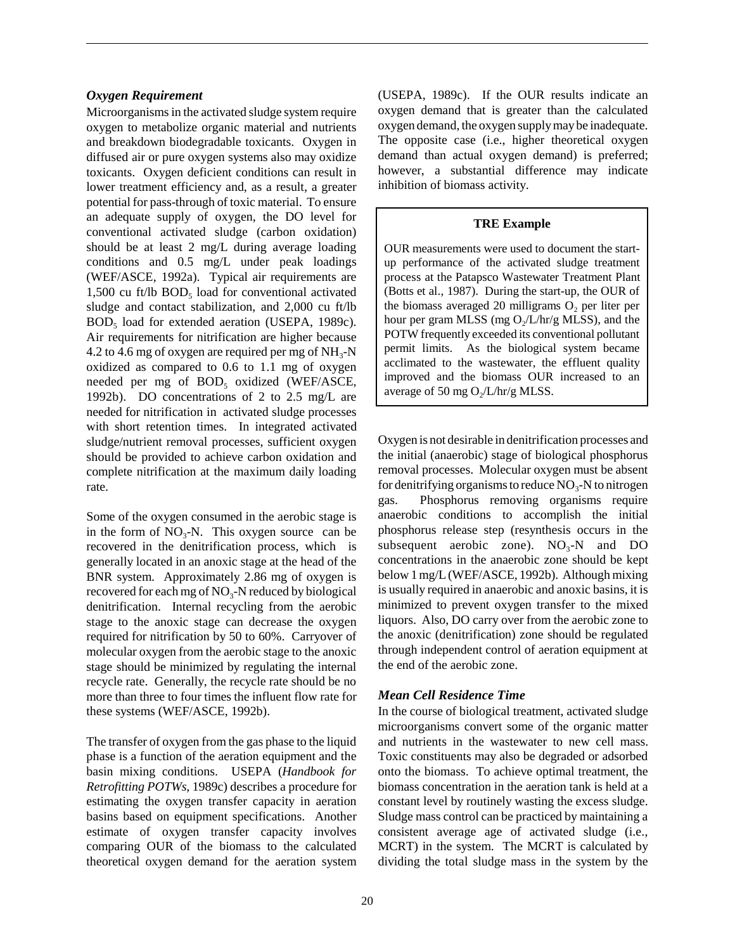### *Oxygen Requirement*

Microorganisms in the activated sludge system require oxygen to metabolize organic material and nutrients and breakdown biodegradable toxicants. Oxygen in diffused air or pure oxygen systems also may oxidize toxicants. Oxygen deficient conditions can result in lower treatment efficiency and, as a result, a greater potential for pass-through of toxic material. To ensure an adequate supply of oxygen, the DO level for conventional activated sludge (carbon oxidation) should be at least 2 mg/L during average loading conditions and 0.5 mg/L under peak loadings (WEF/ASCE, 1992a). Typical air requirements are  $1,500$  cu ft/lb  $BOD<sub>5</sub>$  load for conventional activated sludge and contact stabilization, and 2,000 cu ft/lb BOD<sub>5</sub> load for extended aeration (USEPA, 1989c). Air requirements for nitrification are higher because 4.2 to 4.6 mg of oxygen are required per mg of  $NH<sub>3</sub>-N$ oxidized as compared to 0.6 to 1.1 mg of oxygen needed per mg of  $BOD<sub>5</sub>$  oxidized (WEF/ASCE, 1992b). DO concentrations of 2 to 2.5 mg/L are needed for nitrification in activated sludge processes with short retention times. In integrated activated sludge/nutrient removal processes, sufficient oxygen should be provided to achieve carbon oxidation and complete nitrification at the maximum daily loading rate.

Some of the oxygen consumed in the aerobic stage is in the form of  $NO<sub>3</sub>-N$ . This oxygen source can be recovered in the denitrification process, which is generally located in an anoxic stage at the head of the BNR system. Approximately 2.86 mg of oxygen is recovered for each mg of  $NO<sub>3</sub>$ -N reduced by biological denitrification. Internal recycling from the aerobic stage to the anoxic stage can decrease the oxygen required for nitrification by 50 to 60%. Carryover of molecular oxygen from the aerobic stage to the anoxic stage should be minimized by regulating the internal recycle rate. Generally, the recycle rate should be no more than three to four times the influent flow rate for these systems (WEF/ASCE, 1992b).

The transfer of oxygen from the gas phase to the liquid phase is a function of the aeration equipment and the basin mixing conditions. USEPA (*Handbook for Retrofitting POTWs*, 1989c) describes a procedure for estimating the oxygen transfer capacity in aeration basins based on equipment specifications. Another estimate of oxygen transfer capacity involves comparing OUR of the biomass to the calculated theoretical oxygen demand for the aeration system (USEPA, 1989c). If the OUR results indicate an oxygen demand that is greater than the calculated oxygen demand, the oxygen supply may be inadequate. The opposite case (i.e., higher theoretical oxygen demand than actual oxygen demand) is preferred; however, a substantial difference may indicate inhibition of biomass activity.

### **TRE Example**

OUR measurements were used to document the startup performance of the activated sludge treatment process at the Patapsco Wastewater Treatment Plant (Botts et al., 1987). During the start-up, the OUR of the biomass averaged 20 milligrams  $O<sub>2</sub>$  per liter per hour per gram MLSS (mg  $O_2/L/hr/g$  MLSS), and the POTW frequently exceeded its conventional pollutant permit limits. As the biological system became acclimated to the wastewater, the effluent quality improved and the biomass OUR increased to an average of 50 mg  $O_2/L/hr/g$  MLSS.

Oxygen is not desirable in denitrification processes and the initial (anaerobic) stage of biological phosphorus removal processes. Molecular oxygen must be absent for denitrifying organisms to reduce  $NO<sub>3</sub>$ -N to nitrogen gas. Phosphorus removing organisms require anaerobic conditions to accomplish the initial phosphorus release step (resynthesis occurs in the subsequent aerobic zone).  $NO_3-N$  and  $DO$ concentrations in the anaerobic zone should be kept below 1 mg/L (WEF/ASCE, 1992b). Although mixing is usually required in anaerobic and anoxic basins, it is minimized to prevent oxygen transfer to the mixed liquors. Also, DO carry over from the aerobic zone to the anoxic (denitrification) zone should be regulated through independent control of aeration equipment at the end of the aerobic zone.

### *Mean Cell Residence Time*

In the course of biological treatment, activated sludge microorganisms convert some of the organic matter and nutrients in the wastewater to new cell mass. Toxic constituents may also be degraded or adsorbed onto the biomass. To achieve optimal treatment, the biomass concentration in the aeration tank is held at a constant level by routinely wasting the excess sludge. Sludge mass control can be practiced by maintaining a consistent average age of activated sludge (i.e., MCRT) in the system. The MCRT is calculated by dividing the total sludge mass in the system by the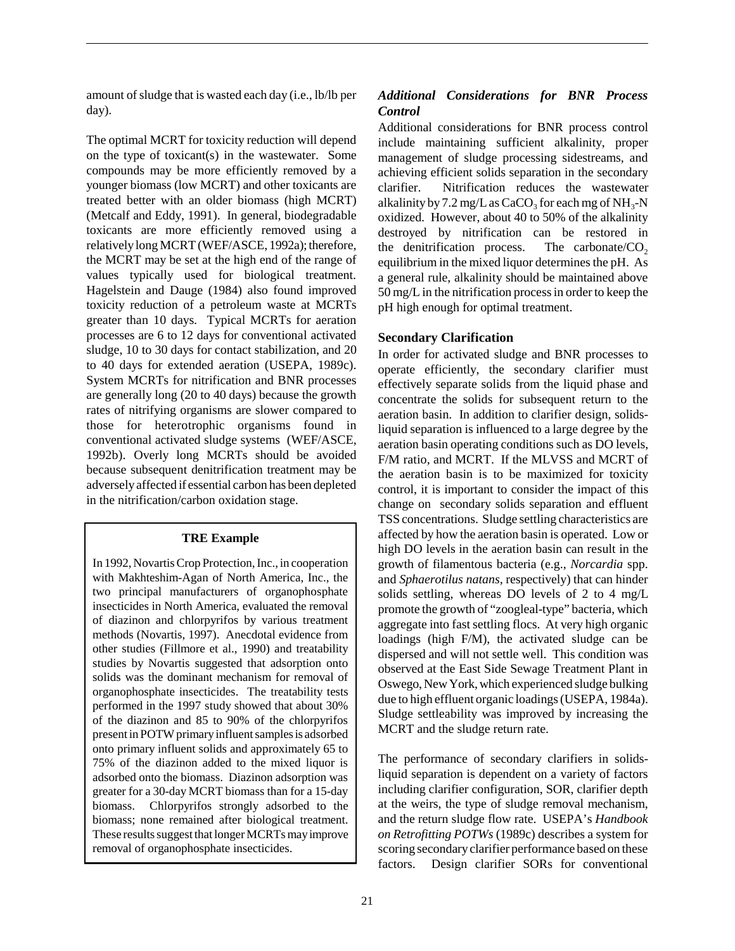amount of sludge that is wasted each day (i.e., lb/lb per day).

The optimal MCRT for toxicity reduction will depend on the type of toxicant(s) in the wastewater. Some compounds may be more efficiently removed by a younger biomass (low MCRT) and other toxicants are treated better with an older biomass (high MCRT) (Metcalf and Eddy, 1991). In general, biodegradable toxicants are more efficiently removed using a relatively long MCRT (WEF/ASCE, 1992a); therefore, the MCRT may be set at the high end of the range of values typically used for biological treatment. Hagelstein and Dauge (1984) also found improved toxicity reduction of a petroleum waste at MCRTs greater than 10 days. Typical MCRTs for aeration processes are 6 to 12 days for conventional activated sludge, 10 to 30 days for contact stabilization, and 20 to 40 days for extended aeration (USEPA, 1989c). System MCRTs for nitrification and BNR processes are generally long (20 to 40 days) because the growth rates of nitrifying organisms are slower compared to those for heterotrophic organisms found in conventional activated sludge systems (WEF/ASCE, 1992b). Overly long MCRTs should be avoided because subsequent denitrification treatment may be adversely affected if essential carbon has been depleted in the nitrification/carbon oxidation stage.

### **TRE Example**

In 1992, Novartis Crop Protection, Inc., in cooperation with Makhteshim-Agan of North America, Inc., the two principal manufacturers of organophosphate insecticides in North America, evaluated the removal of diazinon and chlorpyrifos by various treatment methods (Novartis, 1997). Anecdotal evidence from other studies (Fillmore et al., 1990) and treatability studies by Novartis suggested that adsorption onto solids was the dominant mechanism for removal of organophosphate insecticides. The treatability tests performed in the 1997 study showed that about 30% of the diazinon and 85 to 90% of the chlorpyrifos present in POTW primary influent samples is adsorbed onto primary influent solids and approximately 65 to 75% of the diazinon added to the mixed liquor is adsorbed onto the biomass. Diazinon adsorption was greater for a 30-day MCRT biomass than for a 15-day biomass. Chlorpyrifos strongly adsorbed to the biomass; none remained after biological treatment. These results suggest that longer MCRTs may improve removal of organophosphate insecticides.

### *Additional Considerations for BNR Process Control*

Additional considerations for BNR process control include maintaining sufficient alkalinity, proper management of sludge processing sidestreams, and achieving efficient solids separation in the secondary clarifier. Nitrification reduces the wastewater alkalinity by 7.2 mg/L as  $CaCO<sub>3</sub>$  for each mg of NH<sub>3</sub>-N oxidized. However, about 40 to 50% of the alkalinity destroyed by nitrification can be restored in the denitrification process. The carbonate/ $CO<sub>2</sub>$ equilibrium in the mixed liquor determines the pH. As a general rule, alkalinity should be maintained above 50 mg/L in the nitrification process in order to keep the pH high enough for optimal treatment.

### **Secondary Clarification**

In order for activated sludge and BNR processes to operate efficiently, the secondary clarifier must effectively separate solids from the liquid phase and concentrate the solids for subsequent return to the aeration basin. In addition to clarifier design, solidsliquid separation is influenced to a large degree by the aeration basin operating conditions such as DO levels, F/M ratio, and MCRT. If the MLVSS and MCRT of the aeration basin is to be maximized for toxicity control, it is important to consider the impact of this change on secondary solids separation and effluent TSS concentrations. Sludge settling characteristics are affected by how the aeration basin is operated. Low or high DO levels in the aeration basin can result in the growth of filamentous bacteria (e.g., *Norcardia* spp. and *Sphaerotilus natans*, respectively) that can hinder solids settling, whereas DO levels of 2 to 4 mg/L promote the growth of "zoogleal-type" bacteria, which aggregate into fast settling flocs. At very high organic loadings (high F/M), the activated sludge can be dispersed and will not settle well. This condition was observed at the East Side Sewage Treatment Plant in Oswego, New York, which experienced sludge bulking due to high effluent organic loadings (USEPA, 1984a). Sludge settleability was improved by increasing the MCRT and the sludge return rate.

The performance of secondary clarifiers in solidsliquid separation is dependent on a variety of factors including clarifier configuration, SOR, clarifier depth at the weirs, the type of sludge removal mechanism, and the return sludge flow rate. USEPA's *Handbook on Retrofitting POTWs* (1989c) describes a system for scoring secondary clarifier performance based on these factors. Design clarifier SORs for conventional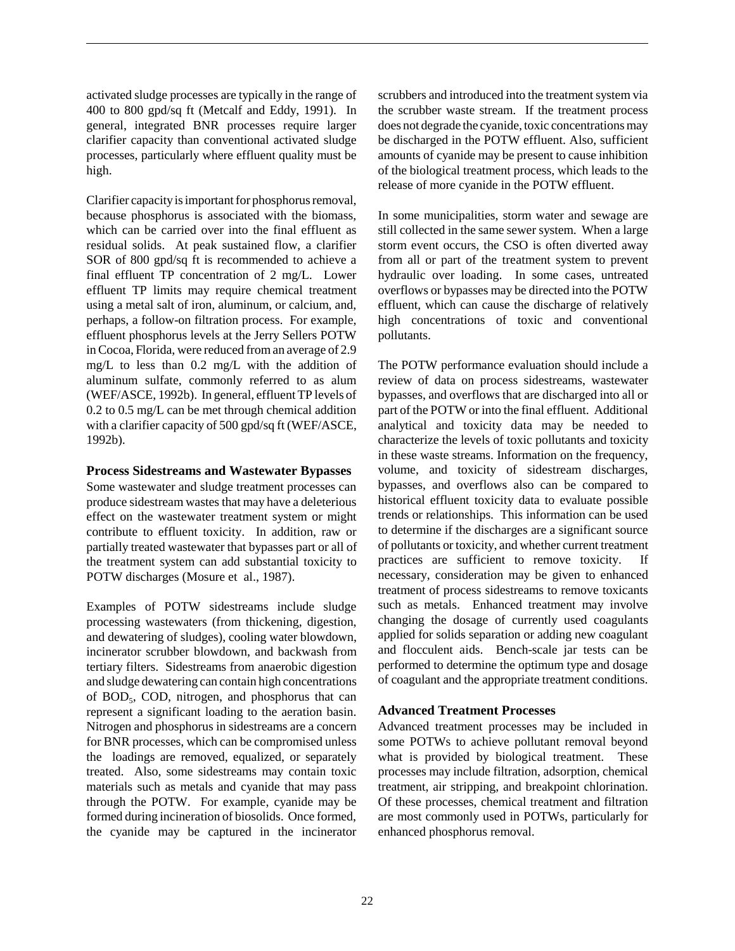activated sludge processes are typically in the range of 400 to 800 gpd/sq ft (Metcalf and Eddy, 1991). In general, integrated BNR processes require larger clarifier capacity than conventional activated sludge processes, particularly where effluent quality must be high.

Clarifier capacity is important for phosphorus removal, because phosphorus is associated with the biomass, which can be carried over into the final effluent as residual solids. At peak sustained flow, a clarifier SOR of 800 gpd/sq ft is recommended to achieve a final effluent TP concentration of 2 mg/L. Lower effluent TP limits may require chemical treatment using a metal salt of iron, aluminum, or calcium, and, perhaps, a follow-on filtration process. For example, effluent phosphorus levels at the Jerry Sellers POTW in Cocoa, Florida, were reduced from an average of 2.9 mg/L to less than 0.2 mg/L with the addition of aluminum sulfate, commonly referred to as alum (WEF/ASCE, 1992b). In general, effluent TP levels of 0.2 to 0.5 mg/L can be met through chemical addition with a clarifier capacity of 500 gpd/sq ft (WEF/ASCE, 1992b).

### **Process Sidestreams and Wastewater Bypasses**

Some wastewater and sludge treatment processes can produce sidestream wastes that may have a deleterious effect on the wastewater treatment system or might contribute to effluent toxicity. In addition, raw or partially treated wastewater that bypasses part or all of the treatment system can add substantial toxicity to POTW discharges (Mosure et al., 1987).

Examples of POTW sidestreams include sludge processing wastewaters (from thickening, digestion, and dewatering of sludges), cooling water blowdown, incinerator scrubber blowdown, and backwash from tertiary filters. Sidestreams from anaerobic digestion and sludge dewatering can contain high concentrations of BOD<sub>5</sub>, COD, nitrogen, and phosphorus that can represent a significant loading to the aeration basin. Nitrogen and phosphorus in sidestreams are a concern for BNR processes, which can be compromised unless the loadings are removed, equalized, or separately treated. Also, some sidestreams may contain toxic materials such as metals and cyanide that may pass through the POTW. For example, cyanide may be formed during incineration of biosolids. Once formed, the cyanide may be captured in the incinerator

scrubbers and introduced into the treatment system via the scrubber waste stream. If the treatment process does not degrade the cyanide, toxic concentrations may be discharged in the POTW effluent. Also, sufficient amounts of cyanide may be present to cause inhibition of the biological treatment process, which leads to the release of more cyanide in the POTW effluent.

In some municipalities, storm water and sewage are still collected in the same sewer system. When a large storm event occurs, the CSO is often diverted away from all or part of the treatment system to prevent hydraulic over loading. In some cases, untreated overflows or bypasses may be directed into the POTW effluent, which can cause the discharge of relatively high concentrations of toxic and conventional pollutants.

The POTW performance evaluation should include a review of data on process sidestreams, wastewater bypasses, and overflows that are discharged into all or part of the POTW or into the final effluent. Additional analytical and toxicity data may be needed to characterize the levels of toxic pollutants and toxicity in these waste streams. Information on the frequency, volume, and toxicity of sidestream discharges, bypasses, and overflows also can be compared to historical effluent toxicity data to evaluate possible trends or relationships. This information can be used to determine if the discharges are a significant source of pollutants or toxicity, and whether current treatment practices are sufficient to remove toxicity. If necessary, consideration may be given to enhanced treatment of process sidestreams to remove toxicants such as metals. Enhanced treatment may involve changing the dosage of currently used coagulants applied for solids separation or adding new coagulant and flocculent aids. Bench-scale jar tests can be performed to determine the optimum type and dosage of coagulant and the appropriate treatment conditions.

### **Advanced Treatment Processes**

Advanced treatment processes may be included in some POTWs to achieve pollutant removal beyond what is provided by biological treatment. These processes may include filtration, adsorption, chemical treatment, air stripping, and breakpoint chlorination. Of these processes, chemical treatment and filtration are most commonly used in POTWs, particularly for enhanced phosphorus removal.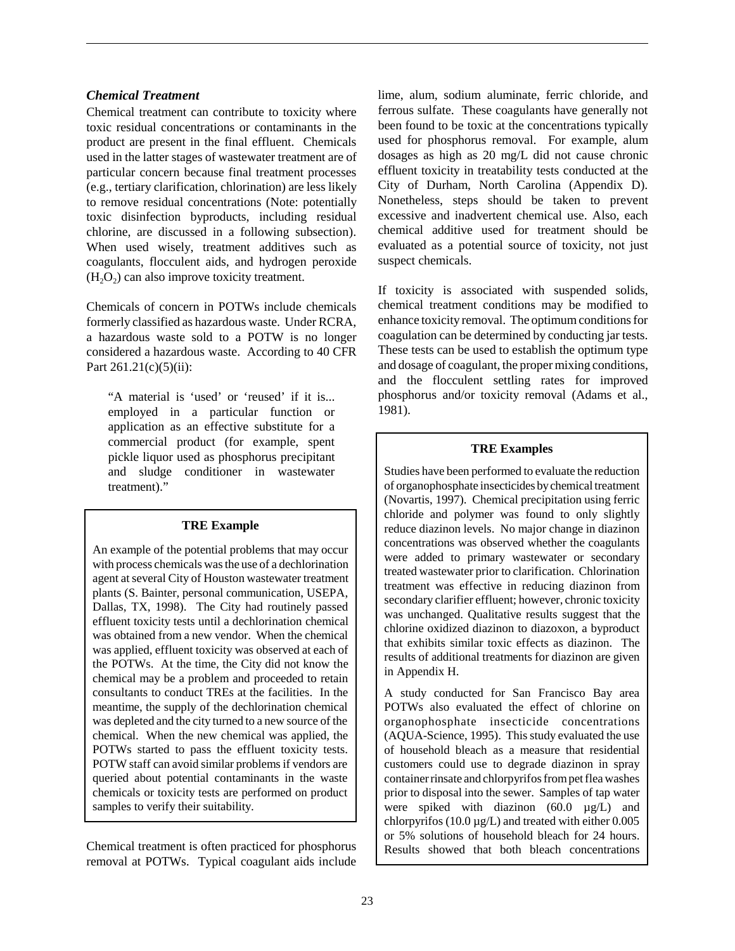## *Chemical Treatment*

Chemical treatment can contribute to toxicity where toxic residual concentrations or contaminants in the product are present in the final effluent. Chemicals used in the latter stages of wastewater treatment are of particular concern because final treatment processes (e.g., tertiary clarification, chlorination) are less likely to remove residual concentrations (Note: potentially toxic disinfection byproducts, including residual chlorine, are discussed in a following subsection). When used wisely, treatment additives such as coagulants, flocculent aids, and hydrogen peroxide  $(H<sub>2</sub>O<sub>2</sub>)$  can also improve toxicity treatment.

Chemicals of concern in POTWs include chemicals formerly classified as hazardous waste. Under RCRA, a hazardous waste sold to a POTW is no longer considered a hazardous waste. According to 40 CFR Part 261.21(c)(5)(ii):

"A material is 'used' or 'reused' if it is... employed in a particular function or application as an effective substitute for a commercial product (for example, spent pickle liquor used as phosphorus precipitant and sludge conditioner in wastewater treatment)."

## **TRE Example**

An example of the potential problems that may occur with process chemicals was the use of a dechlorination agent at several City of Houston wastewater treatment plants (S. Bainter, personal communication, USEPA, Dallas, TX, 1998). The City had routinely passed effluent toxicity tests until a dechlorination chemical was obtained from a new vendor. When the chemical was applied, effluent toxicity was observed at each of the POTWs. At the time, the City did not know the chemical may be a problem and proceeded to retain consultants to conduct TREs at the facilities. In the meantime, the supply of the dechlorination chemical was depleted and the city turned to a new source of the chemical. When the new chemical was applied, the POTWs started to pass the effluent toxicity tests. POTW staff can avoid similar problems if vendors are queried about potential contaminants in the waste chemicals or toxicity tests are performed on product samples to verify their suitability.

Chemical treatment is often practiced for phosphorus removal at POTWs. Typical coagulant aids include lime, alum, sodium aluminate, ferric chloride, and ferrous sulfate. These coagulants have generally not been found to be toxic at the concentrations typically used for phosphorus removal. For example, alum dosages as high as 20 mg/L did not cause chronic effluent toxicity in treatability tests conducted at the City of Durham, North Carolina (Appendix D). Nonetheless, steps should be taken to prevent excessive and inadvertent chemical use. Also, each chemical additive used for treatment should be evaluated as a potential source of toxicity, not just suspect chemicals.

If toxicity is associated with suspended solids, chemical treatment conditions may be modified to enhance toxicity removal. The optimum conditions for coagulation can be determined by conducting jar tests. These tests can be used to establish the optimum type and dosage of coagulant, the proper mixing conditions, and the flocculent settling rates for improved phosphorus and/or toxicity removal (Adams et al., 1981).

## **TRE Examples**

Studies have been performed to evaluate the reduction of organophosphate insecticides by chemical treatment (Novartis, 1997). Chemical precipitation using ferric chloride and polymer was found to only slightly reduce diazinon levels. No major change in diazinon concentrations was observed whether the coagulants were added to primary wastewater or secondary treated wastewater prior to clarification. Chlorination treatment was effective in reducing diazinon from secondary clarifier effluent; however, chronic toxicity was unchanged. Qualitative results suggest that the chlorine oxidized diazinon to diazoxon, a byproduct that exhibits similar toxic effects as diazinon. The results of additional treatments for diazinon are given in Appendix H.

A study conducted for San Francisco Bay area POTWs also evaluated the effect of chlorine on organophosphate insecticide concentrations (AQUA-Science, 1995). This study evaluated the use of household bleach as a measure that residential customers could use to degrade diazinon in spray container rinsate and chlorpyrifos from pet flea washes prior to disposal into the sewer. Samples of tap water were spiked with diazinon (60.0 µg/L) and chlorpyrifos (10.0  $\mu$ g/L) and treated with either 0.005 or 5% solutions of household bleach for 24 hours. Results showed that both bleach concentrations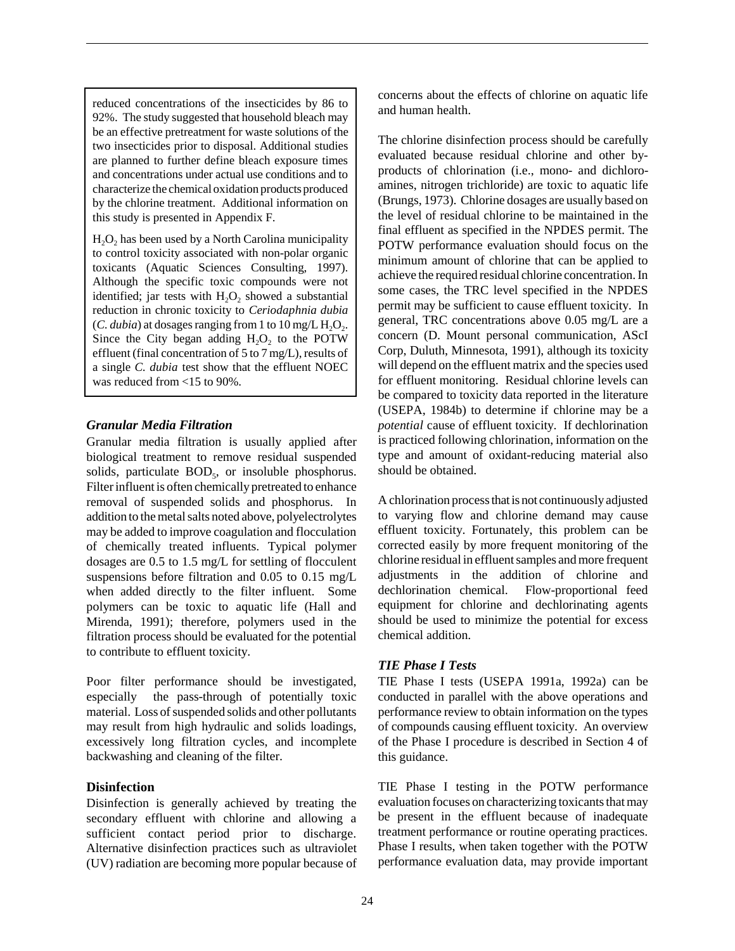reduced concentrations of the insecticides by 86 to 92%. The study suggested that household bleach may be an effective pretreatment for waste solutions of the two insecticides prior to disposal. Additional studies are planned to further define bleach exposure times and concentrations under actual use conditions and to characterize the chemical oxidation products produced by the chlorine treatment. Additional information on this study is presented in Appendix F.

 $H<sub>2</sub>O<sub>2</sub>$  has been used by a North Carolina municipality to control toxicity associated with non-polar organic toxicants (Aquatic Sciences Consulting, 1997). Although the specific toxic compounds were not identified; jar tests with  $H_2O_2$  showed a substantial reduction in chronic toxicity to *Ceriodaphnia dubia* (*C. dubia*) at dosages ranging from 1 to 10 mg/L  $H_2O_2$ . Since the City began adding  $H_2O_2$  to the POTW effluent (final concentration of 5 to 7 mg/L), results of a single *C. dubia* test show that the effluent NOEC was reduced from <15 to 90%.

## *Granular Media Filtration*

Granular media filtration is usually applied after biological treatment to remove residual suspended solids, particulate  $BOD<sub>5</sub>$ , or insoluble phosphorus. Filter influent is often chemically pretreated to enhance removal of suspended solids and phosphorus. In addition to the metal salts noted above, polyelectrolytes may be added to improve coagulation and flocculation of chemically treated influents. Typical polymer dosages are 0.5 to 1.5 mg/L for settling of flocculent suspensions before filtration and 0.05 to 0.15 mg/L when added directly to the filter influent. Some polymers can be toxic to aquatic life (Hall and Mirenda, 1991); therefore, polymers used in the filtration process should be evaluated for the potential to contribute to effluent toxicity.

Poor filter performance should be investigated, especially the pass-through of potentially toxic material. Loss of suspended solids and other pollutants may result from high hydraulic and solids loadings, excessively long filtration cycles, and incomplete backwashing and cleaning of the filter.

#### **Disinfection**

Disinfection is generally achieved by treating the secondary effluent with chlorine and allowing a sufficient contact period prior to discharge. Alternative disinfection practices such as ultraviolet (UV) radiation are becoming more popular because of concerns about the effects of chlorine on aquatic life and human health.

The chlorine disinfection process should be carefully evaluated because residual chlorine and other byproducts of chlorination (i.e., mono- and dichloroamines, nitrogen trichloride) are toxic to aquatic life (Brungs, 1973). Chlorine dosages are usually based on the level of residual chlorine to be maintained in the final effluent as specified in the NPDES permit. The POTW performance evaluation should focus on the minimum amount of chlorine that can be applied to achieve the required residual chlorine concentration. In some cases, the TRC level specified in the NPDES permit may be sufficient to cause effluent toxicity. In general, TRC concentrations above 0.05 mg/L are a concern (D. Mount personal communication, AScI Corp, Duluth, Minnesota, 1991), although its toxicity will depend on the effluent matrix and the species used for effluent monitoring. Residual chlorine levels can be compared to toxicity data reported in the literature (USEPA, 1984b) to determine if chlorine may be a *potential* cause of effluent toxicity. If dechlorination is practiced following chlorination, information on the type and amount of oxidant-reducing material also should be obtained.

A chlorination process that is not continuously adjusted to varying flow and chlorine demand may cause effluent toxicity. Fortunately, this problem can be corrected easily by more frequent monitoring of the chlorine residual in effluent samples and more frequent adjustments in the addition of chlorine and dechlorination chemical. Flow-proportional feed equipment for chlorine and dechlorinating agents should be used to minimize the potential for excess chemical addition.

#### *TIE Phase I Tests*

TIE Phase I tests (USEPA 1991a, 1992a) can be conducted in parallel with the above operations and performance review to obtain information on the types of compounds causing effluent toxicity. An overview of the Phase I procedure is described in Section 4 of this guidance.

TIE Phase I testing in the POTW performance evaluation focuses on characterizing toxicants that may be present in the effluent because of inadequate treatment performance or routine operating practices. Phase I results, when taken together with the POTW performance evaluation data, may provide important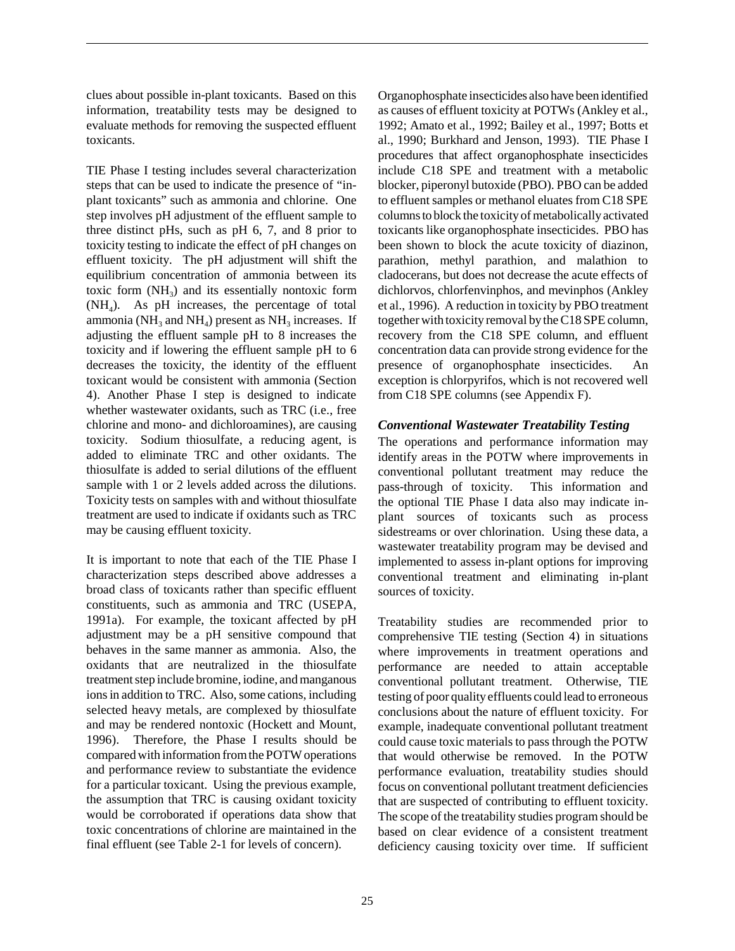clues about possible in-plant toxicants. Based on this information, treatability tests may be designed to evaluate methods for removing the suspected effluent toxicants.

TIE Phase I testing includes several characterization steps that can be used to indicate the presence of "inplant toxicants" such as ammonia and chlorine. One step involves pH adjustment of the effluent sample to three distinct pHs, such as pH 6, 7, and 8 prior to toxicity testing to indicate the effect of pH changes on effluent toxicity. The pH adjustment will shift the equilibrium concentration of ammonia between its toxic form  $(NH_3)$  and its essentially nontoxic form  $(NH<sub>4</sub>)$ . As pH increases, the percentage of total ammonia ( $NH<sub>3</sub>$  and  $NH<sub>4</sub>$ ) present as  $NH<sub>3</sub>$  increases. If adjusting the effluent sample pH to 8 increases the toxicity and if lowering the effluent sample pH to 6 decreases the toxicity, the identity of the effluent toxicant would be consistent with ammonia (Section 4). Another Phase I step is designed to indicate whether wastewater oxidants, such as TRC (i.e., free chlorine and mono- and dichloroamines), are causing toxicity. Sodium thiosulfate, a reducing agent, is added to eliminate TRC and other oxidants. The thiosulfate is added to serial dilutions of the effluent sample with 1 or 2 levels added across the dilutions. Toxicity tests on samples with and without thiosulfate treatment are used to indicate if oxidants such as TRC may be causing effluent toxicity.

It is important to note that each of the TIE Phase I characterization steps described above addresses a broad class of toxicants rather than specific effluent constituents, such as ammonia and TRC (USEPA, 1991a). For example, the toxicant affected by pH adjustment may be a pH sensitive compound that behaves in the same manner as ammonia. Also, the oxidants that are neutralized in the thiosulfate treatment step include bromine, iodine, and manganous ions in addition to TRC. Also, some cations, including selected heavy metals, are complexed by thiosulfate and may be rendered nontoxic (Hockett and Mount, 1996). Therefore, the Phase I results should be compared with information from the POTW operations and performance review to substantiate the evidence for a particular toxicant. Using the previous example, the assumption that TRC is causing oxidant toxicity would be corroborated if operations data show that toxic concentrations of chlorine are maintained in the final effluent (see Table 2-1 for levels of concern).

Organophosphate insecticides also have been identified as causes of effluent toxicity at POTWs (Ankley et al., 1992; Amato et al., 1992; Bailey et al., 1997; Botts et al., 1990; Burkhard and Jenson, 1993). TIE Phase I procedures that affect organophosphate insecticides include C18 SPE and treatment with a metabolic blocker, piperonyl butoxide (PBO). PBO can be added to effluent samples or methanol eluates from C18 SPE columns to block the toxicity of metabolically activated toxicants like organophosphate insecticides. PBO has been shown to block the acute toxicity of diazinon, parathion, methyl parathion, and malathion to cladocerans, but does not decrease the acute effects of dichlorvos, chlorfenvinphos, and mevinphos (Ankley et al., 1996). A reduction in toxicity by PBO treatment together with toxicity removal by the C18 SPE column, recovery from the C18 SPE column, and effluent concentration data can provide strong evidence for the presence of organophosphate insecticides. An exception is chlorpyrifos, which is not recovered well from C18 SPE columns (see Appendix F).

## *Conventional Wastewater Treatability Testing*

The operations and performance information may identify areas in the POTW where improvements in conventional pollutant treatment may reduce the pass-through of toxicity. This information and the optional TIE Phase I data also may indicate inplant sources of toxicants such as process sidestreams or over chlorination. Using these data, a wastewater treatability program may be devised and implemented to assess in-plant options for improving conventional treatment and eliminating in-plant sources of toxicity.

Treatability studies are recommended prior to comprehensive TIE testing (Section 4) in situations where improvements in treatment operations and performance are needed to attain acceptable conventional pollutant treatment. Otherwise, TIE testing of poor quality effluents could lead to erroneous conclusions about the nature of effluent toxicity. For example, inadequate conventional pollutant treatment could cause toxic materials to pass through the POTW that would otherwise be removed. In the POTW performance evaluation, treatability studies should focus on conventional pollutant treatment deficiencies that are suspected of contributing to effluent toxicity. The scope of the treatability studies program should be based on clear evidence of a consistent treatment deficiency causing toxicity over time. If sufficient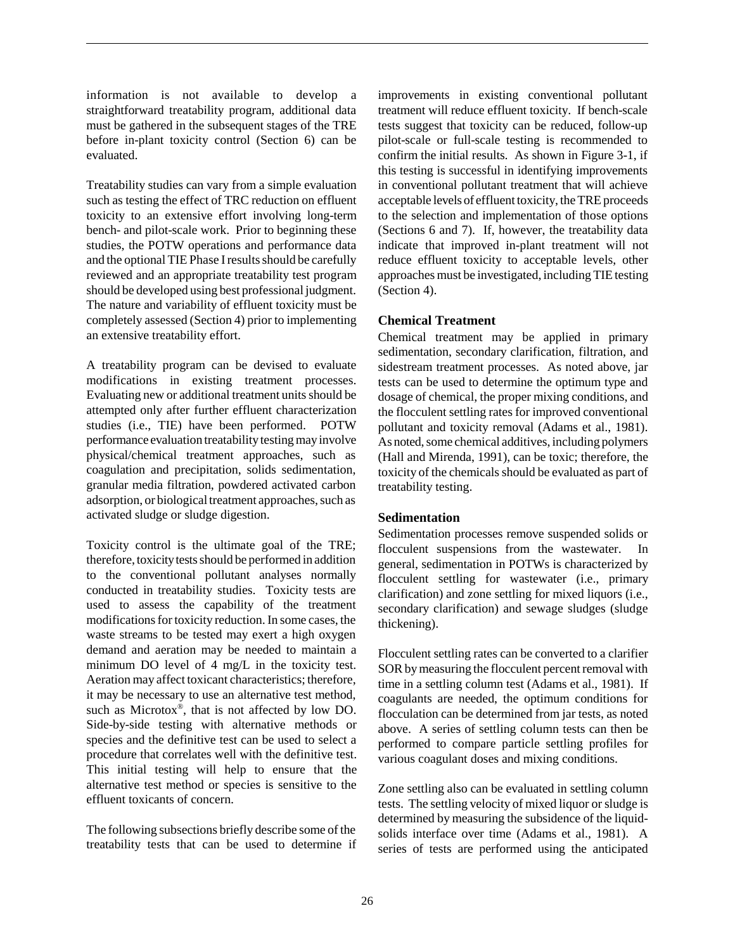information is not available to develop a straightforward treatability program, additional data must be gathered in the subsequent stages of the TRE before in-plant toxicity control (Section 6) can be evaluated.

Treatability studies can vary from a simple evaluation such as testing the effect of TRC reduction on effluent toxicity to an extensive effort involving long-term bench- and pilot-scale work. Prior to beginning these studies, the POTW operations and performance data and the optional TIE Phase I results should be carefully reviewed and an appropriate treatability test program should be developed using best professional judgment. The nature and variability of effluent toxicity must be completely assessed (Section 4) prior to implementing an extensive treatability effort.

A treatability program can be devised to evaluate modifications in existing treatment processes. Evaluating new or additional treatment units should be attempted only after further effluent characterization studies (i.e., TIE) have been performed. POTW performance evaluation treatability testing may involve physical/chemical treatment approaches, such as coagulation and precipitation, solids sedimentation, granular media filtration, powdered activated carbon adsorption, or biological treatment approaches, such as activated sludge or sludge digestion.

Toxicity control is the ultimate goal of the TRE; therefore, toxicity tests should be performed in addition to the conventional pollutant analyses normally conducted in treatability studies. Toxicity tests are used to assess the capability of the treatment modifications for toxicity reduction. In some cases, the waste streams to be tested may exert a high oxygen demand and aeration may be needed to maintain a minimum DO level of 4 mg/L in the toxicity test. Aeration may affect toxicant characteristics; therefore, it may be necessary to use an alternative test method, such as Microtox®, that is not affected by low DO. Side-by-side testing with alternative methods or species and the definitive test can be used to select a procedure that correlates well with the definitive test. This initial testing will help to ensure that the alternative test method or species is sensitive to the effluent toxicants of concern.

The following subsections briefly describe some of the treatability tests that can be used to determine if improvements in existing conventional pollutant treatment will reduce effluent toxicity. If bench-scale tests suggest that toxicity can be reduced, follow-up pilot-scale or full-scale testing is recommended to confirm the initial results. As shown in Figure 3-1, if this testing is successful in identifying improvements in conventional pollutant treatment that will achieve acceptable levels of effluent toxicity, the TRE proceeds to the selection and implementation of those options (Sections 6 and 7). If, however, the treatability data indicate that improved in-plant treatment will not reduce effluent toxicity to acceptable levels, other approaches must be investigated, including TIE testing (Section 4).

## **Chemical Treatment**

Chemical treatment may be applied in primary sedimentation, secondary clarification, filtration, and sidestream treatment processes. As noted above, jar tests can be used to determine the optimum type and dosage of chemical, the proper mixing conditions, and the flocculent settling rates for improved conventional pollutant and toxicity removal (Adams et al., 1981). As noted, some chemical additives, including polymers (Hall and Mirenda, 1991), can be toxic; therefore, the toxicity of the chemicals should be evaluated as part of treatability testing.

#### **Sedimentation**

Sedimentation processes remove suspended solids or flocculent suspensions from the wastewater. general, sedimentation in POTWs is characterized by flocculent settling for wastewater (i.e., primary clarification) and zone settling for mixed liquors (i.e., secondary clarification) and sewage sludges (sludge thickening).

Flocculent settling rates can be converted to a clarifier SOR by measuring the flocculent percent removal with time in a settling column test (Adams et al., 1981). If coagulants are needed, the optimum conditions for flocculation can be determined from jar tests, as noted above. A series of settling column tests can then be performed to compare particle settling profiles for various coagulant doses and mixing conditions.

Zone settling also can be evaluated in settling column tests. The settling velocity of mixed liquor or sludge is determined by measuring the subsidence of the liquidsolids interface over time (Adams et al., 1981). A series of tests are performed using the anticipated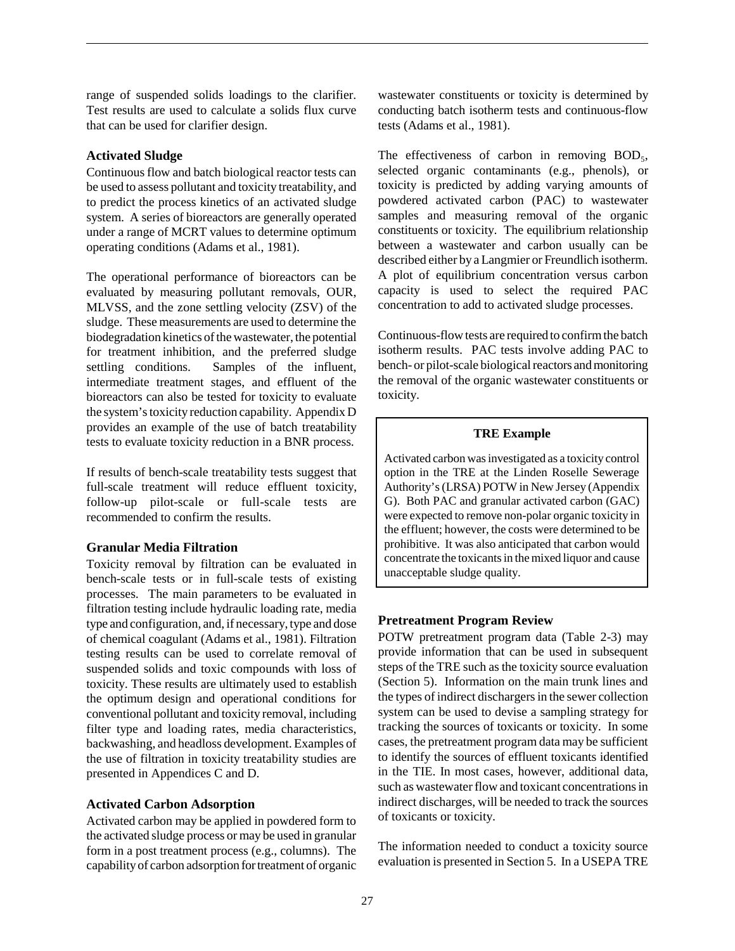range of suspended solids loadings to the clarifier. Test results are used to calculate a solids flux curve that can be used for clarifier design.

#### **Activated Sludge**

Continuous flow and batch biological reactor tests can be used to assess pollutant and toxicity treatability, and to predict the process kinetics of an activated sludge system. A series of bioreactors are generally operated under a range of MCRT values to determine optimum operating conditions (Adams et al., 1981).

The operational performance of bioreactors can be evaluated by measuring pollutant removals, OUR, MLVSS, and the zone settling velocity (ZSV) of the sludge. These measurements are used to determine the biodegradation kinetics of the wastewater, the potential for treatment inhibition, and the preferred sludge settling conditions. Samples of the influent, intermediate treatment stages, and effluent of the bioreactors can also be tested for toxicity to evaluate the system's toxicity reduction capability. Appendix D provides an example of the use of batch treatability tests to evaluate toxicity reduction in a BNR process.

If results of bench-scale treatability tests suggest that full-scale treatment will reduce effluent toxicity, follow-up pilot-scale or full-scale tests are recommended to confirm the results.

## **Granular Media Filtration**

Toxicity removal by filtration can be evaluated in bench-scale tests or in full-scale tests of existing processes. The main parameters to be evaluated in filtration testing include hydraulic loading rate, media type and configuration, and, if necessary, type and dose of chemical coagulant (Adams et al., 1981). Filtration testing results can be used to correlate removal of suspended solids and toxic compounds with loss of toxicity. These results are ultimately used to establish the optimum design and operational conditions for conventional pollutant and toxicity removal, including filter type and loading rates, media characteristics, backwashing, and headloss development. Examples of the use of filtration in toxicity treatability studies are presented in Appendices C and D.

#### **Activated Carbon Adsorption**

Activated carbon may be applied in powdered form to the activated sludge process or may be used in granular form in a post treatment process (e.g., columns). The capability of carbon adsorption for treatment of organic wastewater constituents or toxicity is determined by conducting batch isotherm tests and continuous-flow tests (Adams et al., 1981).

The effectiveness of carbon in removing  $BOD<sub>5</sub>$ , selected organic contaminants (e.g., phenols), or toxicity is predicted by adding varying amounts of powdered activated carbon (PAC) to wastewater samples and measuring removal of the organic constituents or toxicity. The equilibrium relationship between a wastewater and carbon usually can be described either by a Langmier or Freundlich isotherm. A plot of equilibrium concentration versus carbon capacity is used to select the required PAC concentration to add to activated sludge processes.

Continuous-flow tests are required to confirm the batch isotherm results. PAC tests involve adding PAC to bench- or pilot-scale biological reactors and monitoring the removal of the organic wastewater constituents or toxicity.

#### **TRE Example**

Activated carbon was investigated as a toxicity control option in the TRE at the Linden Roselle Sewerage Authority's (LRSA) POTW in New Jersey (Appendix G). Both PAC and granular activated carbon (GAC) were expected to remove non-polar organic toxicity in the effluent; however, the costs were determined to be prohibitive. It was also anticipated that carbon would concentrate the toxicants in the mixed liquor and cause unacceptable sludge quality.

#### **Pretreatment Program Review**

POTW pretreatment program data (Table 2-3) may provide information that can be used in subsequent steps of the TRE such as the toxicity source evaluation (Section 5). Information on the main trunk lines and the types of indirect dischargers in the sewer collection system can be used to devise a sampling strategy for tracking the sources of toxicants or toxicity. In some cases, the pretreatment program data may be sufficient to identify the sources of effluent toxicants identified in the TIE. In most cases, however, additional data, such as wastewater flow and toxicant concentrations in indirect discharges, will be needed to track the sources of toxicants or toxicity.

The information needed to conduct a toxicity source evaluation is presented in Section 5. In a USEPA TRE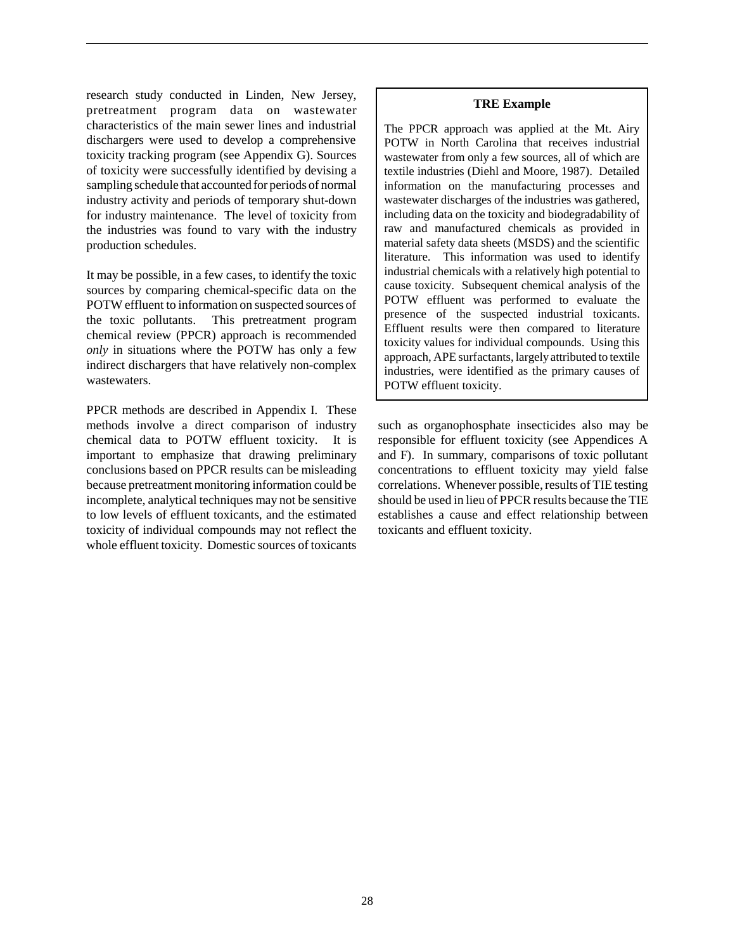research study conducted in Linden, New Jersey, pretreatment program data on wastewater characteristics of the main sewer lines and industrial dischargers were used to develop a comprehensive toxicity tracking program (see Appendix G). Sources of toxicity were successfully identified by devising a sampling schedule that accounted for periods of normal industry activity and periods of temporary shut-down for industry maintenance. The level of toxicity from the industries was found to vary with the industry production schedules.

It may be possible, in a few cases, to identify the toxic sources by comparing chemical-specific data on the POTW effluent to information on suspected sources of the toxic pollutants. This pretreatment program chemical review (PPCR) approach is recommended *only* in situations where the POTW has only a few indirect dischargers that have relatively non-complex wastewaters.

PPCR methods are described in Appendix I. These methods involve a direct comparison of industry chemical data to POTW effluent toxicity. It is important to emphasize that drawing preliminary conclusions based on PPCR results can be misleading because pretreatment monitoring information could be incomplete, analytical techniques may not be sensitive to low levels of effluent toxicants, and the estimated toxicity of individual compounds may not reflect the whole effluent toxicity. Domestic sources of toxicants

#### **TRE Example**

The PPCR approach was applied at the Mt. Airy POTW in North Carolina that receives industrial wastewater from only a few sources, all of which are textile industries (Diehl and Moore, 1987). Detailed information on the manufacturing processes and wastewater discharges of the industries was gathered, including data on the toxicity and biodegradability of raw and manufactured chemicals as provided in material safety data sheets (MSDS) and the scientific literature. This information was used to identify industrial chemicals with a relatively high potential to cause toxicity. Subsequent chemical analysis of the POTW effluent was performed to evaluate the presence of the suspected industrial toxicants. Effluent results were then compared to literature toxicity values for individual compounds. Using this approach, APE surfactants, largely attributed to textile industries, were identified as the primary causes of POTW effluent toxicity.

such as organophosphate insecticides also may be responsible for effluent toxicity (see Appendices A and F). In summary, comparisons of toxic pollutant concentrations to effluent toxicity may yield false correlations. Whenever possible, results of TIE testing should be used in lieu of PPCR results because the TIE establishes a cause and effect relationship between toxicants and effluent toxicity.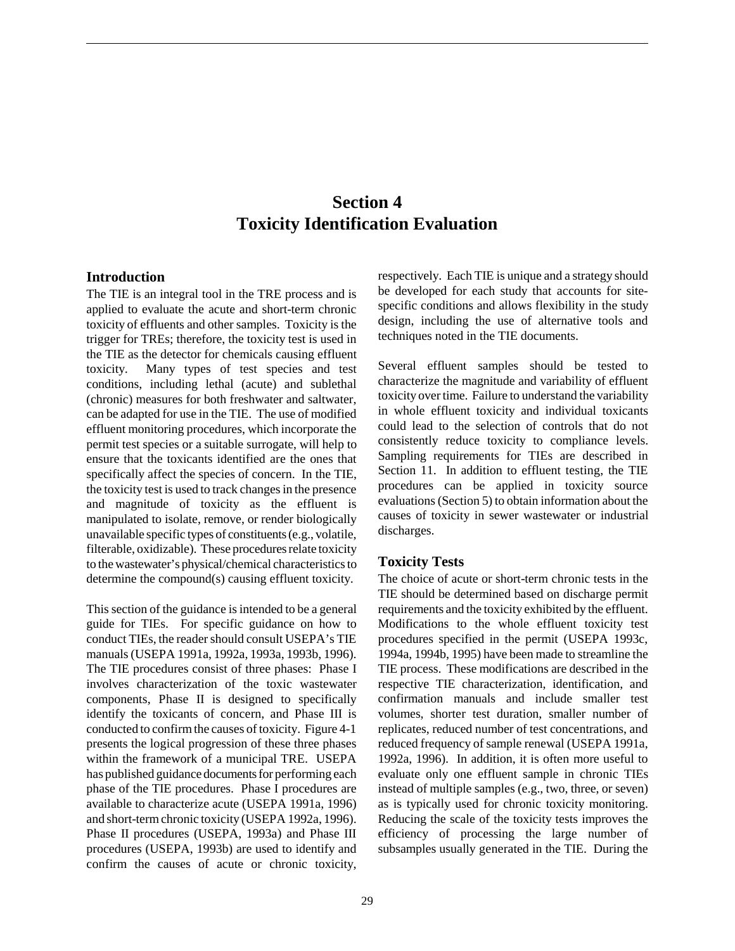# **Section 4 Toxicity Identification Evaluation**

#### **Introduction**

The TIE is an integral tool in the TRE process and is applied to evaluate the acute and short-term chronic toxicity of effluents and other samples. Toxicity is the trigger for TREs; therefore, the toxicity test is used in the TIE as the detector for chemicals causing effluent toxicity. Many types of test species and test conditions, including lethal (acute) and sublethal (chronic) measures for both freshwater and saltwater, can be adapted for use in the TIE. The use of modified effluent monitoring procedures, which incorporate the permit test species or a suitable surrogate, will help to ensure that the toxicants identified are the ones that specifically affect the species of concern. In the TIE, the toxicity test is used to track changes in the presence and magnitude of toxicity as the effluent is manipulated to isolate, remove, or render biologically unavailable specific types of constituents (e.g., volatile, filterable, oxidizable). These procedures relate toxicity to the wastewater's physical/chemical characteristics to determine the compound(s) causing effluent toxicity.

This section of the guidance is intended to be a general guide for TIEs. For specific guidance on how to conduct TIEs, the reader should consult USEPA's TIE manuals (USEPA 1991a, 1992a, 1993a, 1993b, 1996). The TIE procedures consist of three phases: Phase I involves characterization of the toxic wastewater components, Phase II is designed to specifically identify the toxicants of concern, and Phase III is conducted to confirm the causes of toxicity. Figure 4-1 presents the logical progression of these three phases within the framework of a municipal TRE. USEPA has published guidance documents for performing each phase of the TIE procedures. Phase I procedures are available to characterize acute (USEPA 1991a, 1996) and short-term chronic toxicity (USEPA 1992a, 1996). Phase II procedures (USEPA, 1993a) and Phase III procedures (USEPA, 1993b) are used to identify and confirm the causes of acute or chronic toxicity,

respectively. Each TIE is unique and a strategy should be developed for each study that accounts for sitespecific conditions and allows flexibility in the study design, including the use of alternative tools and techniques noted in the TIE documents.

Several effluent samples should be tested to characterize the magnitude and variability of effluent toxicity over time. Failure to understand the variability in whole effluent toxicity and individual toxicants could lead to the selection of controls that do not consistently reduce toxicity to compliance levels. Sampling requirements for TIEs are described in Section 11. In addition to effluent testing, the TIE procedures can be applied in toxicity source evaluations (Section 5) to obtain information about the causes of toxicity in sewer wastewater or industrial discharges.

#### **Toxicity Tests**

The choice of acute or short-term chronic tests in the TIE should be determined based on discharge permit requirements and the toxicity exhibited by the effluent. Modifications to the whole effluent toxicity test procedures specified in the permit (USEPA 1993c, 1994a, 1994b, 1995) have been made to streamline the TIE process. These modifications are described in the respective TIE characterization, identification, and confirmation manuals and include smaller test volumes, shorter test duration, smaller number of replicates, reduced number of test concentrations, and reduced frequency of sample renewal (USEPA 1991a, 1992a, 1996). In addition, it is often more useful to evaluate only one effluent sample in chronic TIEs instead of multiple samples (e.g., two, three, or seven) as is typically used for chronic toxicity monitoring. Reducing the scale of the toxicity tests improves the efficiency of processing the large number of subsamples usually generated in the TIE. During the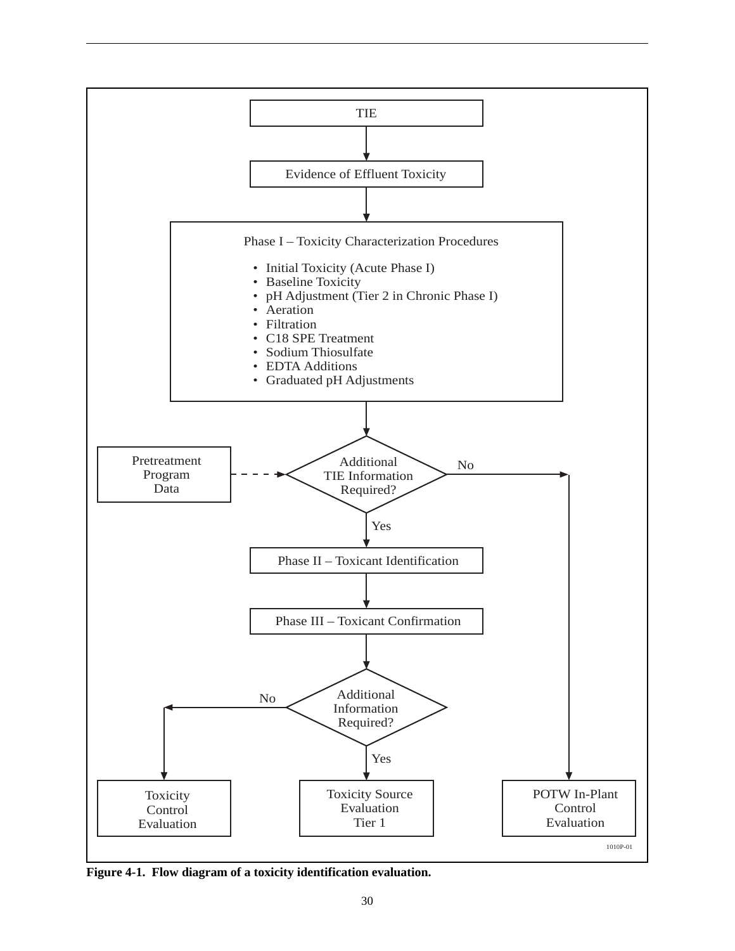

**Figure 4-1. Flow diagram of a toxicity identification evaluation.**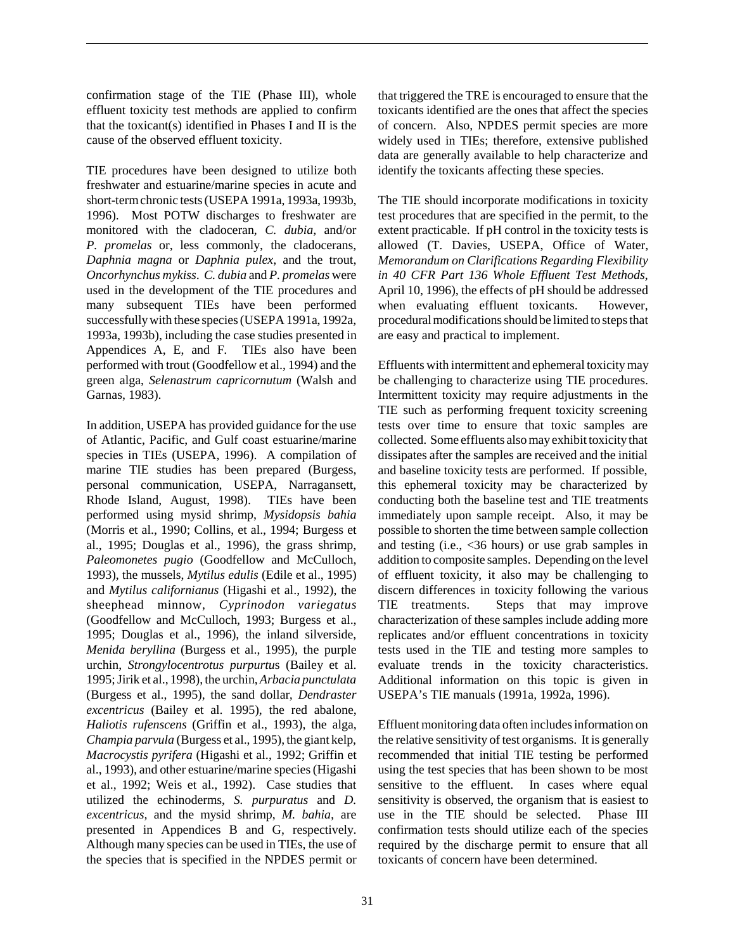confirmation stage of the TIE (Phase III), whole effluent toxicity test methods are applied to confirm that the toxicant(s) identified in Phases I and II is the cause of the observed effluent toxicity.

TIE procedures have been designed to utilize both freshwater and estuarine/marine species in acute and short-term chronic tests (USEPA 1991a, 1993a, 1993b, 1996). Most POTW discharges to freshwater are monitored with the cladoceran, *C. dubia*, and/or *P. promelas* or, less commonly, the cladocerans, *Daphnia magna* or *Daphnia pulex*, and the trout, *Oncorhynchus mykiss*. *C. dubia* and *P. promelas* were used in the development of the TIE procedures and many subsequent TIEs have been performed successfully with these species (USEPA 1991a, 1992a, 1993a, 1993b), including the case studies presented in Appendices A, E, and F. TIEs also have been performed with trout (Goodfellow et al., 1994) and the green alga, *Selenastrum capricornutum* (Walsh and Garnas, 1983).

In addition, USEPA has provided guidance for the use of Atlantic, Pacific, and Gulf coast estuarine/marine species in TIEs (USEPA, 1996). A compilation of marine TIE studies has been prepared (Burgess, personal communication, USEPA, Narragansett, Rhode Island, August, 1998). TIEs have been performed using mysid shrimp, *Mysidopsis bahia* (Morris et al., 1990; Collins, et al., 1994; Burgess et al., 1995; Douglas et al., 1996), the grass shrimp, *Paleomonetes pugio* (Goodfellow and McCulloch, 1993), the mussels, *Mytilus edulis* (Edile et al., 1995) and *Mytilus californianus* (Higashi et al., 1992), the sheephead minnow, *Cyprinodon variegatus* (Goodfellow and McCulloch, 1993; Burgess et al., 1995; Douglas et al., 1996), the inland silverside, *Menida beryllina* (Burgess et al., 1995), the purple urchin, *Strongylocentrotus purpurtu*s (Bailey et al. 1995; Jirik et al., 1998), the urchin, *Arbacia punctulata* (Burgess et al., 1995), the sand dollar*, Dendraster excentricus* (Bailey et al. 1995), the red abalone, *Haliotis rufenscens* (Griffin et al., 1993), the alga, *Champia parvula* (Burgess et al., 1995), the giant kelp, *Macrocystis pyrifera* (Higashi et al., 1992; Griffin et al., 1993)*,* and other estuarine/marine species (Higashi et al., 1992; Weis et al., 1992). Case studies that utilized the echinoderms, *S. purpuratus* and *D. excentricus,* and the mysid shrimp, *M. bahia,* are presented in Appendices B and G, respectively. Although many species can be used in TIEs, the use of the species that is specified in the NPDES permit or

that triggered the TRE is encouraged to ensure that the toxicants identified are the ones that affect the species of concern. Also, NPDES permit species are more widely used in TIEs; therefore, extensive published data are generally available to help characterize and identify the toxicants affecting these species.

The TIE should incorporate modifications in toxicity test procedures that are specified in the permit, to the extent practicable. If pH control in the toxicity tests is allowed (T. Davies, USEPA, Office of Water, *Memorandum on Clarifications Regarding Flexibility in 40 CFR Part 136 Whole Effluent Test Methods*, April 10, 1996), the effects of pH should be addressed when evaluating effluent toxicants. However, procedural modifications should be limited to steps that are easy and practical to implement.

Effluents with intermittent and ephemeral toxicity may be challenging to characterize using TIE procedures. Intermittent toxicity may require adjustments in the TIE such as performing frequent toxicity screening tests over time to ensure that toxic samples are collected. Some effluents also may exhibit toxicity that dissipates after the samples are received and the initial and baseline toxicity tests are performed. If possible, this ephemeral toxicity may be characterized by conducting both the baseline test and TIE treatments immediately upon sample receipt. Also, it may be possible to shorten the time between sample collection and testing (i.e., <36 hours) or use grab samples in addition to composite samples. Depending on the level of effluent toxicity, it also may be challenging to discern differences in toxicity following the various TIE treatments. Steps that may improve characterization of these samples include adding more replicates and/or effluent concentrations in toxicity tests used in the TIE and testing more samples to evaluate trends in the toxicity characteristics. Additional information on this topic is given in USEPA's TIE manuals (1991a, 1992a, 1996).

Effluent monitoring data often includes information on the relative sensitivity of test organisms. It is generally recommended that initial TIE testing be performed using the test species that has been shown to be most sensitive to the effluent. In cases where equal sensitivity is observed, the organism that is easiest to use in the TIE should be selected. Phase III confirmation tests should utilize each of the species required by the discharge permit to ensure that all toxicants of concern have been determined.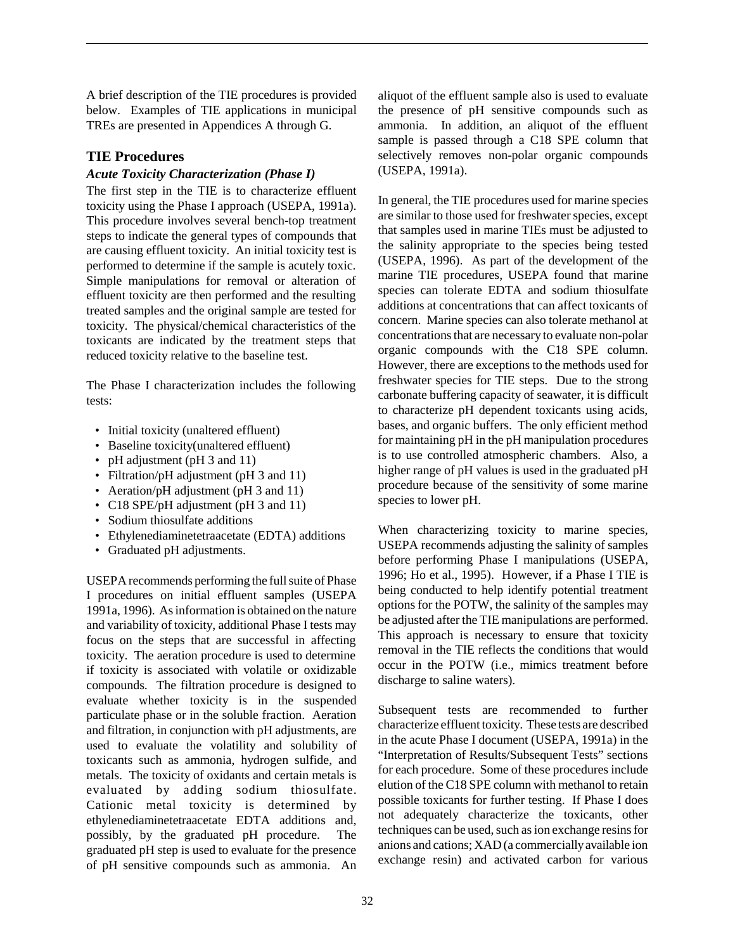A brief description of the TIE procedures is provided below. Examples of TIE applications in municipal TREs are presented in Appendices A through G.

## **TIE Procedures**

#### *Acute Toxicity Characterization (Phase I)*

The first step in the TIE is to characterize effluent toxicity using the Phase I approach (USEPA, 1991a). This procedure involves several bench-top treatment steps to indicate the general types of compounds that are causing effluent toxicity. An initial toxicity test is performed to determine if the sample is acutely toxic. Simple manipulations for removal or alteration of effluent toxicity are then performed and the resulting treated samples and the original sample are tested for toxicity. The physical/chemical characteristics of the toxicants are indicated by the treatment steps that reduced toxicity relative to the baseline test.

The Phase I characterization includes the following tests:

- Initial toxicity (unaltered effluent)
- Baseline toxicity(unaltered effluent)
- pH adjustment (pH 3 and 11)
- Filtration/pH adjustment (pH 3 and 11)
- Aeration/pH adjustment (pH 3 and 11)
- C18 SPE/pH adjustment (pH 3 and 11)
- Sodium thiosulfate additions
- Ethylenediaminetetraacetate (EDTA) additions
- Graduated pH adjustments.

USEPA recommends performing the full suite of Phase I procedures on initial effluent samples (USEPA 1991a, 1996). As information is obtained on the nature and variability of toxicity, additional Phase I tests may focus on the steps that are successful in affecting toxicity. The aeration procedure is used to determine if toxicity is associated with volatile or oxidizable compounds. The filtration procedure is designed to evaluate whether toxicity is in the suspended particulate phase or in the soluble fraction. Aeration and filtration, in conjunction with pH adjustments, are used to evaluate the volatility and solubility of toxicants such as ammonia, hydrogen sulfide, and metals. The toxicity of oxidants and certain metals is evaluated by adding sodium thiosulfate. Cationic metal toxicity is determined by ethylenediaminetetraacetate EDTA additions and, possibly, by the graduated pH procedure. The graduated pH step is used to evaluate for the presence of pH sensitive compounds such as ammonia. An

aliquot of the effluent sample also is used to evaluate the presence of pH sensitive compounds such as ammonia. In addition, an aliquot of the effluent sample is passed through a C18 SPE column that selectively removes non-polar organic compounds (USEPA, 1991a).

In general, the TIE procedures used for marine species are similar to those used for freshwater species, except that samples used in marine TIEs must be adjusted to the salinity appropriate to the species being tested (USEPA, 1996). As part of the development of the marine TIE procedures, USEPA found that marine species can tolerate EDTA and sodium thiosulfate additions at concentrations that can affect toxicants of concern. Marine species can also tolerate methanol at concentrations that are necessary to evaluate non-polar organic compounds with the C18 SPE column. However, there are exceptions to the methods used for freshwater species for TIE steps. Due to the strong carbonate buffering capacity of seawater, it is difficult to characterize pH dependent toxicants using acids, bases, and organic buffers. The only efficient method for maintaining pH in the pH manipulation procedures is to use controlled atmospheric chambers. Also, a higher range of pH values is used in the graduated pH procedure because of the sensitivity of some marine species to lower pH.

When characterizing toxicity to marine species, USEPA recommends adjusting the salinity of samples before performing Phase I manipulations (USEPA, 1996; Ho et al., 1995). However, if a Phase I TIE is being conducted to help identify potential treatment options for the POTW, the salinity of the samples may be adjusted after the TIE manipulations are performed. This approach is necessary to ensure that toxicity removal in the TIE reflects the conditions that would occur in the POTW (i.e., mimics treatment before discharge to saline waters).

Subsequent tests are recommended to further characterize effluent toxicity. These tests are described in the acute Phase I document (USEPA, 1991a) in the "Interpretation of Results/Subsequent Tests" sections for each procedure. Some of these procedures include elution of the C18 SPE column with methanol to retain possible toxicants for further testing. If Phase I does not adequately characterize the toxicants, other techniques can be used, such as ion exchange resins for anions and cations; XAD (a commercially available ion exchange resin) and activated carbon for various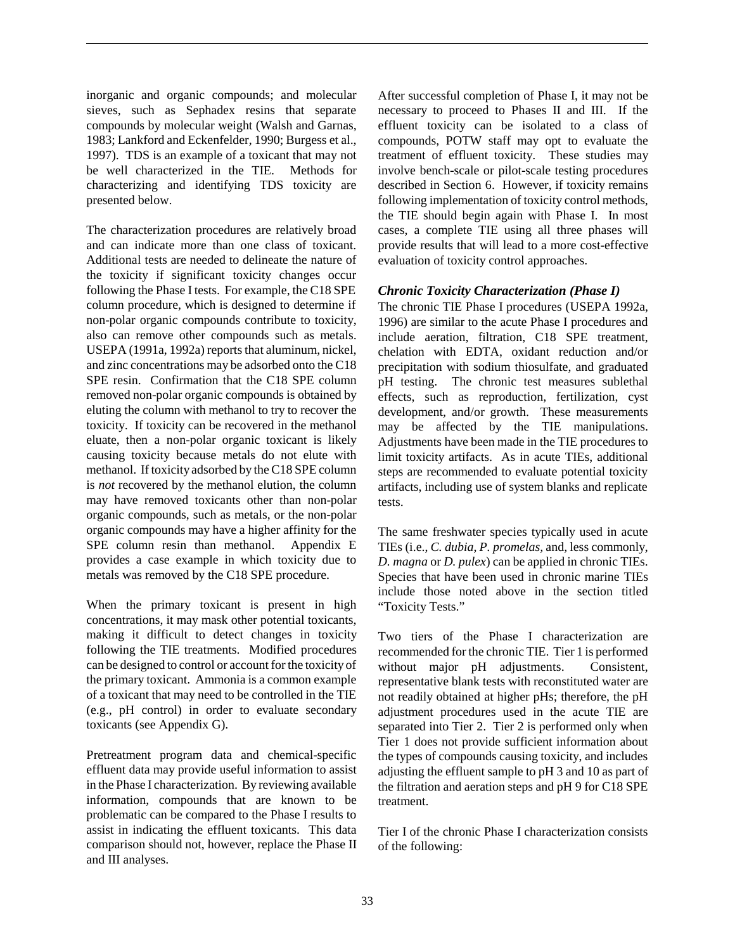inorganic and organic compounds; and molecular sieves, such as Sephadex resins that separate compounds by molecular weight (Walsh and Garnas, 1983; Lankford and Eckenfelder, 1990; Burgess et al., 1997). TDS is an example of a toxicant that may not be well characterized in the TIE. Methods for characterizing and identifying TDS toxicity are presented below.

The characterization procedures are relatively broad and can indicate more than one class of toxicant. Additional tests are needed to delineate the nature of the toxicity if significant toxicity changes occur following the Phase I tests. For example, the C18 SPE column procedure, which is designed to determine if non-polar organic compounds contribute to toxicity, also can remove other compounds such as metals. USEPA (1991a, 1992a) reports that aluminum, nickel, and zinc concentrations may be adsorbed onto the C18 SPE resin. Confirmation that the C18 SPE column removed non-polar organic compounds is obtained by eluting the column with methanol to try to recover the toxicity. If toxicity can be recovered in the methanol eluate, then a non-polar organic toxicant is likely causing toxicity because metals do not elute with methanol. If toxicity adsorbed by the C18 SPE column is *not* recovered by the methanol elution, the column may have removed toxicants other than non-polar organic compounds, such as metals, or the non-polar organic compounds may have a higher affinity for the SPE column resin than methanol. Appendix E provides a case example in which toxicity due to metals was removed by the C18 SPE procedure.

When the primary toxicant is present in high concentrations, it may mask other potential toxicants, making it difficult to detect changes in toxicity following the TIE treatments. Modified procedures can be designed to control or account for the toxicity of the primary toxicant. Ammonia is a common example of a toxicant that may need to be controlled in the TIE (e.g., pH control) in order to evaluate secondary toxicants (see Appendix G).

Pretreatment program data and chemical-specific effluent data may provide useful information to assist in the Phase I characterization. By reviewing available information, compounds that are known to be problematic can be compared to the Phase I results to assist in indicating the effluent toxicants. This data comparison should not, however, replace the Phase II and III analyses.

After successful completion of Phase I, it may not be necessary to proceed to Phases II and III. If the effluent toxicity can be isolated to a class of compounds, POTW staff may opt to evaluate the treatment of effluent toxicity. These studies may involve bench-scale or pilot-scale testing procedures described in Section 6. However, if toxicity remains following implementation of toxicity control methods, the TIE should begin again with Phase I. In most cases, a complete TIE using all three phases will provide results that will lead to a more cost-effective evaluation of toxicity control approaches.

## *Chronic Toxicity Characterization (Phase I)*

The chronic TIE Phase I procedures (USEPA 1992a, 1996) are similar to the acute Phase I procedures and include aeration, filtration, C18 SPE treatment, chelation with EDTA, oxidant reduction and/or precipitation with sodium thiosulfate, and graduated pH testing. The chronic test measures sublethal effects, such as reproduction, fertilization, cyst development, and/or growth. These measurements may be affected by the TIE manipulations. Adjustments have been made in the TIE procedures to limit toxicity artifacts. As in acute TIEs, additional steps are recommended to evaluate potential toxicity artifacts, including use of system blanks and replicate tests.

The same freshwater species typically used in acute TIEs (i.e., *C. dubia*, *P. promelas,* and, less commonly, *D. magna* or *D. pulex*) can be applied in chronic TIEs. Species that have been used in chronic marine TIEs include those noted above in the section titled "Toxicity Tests."

Two tiers of the Phase I characterization are recommended for the chronic TIE. Tier 1 is performed without major pH adjustments. Consistent, representative blank tests with reconstituted water are not readily obtained at higher pHs; therefore, the pH adjustment procedures used in the acute TIE are separated into Tier 2. Tier 2 is performed only when Tier 1 does not provide sufficient information about the types of compounds causing toxicity, and includes adjusting the effluent sample to pH 3 and 10 as part of the filtration and aeration steps and pH 9 for C18 SPE treatment.

Tier I of the chronic Phase I characterization consists of the following: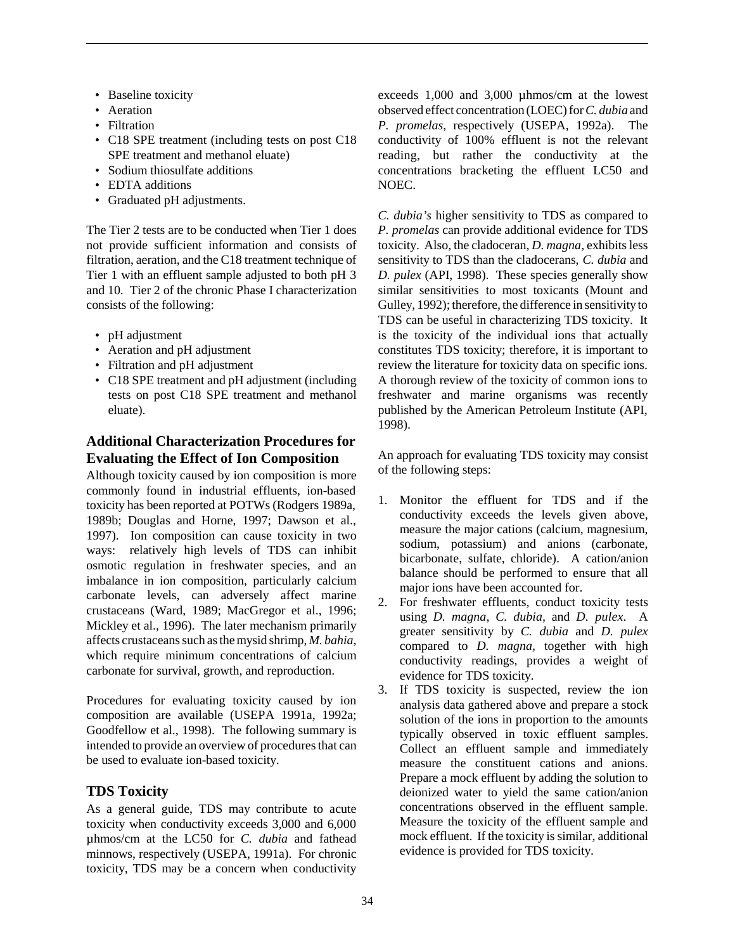- Baseline toxicity
- Aeration
- Filtration
- C18 SPE treatment (including tests on post C18 SPE treatment and methanol eluate)
- Sodium thiosulfate additions
- EDTA additions
- Graduated pH adjustments.

The Tier 2 tests are to be conducted when Tier 1 does not provide sufficient information and consists of filtration, aeration, and the C18 treatment technique of Tier 1 with an effluent sample adjusted to both pH 3 and 10. Tier 2 of the chronic Phase I characterization consists of the following:

- pH adjustment
- Aeration and pH adjustment
- Filtration and pH adjustment
- C18 SPE treatment and pH adjustment (including tests on post C18 SPE treatment and methanol eluate).

# **Additional Characterization Procedures for Evaluating the Effect of Ion Composition**

Although toxicity caused by ion composition is more commonly found in industrial effluents, ion-based toxicity has been reported at POTWs (Rodgers 1989a, 1989b; Douglas and Horne, 1997; Dawson et al., 1997). Ion composition can cause toxicity in two ways: relatively high levels of TDS can inhibit osmotic regulation in freshwater species, and an imbalance in ion composition, particularly calcium carbonate levels, can adversely affect marine crustaceans (Ward, 1989; MacGregor et al., 1996; Mickley et al., 1996). The later mechanism primarily affects crustaceans such as the mysid shrimp, *M. bahia*, which require minimum concentrations of calcium carbonate for survival, growth, and reproduction.

Procedures for evaluating toxicity caused by ion composition are available (USEPA 1991a, 1992a; Goodfellow et al., 1998). The following summary is intended to provide an overview of procedures that can be used to evaluate ion-based toxicity.

# **TDS Toxicity**

As a general guide, TDS may contribute to acute toxicity when conductivity exceeds 3,000 and 6,000 µhmos/cm at the LC50 for *C. dubia* and fathead minnows, respectively (USEPA, 1991a). For chronic toxicity, TDS may be a concern when conductivity

exceeds 1,000 and 3,000 µhmos/cm at the lowest observed effect concentration (LOEC) for *C. dubia* and *P. promelas*, respectively (USEPA, 1992a). The conductivity of 100% effluent is not the relevant reading, but rather the conductivity at the concentrations bracketing the effluent LC50 and NOEC.

*C. dubia's* higher sensitivity to TDS as compared to *P. promelas* can provide additional evidence for TDS toxicity. Also, the cladoceran, *D. magna,* exhibits less sensitivity to TDS than the cladocerans, *C. dubia* and *D. pulex* (API, 1998). These species generally show similar sensitivities to most toxicants (Mount and Gulley, 1992); therefore, the difference in sensitivity to TDS can be useful in characterizing TDS toxicity. It is the toxicity of the individual ions that actually constitutes TDS toxicity; therefore, it is important to review the literature for toxicity data on specific ions. A thorough review of the toxicity of common ions to freshwater and marine organisms was recently published by the American Petroleum Institute (API, 1998).

An approach for evaluating TDS toxicity may consist of the following steps:

- 1. Monitor the effluent for TDS and if the conductivity exceeds the levels given above, measure the major cations (calcium, magnesium, sodium, potassium) and anions (carbonate, bicarbonate, sulfate, chloride). A cation/anion balance should be performed to ensure that all major ions have been accounted for.
- 2. For freshwater effluents, conduct toxicity tests using *D. magna*, *C. dubia,* and *D. pulex*. A greater sensitivity by *C. dubia* and *D. pulex* compared to *D. magna,* together with high conductivity readings, provides a weight of evidence for TDS toxicity.
- 3. If TDS toxicity is suspected, review the ion analysis data gathered above and prepare a stock solution of the ions in proportion to the amounts typically observed in toxic effluent samples. Collect an effluent sample and immediately measure the constituent cations and anions. Prepare a mock effluent by adding the solution to deionized water to yield the same cation/anion concentrations observed in the effluent sample. Measure the toxicity of the effluent sample and mock effluent. If the toxicity is similar, additional evidence is provided for TDS toxicity.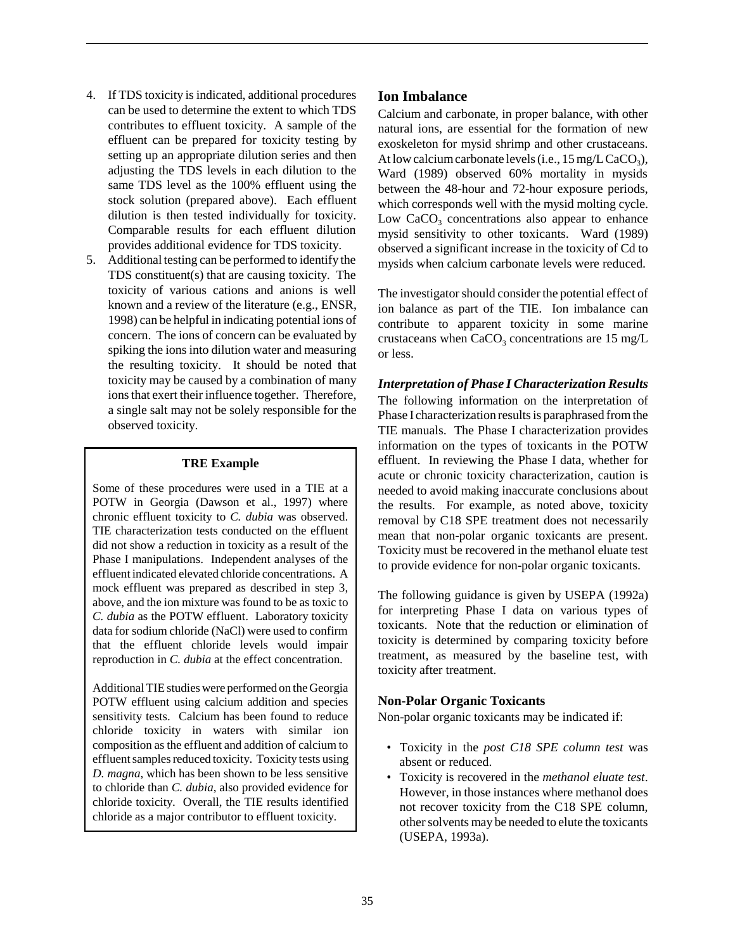- 4. If TDS toxicity is indicated, additional procedures can be used to determine the extent to which TDS contributes to effluent toxicity. A sample of the effluent can be prepared for toxicity testing by setting up an appropriate dilution series and then adjusting the TDS levels in each dilution to the same TDS level as the 100% effluent using the stock solution (prepared above). Each effluent dilution is then tested individually for toxicity. Comparable results for each effluent dilution provides additional evidence for TDS toxicity.
- 5. Additional testing can be performed to identify the TDS constituent(s) that are causing toxicity. The toxicity of various cations and anions is well known and a review of the literature (e.g., ENSR, 1998) can be helpful in indicating potential ions of concern. The ions of concern can be evaluated by spiking the ions into dilution water and measuring the resulting toxicity. It should be noted that toxicity may be caused by a combination of many ions that exert their influence together. Therefore, a single salt may not be solely responsible for the observed toxicity.

#### **TRE Example**

Some of these procedures were used in a TIE at a POTW in Georgia (Dawson et al., 1997) where chronic effluent toxicity to *C. dubia* was observed. TIE characterization tests conducted on the effluent did not show a reduction in toxicity as a result of the Phase I manipulations. Independent analyses of the effluent indicated elevated chloride concentrations. A mock effluent was prepared as described in step 3, above, and the ion mixture was found to be as toxic to *C. dubia* as the POTW effluent. Laboratory toxicity data for sodium chloride (NaCl) were used to confirm that the effluent chloride levels would impair reproduction in *C. dubia* at the effect concentration.

Additional TIE studies were performed on the Georgia POTW effluent using calcium addition and species sensitivity tests. Calcium has been found to reduce chloride toxicity in waters with similar ion composition as the effluent and addition of calcium to effluent samples reduced toxicity. Toxicity tests using *D. magna*, which has been shown to be less sensitive to chloride than *C. dubia*, also provided evidence for chloride toxicity. Overall, the TIE results identified chloride as a major contributor to effluent toxicity.

## **Ion Imbalance**

Calcium and carbonate, in proper balance, with other natural ions, are essential for the formation of new exoskeleton for mysid shrimp and other crustaceans. At low calcium carbonate levels (i.e.,  $15 \text{ mg/L CaCO}_3$ ), Ward (1989) observed 60% mortality in mysids between the 48-hour and 72-hour exposure periods, which corresponds well with the mysid molting cycle. Low  $CaCO<sub>3</sub>$  concentrations also appear to enhance mysid sensitivity to other toxicants. Ward (1989) observed a significant increase in the toxicity of Cd to mysids when calcium carbonate levels were reduced.

The investigator should consider the potential effect of ion balance as part of the TIE. Ion imbalance can contribute to apparent toxicity in some marine crustaceans when  $CaCO<sub>3</sub>$  concentrations are 15 mg/L or less.

*Interpretation of Phase I Characterization Results* The following information on the interpretation of Phase I characterization results is paraphrased from the TIE manuals. The Phase I characterization provides information on the types of toxicants in the POTW effluent. In reviewing the Phase I data, whether for acute or chronic toxicity characterization, caution is needed to avoid making inaccurate conclusions about the results. For example, as noted above, toxicity removal by C18 SPE treatment does not necessarily mean that non-polar organic toxicants are present. Toxicity must be recovered in the methanol eluate test to provide evidence for non-polar organic toxicants.

The following guidance is given by USEPA (1992a) for interpreting Phase I data on various types of toxicants. Note that the reduction or elimination of toxicity is determined by comparing toxicity before treatment, as measured by the baseline test, with toxicity after treatment.

#### **Non-Polar Organic Toxicants**

Non-polar organic toxicants may be indicated if:

- Toxicity in the *post C18 SPE column test* was absent or reduced.
- Toxicity is recovered in the *methanol eluate test*. However, in those instances where methanol does not recover toxicity from the C18 SPE column, other solvents may be needed to elute the toxicants (USEPA, 1993a).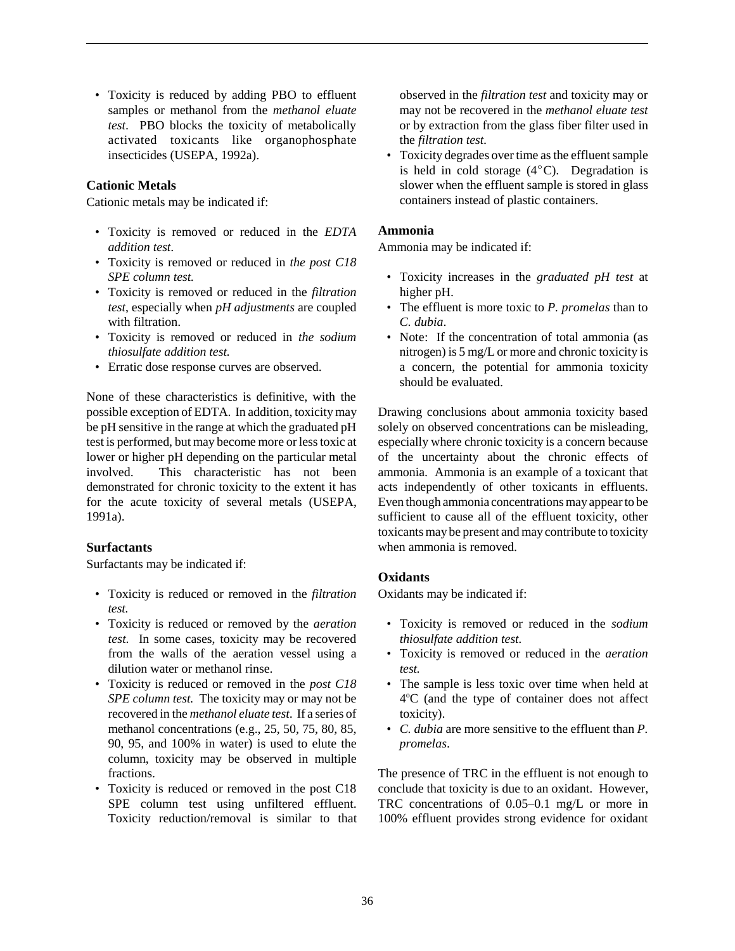• Toxicity is reduced by adding PBO to effluent samples or methanol from the *methanol eluate test*. PBO blocks the toxicity of metabolically activated toxicants like organophosphate insecticides (USEPA, 1992a).

## **Cationic Metals**

Cationic metals may be indicated if:

- Toxicity is removed or reduced in the *EDTA addition test*.
- Toxicity is removed or reduced in *the post C18 SPE column test.*
- Toxicity is removed or reduced in the *filtration test*, especially when *pH adjustments* are coupled with filtration.
- Toxicity is removed or reduced in *the sodium thiosulfate addition test.*
- Erratic dose response curves are observed.

None of these characteristics is definitive, with the possible exception of EDTA. In addition, toxicity may be pH sensitive in the range at which the graduated pH test is performed, but may become more or less toxic at lower or higher pH depending on the particular metal involved. This characteristic has not been demonstrated for chronic toxicity to the extent it has for the acute toxicity of several metals (USEPA, 1991a).

#### **Surfactants**

Surfactants may be indicated if:

- Toxicity is reduced or removed in the *filtration test.*
- Toxicity is reduced or removed by the *aeration test*. In some cases, toxicity may be recovered from the walls of the aeration vessel using a dilution water or methanol rinse.
- Toxicity is reduced or removed in the *post C18 SPE column test.* The toxicity may or may not be recovered in the *methanol eluate test*. If a series of methanol concentrations (e.g., 25, 50, 75, 80, 85, 90, 95, and 100% in water) is used to elute the column, toxicity may be observed in multiple fractions.
- Toxicity is reduced or removed in the post C18 SPE column test using unfiltered effluent. Toxicity reduction/removal is similar to that

observed in the *filtration test* and toxicity may or may not be recovered in the *methanol eluate test* or by extraction from the glass fiber filter used in the *filtration test*.

• Toxicity degrades over time as the effluent sample is held in cold storage  $(4^{\circ}C)$ . Degradation is slower when the effluent sample is stored in glass containers instead of plastic containers.

#### **Ammonia**

Ammonia may be indicated if:

- Toxicity increases in the *graduated pH test* at higher pH.
- The effluent is more toxic to *P. promelas* than to *C. dubia*.
- Note: If the concentration of total ammonia (as nitrogen) is 5 mg/L or more and chronic toxicity is a concern, the potential for ammonia toxicity should be evaluated.

Drawing conclusions about ammonia toxicity based solely on observed concentrations can be misleading, especially where chronic toxicity is a concern because of the uncertainty about the chronic effects of ammonia. Ammonia is an example of a toxicant that acts independently of other toxicants in effluents. Even though ammonia concentrations may appear to be sufficient to cause all of the effluent toxicity, other toxicants may be present and may contribute to toxicity when ammonia is removed.

#### **Oxidants**

Oxidants may be indicated if:

- Toxicity is removed or reduced in the *sodium thiosulfate addition test.*
- Toxicity is removed or reduced in the *aeration test.*
- The sample is less toxic over time when held at 4°C (and the type of container does not affect toxicity).
- *C. dubia* are more sensitive to the effluent than *P. promelas*.

The presence of TRC in the effluent is not enough to conclude that toxicity is due to an oxidant. However, TRC concentrations of 0.05–0.1 mg/L or more in 100% effluent provides strong evidence for oxidant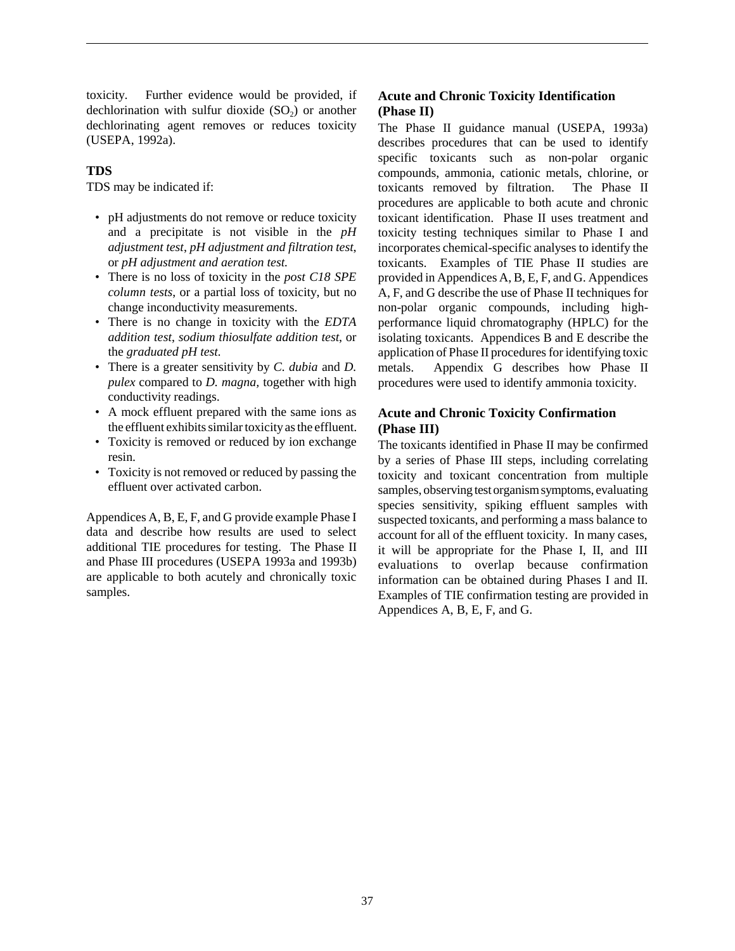toxicity. Further evidence would be provided, if dechlorination with sulfur dioxide  $(SO<sub>2</sub>)$  or another dechlorinating agent removes or reduces toxicity (USEPA, 1992a).

## **TDS**

TDS may be indicated if:

- pH adjustments do not remove or reduce toxicity and a precipitate is not visible in the *pH adjustment test*, *pH adjustment and filtration test*, or *pH adjustment and aeration test.*
- There is no loss of toxicity in the *post C18 SPE column tests*, or a partial loss of toxicity, but no change inconductivity measurements.
- There is no change in toxicity with the *EDTA addition test*, *sodium thiosulfate addition test*, or the *graduated pH test.*
- There is a greater sensitivity by *C. dubia* and *D. pulex* compared to *D. magna,* together with high conductivity readings.
- A mock effluent prepared with the same ions as the effluent exhibits similar toxicity as the effluent.
- Toxicity is removed or reduced by ion exchange resin.
- Toxicity is not removed or reduced by passing the effluent over activated carbon.

Appendices A, B, E, F, and G provide example Phase I data and describe how results are used to select additional TIE procedures for testing. The Phase II and Phase III procedures (USEPA 1993a and 1993b) are applicable to both acutely and chronically toxic samples.

# **Acute and Chronic Toxicity Identification (Phase II)**

The Phase II guidance manual (USEPA, 1993a) describes procedures that can be used to identify specific toxicants such as non-polar organic compounds, ammonia, cationic metals, chlorine, or toxicants removed by filtration. The Phase II procedures are applicable to both acute and chronic toxicant identification. Phase II uses treatment and toxicity testing techniques similar to Phase I and incorporates chemical-specific analyses to identify the toxicants. Examples of TIE Phase II studies are provided in Appendices A, B, E, F, and G. Appendices A, F, and G describe the use of Phase II techniques for non-polar organic compounds, including highperformance liquid chromatography (HPLC) for the isolating toxicants. Appendices B and E describe the application of Phase II procedures for identifying toxic metals. Appendix G describes how Phase II procedures were used to identify ammonia toxicity.

## **Acute and Chronic Toxicity Confirmation (Phase III)**

The toxicants identified in Phase II may be confirmed by a series of Phase III steps, including correlating toxicity and toxicant concentration from multiple samples, observing test organism symptoms, evaluating species sensitivity, spiking effluent samples with suspected toxicants, and performing a mass balance to account for all of the effluent toxicity. In many cases, it will be appropriate for the Phase I, II, and III evaluations to overlap because confirmation information can be obtained during Phases I and II. Examples of TIE confirmation testing are provided in Appendices A, B, E, F, and G.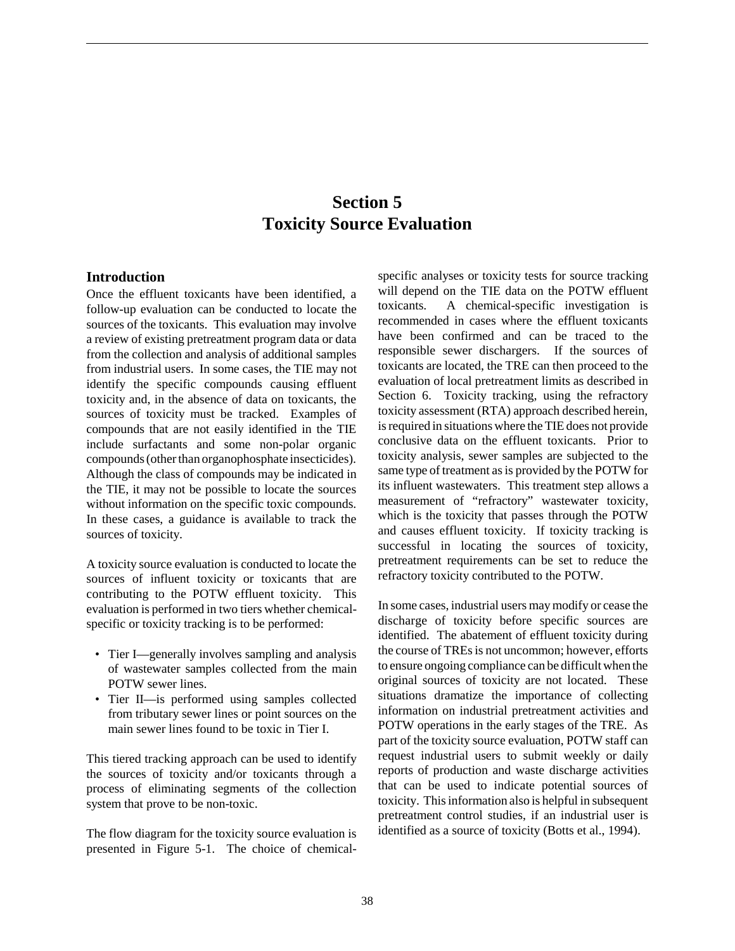# **Section 5 Toxicity Source Evaluation**

#### **Introduction**

Once the effluent toxicants have been identified, a follow-up evaluation can be conducted to locate the sources of the toxicants. This evaluation may involve a review of existing pretreatment program data or data from the collection and analysis of additional samples from industrial users. In some cases, the TIE may not identify the specific compounds causing effluent toxicity and, in the absence of data on toxicants, the sources of toxicity must be tracked. Examples of compounds that are not easily identified in the TIE include surfactants and some non-polar organic compounds (other than organophosphate insecticides). Although the class of compounds may be indicated in the TIE, it may not be possible to locate the sources without information on the specific toxic compounds. In these cases, a guidance is available to track the sources of toxicity.

A toxicity source evaluation is conducted to locate the sources of influent toxicity or toxicants that are contributing to the POTW effluent toxicity. This evaluation is performed in two tiers whether chemicalspecific or toxicity tracking is to be performed:

- Tier I—generally involves sampling and analysis of wastewater samples collected from the main POTW sewer lines.
- Tier II—is performed using samples collected from tributary sewer lines or point sources on the main sewer lines found to be toxic in Tier I.

This tiered tracking approach can be used to identify the sources of toxicity and/or toxicants through a process of eliminating segments of the collection system that prove to be non-toxic.

The flow diagram for the toxicity source evaluation is presented in Figure 5-1. The choice of chemicalspecific analyses or toxicity tests for source tracking will depend on the TIE data on the POTW effluent toxicants. A chemical-specific investigation is recommended in cases where the effluent toxicants have been confirmed and can be traced to the responsible sewer dischargers. If the sources of toxicants are located, the TRE can then proceed to the evaluation of local pretreatment limits as described in Section 6. Toxicity tracking, using the refractory toxicity assessment (RTA) approach described herein, is required in situations where the TIE does not provide conclusive data on the effluent toxicants. Prior to toxicity analysis, sewer samples are subjected to the same type of treatment as is provided by the POTW for its influent wastewaters. This treatment step allows a measurement of "refractory" wastewater toxicity, which is the toxicity that passes through the POTW and causes effluent toxicity. If toxicity tracking is successful in locating the sources of toxicity, pretreatment requirements can be set to reduce the refractory toxicity contributed to the POTW.

In some cases, industrial users may modify or cease the discharge of toxicity before specific sources are identified. The abatement of effluent toxicity during the course of TREs is not uncommon; however, efforts to ensure ongoing compliance can be difficult when the original sources of toxicity are not located. These situations dramatize the importance of collecting information on industrial pretreatment activities and POTW operations in the early stages of the TRE. As part of the toxicity source evaluation, POTW staff can request industrial users to submit weekly or daily reports of production and waste discharge activities that can be used to indicate potential sources of toxicity. This information also is helpful in subsequent pretreatment control studies, if an industrial user is identified as a source of toxicity (Botts et al., 1994).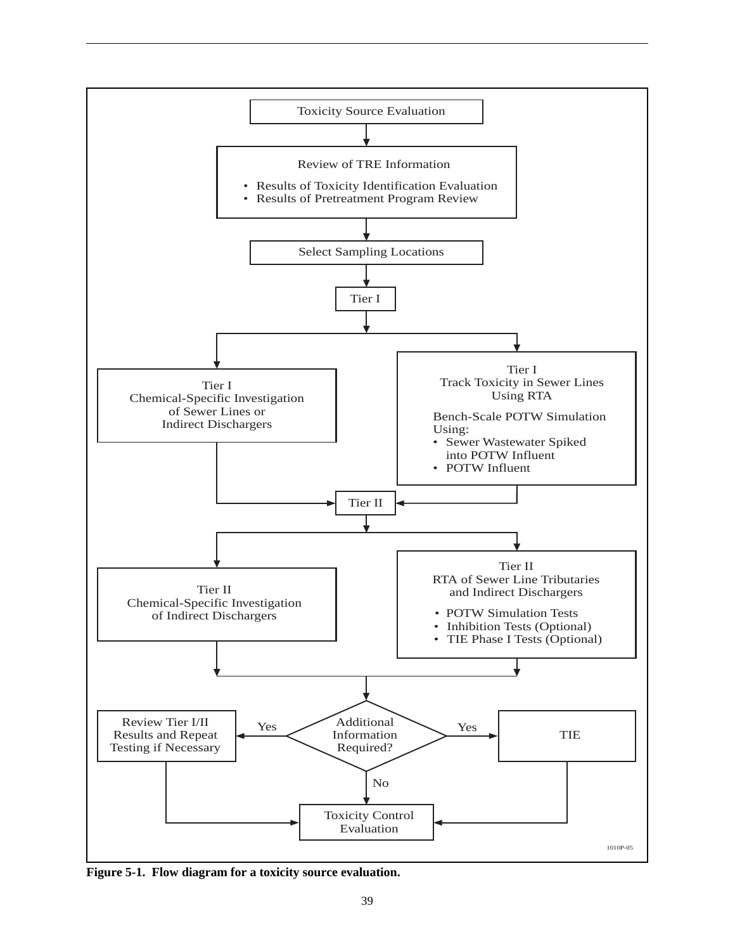

**Figure 5-1. Flow diagram for a toxicity source evaluation.**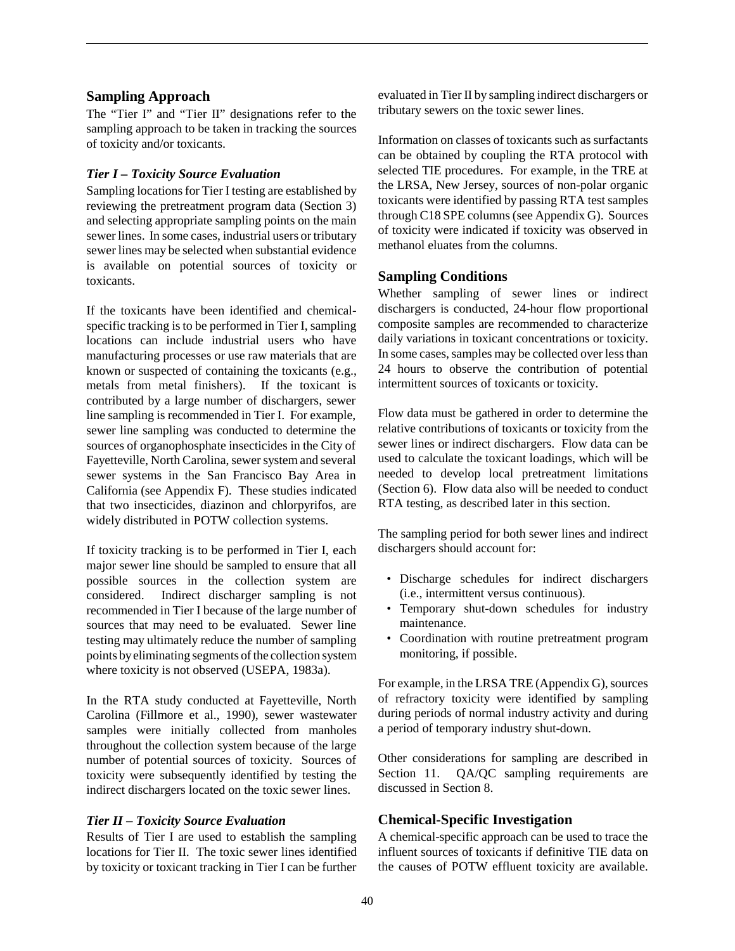#### **Sampling Approach**

The "Tier I" and "Tier II" designations refer to the sampling approach to be taken in tracking the sources of toxicity and/or toxicants.

## *Tier I – Toxicity Source Evaluation*

Sampling locations for Tier I testing are established by reviewing the pretreatment program data (Section 3) and selecting appropriate sampling points on the main sewer lines. In some cases, industrial users or tributary sewer lines may be selected when substantial evidence is available on potential sources of toxicity or toxicants.

If the toxicants have been identified and chemicalspecific tracking is to be performed in Tier I, sampling locations can include industrial users who have manufacturing processes or use raw materials that are known or suspected of containing the toxicants (e.g., metals from metal finishers). If the toxicant is contributed by a large number of dischargers, sewer line sampling is recommended in Tier I. For example, sewer line sampling was conducted to determine the sources of organophosphate insecticides in the City of Fayetteville, North Carolina, sewer system and several sewer systems in the San Francisco Bay Area in California (see Appendix F). These studies indicated that two insecticides, diazinon and chlorpyrifos, are widely distributed in POTW collection systems.

If toxicity tracking is to be performed in Tier I, each major sewer line should be sampled to ensure that all possible sources in the collection system are considered. Indirect discharger sampling is not recommended in Tier I because of the large number of sources that may need to be evaluated. Sewer line testing may ultimately reduce the number of sampling points by eliminating segments of the collection system where toxicity is not observed (USEPA, 1983a).

In the RTA study conducted at Fayetteville, North Carolina (Fillmore et al., 1990), sewer wastewater samples were initially collected from manholes throughout the collection system because of the large number of potential sources of toxicity. Sources of toxicity were subsequently identified by testing the indirect dischargers located on the toxic sewer lines.

## *Tier II – Toxicity Source Evaluation*

Results of Tier I are used to establish the sampling locations for Tier II. The toxic sewer lines identified by toxicity or toxicant tracking in Tier I can be further

evaluated in Tier II by sampling indirect dischargers or tributary sewers on the toxic sewer lines.

Information on classes of toxicants such as surfactants can be obtained by coupling the RTA protocol with selected TIE procedures. For example, in the TRE at the LRSA, New Jersey, sources of non-polar organic toxicants were identified by passing RTA test samples through C18 SPE columns (see Appendix G). Sources of toxicity were indicated if toxicity was observed in methanol eluates from the columns*.*

## **Sampling Conditions**

Whether sampling of sewer lines or indirect dischargers is conducted, 24-hour flow proportional composite samples are recommended to characterize daily variations in toxicant concentrations or toxicity. In some cases, samples may be collected over less than 24 hours to observe the contribution of potential intermittent sources of toxicants or toxicity.

Flow data must be gathered in order to determine the relative contributions of toxicants or toxicity from the sewer lines or indirect dischargers. Flow data can be used to calculate the toxicant loadings, which will be needed to develop local pretreatment limitations (Section 6). Flow data also will be needed to conduct RTA testing, as described later in this section.

The sampling period for both sewer lines and indirect dischargers should account for:

- Discharge schedules for indirect dischargers (i.e., intermittent versus continuous).
- Temporary shut-down schedules for industry maintenance.
- Coordination with routine pretreatment program monitoring, if possible.

For example, in the LRSA TRE (Appendix G), sources of refractory toxicity were identified by sampling during periods of normal industry activity and during a period of temporary industry shut-down.

Other considerations for sampling are described in Section 11. QA/QC sampling requirements are discussed in Section 8.

# **Chemical-Specific Investigation**

A chemical-specific approach can be used to trace the influent sources of toxicants if definitive TIE data on the causes of POTW effluent toxicity are available.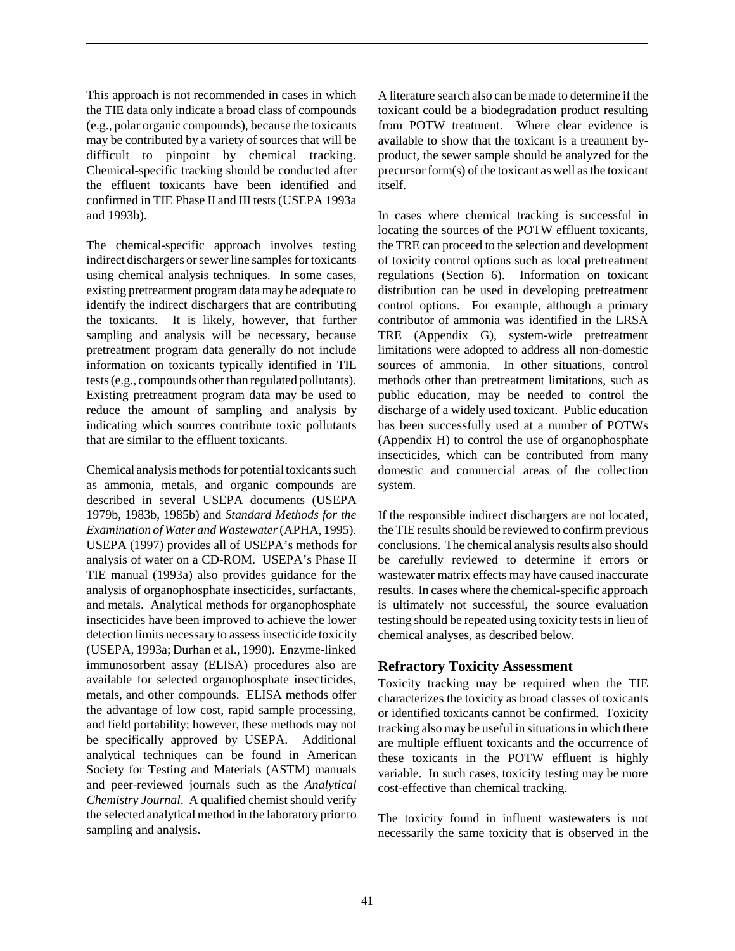This approach is not recommended in cases in which the TIE data only indicate a broad class of compounds (e.g., polar organic compounds), because the toxicants may be contributed by a variety of sources that will be difficult to pinpoint by chemical tracking. Chemical-specific tracking should be conducted after the effluent toxicants have been identified and confirmed in TIE Phase II and III tests (USEPA 1993a and 1993b).

The chemical-specific approach involves testing indirect dischargers or sewer line samples for toxicants using chemical analysis techniques. In some cases, existing pretreatment program data may be adequate to identify the indirect dischargers that are contributing the toxicants. It is likely, however, that further sampling and analysis will be necessary, because pretreatment program data generally do not include information on toxicants typically identified in TIE tests (e.g., compounds other than regulated pollutants). Existing pretreatment program data may be used to reduce the amount of sampling and analysis by indicating which sources contribute toxic pollutants that are similar to the effluent toxicants.

Chemical analysis methods for potential toxicants such as ammonia, metals, and organic compounds are described in several USEPA documents (USEPA 1979b, 1983b, 1985b) and *Standard Methods for the Examination of Water and Wastewater* (APHA, 1995). USEPA (1997) provides all of USEPA's methods for analysis of water on a CD-ROM. USEPA's Phase II TIE manual (1993a) also provides guidance for the analysis of organophosphate insecticides, surfactants, and metals. Analytical methods for organophosphate insecticides have been improved to achieve the lower detection limits necessary to assess insecticide toxicity (USEPA, 1993a; Durhan et al., 1990). Enzyme-linked immunosorbent assay (ELISA) procedures also are available for selected organophosphate insecticides, metals, and other compounds. ELISA methods offer the advantage of low cost, rapid sample processing, and field portability; however, these methods may not be specifically approved by USEPA. Additional analytical techniques can be found in American Society for Testing and Materials (ASTM) manuals and peer-reviewed journals such as the *Analytical Chemistry Journal*. A qualified chemist should verify the selected analytical method in the laboratory prior to sampling and analysis.

A literature search also can be made to determine if the toxicant could be a biodegradation product resulting from POTW treatment. Where clear evidence is available to show that the toxicant is a treatment byproduct, the sewer sample should be analyzed for the precursor form(s) of the toxicant as well as the toxicant itself.

In cases where chemical tracking is successful in locating the sources of the POTW effluent toxicants, the TRE can proceed to the selection and development of toxicity control options such as local pretreatment regulations (Section 6). Information on toxicant distribution can be used in developing pretreatment control options. For example, although a primary contributor of ammonia was identified in the LRSA TRE (Appendix G), system-wide pretreatment limitations were adopted to address all non-domestic sources of ammonia. In other situations, control methods other than pretreatment limitations, such as public education, may be needed to control the discharge of a widely used toxicant. Public education has been successfully used at a number of POTWs (Appendix H) to control the use of organophosphate insecticides, which can be contributed from many domestic and commercial areas of the collection system.

If the responsible indirect dischargers are not located, the TIE results should be reviewed to confirm previous conclusions. The chemical analysis results also should be carefully reviewed to determine if errors or wastewater matrix effects may have caused inaccurate results. In cases where the chemical-specific approach is ultimately not successful, the source evaluation testing should be repeated using toxicity tests in lieu of chemical analyses, as described below.

## **Refractory Toxicity Assessment**

Toxicity tracking may be required when the TIE characterizes the toxicity as broad classes of toxicants or identified toxicants cannot be confirmed. Toxicity tracking also may be useful in situations in which there are multiple effluent toxicants and the occurrence of these toxicants in the POTW effluent is highly variable. In such cases, toxicity testing may be more cost-effective than chemical tracking.

The toxicity found in influent wastewaters is not necessarily the same toxicity that is observed in the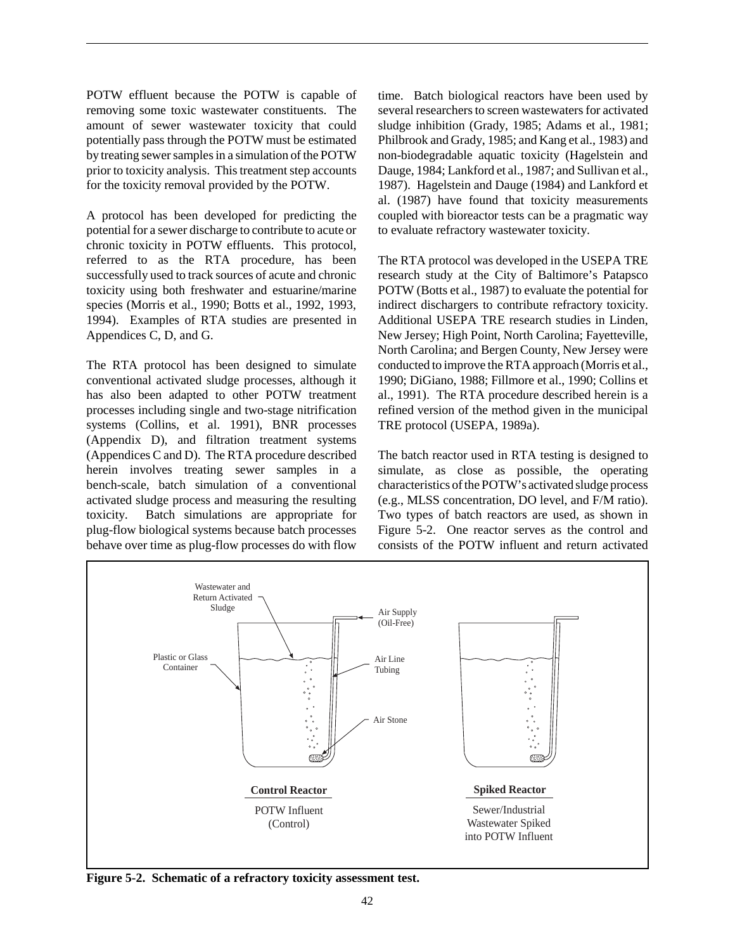POTW effluent because the POTW is capable of removing some toxic wastewater constituents. The amount of sewer wastewater toxicity that could potentially pass through the POTW must be estimated by treating sewer samples in a simulation of the POTW prior to toxicity analysis. This treatment step accounts for the toxicity removal provided by the POTW.

A protocol has been developed for predicting the potential for a sewer discharge to contribute to acute or chronic toxicity in POTW effluents. This protocol, referred to as the RTA procedure, has been successfully used to track sources of acute and chronic toxicity using both freshwater and estuarine/marine species (Morris et al., 1990; Botts et al., 1992, 1993, 1994). Examples of RTA studies are presented in Appendices C, D, and G.

The RTA protocol has been designed to simulate conventional activated sludge processes, although it has also been adapted to other POTW treatment processes including single and two-stage nitrification systems (Collins, et al. 1991), BNR processes (Appendix D), and filtration treatment systems (Appendices C and D). The RTA procedure described herein involves treating sewer samples in a bench-scale, batch simulation of a conventional activated sludge process and measuring the resulting toxicity. Batch simulations are appropriate for plug-flow biological systems because batch processes behave over time as plug-flow processes do with flow

time. Batch biological reactors have been used by several researchers to screen wastewaters for activated sludge inhibition (Grady, 1985; Adams et al., 1981; Philbrook and Grady, 1985; and Kang et al., 1983) and non-biodegradable aquatic toxicity (Hagelstein and Dauge, 1984; Lankford et al., 1987; and Sullivan et al., 1987). Hagelstein and Dauge (1984) and Lankford et al. (1987) have found that toxicity measurements coupled with bioreactor tests can be a pragmatic way to evaluate refractory wastewater toxicity.

The RTA protocol was developed in the USEPA TRE research study at the City of Baltimore's Patapsco POTW (Botts et al., 1987) to evaluate the potential for indirect dischargers to contribute refractory toxicity. Additional USEPA TRE research studies in Linden, New Jersey; High Point, North Carolina; Fayetteville, North Carolina; and Bergen County, New Jersey were conducted to improve the RTA approach (Morris et al., 1990; DiGiano, 1988; Fillmore et al., 1990; Collins et al., 1991). The RTA procedure described herein is a refined version of the method given in the municipal TRE protocol (USEPA, 1989a).

The batch reactor used in RTA testing is designed to simulate, as close as possible, the operating characteristics of the POTW's activated sludge process (e.g., MLSS concentration, DO level, and F/M ratio). Two types of batch reactors are used, as shown in Figure 5-2. One reactor serves as the control and consists of the POTW influent and return activated



**Figure 5-2. Schematic of a refractory toxicity assessment test.**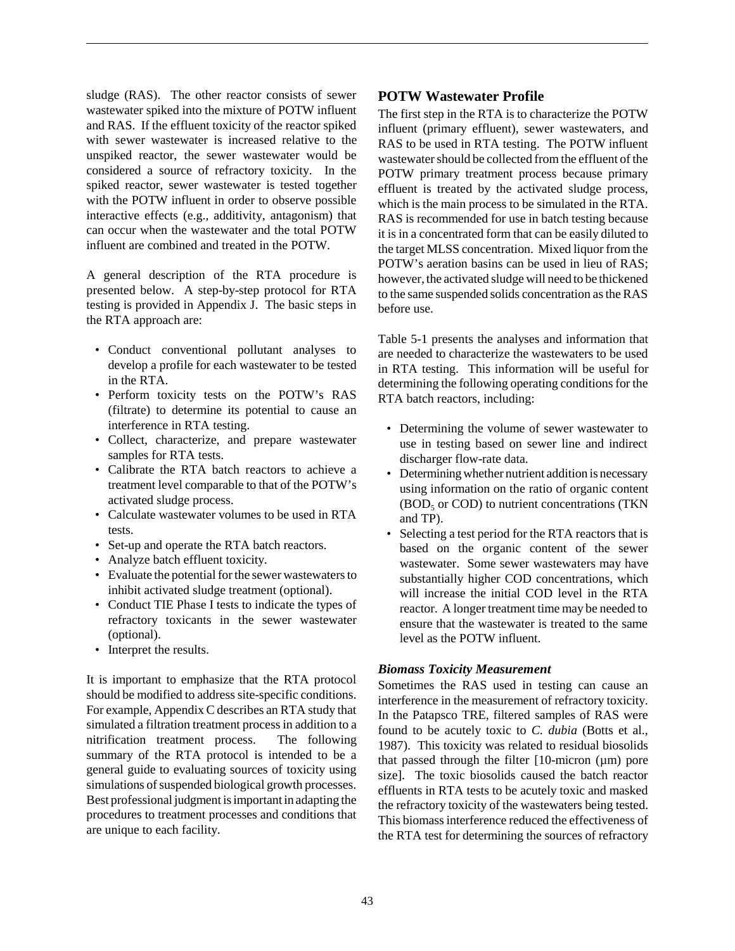sludge (RAS). The other reactor consists of sewer wastewater spiked into the mixture of POTW influent and RAS. If the effluent toxicity of the reactor spiked with sewer wastewater is increased relative to the unspiked reactor, the sewer wastewater would be considered a source of refractory toxicity. In the spiked reactor, sewer wastewater is tested together with the POTW influent in order to observe possible interactive effects (e.g., additivity, antagonism) that can occur when the wastewater and the total POTW influent are combined and treated in the POTW.

A general description of the RTA procedure is presented below. A step-by-step protocol for RTA testing is provided in Appendix J. The basic steps in the RTA approach are:

- Conduct conventional pollutant analyses to develop a profile for each wastewater to be tested in the RTA.
- Perform toxicity tests on the POTW's RAS (filtrate) to determine its potential to cause an interference in RTA testing.
- Collect, characterize, and prepare wastewater samples for RTA tests.
- Calibrate the RTA batch reactors to achieve a treatment level comparable to that of the POTW's activated sludge process.
- Calculate wastewater volumes to be used in RTA tests.
- Set-up and operate the RTA batch reactors.
- Analyze batch effluent toxicity.
- Evaluate the potential for the sewer wastewaters to inhibit activated sludge treatment (optional).
- Conduct TIE Phase I tests to indicate the types of refractory toxicants in the sewer wastewater (optional).
- Interpret the results.

It is important to emphasize that the RTA protocol should be modified to address site-specific conditions. For example, Appendix C describes an RTA study that simulated a filtration treatment process in addition to a nitrification treatment process. The following summary of the RTA protocol is intended to be a general guide to evaluating sources of toxicity using simulations of suspended biological growth processes. Best professional judgment is important in adapting the procedures to treatment processes and conditions that are unique to each facility.

## **POTW Wastewater Profile**

The first step in the RTA is to characterize the POTW influent (primary effluent), sewer wastewaters, and RAS to be used in RTA testing. The POTW influent wastewater should be collected from the effluent of the POTW primary treatment process because primary effluent is treated by the activated sludge process, which is the main process to be simulated in the RTA. RAS is recommended for use in batch testing because it is in a concentrated form that can be easily diluted to the target MLSS concentration. Mixed liquor from the POTW's aeration basins can be used in lieu of RAS; however, the activated sludge will need to be thickened to the same suspended solids concentration as the RAS before use.

Table 5-1 presents the analyses and information that are needed to characterize the wastewaters to be used in RTA testing. This information will be useful for determining the following operating conditions for the RTA batch reactors, including:

- Determining the volume of sewer wastewater to use in testing based on sewer line and indirect discharger flow-rate data.
- Determining whether nutrient addition is necessary using information on the ratio of organic content  $(BOD<sub>5</sub>$  or COD) to nutrient concentrations (TKN) and TP).
- Selecting a test period for the RTA reactors that is based on the organic content of the sewer wastewater. Some sewer wastewaters may have substantially higher COD concentrations, which will increase the initial COD level in the RTA reactor. A longer treatment time may be needed to ensure that the wastewater is treated to the same level as the POTW influent.

## *Biomass Toxicity Measurement*

Sometimes the RAS used in testing can cause an interference in the measurement of refractory toxicity. In the Patapsco TRE, filtered samples of RAS were found to be acutely toxic to *C. dubia* (Botts et al., 1987). This toxicity was related to residual biosolids that passed through the filter  $[10\text{-}\text{micron } (\mu \text{m})]$  pore size]. The toxic biosolids caused the batch reactor effluents in RTA tests to be acutely toxic and masked the refractory toxicity of the wastewaters being tested. This biomass interference reduced the effectiveness of the RTA test for determining the sources of refractory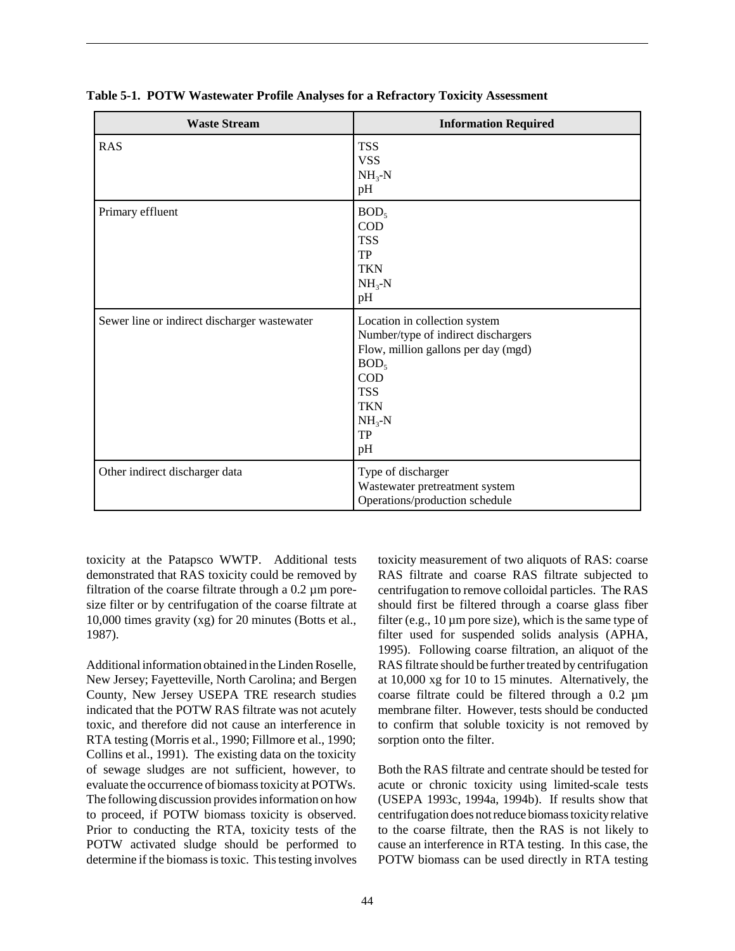| <b>Waste Stream</b>                          | <b>Information Required</b>                                                                                                                                                                      |
|----------------------------------------------|--------------------------------------------------------------------------------------------------------------------------------------------------------------------------------------------------|
| <b>RAS</b>                                   | <b>TSS</b><br><b>VSS</b><br>$NH3-N$<br>pH                                                                                                                                                        |
| Primary effluent                             | BOD <sub>5</sub><br><b>COD</b><br><b>TSS</b><br>TP<br><b>TKN</b><br>$NH_{3}-N$<br>pH                                                                                                             |
| Sewer line or indirect discharger wastewater | Location in collection system<br>Number/type of indirect dischargers<br>Flow, million gallons per day (mgd)<br>BOD <sub>5</sub><br><b>COD</b><br><b>TSS</b><br><b>TKN</b><br>$NH3-N$<br>TP<br>pH |
| Other indirect discharger data               | Type of discharger<br>Wastewater pretreatment system<br>Operations/production schedule                                                                                                           |

**Table 5-1. POTW Wastewater Profile Analyses for a Refractory Toxicity Assessment**

toxicity at the Patapsco WWTP. Additional tests demonstrated that RAS toxicity could be removed by filtration of the coarse filtrate through a 0.2 µm poresize filter or by centrifugation of the coarse filtrate at 10,000 times gravity (xg) for 20 minutes (Botts et al., 1987).

Additional information obtained in the Linden Roselle, New Jersey; Fayetteville, North Carolina; and Bergen County, New Jersey USEPA TRE research studies indicated that the POTW RAS filtrate was not acutely toxic, and therefore did not cause an interference in RTA testing (Morris et al., 1990; Fillmore et al., 1990; Collins et al., 1991). The existing data on the toxicity of sewage sludges are not sufficient, however, to evaluate the occurrence of biomass toxicity at POTWs. The following discussion provides information on how to proceed, if POTW biomass toxicity is observed. Prior to conducting the RTA, toxicity tests of the POTW activated sludge should be performed to determine if the biomass is toxic. This testing involves toxicity measurement of two aliquots of RAS: coarse RAS filtrate and coarse RAS filtrate subjected to centrifugation to remove colloidal particles. The RAS should first be filtered through a coarse glass fiber filter (e.g.,  $10 \mu m$  pore size), which is the same type of filter used for suspended solids analysis (APHA, 1995). Following coarse filtration, an aliquot of the RAS filtrate should be further treated by centrifugation at 10,000 xg for 10 to 15 minutes. Alternatively, the coarse filtrate could be filtered through a 0.2 µm membrane filter. However, tests should be conducted to confirm that soluble toxicity is not removed by sorption onto the filter.

Both the RAS filtrate and centrate should be tested for acute or chronic toxicity using limited-scale tests (USEPA 1993c, 1994a, 1994b). If results show that centrifugation does not reduce biomass toxicity relative to the coarse filtrate, then the RAS is not likely to cause an interference in RTA testing. In this case, the POTW biomass can be used directly in RTA testing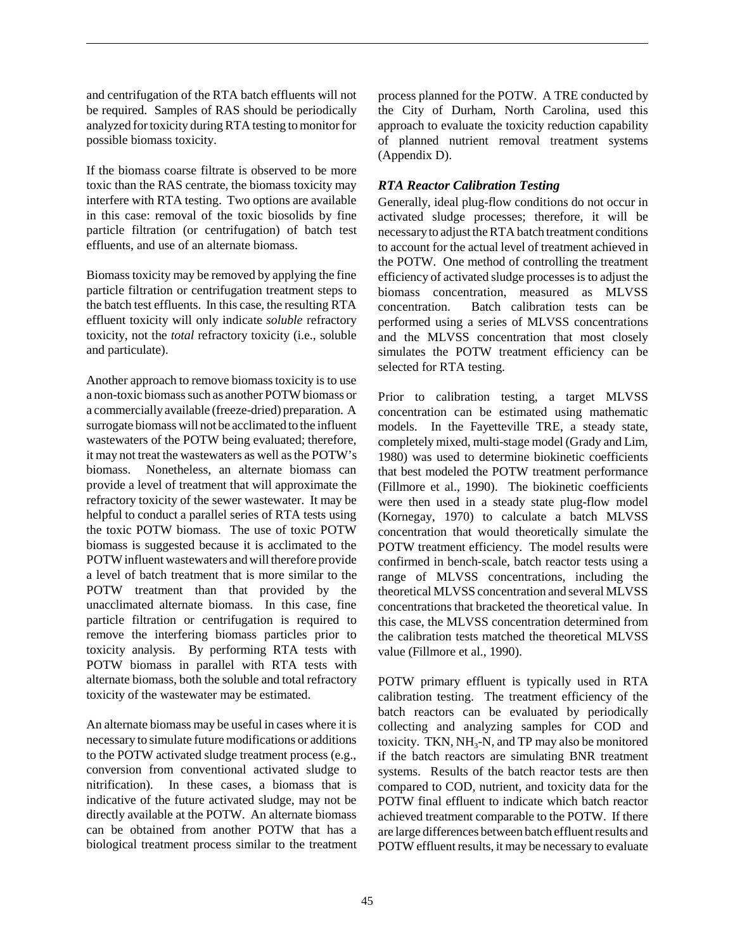and centrifugation of the RTA batch effluents will not be required. Samples of RAS should be periodically analyzed for toxicity during RTA testing to monitor for possible biomass toxicity.

If the biomass coarse filtrate is observed to be more toxic than the RAS centrate, the biomass toxicity may interfere with RTA testing. Two options are available in this case: removal of the toxic biosolids by fine particle filtration (or centrifugation) of batch test effluents, and use of an alternate biomass.

Biomass toxicity may be removed by applying the fine particle filtration or centrifugation treatment steps to the batch test effluents. In this case, the resulting RTA effluent toxicity will only indicate *soluble* refractory toxicity, not the *total* refractory toxicity (i.e., soluble and particulate).

Another approach to remove biomass toxicity is to use a non-toxic biomass such as another POTW biomass or a commercially available (freeze-dried) preparation. A surrogate biomass will not be acclimated to the influent wastewaters of the POTW being evaluated; therefore, it may not treat the wastewaters as well as the POTW's biomass. Nonetheless, an alternate biomass can provide a level of treatment that will approximate the refractory toxicity of the sewer wastewater. It may be helpful to conduct a parallel series of RTA tests using the toxic POTW biomass. The use of toxic POTW biomass is suggested because it is acclimated to the POTW influent wastewaters and will therefore provide a level of batch treatment that is more similar to the POTW treatment than that provided by the unacclimated alternate biomass. In this case, fine particle filtration or centrifugation is required to remove the interfering biomass particles prior to toxicity analysis. By performing RTA tests with POTW biomass in parallel with RTA tests with alternate biomass, both the soluble and total refractory toxicity of the wastewater may be estimated.

An alternate biomass may be useful in cases where it is necessary to simulate future modifications or additions to the POTW activated sludge treatment process (e.g., conversion from conventional activated sludge to nitrification). In these cases, a biomass that is indicative of the future activated sludge, may not be directly available at the POTW. An alternate biomass can be obtained from another POTW that has a biological treatment process similar to the treatment

process planned for the POTW. A TRE conducted by the City of Durham, North Carolina, used this approach to evaluate the toxicity reduction capability of planned nutrient removal treatment systems (Appendix D).

## *RTA Reactor Calibration Testing*

Generally, ideal plug-flow conditions do not occur in activated sludge processes; therefore, it will be necessary to adjust the RTA batch treatment conditions to account for the actual level of treatment achieved in the POTW. One method of controlling the treatment efficiency of activated sludge processes is to adjust the biomass concentration, measured as MLVSS concentration. Batch calibration tests can be performed using a series of MLVSS concentrations and the MLVSS concentration that most closely simulates the POTW treatment efficiency can be selected for RTA testing.

Prior to calibration testing, a target MLVSS concentration can be estimated using mathematic models. In the Fayetteville TRE, a steady state, completely mixed, multi-stage model (Grady and Lim, 1980) was used to determine biokinetic coefficients that best modeled the POTW treatment performance (Fillmore et al., 1990). The biokinetic coefficients were then used in a steady state plug-flow model (Kornegay, 1970) to calculate a batch MLVSS concentration that would theoretically simulate the POTW treatment efficiency. The model results were confirmed in bench-scale, batch reactor tests using a range of MLVSS concentrations, including the theoretical MLVSS concentration and several MLVSS concentrations that bracketed the theoretical value. In this case, the MLVSS concentration determined from the calibration tests matched the theoretical MLVSS value (Fillmore et al., 1990).

POTW primary effluent is typically used in RTA calibration testing. The treatment efficiency of the batch reactors can be evaluated by periodically collecting and analyzing samples for COD and toxicity. TKN,  $NH<sub>3</sub>-N$ , and TP may also be monitored if the batch reactors are simulating BNR treatment systems. Results of the batch reactor tests are then compared to COD, nutrient, and toxicity data for the POTW final effluent to indicate which batch reactor achieved treatment comparable to the POTW. If there are large differences between batch effluent results and POTW effluent results, it may be necessary to evaluate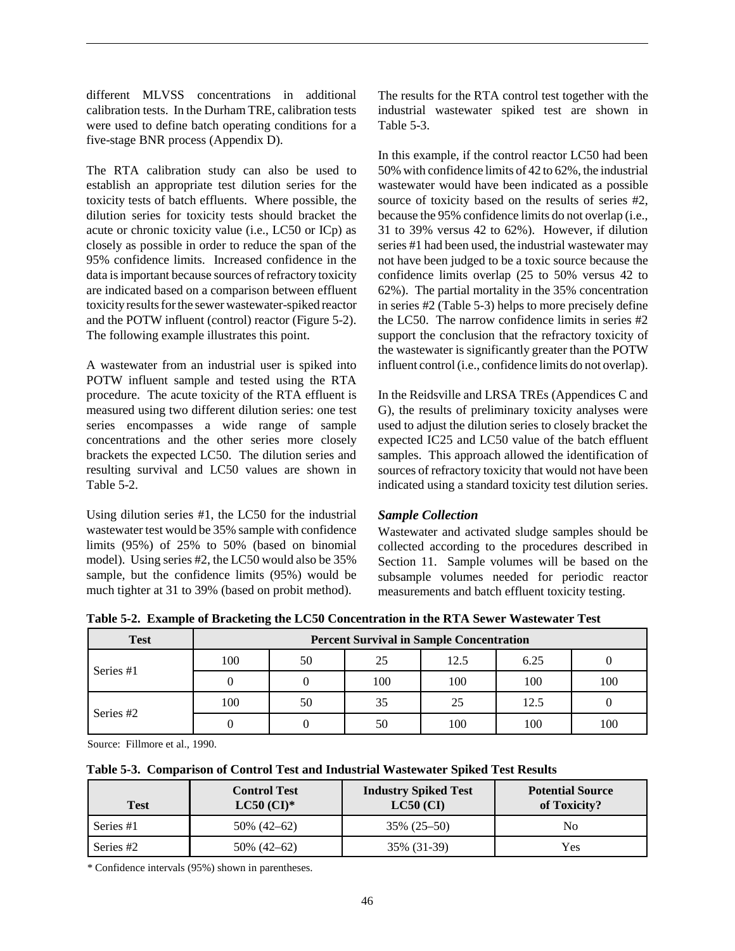different MLVSS concentrations in additional calibration tests. In the Durham TRE, calibration tests were used to define batch operating conditions for a five-stage BNR process (Appendix D).

The RTA calibration study can also be used to establish an appropriate test dilution series for the toxicity tests of batch effluents. Where possible, the dilution series for toxicity tests should bracket the acute or chronic toxicity value (i.e., LC50 or ICp) as closely as possible in order to reduce the span of the 95% confidence limits. Increased confidence in the data is important because sources of refractory toxicity are indicated based on a comparison between effluent toxicity results for the sewer wastewater-spiked reactor and the POTW influent (control) reactor (Figure 5-2). The following example illustrates this point.

A wastewater from an industrial user is spiked into POTW influent sample and tested using the RTA procedure. The acute toxicity of the RTA effluent is measured using two different dilution series: one test series encompasses a wide range of sample concentrations and the other series more closely brackets the expected LC50. The dilution series and resulting survival and LC50 values are shown in Table 5-2.

Using dilution series #1, the LC50 for the industrial wastewater test would be 35% sample with confidence limits (95%) of 25% to 50% (based on binomial model). Using series #2, the LC50 would also be 35% sample, but the confidence limits (95%) would be much tighter at 31 to 39% (based on probit method).

The results for the RTA control test together with the industrial wastewater spiked test are shown in Table 5-3.

In this example, if the control reactor LC50 had been 50% with confidence limits of 42 to 62%, the industrial wastewater would have been indicated as a possible source of toxicity based on the results of series #2, because the 95% confidence limits do not overlap (i.e., 31 to 39% versus 42 to 62%). However, if dilution series #1 had been used, the industrial wastewater may not have been judged to be a toxic source because the confidence limits overlap (25 to 50% versus 42 to 62%). The partial mortality in the 35% concentration in series #2 (Table 5-3) helps to more precisely define the LC50. The narrow confidence limits in series #2 support the conclusion that the refractory toxicity of the wastewater is significantly greater than the POTW influent control (i.e., confidence limits do not overlap).

In the Reidsville and LRSA TREs (Appendices C and G), the results of preliminary toxicity analyses were used to adjust the dilution series to closely bracket the expected IC25 and LC50 value of the batch effluent samples. This approach allowed the identification of sources of refractory toxicity that would not have been indicated using a standard toxicity test dilution series.

## *Sample Collection*

Wastewater and activated sludge samples should be collected according to the procedures described in Section 11. Sample volumes will be based on the subsample volumes needed for periodic reactor measurements and batch effluent toxicity testing.

**Table 5-2. Example of Bracketing the LC50 Concentration in the RTA Sewer Wastewater Test**

| <b>Test</b> | <b>Percent Survival in Sample Concentration</b> |    |     |      |      |     |
|-------------|-------------------------------------------------|----|-----|------|------|-----|
| Series #1   | 100                                             | 50 | 25  | 12.5 | 6.25 |     |
|             |                                                 |    | 100 | 100  | 100  | 100 |
| Series #2   | 100                                             | 50 |     | 25   | 12.5 |     |
|             |                                                 |    | 50  | 100  | 100  | 100 |

Source: Fillmore et al., 1990.

| Table 5-3. Comparison of Control Test and Industrial Wastewater Spiked Test Results |  |                     |                             |                      |  |
|-------------------------------------------------------------------------------------|--|---------------------|-----------------------------|----------------------|--|
|                                                                                     |  | <b>Control Test</b> | <b>Industry Spiked Test</b> | <b>Potential Sou</b> |  |

| <b>Test</b> | <b>Control Test</b><br>$LC50$ (CI)* | <b>Industry Spiked Test</b><br>$LC50$ (CI) | <b>Potential Source</b><br>of Toxicity? |
|-------------|-------------------------------------|--------------------------------------------|-----------------------------------------|
| Series #1   | 50\% (42-62)                        | $35\%$ $(25-50)$                           | No                                      |
| Series #2   | 50% (42–62)                         | 35% (31-39)                                | Yes                                     |

\* Confidence intervals (95%) shown in parentheses.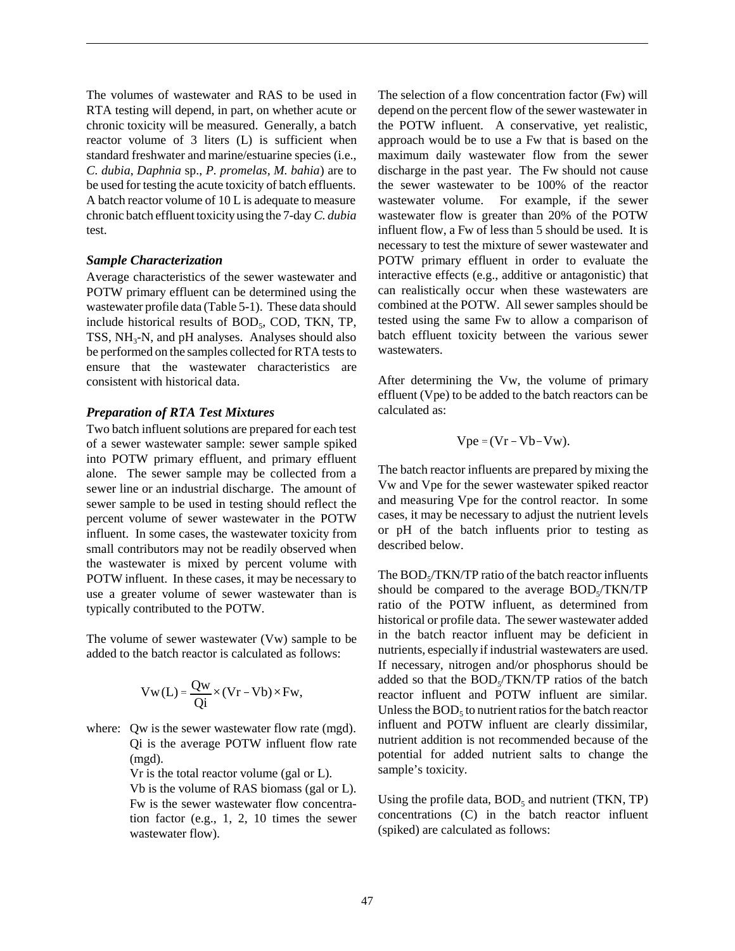The volumes of wastewater and RAS to be used in RTA testing will depend, in part, on whether acute or chronic toxicity will be measured. Generally, a batch reactor volume of 3 liters (L) is sufficient when standard freshwater and marine/estuarine species (i.e., *C. dubia*, *Daphnia* sp., *P. promelas, M. bahia*) are to be used for testing the acute toxicity of batch effluents. A batch reactor volume of 10 L is adequate to measure chronic batch effluent toxicity using the 7-day *C. dubia* test.

#### *Sample Characterization*

Average characteristics of the sewer wastewater and POTW primary effluent can be determined using the wastewater profile data (Table 5-1). These data should include historical results of  $BOD<sub>5</sub>$ , COD, TKN, TP, TSS,  $NH<sub>3</sub>-N$ , and pH analyses. Analyses should also be performed on the samples collected for RTA tests to ensure that the wastewater characteristics are consistent with historical data.

#### *Preparation of RTA Test Mixtures*

Two batch influent solutions are prepared for each test of a sewer wastewater sample: sewer sample spiked into POTW primary effluent, and primary effluent alone. The sewer sample may be collected from a sewer line or an industrial discharge. The amount of sewer sample to be used in testing should reflect the percent volume of sewer wastewater in the POTW influent. In some cases, the wastewater toxicity from small contributors may not be readily observed when the wastewater is mixed by percent volume with POTW influent. In these cases, it may be necessary to use a greater volume of sewer wastewater than is typically contributed to the POTW.

The volume of sewer wastewater (Vw) sample to be added to the batch reactor is calculated as follows:

$$
Vw(L) = \frac{Qw}{Qi} \times (Vr - Vb) \times Fw,
$$

where: Ow is the sewer wastewater flow rate (mgd). Qi is the average POTW influent flow rate (mgd).

Vr is the total reactor volume (gal or L).

Vb is the volume of RAS biomass (gal or L). Fw is the sewer wastewater flow concentration factor (e.g., 1, 2, 10 times the sewer wastewater flow).

The selection of a flow concentration factor (Fw) will depend on the percent flow of the sewer wastewater in the POTW influent. A conservative, yet realistic, approach would be to use a Fw that is based on the maximum daily wastewater flow from the sewer discharge in the past year. The Fw should not cause the sewer wastewater to be 100% of the reactor wastewater volume. For example, if the sewer wastewater flow is greater than 20% of the POTW influent flow, a Fw of less than 5 should be used. It is necessary to test the mixture of sewer wastewater and POTW primary effluent in order to evaluate the interactive effects (e.g., additive or antagonistic) that can realistically occur when these wastewaters are combined at the POTW. All sewer samples should be tested using the same Fw to allow a comparison of batch effluent toxicity between the various sewer wastewaters.

After determining the Vw, the volume of primary effluent (Vpe) to be added to the batch reactors can be calculated as:

$$
Vpe = (Vr - Vb - Vw).
$$

The batch reactor influents are prepared by mixing the Vw and Vpe for the sewer wastewater spiked reactor and measuring Vpe for the control reactor. In some cases, it may be necessary to adjust the nutrient levels or pH of the batch influents prior to testing as described below.

The  $BOD<sub>5</sub>/TKN/TP$  ratio of the batch reactor influents should be compared to the average BOD<sub>5</sub>/TKN/TP ratio of the POTW influent, as determined from historical or profile data. The sewer wastewater added in the batch reactor influent may be deficient in nutrients, especially if industrial wastewaters are used. If necessary, nitrogen and/or phosphorus should be added so that the  $BOD<sub>s</sub>/TKN/TP$  ratios of the batch reactor influent and POTW influent are similar. Unless the  $BOD<sub>5</sub>$  to nutrient ratios for the batch reactor influent and POTW influent are clearly dissimilar, nutrient addition is not recommended because of the potential for added nutrient salts to change the sample's toxicity.

Using the profile data,  $BOD<sub>5</sub>$  and nutrient (TKN, TP) concentrations (C) in the batch reactor influent (spiked) are calculated as follows: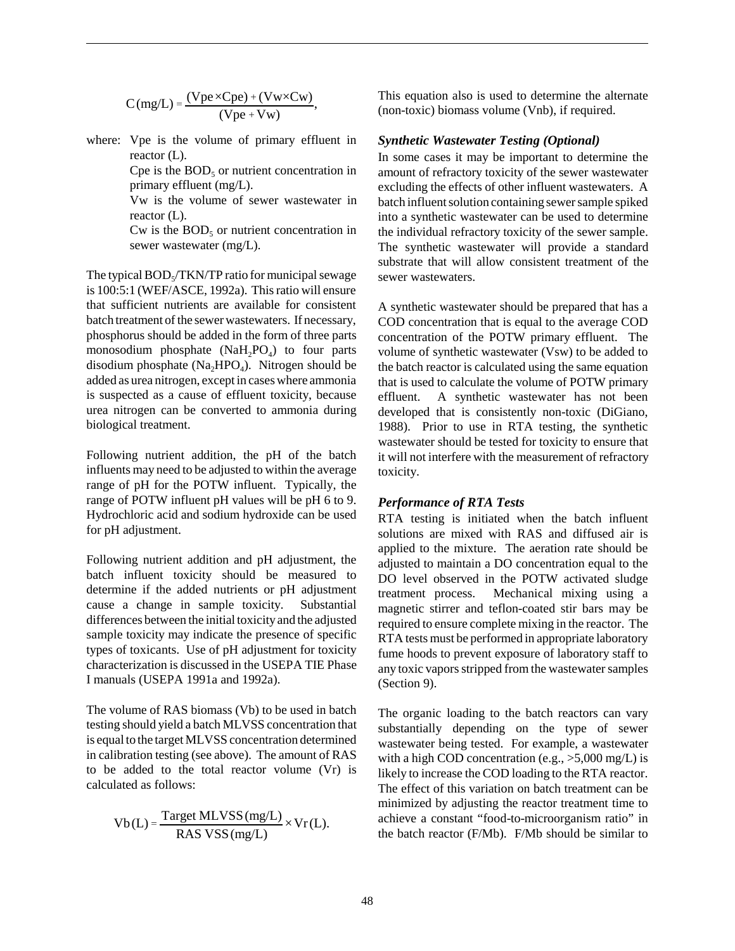$$
C(mg/L) = \frac{(Vpe \times Cpe) + (Vw \times Cw)}{(Vpe + Vw)},
$$

where: Vpe is the volume of primary effluent in reactor  $(L)$ .

> Cpe is the  $BOD<sub>5</sub>$  or nutrient concentration in primary effluent (mg/L).

> Vw is the volume of sewer wastewater in reactor (L).

> Cw is the  $BOD<sub>5</sub>$  or nutrient concentration in sewer wastewater (mg/L).

The typical  $BOD<sub>s</sub>/TKN/TP$  ratio for municipal sewage is 100:5:1 (WEF/ASCE, 1992a). This ratio will ensure that sufficient nutrients are available for consistent batch treatment of the sewer wastewaters. If necessary, phosphorus should be added in the form of three parts monosodium phosphate  $(NaH<sub>2</sub>PO<sub>4</sub>)$  to four parts disodium phosphate  $(Na_2HPO_4)$ . Nitrogen should be added as urea nitrogen, except in cases where ammonia is suspected as a cause of effluent toxicity, because urea nitrogen can be converted to ammonia during biological treatment.

Following nutrient addition, the pH of the batch influents may need to be adjusted to within the average range of pH for the POTW influent. Typically, the range of POTW influent pH values will be pH 6 to 9. Hydrochloric acid and sodium hydroxide can be used for pH adjustment.

Following nutrient addition and pH adjustment, the batch influent toxicity should be measured to determine if the added nutrients or pH adjustment cause a change in sample toxicity. Substantial differences between the initial toxicity and the adjusted sample toxicity may indicate the presence of specific types of toxicants. Use of pH adjustment for toxicity characterization is discussed in the USEPA TIE Phase I manuals (USEPA 1991a and 1992a).

The volume of RAS biomass (Vb) to be used in batch testing should yield a batch MLVSS concentration that is equal to the target MLVSS concentration determined in calibration testing (see above). The amount of RAS to be added to the total reactor volume (Vr) is calculated as follows:

$$
Vb(L) = \frac{\text{Target MLVSS (mg/L)}}{\text{RAS VSS (mg/L)}} \times Vr(L).
$$

This equation also is used to determine the alternate (non-toxic) biomass volume (Vnb), if required.

#### *Synthetic Wastewater Testing (Optional)*

In some cases it may be important to determine the amount of refractory toxicity of the sewer wastewater excluding the effects of other influent wastewaters. A batch influent solution containing sewer sample spiked into a synthetic wastewater can be used to determine the individual refractory toxicity of the sewer sample. The synthetic wastewater will provide a standard substrate that will allow consistent treatment of the sewer wastewaters.

A synthetic wastewater should be prepared that has a COD concentration that is equal to the average COD concentration of the POTW primary effluent. The volume of synthetic wastewater (Vsw) to be added to the batch reactor is calculated using the same equation that is used to calculate the volume of POTW primary effluent. A synthetic wastewater has not been developed that is consistently non-toxic (DiGiano, 1988). Prior to use in RTA testing, the synthetic wastewater should be tested for toxicity to ensure that it will not interfere with the measurement of refractory toxicity.

#### *Performance of RTA Tests*

RTA testing is initiated when the batch influent solutions are mixed with RAS and diffused air is applied to the mixture. The aeration rate should be adjusted to maintain a DO concentration equal to the DO level observed in the POTW activated sludge treatment process. Mechanical mixing using a magnetic stirrer and teflon-coated stir bars may be required to ensure complete mixing in the reactor. The RTA tests must be performed in appropriate laboratory fume hoods to prevent exposure of laboratory staff to any toxic vapors stripped from the wastewater samples (Section 9).

The organic loading to the batch reactors can vary substantially depending on the type of sewer wastewater being tested. For example, a wastewater with a high COD concentration (e.g., >5,000 mg/L) is likely to increase the COD loading to the RTA reactor. The effect of this variation on batch treatment can be minimized by adjusting the reactor treatment time to achieve a constant "food-to-microorganism ratio" in the batch reactor (F/Mb). F/Mb should be similar to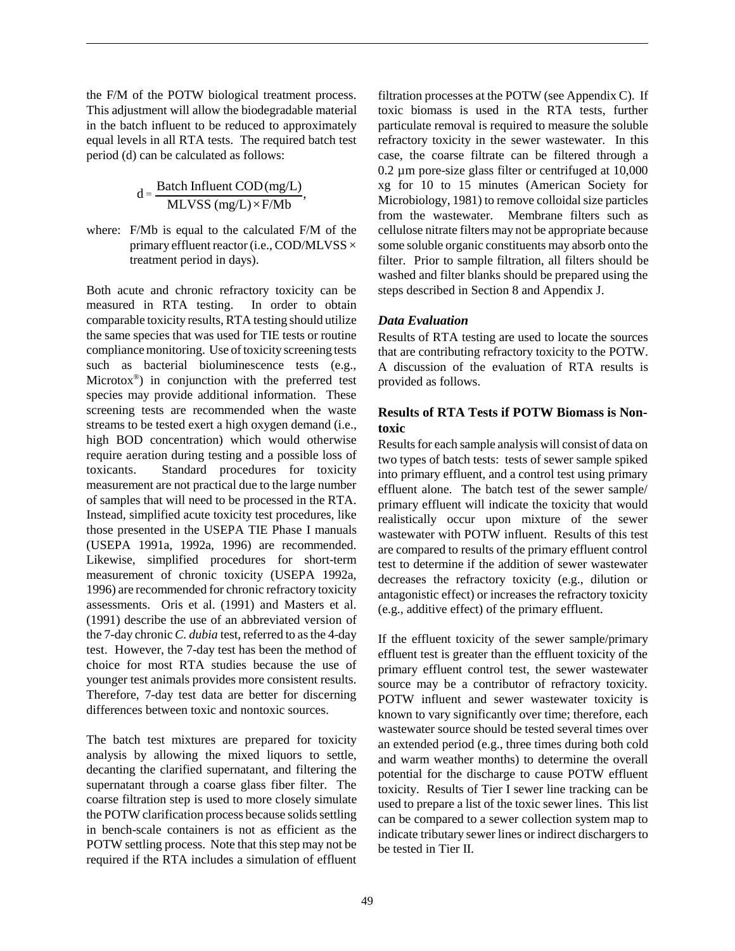the F/M of the POTW biological treatment process. This adjustment will allow the biodegradable material in the batch influent to be reduced to approximately equal levels in all RTA tests. The required batch test period (d) can be calculated as follows:

$$
d = \frac{Batch Influent COD(mg/L)}{MLVSS (mg/L) \times F/Mb},
$$

where: F/Mb is equal to the calculated F/M of the primary effluent reactor (i.e., COD/MLVSS  $\times$ treatment period in days).

Both acute and chronic refractory toxicity can be measured in RTA testing. In order to obtain comparable toxicity results, RTA testing should utilize the same species that was used for TIE tests or routine compliance monitoring. Use of toxicity screening tests such as bacterial bioluminescence tests (e.g., Microtox<sup>®</sup>) in conjunction with the preferred test species may provide additional information. These screening tests are recommended when the waste streams to be tested exert a high oxygen demand (i.e., high BOD concentration) which would otherwise require aeration during testing and a possible loss of toxicants. Standard procedures for toxicity measurement are not practical due to the large number of samples that will need to be processed in the RTA. Instead, simplified acute toxicity test procedures, like those presented in the USEPA TIE Phase I manuals (USEPA 1991a, 1992a, 1996) are recommended. Likewise, simplified procedures for short-term measurement of chronic toxicity (USEPA 1992a, 1996) are recommended for chronic refractory toxicity assessments. Oris et al. (1991) and Masters et al. (1991) describe the use of an abbreviated version of the 7-day chronic *C. dubia* test, referred to as the 4-day test. However, the 7-day test has been the method of choice for most RTA studies because the use of younger test animals provides more consistent results. Therefore, 7-day test data are better for discerning differences between toxic and nontoxic sources.

The batch test mixtures are prepared for toxicity analysis by allowing the mixed liquors to settle, decanting the clarified supernatant, and filtering the supernatant through a coarse glass fiber filter. The coarse filtration step is used to more closely simulate the POTW clarification process because solids settling in bench-scale containers is not as efficient as the POTW settling process. Note that this step may not be required if the RTA includes a simulation of effluent

filtration processes at the POTW (see Appendix C). If toxic biomass is used in the RTA tests, further particulate removal is required to measure the soluble refractory toxicity in the sewer wastewater. In this case, the coarse filtrate can be filtered through a 0.2 µm pore-size glass filter or centrifuged at 10,000 xg for 10 to 15 minutes (American Society for Microbiology, 1981) to remove colloidal size particles from the wastewater. Membrane filters such as cellulose nitrate filters may not be appropriate because some soluble organic constituents may absorb onto the filter. Prior to sample filtration, all filters should be washed and filter blanks should be prepared using the steps described in Section 8 and Appendix J.

## *Data Evaluation*

Results of RTA testing are used to locate the sources that are contributing refractory toxicity to the POTW. A discussion of the evaluation of RTA results is provided as follows.

## **Results of RTA Tests if POTW Biomass is Nontoxic**

Results for each sample analysis will consist of data on two types of batch tests: tests of sewer sample spiked into primary effluent, and a control test using primary effluent alone. The batch test of the sewer sample/ primary effluent will indicate the toxicity that would realistically occur upon mixture of the sewer wastewater with POTW influent. Results of this test are compared to results of the primary effluent control test to determine if the addition of sewer wastewater decreases the refractory toxicity (e.g., dilution or antagonistic effect) or increases the refractory toxicity (e.g., additive effect) of the primary effluent.

If the effluent toxicity of the sewer sample/primary effluent test is greater than the effluent toxicity of the primary effluent control test, the sewer wastewater source may be a contributor of refractory toxicity. POTW influent and sewer wastewater toxicity is known to vary significantly over time; therefore, each wastewater source should be tested several times over an extended period (e.g., three times during both cold and warm weather months) to determine the overall potential for the discharge to cause POTW effluent toxicity. Results of Tier I sewer line tracking can be used to prepare a list of the toxic sewer lines. This list can be compared to a sewer collection system map to indicate tributary sewer lines or indirect dischargers to be tested in Tier II.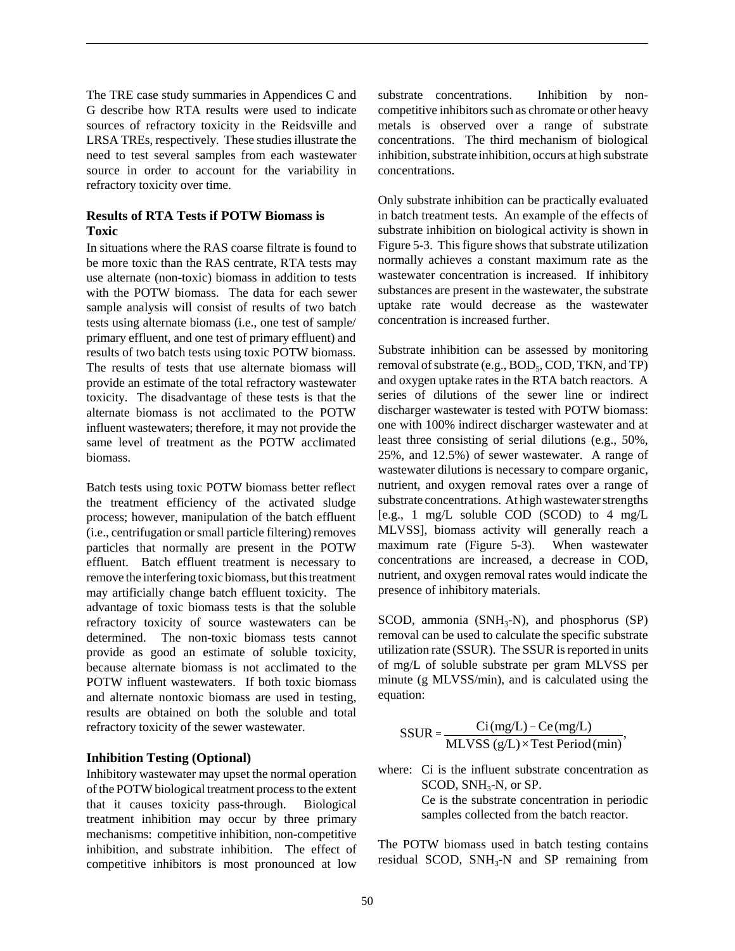The TRE case study summaries in Appendices C and G describe how RTA results were used to indicate sources of refractory toxicity in the Reidsville and LRSA TREs, respectively. These studies illustrate the need to test several samples from each wastewater source in order to account for the variability in refractory toxicity over time.

## **Results of RTA Tests if POTW Biomass is Toxic**

In situations where the RAS coarse filtrate is found to be more toxic than the RAS centrate, RTA tests may use alternate (non-toxic) biomass in addition to tests with the POTW biomass. The data for each sewer sample analysis will consist of results of two batch tests using alternate biomass (i.e., one test of sample/ primary effluent, and one test of primary effluent) and results of two batch tests using toxic POTW biomass. The results of tests that use alternate biomass will provide an estimate of the total refractory wastewater toxicity. The disadvantage of these tests is that the alternate biomass is not acclimated to the POTW influent wastewaters; therefore, it may not provide the same level of treatment as the POTW acclimated biomass.

Batch tests using toxic POTW biomass better reflect the treatment efficiency of the activated sludge process; however, manipulation of the batch effluent (i.e., centrifugation or small particle filtering) removes particles that normally are present in the POTW effluent. Batch effluent treatment is necessary to remove the interfering toxic biomass, but this treatment may artificially change batch effluent toxicity. The advantage of toxic biomass tests is that the soluble refractory toxicity of source wastewaters can be determined. The non-toxic biomass tests cannot provide as good an estimate of soluble toxicity, because alternate biomass is not acclimated to the POTW influent wastewaters. If both toxic biomass and alternate nontoxic biomass are used in testing, results are obtained on both the soluble and total refractory toxicity of the sewer wastewater.

#### **Inhibition Testing (Optional)**

Inhibitory wastewater may upset the normal operation of the POTW biological treatment process to the extent that it causes toxicity pass-through. Biological treatment inhibition may occur by three primary mechanisms: competitive inhibition, non-competitive inhibition, and substrate inhibition. The effect of competitive inhibitors is most pronounced at low

substrate concentrations. Inhibition by noncompetitive inhibitors such as chromate or other heavy metals is observed over a range of substrate concentrations. The third mechanism of biological inhibition, substrate inhibition, occurs at high substrate concentrations.

Only substrate inhibition can be practically evaluated in batch treatment tests. An example of the effects of substrate inhibition on biological activity is shown in Figure 5-3. This figure shows that substrate utilization normally achieves a constant maximum rate as the wastewater concentration is increased. If inhibitory substances are present in the wastewater, the substrate uptake rate would decrease as the wastewater concentration is increased further.

Substrate inhibition can be assessed by monitoring removal of substrate (e.g.,  $BOD_5$ ,  $COD$ , TKN, and TP) and oxygen uptake rates in the RTA batch reactors. A series of dilutions of the sewer line or indirect discharger wastewater is tested with POTW biomass: one with 100% indirect discharger wastewater and at least three consisting of serial dilutions (e.g., 50%, 25%, and 12.5%) of sewer wastewater. A range of wastewater dilutions is necessary to compare organic, nutrient, and oxygen removal rates over a range of substrate concentrations. At high wastewater strengths [e.g., 1 mg/L soluble COD (SCOD) to 4 mg/L MLVSS], biomass activity will generally reach a maximum rate (Figure 5-3). When wastewater concentrations are increased, a decrease in COD, nutrient, and oxygen removal rates would indicate the presence of inhibitory materials.

SCOD, ammonia ( $SNH_3-N$ ), and phosphorus (SP) removal can be used to calculate the specific substrate utilization rate (SSUR). The SSUR is reported in units of mg/L of soluble substrate per gram MLVSS per minute (g MLVSS/min), and is calculated using the equation:

$$
SSUR = \frac{Ci(mg/L) - Ce(mg/L)}{MLVSS(g/L) \times Test Period (min)},
$$

where: Ci is the influent substrate concentration as SCOD, SNH<sub>3</sub>-N, or SP. Ce is the substrate concentration in periodic

samples collected from the batch reactor.

The POTW biomass used in batch testing contains residual SCOD,  $SNH<sub>3</sub>-N$  and SP remaining from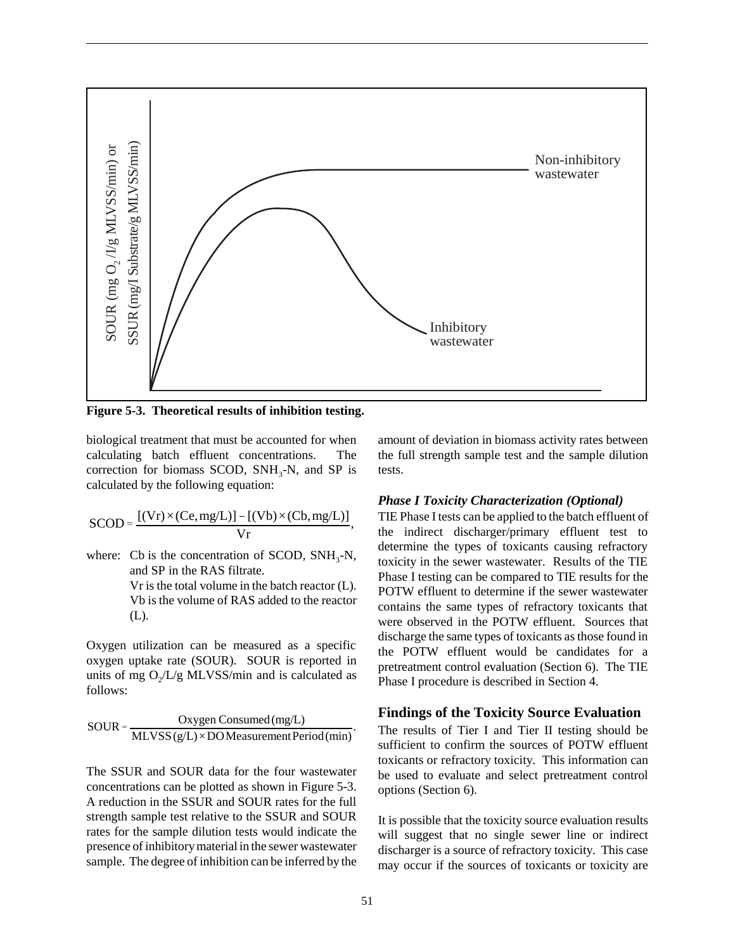

**Figure 5-3. Theoretical results of inhibition testing.**

biological treatment that must be accounted for when calculating batch effluent concentrations. The correction for biomass SCOD,  $SNH_3-N$ , and SP is calculated by the following equation:

$$
SCOD = \frac{[(Vr) \times (Ce, mg/L)] - [(Vb) \times (Cb, mg/L)]}{Vr},
$$

where: Cb is the concentration of SCOD,  $SNH_3-N$ , and SP in the RAS filtrate.

> Vr is the total volume in the batch reactor (L). Vb is the volume of RAS added to the reactor (L).

Oxygen utilization can be measured as a specific oxygen uptake rate (SOUR). SOUR is reported in units of mg  $O_2/L/g$  MLVSS/min and is calculated as follows:

$$
SOUR = \frac{Oxygen \, Consumed \, (mg/L)}{MLVSS(g/L) \times DOMeasurement Period \, (min)}.
$$

The SSUR and SOUR data for the four wastewater concentrations can be plotted as shown in Figure 5-3. A reduction in the SSUR and SOUR rates for the full strength sample test relative to the SSUR and SOUR rates for the sample dilution tests would indicate the presence of inhibitory material in the sewer wastewater sample. The degree of inhibition can be inferred by the amount of deviation in biomass activity rates between the full strength sample test and the sample dilution tests.

#### *Phase I Toxicity Characterization (Optional)*

TIE Phase I tests can be applied to the batch effluent of the indirect discharger/primary effluent test to determine the types of toxicants causing refractory toxicity in the sewer wastewater. Results of the TIE Phase I testing can be compared to TIE results for the POTW effluent to determine if the sewer wastewater contains the same types of refractory toxicants that were observed in the POTW effluent. Sources that discharge the same types of toxicants as those found in the POTW effluent would be candidates for a pretreatment control evaluation (Section 6). The TIE Phase I procedure is described in Section 4.

#### **Findings of the Toxicity Source Evaluation**

The results of Tier I and Tier II testing should be sufficient to confirm the sources of POTW effluent toxicants or refractory toxicity. This information can be used to evaluate and select pretreatment control options (Section 6).

It is possible that the toxicity source evaluation results will suggest that no single sewer line or indirect discharger is a source of refractory toxicity. This case may occur if the sources of toxicants or toxicity are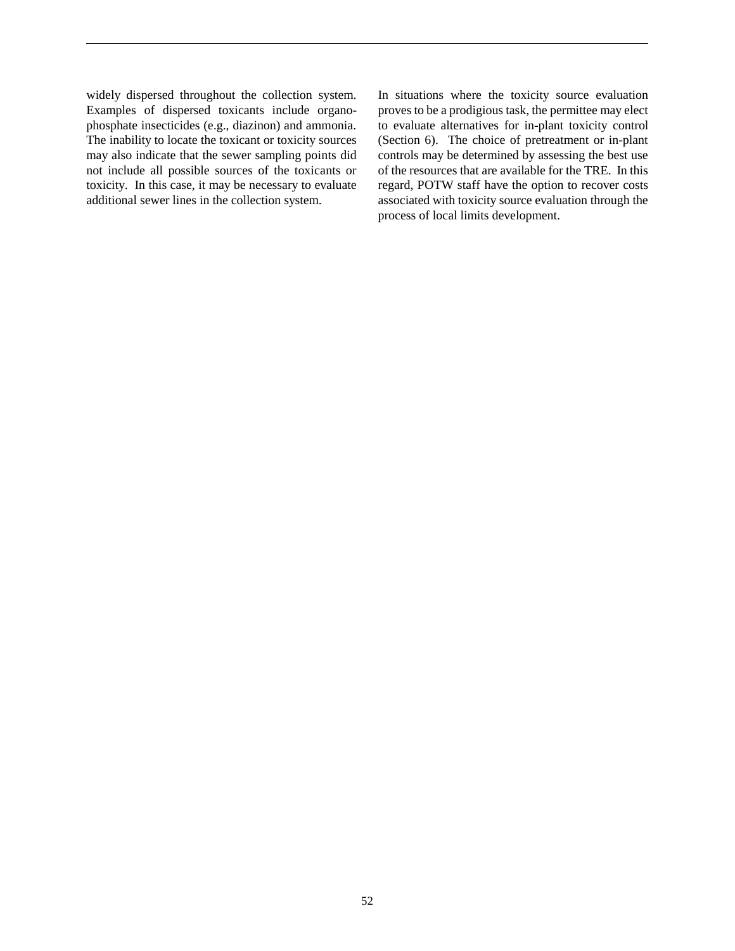widely dispersed throughout the collection system. Examples of dispersed toxicants include organophosphate insecticides (e.g., diazinon) and ammonia. The inability to locate the toxicant or toxicity sources may also indicate that the sewer sampling points did not include all possible sources of the toxicants or toxicity. In this case, it may be necessary to evaluate additional sewer lines in the collection system.

In situations where the toxicity source evaluation proves to be a prodigious task, the permittee may elect to evaluate alternatives for in-plant toxicity control (Section 6). The choice of pretreatment or in-plant controls may be determined by assessing the best use of the resources that are available for the TRE. In this regard, POTW staff have the option to recover costs associated with toxicity source evaluation through the process of local limits development.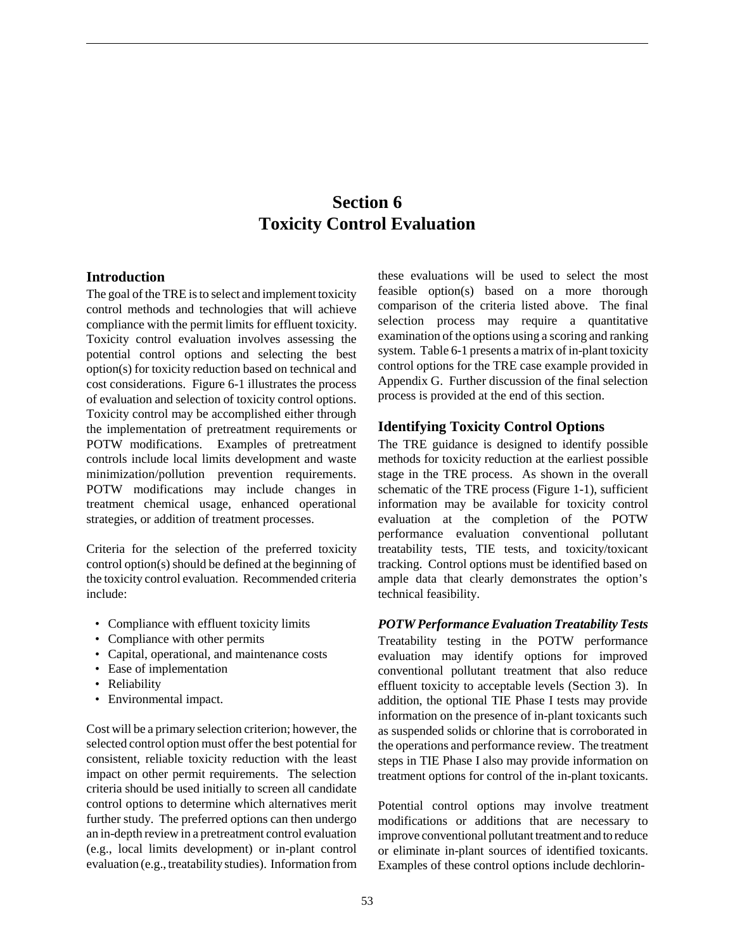# **Section 6 Toxicity Control Evaluation**

## **Introduction**

The goal of the TRE is to select and implement toxicity control methods and technologies that will achieve compliance with the permit limits for effluent toxicity. Toxicity control evaluation involves assessing the potential control options and selecting the best option(s) for toxicity reduction based on technical and cost considerations. Figure 6-1 illustrates the process of evaluation and selection of toxicity control options. Toxicity control may be accomplished either through the implementation of pretreatment requirements or POTW modifications. Examples of pretreatment controls include local limits development and waste minimization/pollution prevention requirements. POTW modifications may include changes in treatment chemical usage, enhanced operational strategies, or addition of treatment processes.

Criteria for the selection of the preferred toxicity control option(s) should be defined at the beginning of the toxicity control evaluation. Recommended criteria include:

- Compliance with effluent toxicity limits
- Compliance with other permits
- Capital, operational, and maintenance costs
- Ease of implementation
- Reliability
- Environmental impact.

Cost will be a primary selection criterion; however, the selected control option must offer the best potential for consistent, reliable toxicity reduction with the least impact on other permit requirements. The selection criteria should be used initially to screen all candidate control options to determine which alternatives merit further study. The preferred options can then undergo an in-depth review in a pretreatment control evaluation (e.g., local limits development) or in-plant control evaluation (e.g., treatability studies). Information from these evaluations will be used to select the most feasible option(s) based on a more thorough comparison of the criteria listed above. The final selection process may require a quantitative examination of the options using a scoring and ranking system. Table 6-1 presents a matrix of in-plant toxicity control options for the TRE case example provided in Appendix G. Further discussion of the final selection process is provided at the end of this section.

## **Identifying Toxicity Control Options**

The TRE guidance is designed to identify possible methods for toxicity reduction at the earliest possible stage in the TRE process. As shown in the overall schematic of the TRE process (Figure 1-1), sufficient information may be available for toxicity control evaluation at the completion of the POTW performance evaluation conventional pollutant treatability tests, TIE tests, and toxicity/toxicant tracking. Control options must be identified based on ample data that clearly demonstrates the option's technical feasibility.

*POTW Performance Evaluation Treatability Tests* Treatability testing in the POTW performance evaluation may identify options for improved conventional pollutant treatment that also reduce effluent toxicity to acceptable levels (Section 3). In addition, the optional TIE Phase I tests may provide information on the presence of in-plant toxicants such as suspended solids or chlorine that is corroborated in the operations and performance review. The treatment steps in TIE Phase I also may provide information on treatment options for control of the in-plant toxicants.

Potential control options may involve treatment modifications or additions that are necessary to improve conventional pollutant treatment and to reduce or eliminate in-plant sources of identified toxicants. Examples of these control options include dechlorin-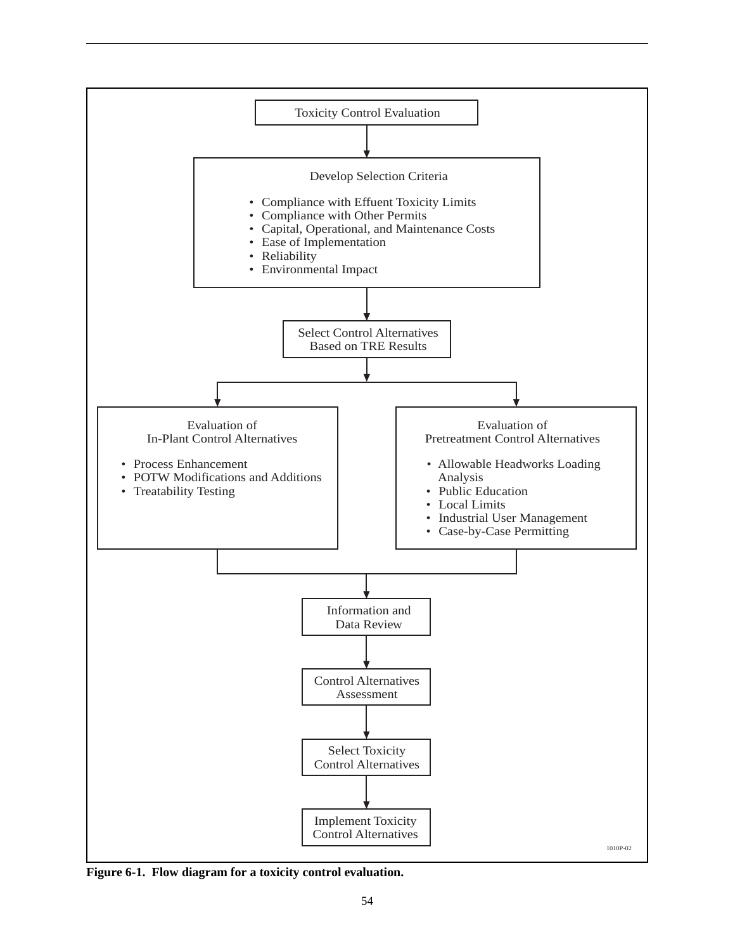

**Figure 6-1. Flow diagram for a toxicity control evaluation.**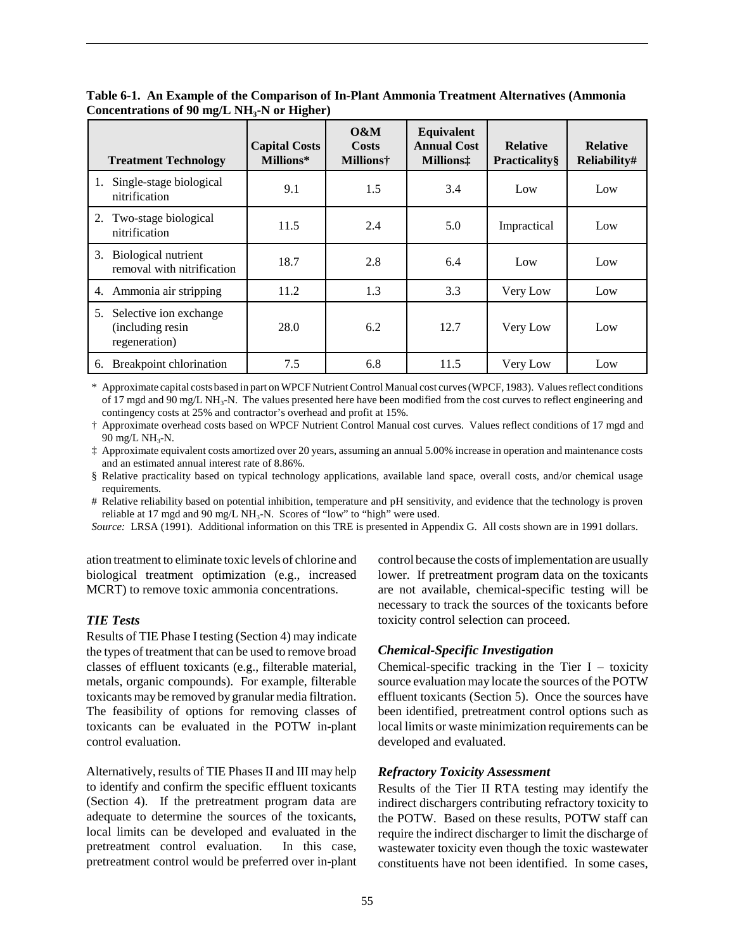| <b>Treatment Technology</b>                                       | <b>Capital Costs</b><br>Millions* | 0&M<br>Costs<br><b>Millions†</b> | Equivalent<br><b>Annual Cost</b><br><b>Millions</b> : | <b>Relative</b><br><b>Practicality</b> § | <b>Relative</b><br>Reliability# |
|-------------------------------------------------------------------|-----------------------------------|----------------------------------|-------------------------------------------------------|------------------------------------------|---------------------------------|
| Single-stage biological<br>nitrification                          | 9.1                               | 1.5                              | 3.4                                                   | Low                                      | Low                             |
| 2. Two-stage biological<br>nitrification                          | 11.5                              | 2.4                              | 5.0                                                   | Impractical                              | Low                             |
| Biological nutrient<br>3.<br>removal with nitrification           | 18.7                              | 2.8                              | 6.4                                                   | Low                                      | Low                             |
| 4. Ammonia air stripping                                          | 11.2                              | 1.3                              | 3.3                                                   | Very Low                                 | Low                             |
| Selective ion exchange<br>5.<br>(including resin<br>regeneration) | 28.0                              | 6.2                              | 12.7                                                  | Very Low                                 | Low                             |
| Breakpoint chlorination<br>6.                                     | 7.5                               | 6.8                              | 11.5                                                  | Very Low                                 | Low                             |

**Table 6-1. An Example of the Comparison of In-Plant Ammonia Treatment Alternatives (Ammonia** Concentrations of 90 mg/L NH<sub>3</sub>-N or Higher)

\* Approximate capital costs based in part on WPCF Nutrient Control Manual cost curves (WPCF, 1983). Values reflect conditions of 17 mgd and 90 mg/L NH<sub>3</sub>-N. The values presented here have been modified from the cost curves to reflect engineering and contingency costs at 25% and contractor's overhead and profit at 15%.

† Approximate overhead costs based on WPCF Nutrient Control Manual cost curves. Values reflect conditions of 17 mgd and  $90 \text{ mg/L NH}_3\text{-N}$ .

‡ Approximate equivalent costs amortized over 20 years, assuming an annual 5.00% increase in operation and maintenance costs and an estimated annual interest rate of 8.86%.

§ Relative practicality based on typical technology applications, available land space, overall costs, and/or chemical usage requirements.

# Relative reliability based on potential inhibition, temperature and pH sensitivity, and evidence that the technology is proven reliable at 17 mgd and 90 mg/L NH<sub>3</sub>-N. Scores of "low" to "high" were used.

*Source:* LRSA (1991). Additional information on this TRE is presented in Appendix G. All costs shown are in 1991 dollars.

ation treatment to eliminate toxic levels of chlorine and biological treatment optimization (e.g., increased MCRT) to remove toxic ammonia concentrations.

## *TIE Tests*

Results of TIE Phase I testing (Section 4) may indicate the types of treatment that can be used to remove broad classes of effluent toxicants (e.g., filterable material, metals, organic compounds). For example, filterable toxicants may be removed by granular media filtration. The feasibility of options for removing classes of toxicants can be evaluated in the POTW in-plant control evaluation.

Alternatively, results of TIE Phases II and III may help to identify and confirm the specific effluent toxicants (Section 4). If the pretreatment program data are adequate to determine the sources of the toxicants, local limits can be developed and evaluated in the pretreatment control evaluation. In this case, pretreatment control would be preferred over in-plant

control because the costs of implementation are usually lower. If pretreatment program data on the toxicants are not available, chemical-specific testing will be necessary to track the sources of the toxicants before toxicity control selection can proceed.

## *Chemical-Specific Investigation*

Chemical-specific tracking in the Tier  $I -$  toxicity source evaluation may locate the sources of the POTW effluent toxicants (Section 5). Once the sources have been identified, pretreatment control options such as local limits or waste minimization requirements can be developed and evaluated.

#### *Refractory Toxicity Assessment*

Results of the Tier II RTA testing may identify the indirect dischargers contributing refractory toxicity to the POTW. Based on these results, POTW staff can require the indirect discharger to limit the discharge of wastewater toxicity even though the toxic wastewater constituents have not been identified. In some cases,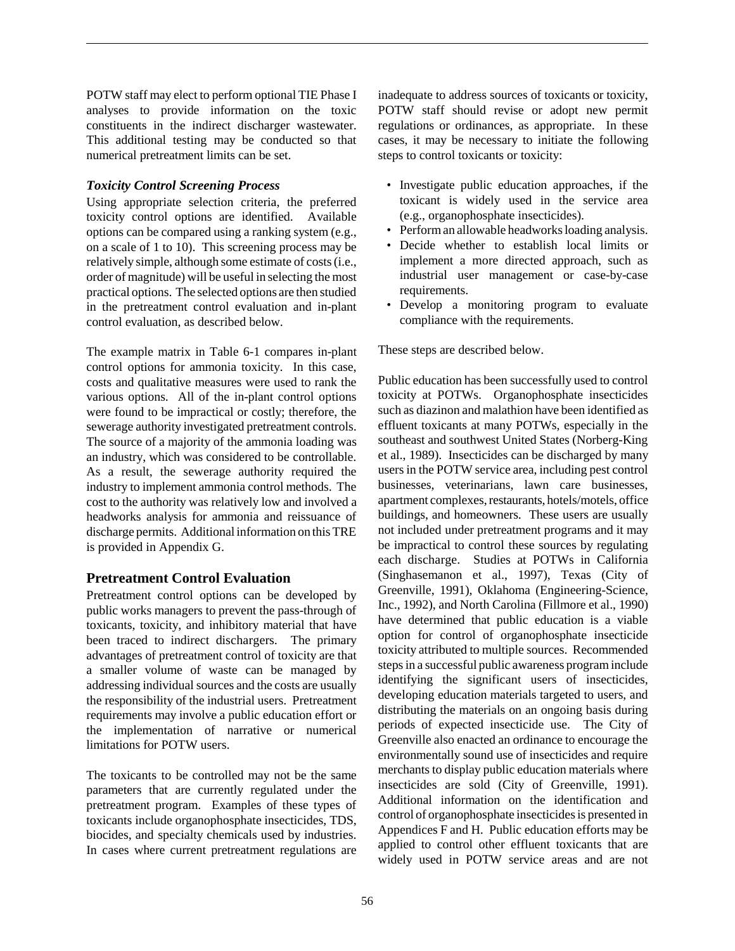POTW staff may elect to perform optional TIE Phase I analyses to provide information on the toxic constituents in the indirect discharger wastewater. This additional testing may be conducted so that numerical pretreatment limits can be set.

## *Toxicity Control Screening Process*

Using appropriate selection criteria, the preferred toxicity control options are identified. Available options can be compared using a ranking system (e.g., on a scale of 1 to 10). This screening process may be relatively simple, although some estimate of costs (i.e., order of magnitude) will be useful in selecting the most practical options. The selected options are then studied in the pretreatment control evaluation and in-plant control evaluation, as described below.

The example matrix in Table 6-1 compares in-plant control options for ammonia toxicity. In this case, costs and qualitative measures were used to rank the various options. All of the in-plant control options were found to be impractical or costly; therefore, the sewerage authority investigated pretreatment controls. The source of a majority of the ammonia loading was an industry, which was considered to be controllable. As a result, the sewerage authority required the industry to implement ammonia control methods. The cost to the authority was relatively low and involved a headworks analysis for ammonia and reissuance of discharge permits. Additional information on this TRE is provided in Appendix G.

# **Pretreatment Control Evaluation**

Pretreatment control options can be developed by public works managers to prevent the pass-through of toxicants, toxicity, and inhibitory material that have been traced to indirect dischargers. The primary advantages of pretreatment control of toxicity are that a smaller volume of waste can be managed by addressing individual sources and the costs are usually the responsibility of the industrial users. Pretreatment requirements may involve a public education effort or the implementation of narrative or numerical limitations for POTW users.

The toxicants to be controlled may not be the same parameters that are currently regulated under the pretreatment program. Examples of these types of toxicants include organophosphate insecticides, TDS, biocides, and specialty chemicals used by industries. In cases where current pretreatment regulations are

inadequate to address sources of toxicants or toxicity, POTW staff should revise or adopt new permit regulations or ordinances, as appropriate. In these cases, it may be necessary to initiate the following steps to control toxicants or toxicity:

- Investigate public education approaches, if the toxicant is widely used in the service area (e.g., organophosphate insecticides).
- Perform an allowable headworks loading analysis.
- Decide whether to establish local limits or implement a more directed approach, such as industrial user management or case-by-case requirements.
- Develop a monitoring program to evaluate compliance with the requirements.

These steps are described below.

Public education has been successfully used to control toxicity at POTWs. Organophosphate insecticides such as diazinon and malathion have been identified as effluent toxicants at many POTWs, especially in the southeast and southwest United States (Norberg-King et al., 1989). Insecticides can be discharged by many users in the POTW service area, including pest control businesses, veterinarians, lawn care businesses, apartment complexes, restaurants, hotels/motels, office buildings, and homeowners. These users are usually not included under pretreatment programs and it may be impractical to control these sources by regulating each discharge. Studies at POTWs in California (Singhasemanon et al., 1997), Texas (City of Greenville, 1991), Oklahoma (Engineering-Science, Inc., 1992), and North Carolina (Fillmore et al., 1990) have determined that public education is a viable option for control of organophosphate insecticide toxicity attributed to multiple sources. Recommended steps in a successful public awareness program include identifying the significant users of insecticides, developing education materials targeted to users, and distributing the materials on an ongoing basis during periods of expected insecticide use. The City of Greenville also enacted an ordinance to encourage the environmentally sound use of insecticides and require merchants to display public education materials where insecticides are sold (City of Greenville, 1991). Additional information on the identification and control of organophosphate insecticides is presented in Appendices F and H. Public education efforts may be applied to control other effluent toxicants that are widely used in POTW service areas and are not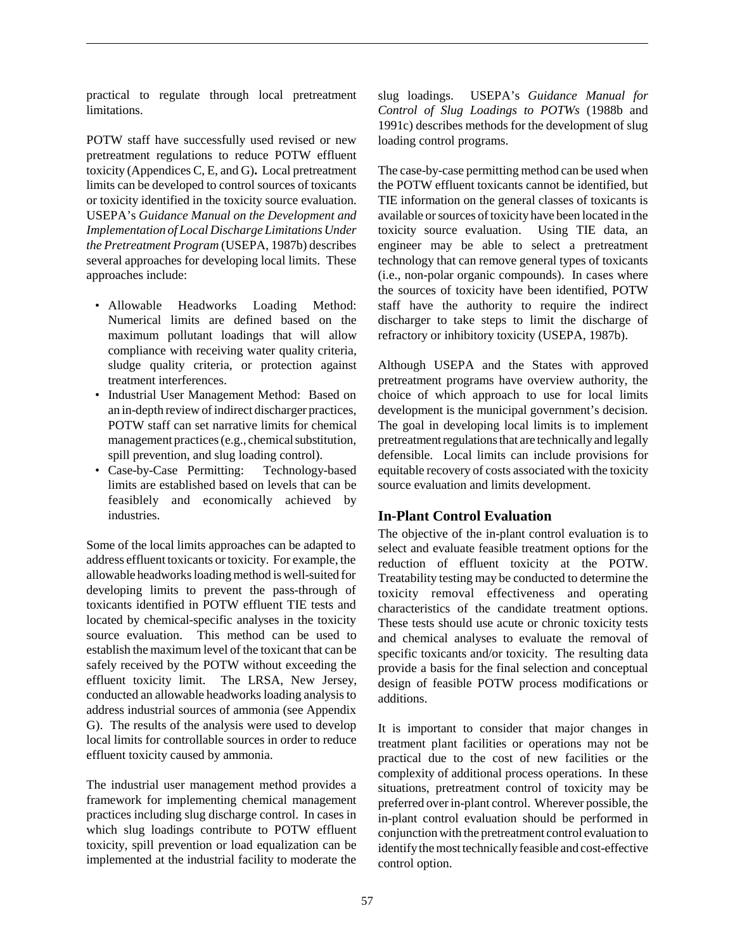practical to regulate through local pretreatment limitations.

POTW staff have successfully used revised or new pretreatment regulations to reduce POTW effluent toxicity (Appendices C, E, and G)**.** Local pretreatment limits can be developed to control sources of toxicants or toxicity identified in the toxicity source evaluation. USEPA's *Guidance Manual on the Development and Implementation of Local Discharge Limitations Under the Pretreatment Program* (USEPA, 1987b) describes several approaches for developing local limits. These approaches include:

- Allowable Headworks Loading Method: Numerical limits are defined based on the maximum pollutant loadings that will allow compliance with receiving water quality criteria, sludge quality criteria, or protection against treatment interferences.
- Industrial User Management Method: Based on an in-depth review of indirect discharger practices, POTW staff can set narrative limits for chemical management practices (e.g., chemical substitution, spill prevention, and slug loading control).
- Case-by-Case Permitting: Technology-based limits are established based on levels that can be feasiblely and economically achieved by industries.

Some of the local limits approaches can be adapted to address effluent toxicants or toxicity. For example, the allowable headworks loading method is well-suited for developing limits to prevent the pass-through of toxicants identified in POTW effluent TIE tests and located by chemical-specific analyses in the toxicity source evaluation. This method can be used to establish the maximum level of the toxicant that can be safely received by the POTW without exceeding the effluent toxicity limit. The LRSA, New Jersey, conducted an allowable headworks loading analysis to address industrial sources of ammonia (see Appendix G). The results of the analysis were used to develop local limits for controllable sources in order to reduce effluent toxicity caused by ammonia.

The industrial user management method provides a framework for implementing chemical management practices including slug discharge control. In cases in which slug loadings contribute to POTW effluent toxicity, spill prevention or load equalization can be implemented at the industrial facility to moderate the

slug loadings. USEPA's *Guidance Manual for Control of Slug Loadings to POTWs* (1988b and 1991c) describes methods for the development of slug loading control programs.

The case-by-case permitting method can be used when the POTW effluent toxicants cannot be identified, but TIE information on the general classes of toxicants is available or sources of toxicity have been located in the toxicity source evaluation. Using TIE data, an engineer may be able to select a pretreatment technology that can remove general types of toxicants (i.e., non-polar organic compounds). In cases where the sources of toxicity have been identified, POTW staff have the authority to require the indirect discharger to take steps to limit the discharge of refractory or inhibitory toxicity (USEPA, 1987b).

Although USEPA and the States with approved pretreatment programs have overview authority, the choice of which approach to use for local limits development is the municipal government's decision. The goal in developing local limits is to implement pretreatment regulations that are technically and legally defensible. Local limits can include provisions for equitable recovery of costs associated with the toxicity source evaluation and limits development.

## **In-Plant Control Evaluation**

The objective of the in-plant control evaluation is to select and evaluate feasible treatment options for the reduction of effluent toxicity at the POTW. Treatability testing may be conducted to determine the toxicity removal effectiveness and operating characteristics of the candidate treatment options. These tests should use acute or chronic toxicity tests and chemical analyses to evaluate the removal of specific toxicants and/or toxicity. The resulting data provide a basis for the final selection and conceptual design of feasible POTW process modifications or additions.

It is important to consider that major changes in treatment plant facilities or operations may not be practical due to the cost of new facilities or the complexity of additional process operations. In these situations, pretreatment control of toxicity may be preferred over in-plant control. Wherever possible, the in-plant control evaluation should be performed in conjunction with the pretreatment control evaluation to identify the most technically feasible and cost-effective control option.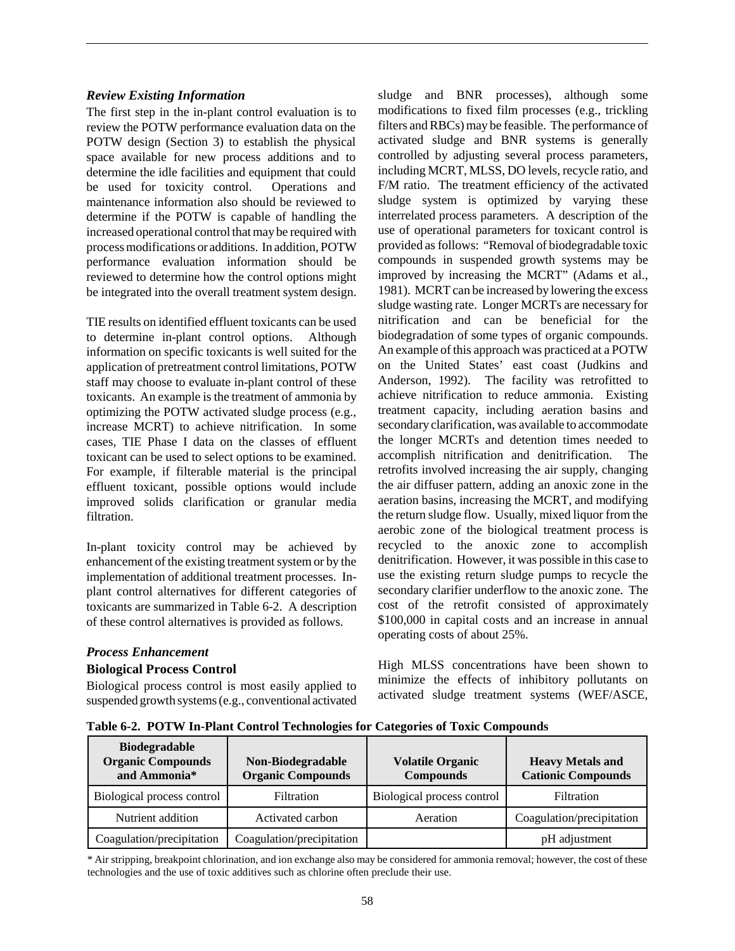## *Review Existing Information*

The first step in the in-plant control evaluation is to review the POTW performance evaluation data on the POTW design (Section 3) to establish the physical space available for new process additions and to determine the idle facilities and equipment that could be used for toxicity control. Operations and maintenance information also should be reviewed to determine if the POTW is capable of handling the increased operational control that may be required with process modifications or additions. In addition, POTW performance evaluation information should be reviewed to determine how the control options might be integrated into the overall treatment system design.

TIE results on identified effluent toxicants can be used to determine in-plant control options. Although information on specific toxicants is well suited for the application of pretreatment control limitations, POTW staff may choose to evaluate in-plant control of these toxicants. An example is the treatment of ammonia by optimizing the POTW activated sludge process (e.g., increase MCRT) to achieve nitrification. In some cases, TIE Phase I data on the classes of effluent toxicant can be used to select options to be examined. For example, if filterable material is the principal effluent toxicant, possible options would include improved solids clarification or granular media filtration.

In-plant toxicity control may be achieved by enhancement of the existing treatment system or by the implementation of additional treatment processes. Inplant control alternatives for different categories of toxicants are summarized in Table 6-2. A description of these control alternatives is provided as follows.

## sludge and BNR processes), although some modifications to fixed film processes (e.g., trickling filters and RBCs) may be feasible. The performance of activated sludge and BNR systems is generally controlled by adjusting several process parameters, including MCRT, MLSS, DO levels, recycle ratio, and F/M ratio. The treatment efficiency of the activated sludge system is optimized by varying these interrelated process parameters. A description of the use of operational parameters for toxicant control is provided as follows: "Removal of biodegradable toxic compounds in suspended growth systems may be improved by increasing the MCRT" (Adams et al., 1981). MCRT can be increased by lowering the excess sludge wasting rate. Longer MCRTs are necessary for nitrification and can be beneficial for the biodegradation of some types of organic compounds. An example of this approach was practiced at a POTW on the United States' east coast (Judkins and Anderson, 1992). The facility was retrofitted to achieve nitrification to reduce ammonia. Existing treatment capacity, including aeration basins and secondary clarification, was available to accommodate the longer MCRTs and detention times needed to accomplish nitrification and denitrification. The retrofits involved increasing the air supply, changing the air diffuser pattern, adding an anoxic zone in the aeration basins, increasing the MCRT, and modifying the return sludge flow. Usually, mixed liquor from the aerobic zone of the biological treatment process is recycled to the anoxic zone to accomplish denitrification. However, it was possible in this case to use the existing return sludge pumps to recycle the secondary clarifier underflow to the anoxic zone. The cost of the retrofit consisted of approximately \$100,000 in capital costs and an increase in annual

## *Process Enhancement*

#### **Biological Process Control**

Biological process control is most easily applied to suspended growth systems (e.g., conventional activated High MLSS concentrations have been shown to minimize the effects of inhibitory pollutants on activated sludge treatment systems (WEF/ASCE,

operating costs of about 25%.

**Table 6-2. POTW In-Plant Control Technologies for Categories of Toxic Compounds**

| <b>Biodegradable</b><br><b>Organic Compounds</b><br>and Ammonia* | Non-Biodegradable<br><b>Organic Compounds</b> | <b>Volatile Organic</b><br><b>Compounds</b> | <b>Heavy Metals and</b><br><b>Cationic Compounds</b> |
|------------------------------------------------------------------|-----------------------------------------------|---------------------------------------------|------------------------------------------------------|
| Biological process control                                       | Filtration                                    | Biological process control                  | Filtration                                           |
| Nutrient addition                                                | Activated carbon                              | Aeration                                    | Coagulation/precipitation                            |
| Coagulation/precipitation                                        | Coagulation/precipitation                     |                                             | pH adjustment                                        |

\* Air stripping, breakpoint chlorination, and ion exchange also may be considered for ammonia removal; however, the cost of these technologies and the use of toxic additives such as chlorine often preclude their use.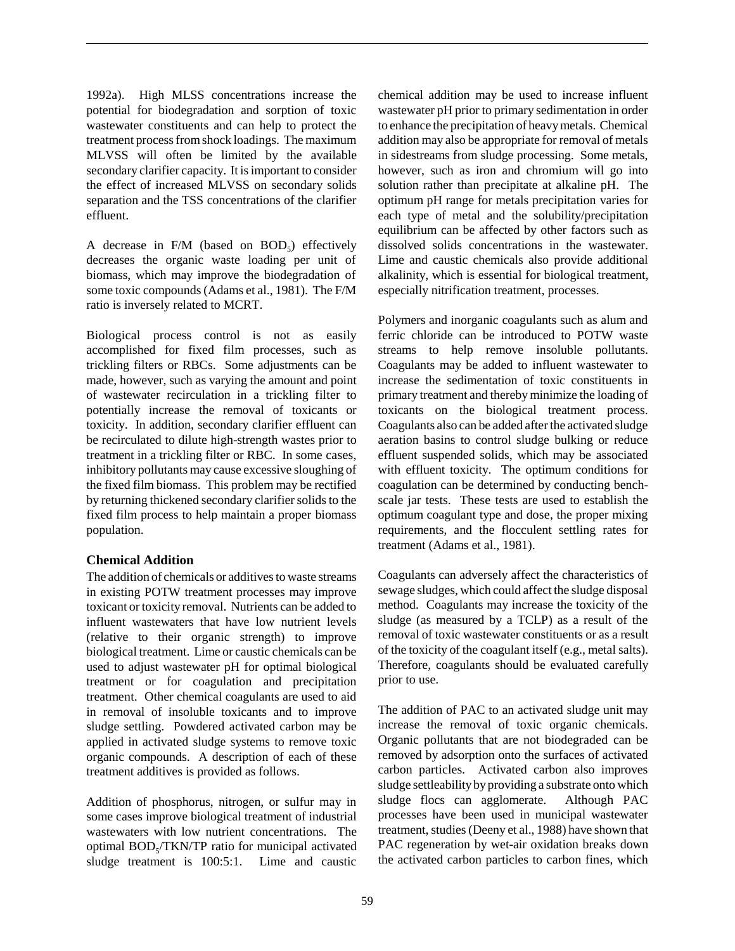1992a). High MLSS concentrations increase the potential for biodegradation and sorption of toxic wastewater constituents and can help to protect the treatment process from shock loadings. The maximum MLVSS will often be limited by the available secondary clarifier capacity. It is important to consider the effect of increased MLVSS on secondary solids separation and the TSS concentrations of the clarifier effluent.

A decrease in  $F/M$  (based on  $BOD<sub>5</sub>$ ) effectively decreases the organic waste loading per unit of biomass, which may improve the biodegradation of some toxic compounds (Adams et al., 1981). The F/M ratio is inversely related to MCRT.

Biological process control is not as easily accomplished for fixed film processes, such as trickling filters or RBCs. Some adjustments can be made, however, such as varying the amount and point of wastewater recirculation in a trickling filter to potentially increase the removal of toxicants or toxicity. In addition, secondary clarifier effluent can be recirculated to dilute high-strength wastes prior to treatment in a trickling filter or RBC. In some cases, inhibitory pollutants may cause excessive sloughing of the fixed film biomass. This problem may be rectified by returning thickened secondary clarifier solids to the fixed film process to help maintain a proper biomass population.

#### **Chemical Addition**

The addition of chemicals or additives to waste streams in existing POTW treatment processes may improve toxicant or toxicity removal. Nutrients can be added to influent wastewaters that have low nutrient levels (relative to their organic strength) to improve biological treatment. Lime or caustic chemicals can be used to adjust wastewater pH for optimal biological treatment or for coagulation and precipitation treatment. Other chemical coagulants are used to aid in removal of insoluble toxicants and to improve sludge settling. Powdered activated carbon may be applied in activated sludge systems to remove toxic organic compounds. A description of each of these treatment additives is provided as follows.

Addition of phosphorus, nitrogen, or sulfur may in some cases improve biological treatment of industrial wastewaters with low nutrient concentrations. The optimal BOD<sub>5</sub>/TKN/TP ratio for municipal activated sludge treatment is 100:5:1. Lime and caustic

chemical addition may be used to increase influent wastewater pH prior to primary sedimentation in order to enhance the precipitation of heavy metals. Chemical addition may also be appropriate for removal of metals in sidestreams from sludge processing. Some metals, however, such as iron and chromium will go into solution rather than precipitate at alkaline pH. The optimum pH range for metals precipitation varies for each type of metal and the solubility/precipitation equilibrium can be affected by other factors such as dissolved solids concentrations in the wastewater. Lime and caustic chemicals also provide additional alkalinity, which is essential for biological treatment, especially nitrification treatment, processes.

Polymers and inorganic coagulants such as alum and ferric chloride can be introduced to POTW waste streams to help remove insoluble pollutants. Coagulants may be added to influent wastewater to increase the sedimentation of toxic constituents in primary treatment and thereby minimize the loading of toxicants on the biological treatment process. Coagulants also can be added after the activated sludge aeration basins to control sludge bulking or reduce effluent suspended solids, which may be associated with effluent toxicity. The optimum conditions for coagulation can be determined by conducting benchscale jar tests. These tests are used to establish the optimum coagulant type and dose, the proper mixing requirements, and the flocculent settling rates for treatment (Adams et al., 1981).

Coagulants can adversely affect the characteristics of sewage sludges, which could affect the sludge disposal method. Coagulants may increase the toxicity of the sludge (as measured by a TCLP) as a result of the removal of toxic wastewater constituents or as a result of the toxicity of the coagulant itself (e.g., metal salts). Therefore, coagulants should be evaluated carefully prior to use.

The addition of PAC to an activated sludge unit may increase the removal of toxic organic chemicals. Organic pollutants that are not biodegraded can be removed by adsorption onto the surfaces of activated carbon particles. Activated carbon also improves sludge settleability by providing a substrate onto which sludge flocs can agglomerate. Although PAC processes have been used in municipal wastewater treatment, studies (Deeny et al., 1988) have shown that PAC regeneration by wet-air oxidation breaks down the activated carbon particles to carbon fines, which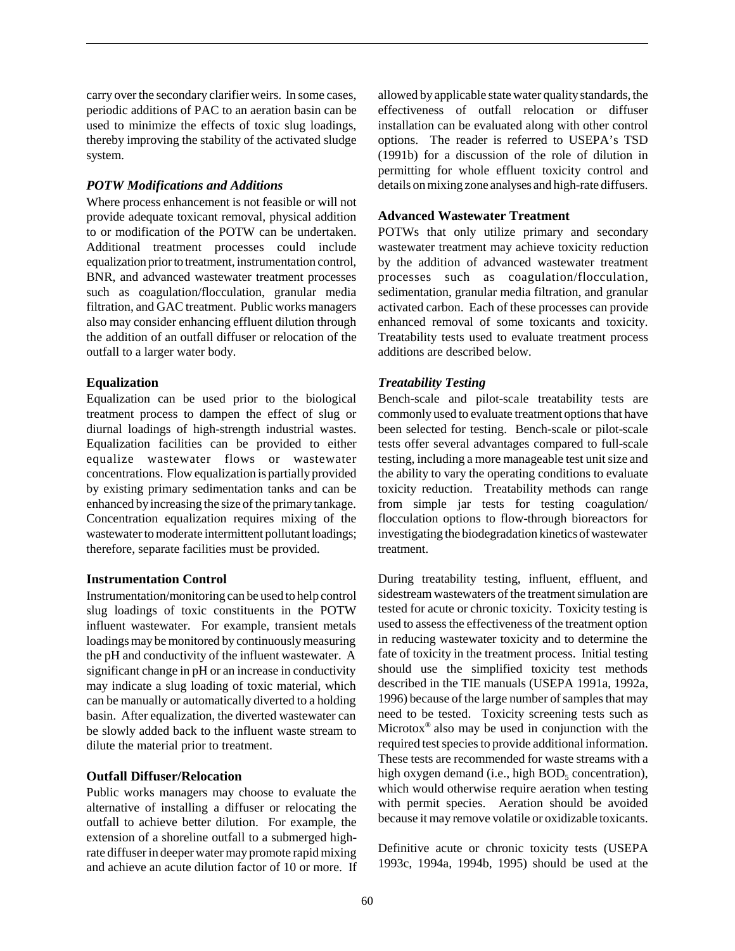carry over the secondary clarifier weirs. In some cases, periodic additions of PAC to an aeration basin can be used to minimize the effects of toxic slug loadings, thereby improving the stability of the activated sludge system.

#### *POTW Modifications and Additions*

Where process enhancement is not feasible or will not provide adequate toxicant removal, physical addition to or modification of the POTW can be undertaken. Additional treatment processes could include equalization prior to treatment, instrumentation control, BNR, and advanced wastewater treatment processes such as coagulation/flocculation, granular media filtration, and GAC treatment. Public works managers also may consider enhancing effluent dilution through the addition of an outfall diffuser or relocation of the outfall to a larger water body.

#### **Equalization**

Equalization can be used prior to the biological treatment process to dampen the effect of slug or diurnal loadings of high-strength industrial wastes. Equalization facilities can be provided to either equalize wastewater flows or wastewater concentrations. Flow equalization is partially provided by existing primary sedimentation tanks and can be enhanced by increasing the size of the primary tankage. Concentration equalization requires mixing of the wastewater to moderate intermittent pollutant loadings; therefore, separate facilities must be provided.

#### **Instrumentation Control**

Instrumentation/monitoring can be used to help control slug loadings of toxic constituents in the POTW influent wastewater. For example, transient metals loadings may be monitored by continuously measuring the pH and conductivity of the influent wastewater. A significant change in pH or an increase in conductivity may indicate a slug loading of toxic material, which can be manually or automatically diverted to a holding basin. After equalization, the diverted wastewater can be slowly added back to the influent waste stream to dilute the material prior to treatment.

#### **Outfall Diffuser/Relocation**

Public works managers may choose to evaluate the alternative of installing a diffuser or relocating the outfall to achieve better dilution. For example, the extension of a shoreline outfall to a submerged highrate diffuser in deeper water may promote rapid mixing and achieve an acute dilution factor of 10 or more. If allowed by applicable state water quality standards, the effectiveness of outfall relocation or diffuser installation can be evaluated along with other control options. The reader is referred to USEPA's TSD (1991b) for a discussion of the role of dilution in permitting for whole effluent toxicity control and details on mixing zone analyses and high-rate diffusers.

#### **Advanced Wastewater Treatment**

POTWs that only utilize primary and secondary wastewater treatment may achieve toxicity reduction by the addition of advanced wastewater treatment processes such as coagulation/flocculation, sedimentation, granular media filtration, and granular activated carbon. Each of these processes can provide enhanced removal of some toxicants and toxicity. Treatability tests used to evaluate treatment process additions are described below.

#### *Treatability Testing*

Bench-scale and pilot-scale treatability tests are commonly used to evaluate treatment options that have been selected for testing. Bench-scale or pilot-scale tests offer several advantages compared to full-scale testing, including a more manageable test unit size and the ability to vary the operating conditions to evaluate toxicity reduction. Treatability methods can range from simple jar tests for testing coagulation/ flocculation options to flow-through bioreactors for investigating the biodegradation kinetics of wastewater treatment.

During treatability testing, influent, effluent, and sidestream wastewaters of the treatment simulation are tested for acute or chronic toxicity. Toxicity testing is used to assess the effectiveness of the treatment option in reducing wastewater toxicity and to determine the fate of toxicity in the treatment process. Initial testing should use the simplified toxicity test methods described in the TIE manuals (USEPA 1991a, 1992a, 1996) because of the large number of samples that may need to be tested. Toxicity screening tests such as Microtox® also may be used in conjunction with the required test species to provide additional information. These tests are recommended for waste streams with a high oxygen demand (i.e., high  $BOD<sub>5</sub>$  concentration), which would otherwise require aeration when testing with permit species. Aeration should be avoided because it may remove volatile or oxidizable toxicants.

Definitive acute or chronic toxicity tests (USEPA 1993c, 1994a, 1994b, 1995) should be used at the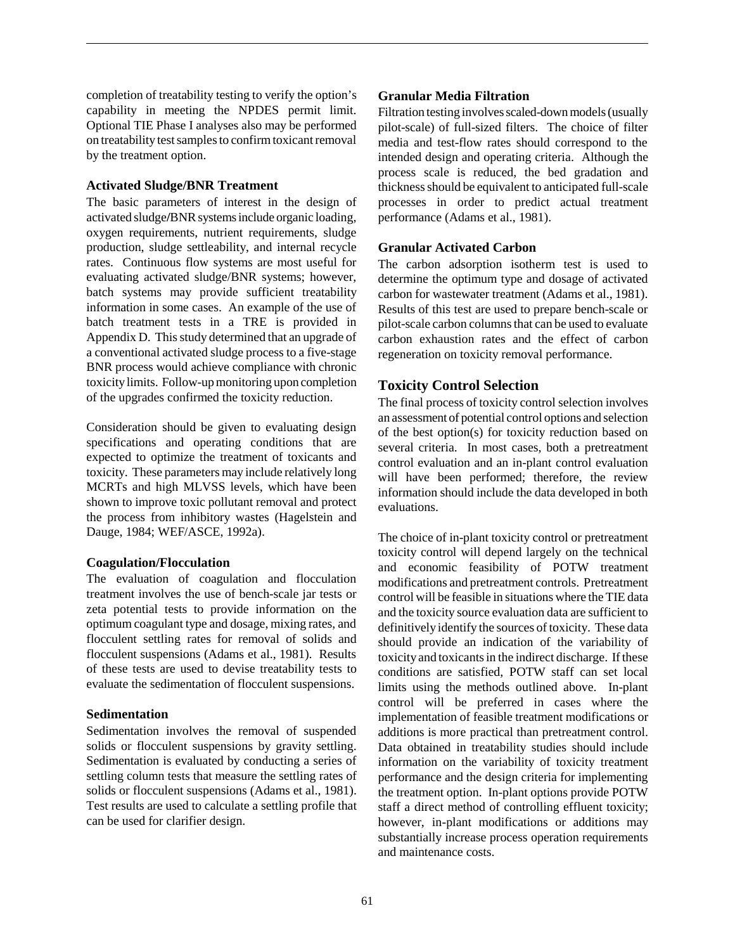completion of treatability testing to verify the option's capability in meeting the NPDES permit limit. Optional TIE Phase I analyses also may be performed on treatability test samples to confirm toxicant removal by the treatment option.

#### **Activated Sludge/BNR Treatment**

The basic parameters of interest in the design of activated sludge**/**BNR systems include organic loading, oxygen requirements, nutrient requirements, sludge production, sludge settleability, and internal recycle rates. Continuous flow systems are most useful for evaluating activated sludge/BNR systems; however, batch systems may provide sufficient treatability information in some cases. An example of the use of batch treatment tests in a TRE is provided in Appendix D. This study determined that an upgrade of a conventional activated sludge process to a five-stage BNR process would achieve compliance with chronic toxicity limits. Follow-up monitoring upon completion of the upgrades confirmed the toxicity reduction.

Consideration should be given to evaluating design specifications and operating conditions that are expected to optimize the treatment of toxicants and toxicity. These parameters may include relatively long MCRTs and high MLVSS levels, which have been shown to improve toxic pollutant removal and protect the process from inhibitory wastes (Hagelstein and Dauge, 1984; WEF/ASCE, 1992a).

#### **Coagulation/Flocculation**

The evaluation of coagulation and flocculation treatment involves the use of bench-scale jar tests or zeta potential tests to provide information on the optimum coagulant type and dosage, mixing rates, and flocculent settling rates for removal of solids and flocculent suspensions (Adams et al., 1981). Results of these tests are used to devise treatability tests to evaluate the sedimentation of flocculent suspensions.

#### **Sedimentation**

Sedimentation involves the removal of suspended solids or flocculent suspensions by gravity settling. Sedimentation is evaluated by conducting a series of settling column tests that measure the settling rates of solids or flocculent suspensions (Adams et al., 1981). Test results are used to calculate a settling profile that can be used for clarifier design.

## **Granular Media Filtration**

Filtration testing involves scaled-down models (usually pilot-scale) of full-sized filters. The choice of filter media and test-flow rates should correspond to the intended design and operating criteria. Although the process scale is reduced, the bed gradation and thickness should be equivalent to anticipated full-scale processes in order to predict actual treatment performance (Adams et al., 1981).

## **Granular Activated Carbon**

The carbon adsorption isotherm test is used to determine the optimum type and dosage of activated carbon for wastewater treatment (Adams et al., 1981). Results of this test are used to prepare bench-scale or pilot-scale carbon columns that can be used to evaluate carbon exhaustion rates and the effect of carbon regeneration on toxicity removal performance.

## **Toxicity Control Selection**

The final process of toxicity control selection involves an assessment of potential control options and selection of the best option(s) for toxicity reduction based on several criteria. In most cases, both a pretreatment control evaluation and an in-plant control evaluation will have been performed; therefore, the review information should include the data developed in both evaluations.

The choice of in-plant toxicity control or pretreatment toxicity control will depend largely on the technical and economic feasibility of POTW treatment modifications and pretreatment controls. Pretreatment control will be feasible in situations where the TIE data and the toxicity source evaluation data are sufficient to definitively identify the sources of toxicity. These data should provide an indication of the variability of toxicity and toxicants in the indirect discharge. If these conditions are satisfied, POTW staff can set local limits using the methods outlined above. In-plant control will be preferred in cases where the implementation of feasible treatment modifications or additions is more practical than pretreatment control. Data obtained in treatability studies should include information on the variability of toxicity treatment performance and the design criteria for implementing the treatment option. In-plant options provide POTW staff a direct method of controlling effluent toxicity; however, in-plant modifications or additions may substantially increase process operation requirements and maintenance costs.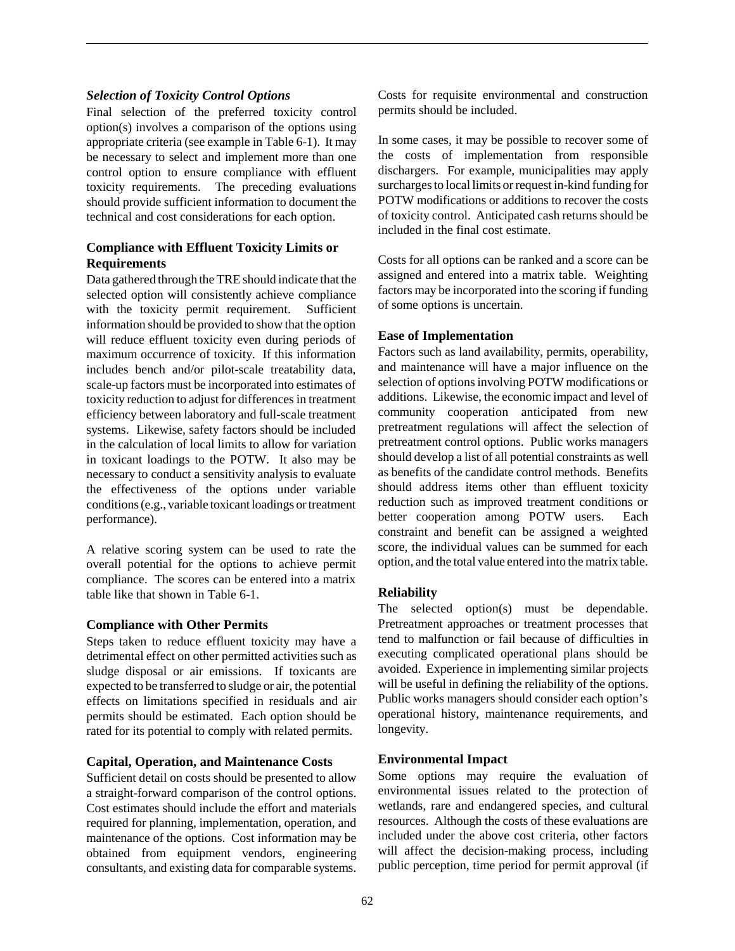#### *Selection of Toxicity Control Options*

Final selection of the preferred toxicity control option(s) involves a comparison of the options using appropriate criteria (see example in Table 6-1). It may be necessary to select and implement more than one control option to ensure compliance with effluent toxicity requirements. The preceding evaluations should provide sufficient information to document the technical and cost considerations for each option.

## **Compliance with Effluent Toxicity Limits or Requirements**

Data gathered through the TRE should indicate that the selected option will consistently achieve compliance with the toxicity permit requirement. Sufficient information should be provided to show that the option will reduce effluent toxicity even during periods of maximum occurrence of toxicity. If this information includes bench and/or pilot-scale treatability data, scale-up factors must be incorporated into estimates of toxicity reduction to adjust for differences in treatment efficiency between laboratory and full-scale treatment systems. Likewise, safety factors should be included in the calculation of local limits to allow for variation in toxicant loadings to the POTW. It also may be necessary to conduct a sensitivity analysis to evaluate the effectiveness of the options under variable conditions (e.g., variable toxicant loadings or treatment performance).

A relative scoring system can be used to rate the overall potential for the options to achieve permit compliance. The scores can be entered into a matrix table like that shown in Table 6-1.

## **Compliance with Other Permits**

Steps taken to reduce effluent toxicity may have a detrimental effect on other permitted activities such as sludge disposal or air emissions. If toxicants are expected to be transferred to sludge or air, the potential effects on limitations specified in residuals and air permits should be estimated. Each option should be rated for its potential to comply with related permits.

#### **Capital, Operation, and Maintenance Costs**

Sufficient detail on costs should be presented to allow a straight-forward comparison of the control options. Cost estimates should include the effort and materials required for planning, implementation, operation, and maintenance of the options. Cost information may be obtained from equipment vendors, engineering consultants, and existing data for comparable systems.

In some cases, it may be possible to recover some of the costs of implementation from responsible dischargers. For example, municipalities may apply surcharges to local limits or request in-kind funding for POTW modifications or additions to recover the costs of toxicity control. Anticipated cash returns should be included in the final cost estimate.

Costs for all options can be ranked and a score can be assigned and entered into a matrix table. Weighting factors may be incorporated into the scoring if funding of some options is uncertain.

### **Ease of Implementation**

Factors such as land availability, permits, operability, and maintenance will have a major influence on the selection of options involving POTW modifications or additions. Likewise, the economic impact and level of community cooperation anticipated from new pretreatment regulations will affect the selection of pretreatment control options. Public works managers should develop a list of all potential constraints as well as benefits of the candidate control methods. Benefits should address items other than effluent toxicity reduction such as improved treatment conditions or better cooperation among POTW users. Each constraint and benefit can be assigned a weighted score, the individual values can be summed for each option, and the total value entered into the matrix table.

## **Reliability**

The selected option(s) must be dependable. Pretreatment approaches or treatment processes that tend to malfunction or fail because of difficulties in executing complicated operational plans should be avoided. Experience in implementing similar projects will be useful in defining the reliability of the options. Public works managers should consider each option's operational history, maintenance requirements, and longevity.

#### **Environmental Impact**

Some options may require the evaluation of environmental issues related to the protection of wetlands, rare and endangered species, and cultural resources. Although the costs of these evaluations are included under the above cost criteria, other factors will affect the decision-making process, including public perception, time period for permit approval (if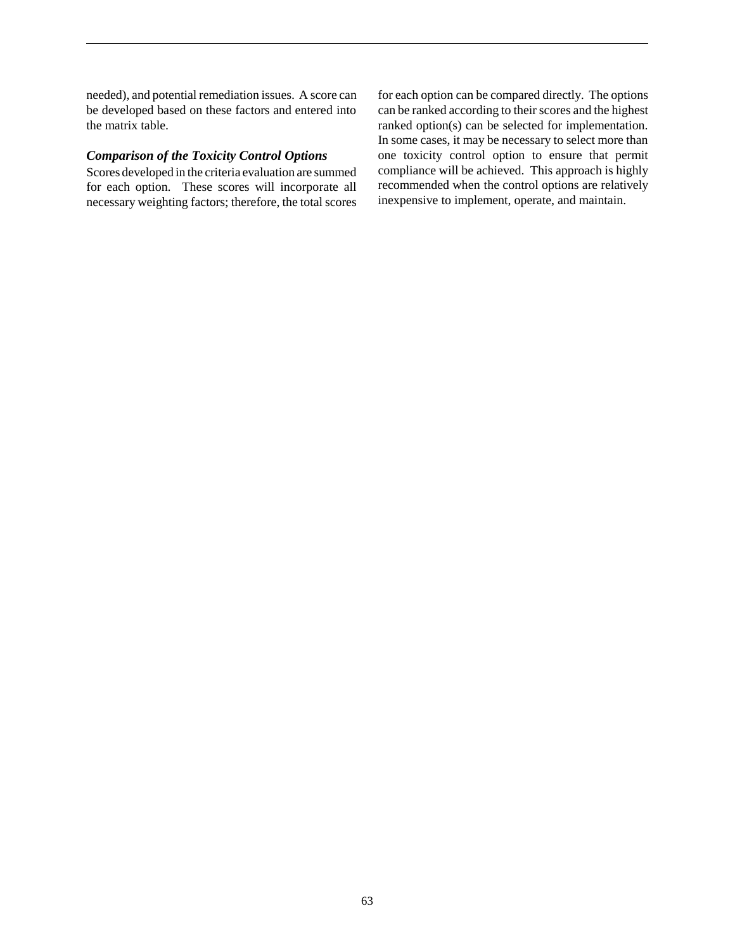needed), and potential remediation issues. A score can be developed based on these factors and entered into the matrix table.

### *Comparison of the Toxicity Control Options*

Scores developed in the criteria evaluation are summed for each option. These scores will incorporate all necessary weighting factors; therefore, the total scores for each option can be compared directly. The options can be ranked according to their scores and the highest ranked option(s) can be selected for implementation. In some cases, it may be necessary to select more than one toxicity control option to ensure that permit compliance will be achieved. This approach is highly recommended when the control options are relatively inexpensive to implement, operate, and maintain.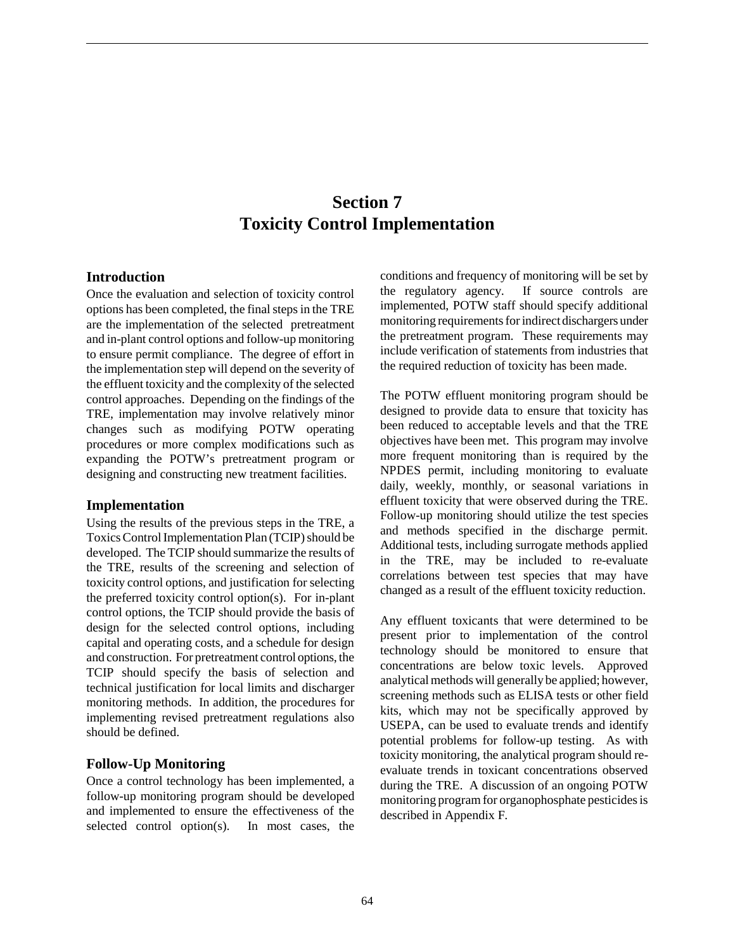# **Section 7 Toxicity Control Implementation**

## **Introduction**

Once the evaluation and selection of toxicity control options has been completed, the final steps in the TRE are the implementation of the selected pretreatment and in-plant control options and follow-up monitoring to ensure permit compliance. The degree of effort in the implementation step will depend on the severity of the effluent toxicity and the complexity of the selected control approaches. Depending on the findings of the TRE, implementation may involve relatively minor changes such as modifying POTW operating procedures or more complex modifications such as expanding the POTW's pretreatment program or designing and constructing new treatment facilities.

#### **Implementation**

Using the results of the previous steps in the TRE, a Toxics Control Implementation Plan (TCIP) should be developed. The TCIP should summarize the results of the TRE, results of the screening and selection of toxicity control options, and justification for selecting the preferred toxicity control option(s). For in-plant control options, the TCIP should provide the basis of design for the selected control options, including capital and operating costs, and a schedule for design and construction. For pretreatment control options, the TCIP should specify the basis of selection and technical justification for local limits and discharger monitoring methods. In addition, the procedures for implementing revised pretreatment regulations also should be defined.

## **Follow-Up Monitoring**

Once a control technology has been implemented, a follow-up monitoring program should be developed and implemented to ensure the effectiveness of the selected control option(s). In most cases, the conditions and frequency of monitoring will be set by the regulatory agency. If source controls are implemented, POTW staff should specify additional monitoring requirements for indirect dischargers under the pretreatment program. These requirements may include verification of statements from industries that the required reduction of toxicity has been made.

The POTW effluent monitoring program should be designed to provide data to ensure that toxicity has been reduced to acceptable levels and that the TRE objectives have been met. This program may involve more frequent monitoring than is required by the NPDES permit, including monitoring to evaluate daily, weekly, monthly, or seasonal variations in effluent toxicity that were observed during the TRE. Follow-up monitoring should utilize the test species and methods specified in the discharge permit. Additional tests, including surrogate methods applied in the TRE, may be included to re-evaluate correlations between test species that may have changed as a result of the effluent toxicity reduction.

Any effluent toxicants that were determined to be present prior to implementation of the control technology should be monitored to ensure that concentrations are below toxic levels. Approved analytical methods will generally be applied; however, screening methods such as ELISA tests or other field kits, which may not be specifically approved by USEPA, can be used to evaluate trends and identify potential problems for follow-up testing. As with toxicity monitoring, the analytical program should reevaluate trends in toxicant concentrations observed during the TRE. A discussion of an ongoing POTW monitoring program for organophosphate pesticides is described in Appendix F.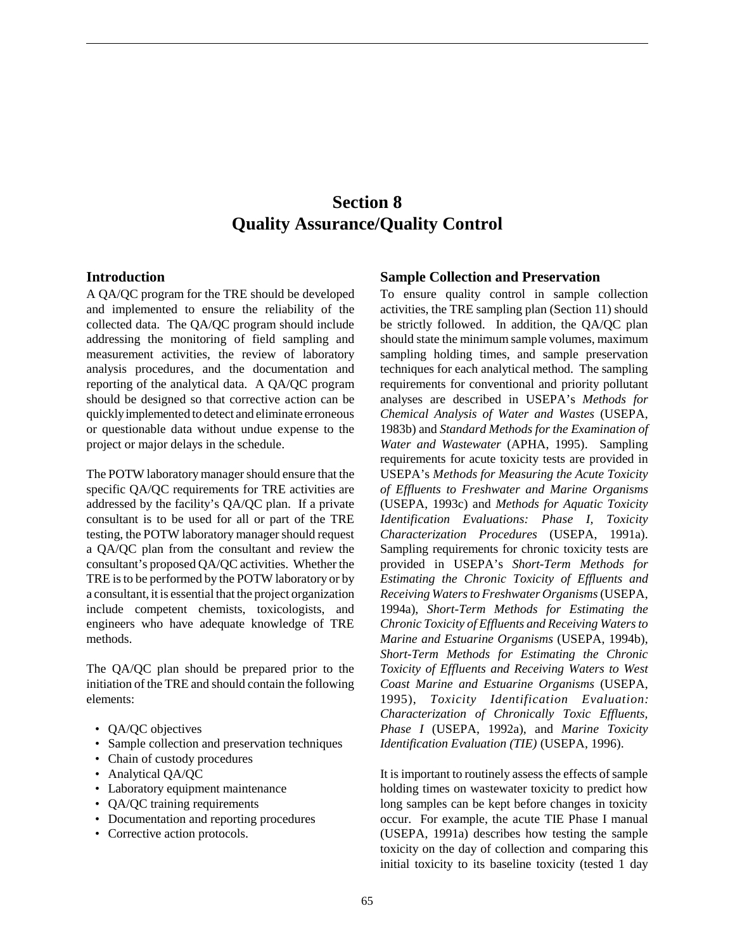# **Section 8 Quality Assurance/Quality Control**

#### **Introduction**

A QA/QC program for the TRE should be developed and implemented to ensure the reliability of the collected data. The QA/QC program should include addressing the monitoring of field sampling and measurement activities, the review of laboratory analysis procedures, and the documentation and reporting of the analytical data. A QA/QC program should be designed so that corrective action can be quickly implemented to detect and eliminate erroneous or questionable data without undue expense to the project or major delays in the schedule.

The POTW laboratory manager should ensure that the specific QA/QC requirements for TRE activities are addressed by the facility's QA/QC plan. If a private consultant is to be used for all or part of the TRE testing, the POTW laboratory manager should request a QA/QC plan from the consultant and review the consultant's proposed QA/QC activities. Whether the TRE is to be performed by the POTW laboratory or by a consultant, it is essential that the project organization include competent chemists, toxicologists, and engineers who have adequate knowledge of TRE methods.

The QA/QC plan should be prepared prior to the initiation of the TRE and should contain the following elements:

- OA/OC objectives
- Sample collection and preservation techniques
- Chain of custody procedures
- Analytical QA/QC
- Laboratory equipment maintenance
- QA/QC training requirements
- Documentation and reporting procedures
- Corrective action protocols.

#### **Sample Collection and Preservation**

To ensure quality control in sample collection activities, the TRE sampling plan (Section 11) should be strictly followed. In addition, the QA/QC plan should state the minimum sample volumes, maximum sampling holding times, and sample preservation techniques for each analytical method. The sampling requirements for conventional and priority pollutant analyses are described in USEPA's *Methods for Chemical Analysis of Water and Wastes* (USEPA, 1983b) and *Standard Methods for the Examination of Water and Wastewater* (APHA, 1995). Sampling requirements for acute toxicity tests are provided in USEPA's *Methods for Measuring the Acute Toxicity of Effluents to Freshwater and Marine Organisms* (USEPA, 1993c) and *Methods for Aquatic Toxicity Identification Evaluations: Phase I, Toxicity Characterization Procedures* (USEPA, 1991a). Sampling requirements for chronic toxicity tests are provided in USEPA's *Short-Term Methods for Estimating the Chronic Toxicity of Effluents and Receiving Waters to Freshwater Organisms* (USEPA, 1994a), *Short-Term Methods for Estimating the Chronic Toxicity of Effluents and Receiving Waters to Marine and Estuarine Organisms* (USEPA, 1994b), *Short-Term Methods for Estimating the Chronic Toxicity of Effluents and Receiving Waters to West Coast Marine and Estuarine Organisms* (USEPA, 1995), *Toxicity Identification Evaluation: Characterization of Chronically Toxic Effluents, Phase I* (USEPA, 1992a), and *Marine Toxicity Identification Evaluation (TIE)* (USEPA, 1996).

It is important to routinely assess the effects of sample holding times on wastewater toxicity to predict how long samples can be kept before changes in toxicity occur. For example, the acute TIE Phase I manual (USEPA, 1991a) describes how testing the sample toxicity on the day of collection and comparing this initial toxicity to its baseline toxicity (tested 1 day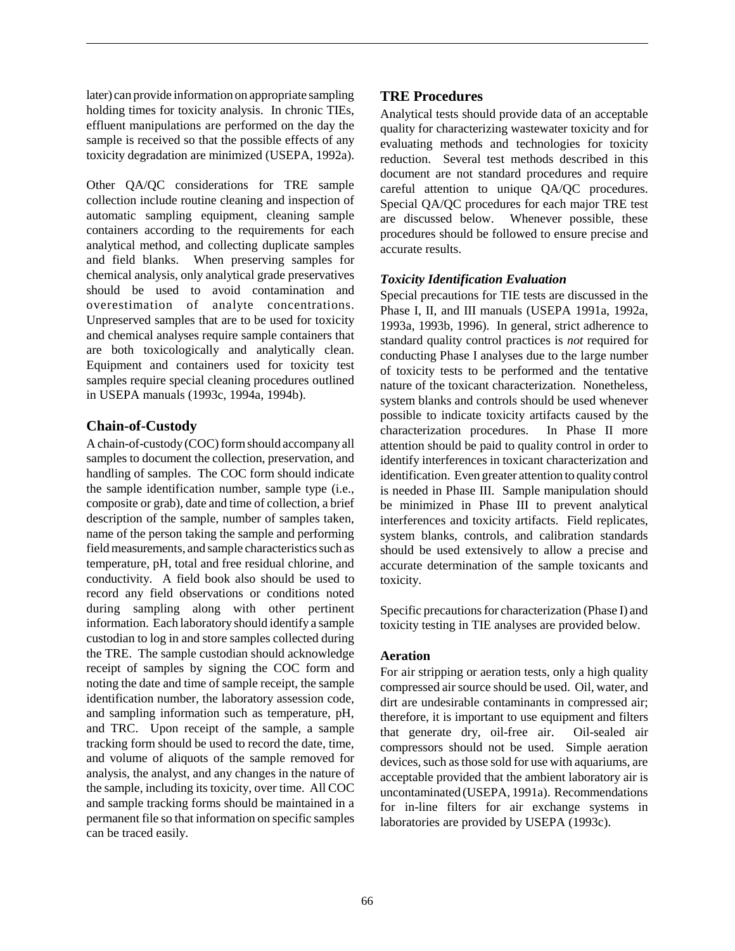later) can provide information on appropriate sampling holding times for toxicity analysis. In chronic TIEs, effluent manipulations are performed on the day the sample is received so that the possible effects of any toxicity degradation are minimized (USEPA, 1992a).

Other QA/QC considerations for TRE sample collection include routine cleaning and inspection of automatic sampling equipment, cleaning sample containers according to the requirements for each analytical method, and collecting duplicate samples and field blanks. When preserving samples for chemical analysis, only analytical grade preservatives should be used to avoid contamination and overestimation of analyte concentrations. Unpreserved samples that are to be used for toxicity and chemical analyses require sample containers that are both toxicologically and analytically clean. Equipment and containers used for toxicity test samples require special cleaning procedures outlined in USEPA manuals (1993c, 1994a, 1994b).

### **Chain-of-Custody**

A chain-of-custody (COC) form should accompany all samples to document the collection, preservation, and handling of samples. The COC form should indicate the sample identification number, sample type (i.e., composite or grab), date and time of collection, a brief description of the sample, number of samples taken, name of the person taking the sample and performing field measurements, and sample characteristics such as temperature, pH, total and free residual chlorine, and conductivity. A field book also should be used to record any field observations or conditions noted during sampling along with other pertinent information. Each laboratory should identify a sample custodian to log in and store samples collected during the TRE. The sample custodian should acknowledge receipt of samples by signing the COC form and noting the date and time of sample receipt, the sample identification number, the laboratory assession code, and sampling information such as temperature, pH, and TRC. Upon receipt of the sample, a sample tracking form should be used to record the date, time, and volume of aliquots of the sample removed for analysis, the analyst, and any changes in the nature of the sample, including its toxicity, over time. All COC and sample tracking forms should be maintained in a permanent file so that information on specific samples can be traced easily.

### **TRE Procedures**

Analytical tests should provide data of an acceptable quality for characterizing wastewater toxicity and for evaluating methods and technologies for toxicity reduction. Several test methods described in this document are not standard procedures and require careful attention to unique QA/QC procedures. Special QA/QC procedures for each major TRE test are discussed below. Whenever possible, these procedures should be followed to ensure precise and accurate results.

#### *Toxicity Identification Evaluation*

Special precautions for TIE tests are discussed in the Phase I, II, and III manuals (USEPA 1991a, 1992a, 1993a, 1993b, 1996). In general, strict adherence to standard quality control practices is *not* required for conducting Phase I analyses due to the large number of toxicity tests to be performed and the tentative nature of the toxicant characterization. Nonetheless, system blanks and controls should be used whenever possible to indicate toxicity artifacts caused by the characterization procedures. In Phase II more attention should be paid to quality control in order to identify interferences in toxicant characterization and identification. Even greater attention to quality control is needed in Phase III. Sample manipulation should be minimized in Phase III to prevent analytical interferences and toxicity artifacts. Field replicates, system blanks, controls, and calibration standards should be used extensively to allow a precise and accurate determination of the sample toxicants and toxicity.

Specific precautions for characterization (Phase I) and toxicity testing in TIE analyses are provided below.

#### **Aeration**

For air stripping or aeration tests, only a high quality compressed air source should be used. Oil, water, and dirt are undesirable contaminants in compressed air; therefore, it is important to use equipment and filters that generate dry, oil-free air. Oil-sealed air compressors should not be used. Simple aeration devices, such as those sold for use with aquariums, are acceptable provided that the ambient laboratory air is uncontaminated (USEPA, 1991a). Recommendations for in-line filters for air exchange systems in laboratories are provided by USEPA (1993c).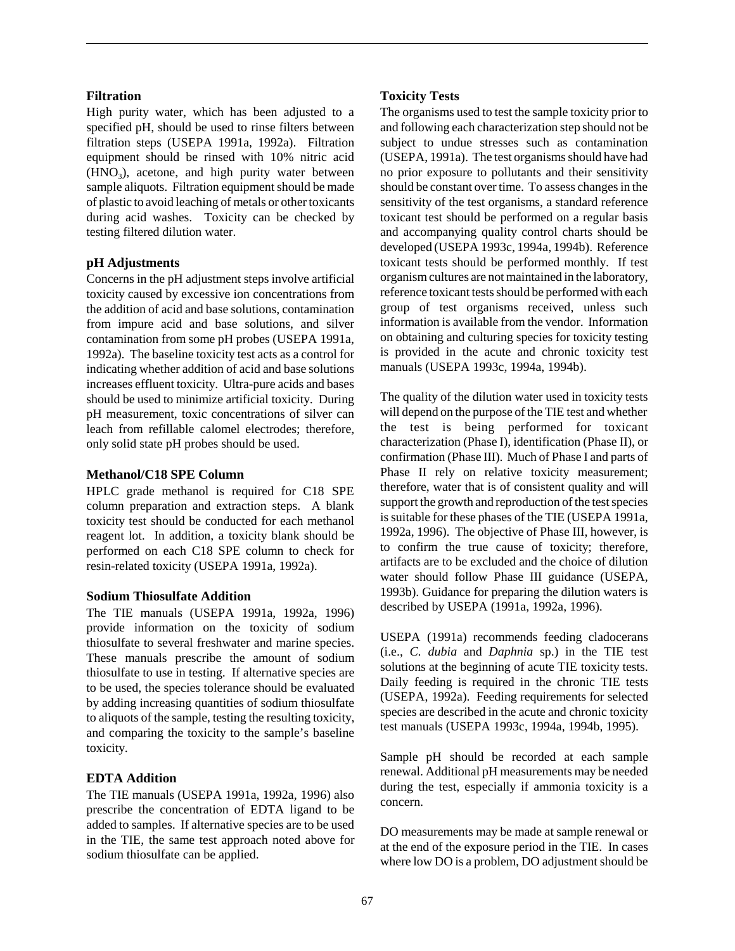## **Filtration**

High purity water, which has been adjusted to a specified pH, should be used to rinse filters between filtration steps (USEPA 1991a, 1992a). Filtration equipment should be rinsed with 10% nitric acid  $(HNO<sub>3</sub>)$ , acetone, and high purity water between sample aliquots. Filtration equipment should be made of plastic to avoid leaching of metals or other toxicants during acid washes. Toxicity can be checked by testing filtered dilution water.

### **pH Adjustments**

Concerns in the pH adjustment steps involve artificial toxicity caused by excessive ion concentrations from the addition of acid and base solutions, contamination from impure acid and base solutions, and silver contamination from some pH probes (USEPA 1991a, 1992a). The baseline toxicity test acts as a control for indicating whether addition of acid and base solutions increases effluent toxicity. Ultra-pure acids and bases should be used to minimize artificial toxicity. During pH measurement, toxic concentrations of silver can leach from refillable calomel electrodes; therefore, only solid state pH probes should be used.

#### **Methanol/C18 SPE Column**

HPLC grade methanol is required for C18 SPE column preparation and extraction steps. A blank toxicity test should be conducted for each methanol reagent lot. In addition, a toxicity blank should be performed on each C18 SPE column to check for resin-related toxicity (USEPA 1991a, 1992a).

#### **Sodium Thiosulfate Addition**

The TIE manuals (USEPA 1991a, 1992a, 1996) provide information on the toxicity of sodium thiosulfate to several freshwater and marine species. These manuals prescribe the amount of sodium thiosulfate to use in testing. If alternative species are to be used, the species tolerance should be evaluated by adding increasing quantities of sodium thiosulfate to aliquots of the sample, testing the resulting toxicity, and comparing the toxicity to the sample's baseline toxicity.

## **EDTA Addition**

The TIE manuals (USEPA 1991a, 1992a, 1996) also prescribe the concentration of EDTA ligand to be added to samples. If alternative species are to be used in the TIE, the same test approach noted above for sodium thiosulfate can be applied.

## **Toxicity Tests**

The organisms used to test the sample toxicity prior to and following each characterization step should not be subject to undue stresses such as contamination (USEPA, 1991a). The test organisms should have had no prior exposure to pollutants and their sensitivity should be constant over time. To assess changes in the sensitivity of the test organisms, a standard reference toxicant test should be performed on a regular basis and accompanying quality control charts should be developed (USEPA 1993c, 1994a, 1994b). Reference toxicant tests should be performed monthly. If test organism cultures are not maintained in the laboratory, reference toxicant tests should be performed with each group of test organisms received, unless such information is available from the vendor. Information on obtaining and culturing species for toxicity testing is provided in the acute and chronic toxicity test manuals (USEPA 1993c, 1994a, 1994b).

The quality of the dilution water used in toxicity tests will depend on the purpose of the TIE test and whether the test is being performed for toxicant characterization (Phase I), identification (Phase II), or confirmation (Phase III). Much of Phase I and parts of Phase II rely on relative toxicity measurement: therefore, water that is of consistent quality and will support the growth and reproduction of the test species is suitable for these phases of the TIE (USEPA 1991a, 1992a, 1996). The objective of Phase III, however, is to confirm the true cause of toxicity; therefore, artifacts are to be excluded and the choice of dilution water should follow Phase III guidance (USEPA, 1993b). Guidance for preparing the dilution waters is described by USEPA (1991a, 1992a, 1996).

USEPA (1991a) recommends feeding cladocerans (i.e., *C. dubia* and *Daphnia* sp.) in the TIE test solutions at the beginning of acute TIE toxicity tests. Daily feeding is required in the chronic TIE tests (USEPA, 1992a). Feeding requirements for selected species are described in the acute and chronic toxicity test manuals (USEPA 1993c, 1994a, 1994b, 1995).

Sample pH should be recorded at each sample renewal. Additional pH measurements may be needed during the test, especially if ammonia toxicity is a concern.

DO measurements may be made at sample renewal or at the end of the exposure period in the TIE. In cases where low DO is a problem, DO adjustment should be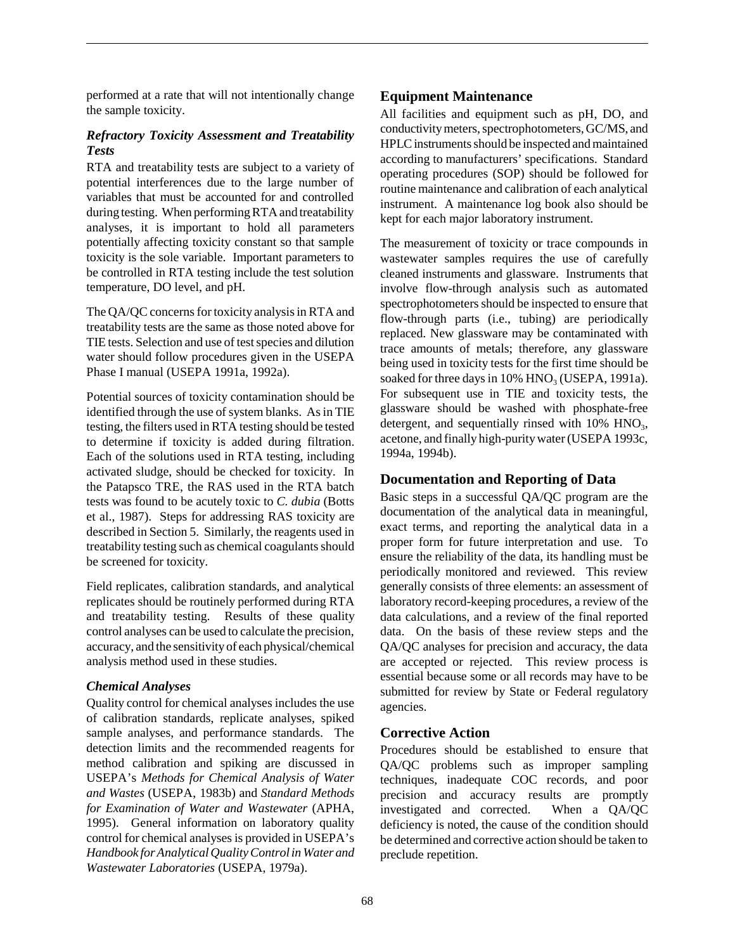performed at a rate that will not intentionally change the sample toxicity.

## *Refractory Toxicity Assessment and Treatability Tests*

RTA and treatability tests are subject to a variety of potential interferences due to the large number of variables that must be accounted for and controlled during testing. When performing RTA and treatability analyses, it is important to hold all parameters potentially affecting toxicity constant so that sample toxicity is the sole variable. Important parameters to be controlled in RTA testing include the test solution temperature, DO level, and pH.

The QA/QC concerns for toxicity analysis in RTA and treatability tests are the same as those noted above for TIE tests. Selection and use of test species and dilution water should follow procedures given in the USEPA Phase I manual (USEPA 1991a, 1992a).

Potential sources of toxicity contamination should be identified through the use of system blanks. As in TIE testing, the filters used in RTA testing should be tested to determine if toxicity is added during filtration. Each of the solutions used in RTA testing, including activated sludge, should be checked for toxicity. In the Patapsco TRE, the RAS used in the RTA batch tests was found to be acutely toxic to *C. dubia* (Botts et al., 1987). Steps for addressing RAS toxicity are described in Section 5. Similarly, the reagents used in treatability testing such as chemical coagulants should be screened for toxicity.

Field replicates, calibration standards, and analytical replicates should be routinely performed during RTA and treatability testing. Results of these quality control analyses can be used to calculate the precision, accuracy, and the sensitivity of each physical/chemical analysis method used in these studies.

#### *Chemical Analyses*

Quality control for chemical analyses includes the use of calibration standards, replicate analyses, spiked sample analyses, and performance standards. The detection limits and the recommended reagents for method calibration and spiking are discussed in USEPA's *Methods for Chemical Analysis of Water and Wastes* (USEPA, 1983b) and *Standard Methods for Examination of Water and Wastewater* (APHA, 1995). General information on laboratory quality control for chemical analyses is provided in USEPA's *Handbook for Analytical Quality Control in Water and Wastewater Laboratories* (USEPA, 1979a).

## **Equipment Maintenance**

All facilities and equipment such as pH, DO, and conductivity meters, spectrophotometers, GC/MS, and HPLC instruments should be inspected and maintained according to manufacturers' specifications. Standard operating procedures (SOP) should be followed for routine maintenance and calibration of each analytical instrument. A maintenance log book also should be kept for each major laboratory instrument.

The measurement of toxicity or trace compounds in wastewater samples requires the use of carefully cleaned instruments and glassware. Instruments that involve flow-through analysis such as automated spectrophotometers should be inspected to ensure that flow-through parts (i.e., tubing) are periodically replaced. New glassware may be contaminated with trace amounts of metals; therefore, any glassware being used in toxicity tests for the first time should be soaked for three days in  $10\%$  HNO<sub>3</sub> (USEPA, 1991a). For subsequent use in TIE and toxicity tests, the glassware should be washed with phosphate-free detergent, and sequentially rinsed with  $10\%$  HNO<sub>3</sub>, acetone, and finally high-purity water (USEPA 1993c, 1994a, 1994b).

## **Documentation and Reporting of Data**

Basic steps in a successful QA/QC program are the documentation of the analytical data in meaningful, exact terms, and reporting the analytical data in a proper form for future interpretation and use. To ensure the reliability of the data, its handling must be periodically monitored and reviewed. This review generally consists of three elements: an assessment of laboratory record-keeping procedures, a review of the data calculations, and a review of the final reported data. On the basis of these review steps and the QA/QC analyses for precision and accuracy, the data are accepted or rejected. This review process is essential because some or all records may have to be submitted for review by State or Federal regulatory agencies.

## **Corrective Action**

Procedures should be established to ensure that QA/QC problems such as improper sampling techniques, inadequate COC records, and poor precision and accuracy results are promptly investigated and corrected. When a QA/QC deficiency is noted, the cause of the condition should be determined and corrective action should be taken to preclude repetition.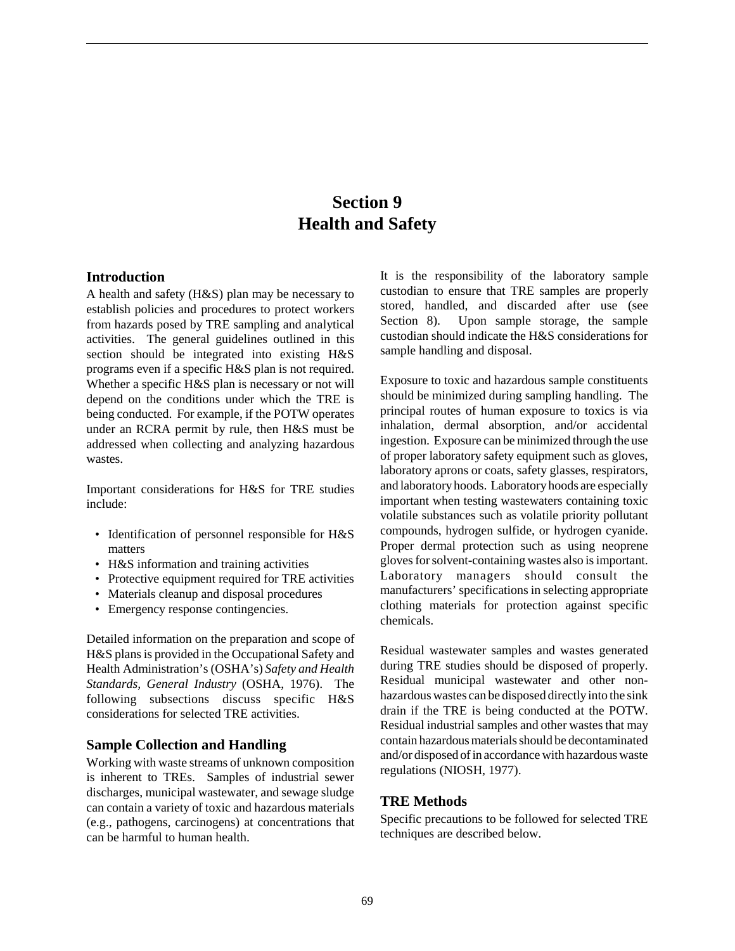# **Section 9 Health and Safety**

#### **Introduction**

A health and safety (H&S) plan may be necessary to establish policies and procedures to protect workers from hazards posed by TRE sampling and analytical activities. The general guidelines outlined in this section should be integrated into existing H&S programs even if a specific H&S plan is not required. Whether a specific H&S plan is necessary or not will depend on the conditions under which the TRE is being conducted. For example, if the POTW operates under an RCRA permit by rule, then H&S must be addressed when collecting and analyzing hazardous wastes.

Important considerations for H&S for TRE studies include:

- Identification of personnel responsible for H&S matters
- H&S information and training activities
- Protective equipment required for TRE activities
- Materials cleanup and disposal procedures
- Emergency response contingencies.

Detailed information on the preparation and scope of H&S plans is provided in the Occupational Safety and Health Administration's (OSHA's) *Safety and Health Standards, General Industry* (OSHA, 1976). The following subsections discuss specific H&S considerations for selected TRE activities.

### **Sample Collection and Handling**

Working with waste streams of unknown composition is inherent to TREs. Samples of industrial sewer discharges, municipal wastewater, and sewage sludge can contain a variety of toxic and hazardous materials (e.g., pathogens, carcinogens) at concentrations that can be harmful to human health.

It is the responsibility of the laboratory sample custodian to ensure that TRE samples are properly stored, handled, and discarded after use (see Section 8). Upon sample storage, the sample custodian should indicate the H&S considerations for sample handling and disposal.

Exposure to toxic and hazardous sample constituents should be minimized during sampling handling. The principal routes of human exposure to toxics is via inhalation, dermal absorption, and/or accidental ingestion. Exposure can be minimized through the use of proper laboratory safety equipment such as gloves, laboratory aprons or coats, safety glasses, respirators, and laboratory hoods. Laboratory hoods are especially important when testing wastewaters containing toxic volatile substances such as volatile priority pollutant compounds, hydrogen sulfide, or hydrogen cyanide. Proper dermal protection such as using neoprene gloves for solvent-containing wastes also is important. Laboratory managers should consult the manufacturers' specifications in selecting appropriate clothing materials for protection against specific chemicals.

Residual wastewater samples and wastes generated during TRE studies should be disposed of properly. Residual municipal wastewater and other nonhazardous wastes can be disposed directly into the sink drain if the TRE is being conducted at the POTW. Residual industrial samples and other wastes that may contain hazardous materials should be decontaminated and/or disposed of in accordance with hazardous waste regulations (NIOSH, 1977).

## **TRE Methods**

Specific precautions to be followed for selected TRE techniques are described below.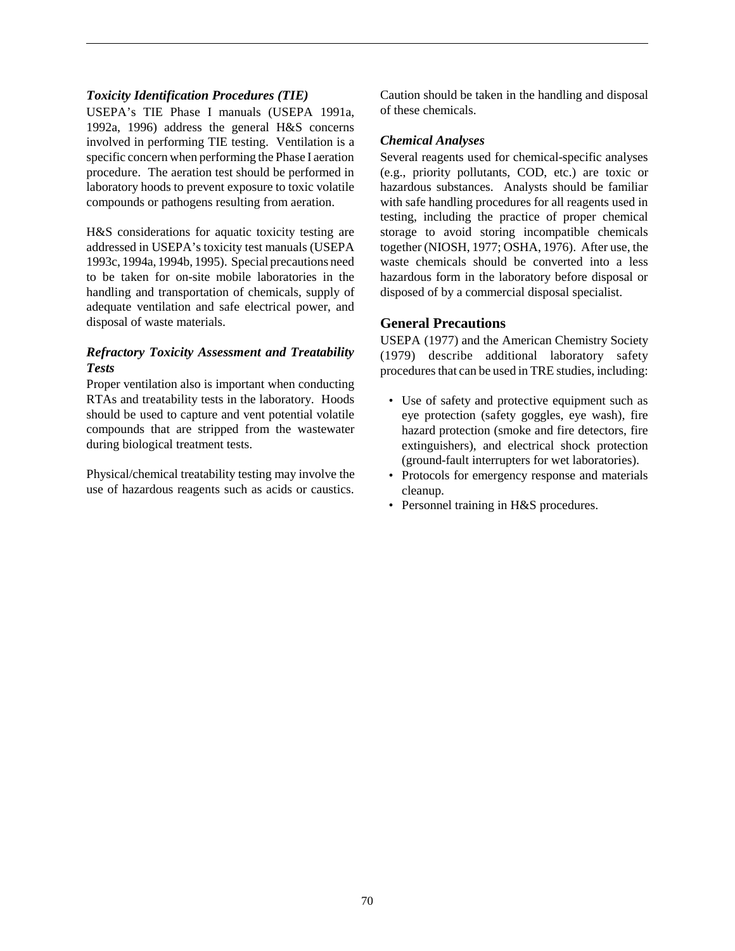## *Toxicity Identification Procedures (TIE)*

USEPA's TIE Phase I manuals (USEPA 1991a, 1992a, 1996) address the general H&S concerns involved in performing TIE testing. Ventilation is a specific concern when performing the Phase I aeration procedure. The aeration test should be performed in laboratory hoods to prevent exposure to toxic volatile compounds or pathogens resulting from aeration.

H&S considerations for aquatic toxicity testing are addressed in USEPA's toxicity test manuals (USEPA 1993c, 1994a, 1994b, 1995). Special precautions need to be taken for on-site mobile laboratories in the handling and transportation of chemicals, supply of adequate ventilation and safe electrical power, and disposal of waste materials.

## *Refractory Toxicity Assessment and Treatability Tests*

Proper ventilation also is important when conducting RTAs and treatability tests in the laboratory. Hoods should be used to capture and vent potential volatile compounds that are stripped from the wastewater during biological treatment tests.

Physical/chemical treatability testing may involve the use of hazardous reagents such as acids or caustics.

Caution should be taken in the handling and disposal of these chemicals.

#### *Chemical Analyses*

Several reagents used for chemical-specific analyses (e.g., priority pollutants, COD, etc.) are toxic or hazardous substances. Analysts should be familiar with safe handling procedures for all reagents used in testing, including the practice of proper chemical storage to avoid storing incompatible chemicals together (NIOSH, 1977; OSHA, 1976). After use, the waste chemicals should be converted into a less hazardous form in the laboratory before disposal or disposed of by a commercial disposal specialist.

## **General Precautions**

USEPA (1977) and the American Chemistry Society (1979) describe additional laboratory safety procedures that can be used in TRE studies, including:

- Use of safety and protective equipment such as eye protection (safety goggles, eye wash), fire hazard protection (smoke and fire detectors, fire extinguishers), and electrical shock protection (ground-fault interrupters for wet laboratories).
- Protocols for emergency response and materials cleanup.
- Personnel training in H&S procedures.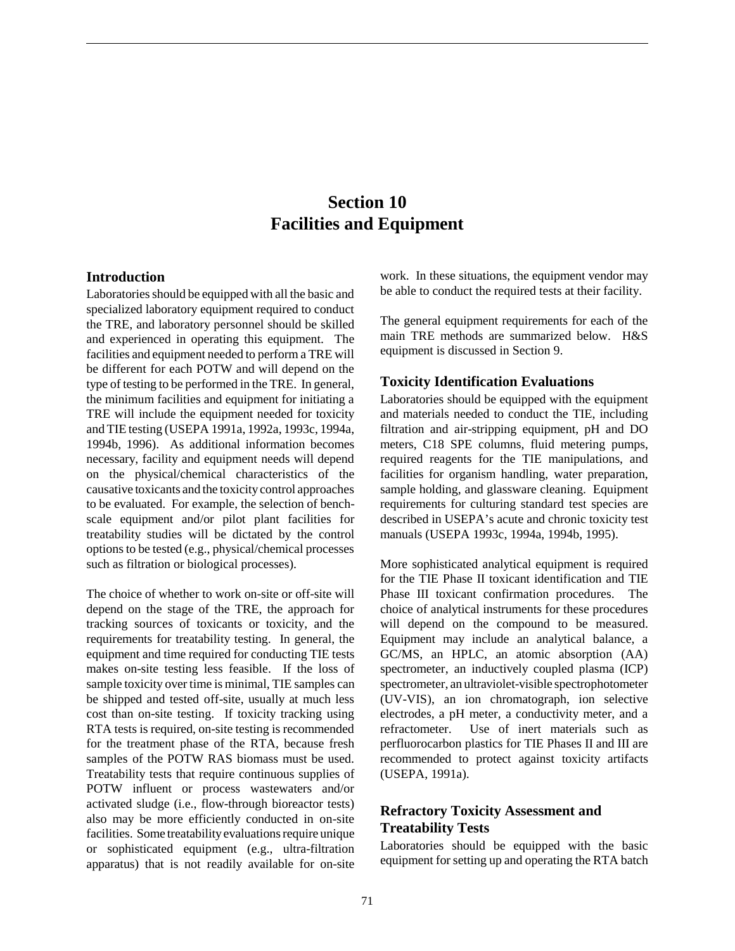# **Section 10 Facilities and Equipment**

#### **Introduction**

Laboratories should be equipped with all the basic and specialized laboratory equipment required to conduct the TRE, and laboratory personnel should be skilled and experienced in operating this equipment. The facilities and equipment needed to perform a TRE will be different for each POTW and will depend on the type of testing to be performed in the TRE. In general, the minimum facilities and equipment for initiating a TRE will include the equipment needed for toxicity and TIE testing (USEPA 1991a, 1992a, 1993c, 1994a, 1994b, 1996). As additional information becomes necessary, facility and equipment needs will depend on the physical/chemical characteristics of the causative toxicants and the toxicity control approaches to be evaluated. For example, the selection of benchscale equipment and/or pilot plant facilities for treatability studies will be dictated by the control options to be tested (e.g., physical/chemical processes such as filtration or biological processes).

The choice of whether to work on-site or off-site will depend on the stage of the TRE, the approach for tracking sources of toxicants or toxicity, and the requirements for treatability testing. In general, the equipment and time required for conducting TIE tests makes on-site testing less feasible. If the loss of sample toxicity over time is minimal, TIE samples can be shipped and tested off-site, usually at much less cost than on-site testing. If toxicity tracking using RTA tests is required, on-site testing is recommended for the treatment phase of the RTA, because fresh samples of the POTW RAS biomass must be used. Treatability tests that require continuous supplies of POTW influent or process wastewaters and/or activated sludge (i.e., flow-through bioreactor tests) also may be more efficiently conducted in on-site facilities. Some treatability evaluations require unique or sophisticated equipment (e.g., ultra-filtration apparatus) that is not readily available for on-site

work. In these situations, the equipment vendor may be able to conduct the required tests at their facility.

The general equipment requirements for each of the main TRE methods are summarized below. H&S equipment is discussed in Section 9.

#### **Toxicity Identification Evaluations**

Laboratories should be equipped with the equipment and materials needed to conduct the TIE, including filtration and air-stripping equipment, pH and DO meters, C18 SPE columns, fluid metering pumps, required reagents for the TIE manipulations, and facilities for organism handling, water preparation, sample holding, and glassware cleaning. Equipment requirements for culturing standard test species are described in USEPA's acute and chronic toxicity test manuals (USEPA 1993c, 1994a, 1994b, 1995).

More sophisticated analytical equipment is required for the TIE Phase II toxicant identification and TIE Phase III toxicant confirmation procedures. The choice of analytical instruments for these procedures will depend on the compound to be measured. Equipment may include an analytical balance, a GC/MS, an HPLC, an atomic absorption (AA) spectrometer, an inductively coupled plasma (ICP) spectrometer, an ultraviolet-visible spectrophotometer (UV-VIS), an ion chromatograph, ion selective electrodes, a pH meter, a conductivity meter, and a refractometer. Use of inert materials such as perfluorocarbon plastics for TIE Phases II and III are recommended to protect against toxicity artifacts (USEPA, 1991a).

## **Refractory Toxicity Assessment and Treatability Tests**

Laboratories should be equipped with the basic equipment for setting up and operating the RTA batch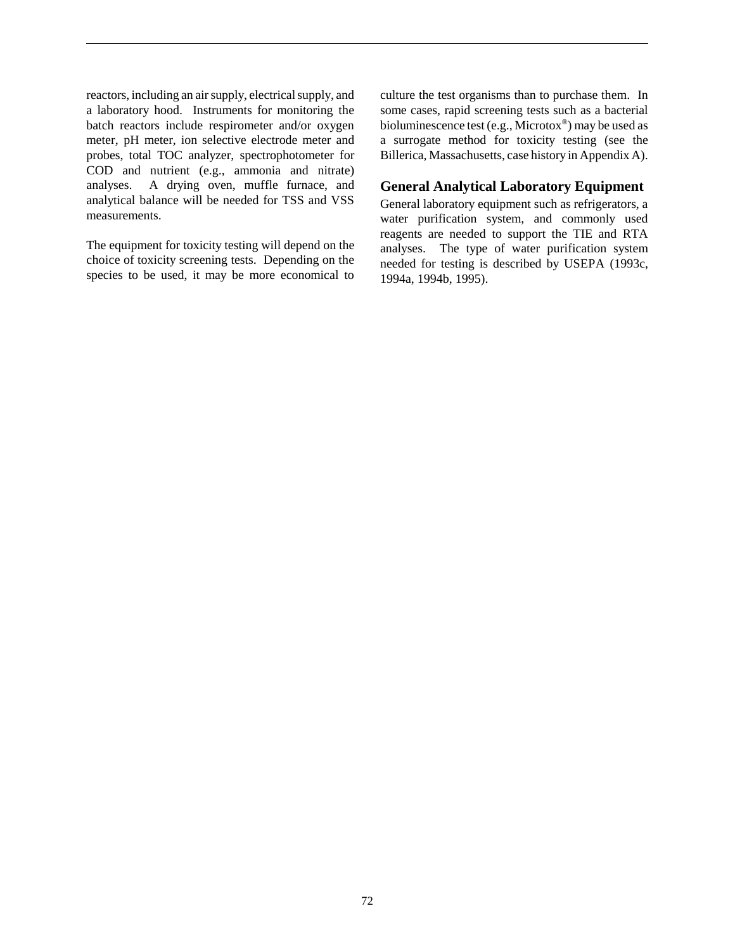reactors, including an air supply, electrical supply, and a laboratory hood. Instruments for monitoring the batch reactors include respirometer and/or oxygen meter, pH meter, ion selective electrode meter and probes, total TOC analyzer, spectrophotometer for COD and nutrient (e.g., ammonia and nitrate) analyses. A drying oven, muffle furnace, and analytical balance will be needed for TSS and VSS measurements.

The equipment for toxicity testing will depend on the choice of toxicity screening tests. Depending on the species to be used, it may be more economical to culture the test organisms than to purchase them. In some cases, rapid screening tests such as a bacterial bioluminescence test (e.g., Microtox®) may be used as a surrogate method for toxicity testing (see the Billerica, Massachusetts, case history in Appendix A).

## **General Analytical Laboratory Equipment**

General laboratory equipment such as refrigerators, a water purification system, and commonly used reagents are needed to support the TIE and RTA analyses. The type of water purification system needed for testing is described by USEPA (1993c, 1994a, 1994b, 1995).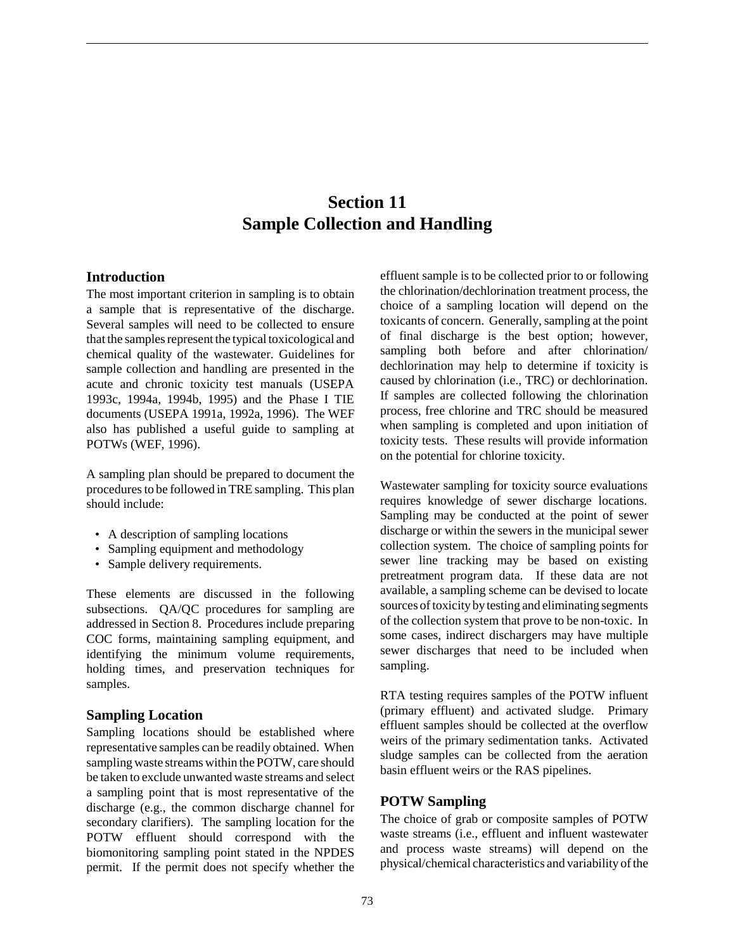# **Section 11 Sample Collection and Handling**

## **Introduction**

The most important criterion in sampling is to obtain a sample that is representative of the discharge. Several samples will need to be collected to ensure that the samples represent the typical toxicological and chemical quality of the wastewater. Guidelines for sample collection and handling are presented in the acute and chronic toxicity test manuals (USEPA 1993c, 1994a, 1994b, 1995) and the Phase I TIE documents (USEPA 1991a, 1992a, 1996). The WEF also has published a useful guide to sampling at POTWs (WEF, 1996).

A sampling plan should be prepared to document the procedures to be followed in TRE sampling. This plan should include:

- A description of sampling locations
- Sampling equipment and methodology
- Sample delivery requirements.

These elements are discussed in the following subsections. QA/QC procedures for sampling are addressed in Section 8. Procedures include preparing COC forms, maintaining sampling equipment, and identifying the minimum volume requirements, holding times, and preservation techniques for samples.

## **Sampling Location**

Sampling locations should be established where representative samples can be readily obtained. When sampling waste streams within the POTW, care should be taken to exclude unwanted waste streams and select a sampling point that is most representative of the discharge (e.g., the common discharge channel for secondary clarifiers). The sampling location for the POTW effluent should correspond with the biomonitoring sampling point stated in the NPDES permit. If the permit does not specify whether the

effluent sample is to be collected prior to or following the chlorination/dechlorination treatment process, the choice of a sampling location will depend on the toxicants of concern. Generally, sampling at the point of final discharge is the best option; however, sampling both before and after chlorination/ dechlorination may help to determine if toxicity is caused by chlorination (i.e., TRC) or dechlorination. If samples are collected following the chlorination process, free chlorine and TRC should be measured when sampling is completed and upon initiation of toxicity tests. These results will provide information on the potential for chlorine toxicity.

Wastewater sampling for toxicity source evaluations requires knowledge of sewer discharge locations. Sampling may be conducted at the point of sewer discharge or within the sewers in the municipal sewer collection system. The choice of sampling points for sewer line tracking may be based on existing pretreatment program data. If these data are not available, a sampling scheme can be devised to locate sources of toxicity by testing and eliminating segments of the collection system that prove to be non-toxic. In some cases, indirect dischargers may have multiple sewer discharges that need to be included when sampling.

RTA testing requires samples of the POTW influent (primary effluent) and activated sludge. Primary effluent samples should be collected at the overflow weirs of the primary sedimentation tanks. Activated sludge samples can be collected from the aeration basin effluent weirs or the RAS pipelines.

#### **POTW Sampling**

The choice of grab or composite samples of POTW waste streams (i.e., effluent and influent wastewater and process waste streams) will depend on the physical/chemical characteristics and variability of the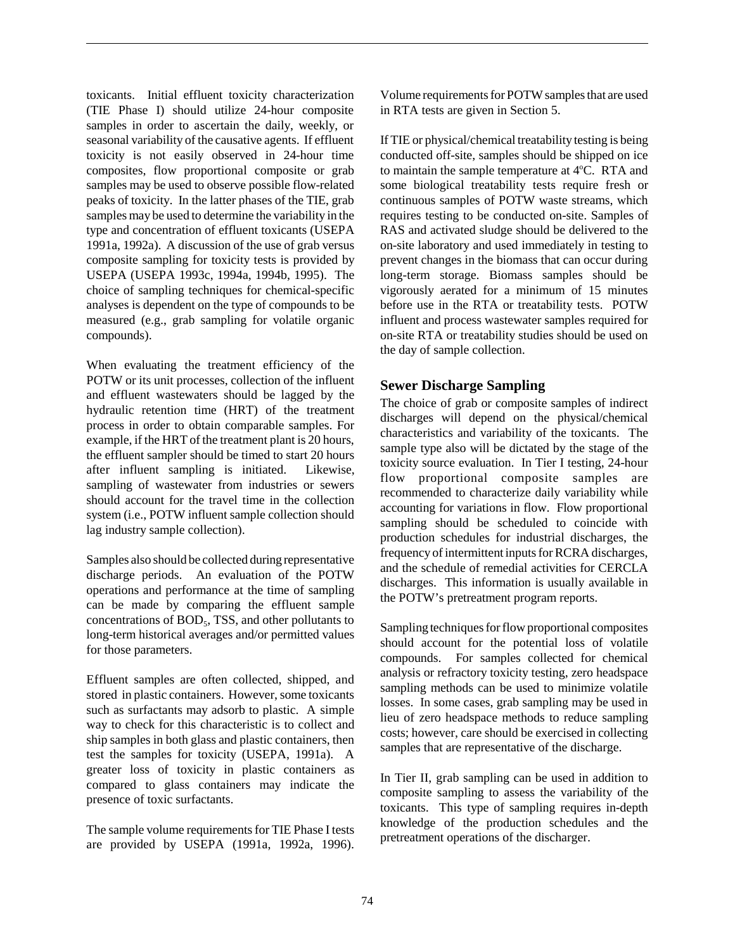toxicants. Initial effluent toxicity characterization (TIE Phase I) should utilize 24-hour composite samples in order to ascertain the daily, weekly, or seasonal variability of the causative agents. If effluent toxicity is not easily observed in 24-hour time composites, flow proportional composite or grab samples may be used to observe possible flow-related peaks of toxicity. In the latter phases of the TIE, grab samples may be used to determine the variability in the type and concentration of effluent toxicants (USEPA 1991a, 1992a). A discussion of the use of grab versus composite sampling for toxicity tests is provided by USEPA (USEPA 1993c, 1994a, 1994b, 1995). The choice of sampling techniques for chemical-specific analyses is dependent on the type of compounds to be measured (e.g., grab sampling for volatile organic compounds).

When evaluating the treatment efficiency of the POTW or its unit processes, collection of the influent and effluent wastewaters should be lagged by the hydraulic retention time (HRT) of the treatment process in order to obtain comparable samples. For example, if the HRT of the treatment plant is 20 hours, the effluent sampler should be timed to start 20 hours after influent sampling is initiated. Likewise, sampling of wastewater from industries or sewers should account for the travel time in the collection system (i.e., POTW influent sample collection should lag industry sample collection).

Samples also should be collected during representative discharge periods. An evaluation of the POTW operations and performance at the time of sampling can be made by comparing the effluent sample concentrations of  $BOD<sub>5</sub>$ , TSS, and other pollutants to long-term historical averages and/or permitted values for those parameters.

Effluent samples are often collected, shipped, and stored in plastic containers. However, some toxicants such as surfactants may adsorb to plastic. A simple way to check for this characteristic is to collect and ship samples in both glass and plastic containers, then test the samples for toxicity (USEPA, 1991a). A greater loss of toxicity in plastic containers as compared to glass containers may indicate the presence of toxic surfactants.

The sample volume requirements for TIE Phase I tests are provided by USEPA (1991a, 1992a, 1996).

Volume requirements for POTW samples that are used in RTA tests are given in Section 5.

If TIE or physical/chemical treatability testing is being conducted off-site, samples should be shipped on ice to maintain the sample temperature at 4°C. RTA and some biological treatability tests require fresh or continuous samples of POTW waste streams, which requires testing to be conducted on-site. Samples of RAS and activated sludge should be delivered to the on-site laboratory and used immediately in testing to prevent changes in the biomass that can occur during long-term storage. Biomass samples should be vigorously aerated for a minimum of 15 minutes before use in the RTA or treatability tests. POTW influent and process wastewater samples required for on-site RTA or treatability studies should be used on the day of sample collection.

## **Sewer Discharge Sampling**

The choice of grab or composite samples of indirect discharges will depend on the physical/chemical characteristics and variability of the toxicants. The sample type also will be dictated by the stage of the toxicity source evaluation. In Tier I testing, 24-hour flow proportional composite samples are recommended to characterize daily variability while accounting for variations in flow. Flow proportional sampling should be scheduled to coincide with production schedules for industrial discharges, the frequency of intermittent inputs for RCRA discharges, and the schedule of remedial activities for CERCLA discharges. This information is usually available in the POTW's pretreatment program reports.

Sampling techniques for flow proportional composites should account for the potential loss of volatile compounds. For samples collected for chemical analysis or refractory toxicity testing, zero headspace sampling methods can be used to minimize volatile losses. In some cases, grab sampling may be used in lieu of zero headspace methods to reduce sampling costs; however, care should be exercised in collecting samples that are representative of the discharge.

In Tier II, grab sampling can be used in addition to composite sampling to assess the variability of the toxicants. This type of sampling requires in-depth knowledge of the production schedules and the pretreatment operations of the discharger.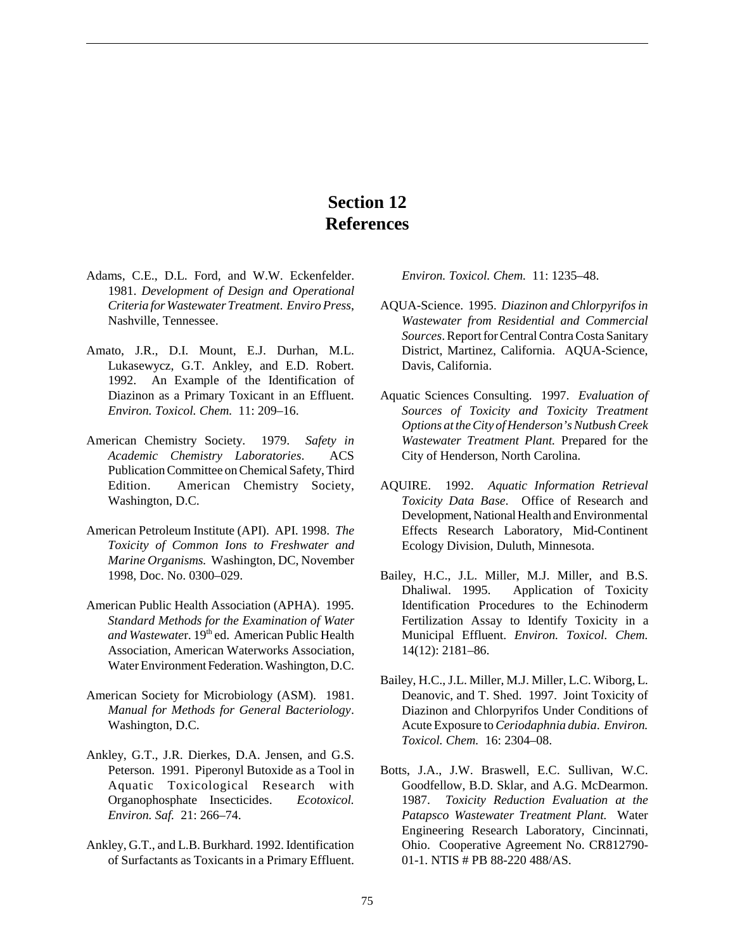# **Section 12 References**

- Adams, C.E., D.L. Ford, and W.W. Eckenfelder. 1981. *Development of Design and Operational Criteria for Wastewater Treatment*. *Enviro Press*, Nashville, Tennessee.
- Amato, J.R., D.I. Mount, E.J. Durhan, M.L. Lukasewycz, G.T. Ankley, and E.D. Robert. 1992. An Example of the Identification of Diazinon as a Primary Toxicant in an Effluent. *Environ. Toxicol. Chem.* 11: 209–16.
- American Chemistry Society. 1979. *Safety in Academic Chemistry Laboratories*. ACS Publication Committee on Chemical Safety, Third Edition. American Chemistry Society, Washington, D.C.
- American Petroleum Institute (API). API. 1998. *The Toxicity of Common Ions to Freshwater and Marine Organisms.* Washington, DC, November 1998, Doc. No. 0300–029.
- American Public Health Association (APHA). 1995. *Standard Methods for the Examination of Water* and Wastewater. 19<sup>th</sup> ed. American Public Health Association, American Waterworks Association, Water Environment Federation. Washington, D.C.
- American Society for Microbiology (ASM). 1981. *Manual for Methods for General Bacteriology*. Washington, D.C.
- Ankley, G.T., J.R. Dierkes, D.A. Jensen, and G.S. Peterson. 1991. Piperonyl Butoxide as a Tool in Aquatic Toxicological Research with Organophosphate Insecticides. *Ecotoxicol. Environ. Saf.* 21: 266–74.
- Ankley, G.T., and L.B. Burkhard. 1992. Identification of Surfactants as Toxicants in a Primary Effluent.

*Environ. Toxicol. Chem.* 11: 1235–48.

- AQUA-Science. 1995. *Diazinon and Chlorpyrifos in Wastewater from Residential and Commercial Sources*. Report for Central Contra Costa Sanitary District, Martinez, California. AQUA-Science, Davis, California.
- Aquatic Sciences Consulting. 1997. *Evaluation of Sources of Toxicity and Toxicity Treatment Options at the City of Henderson's Nutbush Creek Wastewater Treatment Plant.* Prepared for the City of Henderson, North Carolina.
- AQUIRE. 1992. *Aquatic Information Retrieval Toxicity Data Base.* Office of Research and Development, National Health and Environmental Effects Research Laboratory, Mid-Continent Ecology Division, Duluth, Minnesota.
- Bailey, H.C., J.L. Miller, M.J. Miller, and B.S. Dhaliwal. 1995. Application of Toxicity Identification Procedures to the Echinoderm Fertilization Assay to Identify Toxicity in a Municipal Effluent. *Environ. Toxicol. Chem.* 14(12): 2181–86.
- Bailey, H.C., J.L. Miller, M.J. Miller, L.C. Wiborg, L. Deanovic, and T. Shed. 1997. Joint Toxicity of Diazinon and Chlorpyrifos Under Conditions of Acute Exposure to *Ceriodaphnia dubia*. *Environ. Toxicol. Chem.* 16: 2304–08.
- Botts, J.A., J.W. Braswell, E.C. Sullivan, W.C. Goodfellow, B.D. Sklar, and A.G. McDearmon. 1987. *Toxicity Reduction Evaluation at the Patapsco Wastewater Treatment Plant.* Water Engineering Research Laboratory, Cincinnati, Ohio. Cooperative Agreement No. CR812790- 01-1. NTIS # PB 88-220 488/AS.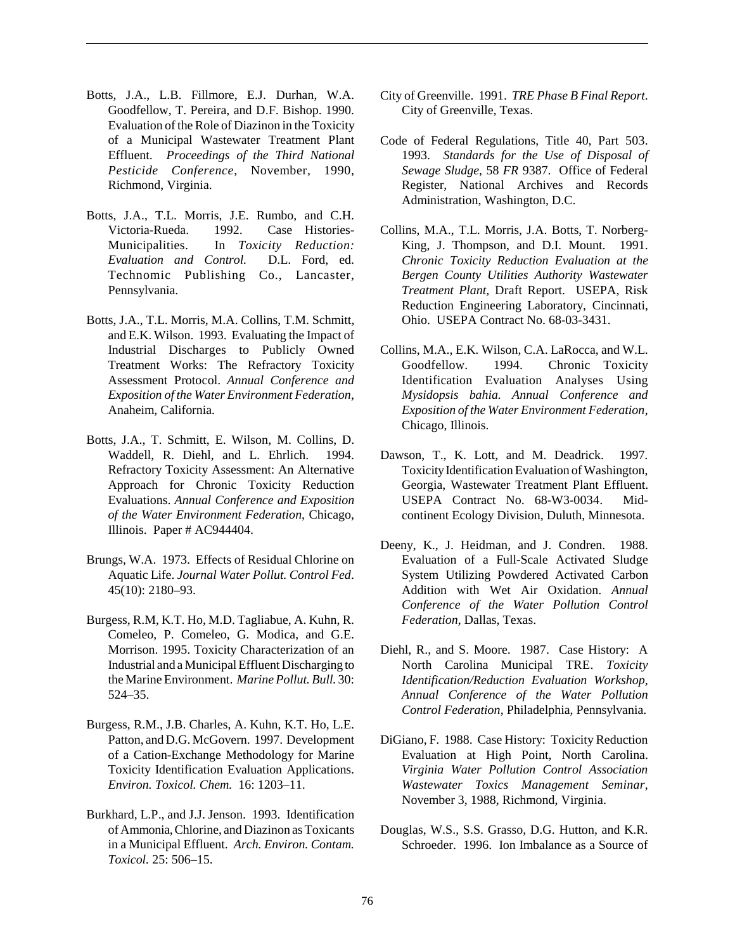- Botts, J.A., L.B. Fillmore, E.J. Durhan, W.A. Goodfellow, T. Pereira, and D.F. Bishop. 1990. Evaluation of the Role of Diazinon in the Toxicity of a Municipal Wastewater Treatment Plant Effluent. *Proceedings of the Third National Pesticide Conference*, November, 1990, Richmond, Virginia.
- Botts, J.A., T.L. Morris, J.E. Rumbo, and C.H. Victoria-Rueda. 1992. Case Histories-Municipalities. In *Toxicity Reduction: Evaluation and Control.* D.L. Ford, ed. Technomic Publishing Co., Lancaster, Pennsylvania.
- Botts, J.A., T.L. Morris, M.A. Collins, T.M. Schmitt, and E.K. Wilson. 1993. Evaluating the Impact of Industrial Discharges to Publicly Owned Treatment Works: The Refractory Toxicity Assessment Protocol. *Annual Conference and Exposition of the Water Environment Federation*, Anaheim, California.
- Botts, J.A., T. Schmitt, E. Wilson, M. Collins, D. Waddell, R. Diehl, and L. Ehrlich. 1994. Refractory Toxicity Assessment: An Alternative Approach for Chronic Toxicity Reduction Evaluations. *Annual Conference and Exposition of the Water Environment Federation*, Chicago, Illinois. Paper # AC944404.
- Brungs, W.A. 1973. Effects of Residual Chlorine on Aquatic Life. *Journal Water Pollut. Control Fed*. 45(10): 2180–93.
- Burgess, R.M, K.T. Ho, M.D. Tagliabue, A. Kuhn, R. Comeleo, P. Comeleo, G. Modica, and G.E. Morrison. 1995. Toxicity Characterization of an Industrial and a Municipal Effluent Discharging to the Marine Environment. *Marine Pollut. Bull.* 30: 524–35.
- Burgess, R.M., J.B. Charles, A. Kuhn, K.T. Ho, L.E. Patton, and D.G. McGovern. 1997. Development of a Cation-Exchange Methodology for Marine Toxicity Identification Evaluation Applications. *Environ. Toxicol. Chem.* 16: 1203–11.
- Burkhard, L.P., and J.J. Jenson. 1993. Identification of Ammonia, Chlorine, and Diazinon as Toxicants in a Municipal Effluent. *Arch. Environ. Contam. Toxicol.* 25: 506–15.
- City of Greenville. 1991. *TRE Phase B Final Report*. City of Greenville, Texas.
- Code of Federal Regulations, Title 40, Part 503. 1993. *Standards for the Use of Disposal of Sewage Sludge*, 58 *FR* 9387. Office of Federal Register, National Archives and Records Administration, Washington, D.C.
- Collins, M.A., T.L. Morris, J.A. Botts, T. Norberg-King, J. Thompson, and D.I. Mount. 1991. *Chronic Toxicity Reduction Evaluation at the Bergen County Utilities Authority Wastewater Treatment Plant,* Draft Report. USEPA, Risk Reduction Engineering Laboratory, Cincinnati, Ohio. USEPA Contract No. 68-03-3431.
- Collins, M.A., E.K. Wilson, C.A. LaRocca, and W.L. Goodfellow. 1994. Chronic Toxicity Identification Evaluation Analyses Using *Mysidopsis bahia. Annual Conference and Exposition of the Water Environment Federation*, Chicago, Illinois.
- Dawson, T., K. Lott, and M. Deadrick. 1997. Toxicity Identification Evaluation of Washington, Georgia, Wastewater Treatment Plant Effluent. USEPA Contract No. 68-W3-0034. Midcontinent Ecology Division, Duluth, Minnesota.
- Deeny, K., J. Heidman, and J. Condren. 1988. Evaluation of a Full-Scale Activated Sludge System Utilizing Powdered Activated Carbon Addition with Wet Air Oxidation. *Annual Conference of the Water Pollution Control Federation*, Dallas, Texas.
- Diehl, R., and S. Moore. 1987. Case History: A North Carolina Municipal TRE. *Toxicity Identification/Reduction Evaluation Workshop, Annual Conference of the Water Pollution Control Federation*, Philadelphia, Pennsylvania.
- DiGiano, F. 1988. Case History: Toxicity Reduction Evaluation at High Point, North Carolina. *Virginia Water Pollution Control Association Wastewater Toxics Management Seminar*, November 3, 1988, Richmond, Virginia.
- Douglas, W.S., S.S. Grasso, D.G. Hutton, and K.R. Schroeder. 1996. Ion Imbalance as a Source of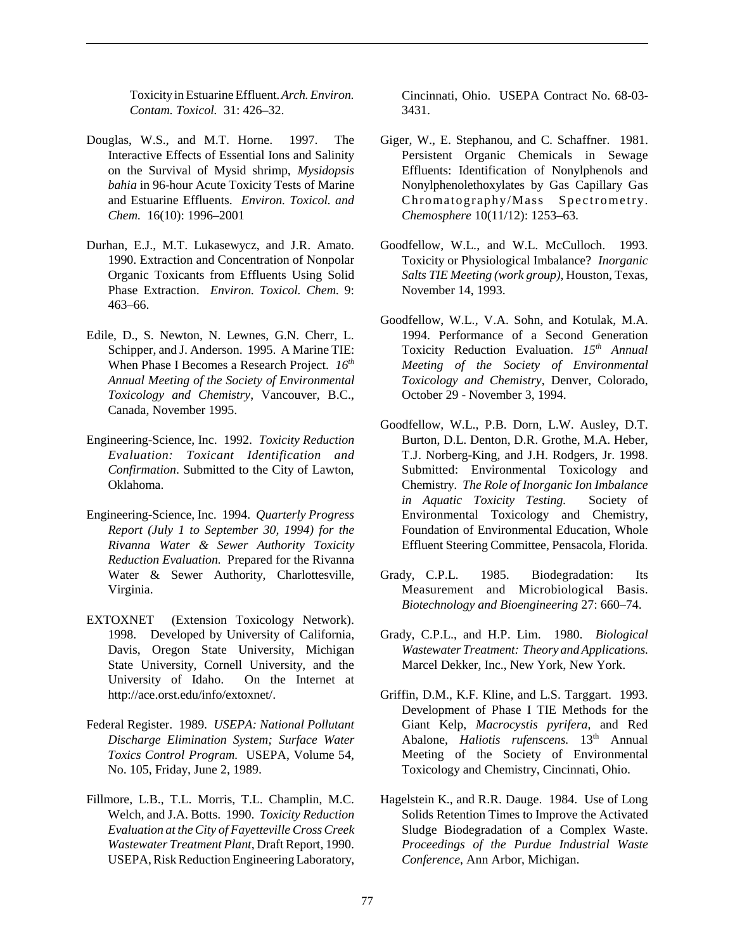Toxicity in Estuarine Effluent. *Arch. Environ. Contam. Toxicol.* 31: 426–32.

- Douglas, W.S., and M.T. Horne. 1997. The Interactive Effects of Essential Ions and Salinity on the Survival of Mysid shrimp, *Mysidopsis bahia* in 96-hour Acute Toxicity Tests of Marine and Estuarine Effluents. *Environ. Toxicol. and Chem.* 16(10): 1996–2001
- Durhan, E.J., M.T. Lukasewycz, and J.R. Amato. 1990. Extraction and Concentration of Nonpolar Organic Toxicants from Effluents Using Solid Phase Extraction. *Environ. Toxicol. Chem.* 9: 463–66.
- Edile, D., S. Newton, N. Lewnes, G.N. Cherr, L. Schipper, and J. Anderson. 1995. A Marine TIE: When Phase I Becomes a Research Project.  $16^{th}$ *Annual Meeting of the Society of Environmental Toxicology and Chemistry*, Vancouver, B.C., Canada, November 1995.
- Engineering-Science, Inc. 1992. *Toxicity Reduction Evaluation: Toxicant Identification and Confirmation*. Submitted to the City of Lawton, Oklahoma.
- Engineering-Science, Inc. 1994. *Quarterly Progress Report (July 1 to September 30, 1994) for the Rivanna Water & Sewer Authority Toxicity Reduction Evaluation.* Prepared for the Rivanna Water & Sewer Authority, Charlottesville, Virginia.
- EXTOXNET (Extension Toxicology Network). 1998. Developed by University of California, Davis, Oregon State University, Michigan State University, Cornell University, and the University of Idaho. On the Internet at http://ace.orst.edu/info/extoxnet/.
- Federal Register. 1989. *USEPA: National Pollutant Discharge Elimination System; Surface Water Toxics Control Program.* USEPA, Volume 54, No. 105, Friday, June 2, 1989.
- Fillmore, L.B., T.L. Morris, T.L. Champlin, M.C. Welch, and J.A. Botts. 1990. *Toxicity Reduction Evaluation at the City of Fayetteville Cross Creek Wastewater Treatment Plant*, Draft Report, 1990. USEPA, Risk Reduction Engineering Laboratory,

Cincinnati, Ohio. USEPA Contract No. 68-03- 3431.

- Giger, W., E. Stephanou, and C. Schaffner. 1981. Persistent Organic Chemicals in Sewage Effluents: Identification of Nonylphenols and Nonylphenolethoxylates by Gas Capillary Gas Chromatography/Mass Spectrometry. *Chemosphere* 10(11/12): 1253–63.
- Goodfellow, W.L., and W.L. McCulloch. 1993. Toxicity or Physiological Imbalance? *Inorganic Salts TIE Meeting (work group)*, Houston, Texas, November 14, 1993.
- Goodfellow, W.L., V.A. Sohn, and Kotulak, M.A. 1994. Performance of a Second Generation Toxicity Reduction Evaluation. 15<sup>th</sup> Annual *Meeting of the Society of Environmental Toxicology and Chemistry*, Denver, Colorado, October 29 - November 3, 1994.
- Goodfellow, W.L., P.B. Dorn, L.W. Ausley, D.T. Burton, D.L. Denton, D.R. Grothe, M.A. Heber, T.J. Norberg-King, and J.H. Rodgers, Jr. 1998. Submitted: Environmental Toxicology and Chemistry. *The Role of Inorganic Ion Imbalance in Aquatic Toxicity Testing.* Society of Environmental Toxicology and Chemistry, Foundation of Environmental Education, Whole Effluent Steering Committee, Pensacola, Florida.
- Grady, C.P.L. 1985. Biodegradation: Its Measurement and Microbiological Basis. *Biotechnology and Bioengineering* 27: 660–74.
- Grady, C.P.L., and H.P. Lim. 1980. *Biological Wastewater Treatment: Theory and Applications*. Marcel Dekker, Inc., New York, New York.
- Griffin, D.M., K.F. Kline, and L.S. Targgart. 1993. Development of Phase I TIE Methods for the Giant Kelp, *Macrocystis pyrifera*, and Red Abalone, *Haliotis rufenscens*. 13<sup>th</sup> Annual Meeting of the Society of Environmental Toxicology and Chemistry, Cincinnati, Ohio.
- Hagelstein K., and R.R. Dauge. 1984. Use of Long Solids Retention Times to Improve the Activated Sludge Biodegradation of a Complex Waste. *Proceedings of the Purdue Industrial Waste Conference*, Ann Arbor, Michigan.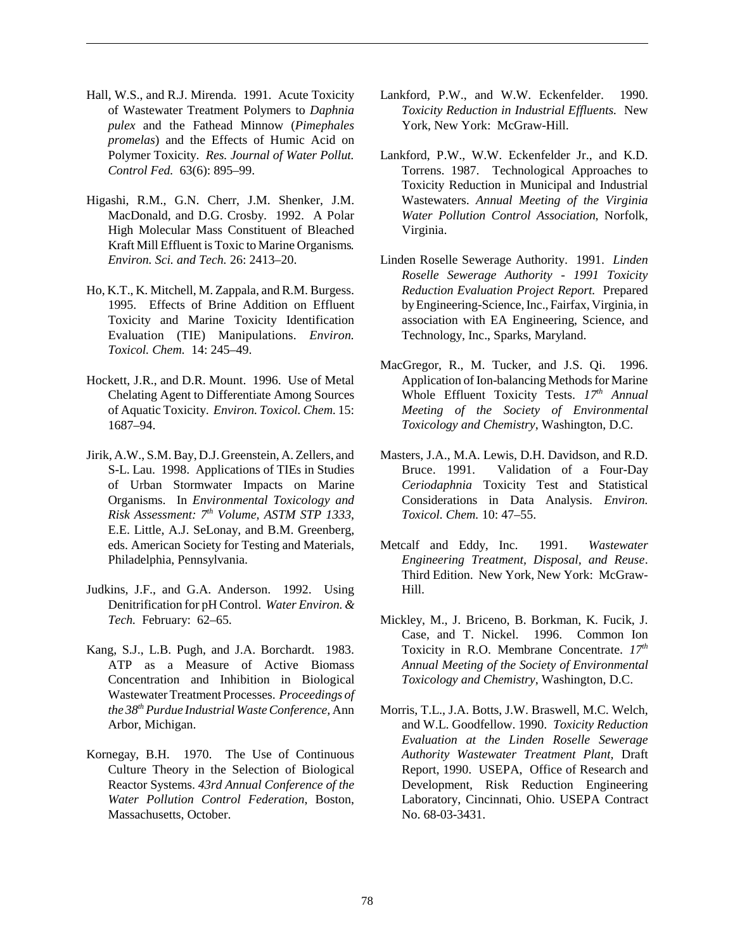- Hall, W.S., and R.J. Mirenda. 1991. Acute Toxicity of Wastewater Treatment Polymers to *Daphnia pulex* and the Fathead Minnow (*Pimephales promelas*) and the Effects of Humic Acid on Polymer Toxicity. *Res. Journal of Water Pollut. Control Fed.* 63(6): 895–99.
- Higashi, R.M., G.N. Cherr, J.M. Shenker, J.M. MacDonald, and D.G. Crosby. 1992. A Polar High Molecular Mass Constituent of Bleached Kraft Mill Effluent is Toxic to Marine Organisms*. Environ. Sci. and Tech.* 26: 2413–20.
- Ho, K.T., K. Mitchell, M. Zappala, and R.M. Burgess. 1995. Effects of Brine Addition on Effluent Toxicity and Marine Toxicity Identification Evaluation (TIE) Manipulations. *Environ. Toxicol. Chem.* 14: 245–49.
- Hockett, J.R., and D.R. Mount. 1996. Use of Metal Chelating Agent to Differentiate Among Sources of Aquatic Toxicity. *Environ. Toxicol. Chem.* 15: 1687–94.
- Jirik, A.W., S.M. Bay, D.J. Greenstein, A. Zellers, and S-L. Lau. 1998. Applications of TIEs in Studies of Urban Stormwater Impacts on Marine Organisms. In *Environmental Toxicology and Risk Assessment: 7th Volume, ASTM STP 1333*, E.E. Little, A.J. SeLonay, and B.M. Greenberg, eds. American Society for Testing and Materials, Philadelphia, Pennsylvania.
- Judkins, J.F., and G.A. Anderson. 1992. Using Denitrification for pH Control. *Water Environ. & Tech.* February: 62–65.
- Kang, S.J., L.B. Pugh, and J.A. Borchardt. 1983. ATP as a Measure of Active Biomass Concentration and Inhibition in Biological Wastewater Treatment Processes. *Proceedings of the 38th Purdue Industrial Waste Conference,* Ann Arbor, Michigan.
- Kornegay, B.H. 1970. The Use of Continuous Culture Theory in the Selection of Biological Reactor Systems. *43rd Annual Conference of the Water Pollution Control Federation*, Boston, Massachusetts, October.
- Lankford, P.W., and W.W. Eckenfelder. 1990. *Toxicity Reduction in Industrial Effluents.* New York, New York: McGraw-Hill.
- Lankford, P.W., W.W. Eckenfelder Jr., and K.D. Torrens. 1987. Technological Approaches to Toxicity Reduction in Municipal and Industrial Wastewaters. *Annual Meeting of the Virginia Water Pollution Control Association*, Norfolk, Virginia.
- Linden Roselle Sewerage Authority. 1991. *Linden Roselle Sewerage Authority - 1991 Toxicity Reduction Evaluation Project Report.* Prepared by Engineering-Science, Inc., Fairfax, Virginia, in association with EA Engineering, Science, and Technology, Inc., Sparks, Maryland.
- MacGregor, R., M. Tucker, and J.S. Qi. 1996. Application of Ion-balancing Methods for Marine Whole Effluent Toxicity Tests.  $17<sup>th</sup>$  Annual *Meeting of the Society of Environmental Toxicology and Chemistry*, Washington, D.C.
- Masters, J.A., M.A. Lewis, D.H. Davidson, and R.D. Bruce. 1991. Validation of a Four-Day *Ceriodaphnia* Toxicity Test and Statistical Considerations in Data Analysis. *Environ. Toxicol. Chem.* 10: 47–55.
- Metcalf and Eddy, Inc. 1991. *Wastewater Engineering Treatment, Disposal, and Reuse*. Third Edition. New York, New York: McGraw-Hill.
- Mickley, M., J. Briceno, B. Borkman, K. Fucik, J. Case, and T. Nickel. 1996. Common Ion Toxicity in R.O. Membrane Concentrate. *17th Annual Meeting of the Society of Environmental Toxicology and Chemistry*, Washington, D.C.
- Morris, T.L., J.A. Botts, J.W. Braswell, M.C. Welch, and W.L. Goodfellow. 1990. *Toxicity Reduction Evaluation at the Linden Roselle Sewerage Authority Wastewater Treatment Plant,* Draft Report, 1990. USEPA, Office of Research and Development, Risk Reduction Engineering Laboratory, Cincinnati, Ohio. USEPA Contract No. 68-03-3431.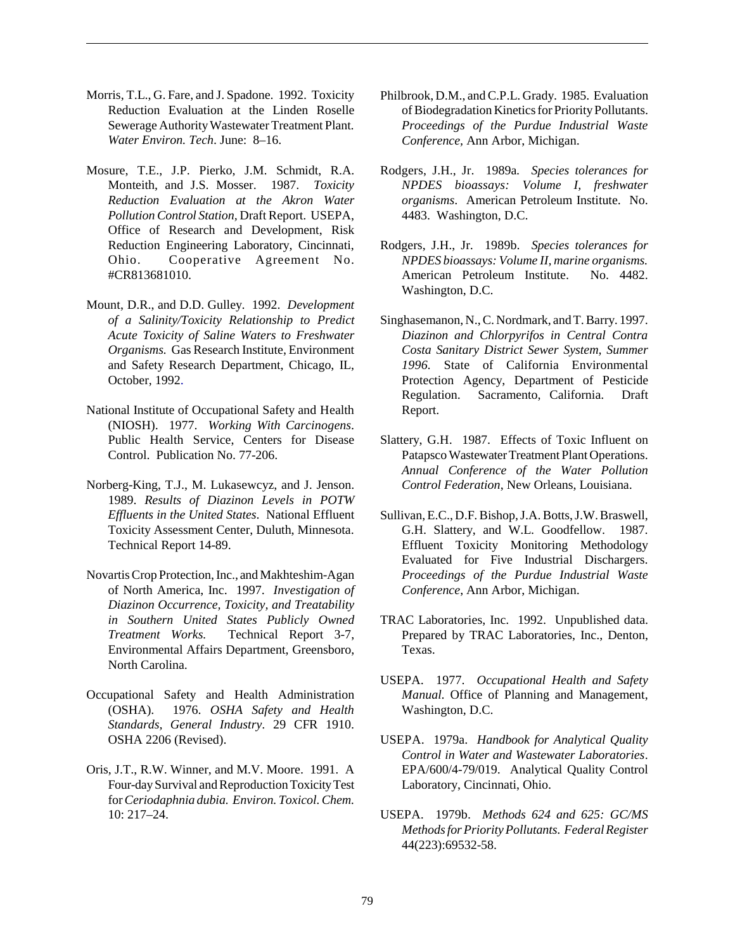- Morris, T.L., G. Fare, and J. Spadone. 1992. Toxicity Reduction Evaluation at the Linden Roselle Sewerage Authority Wastewater Treatment Plant*. Water Environ. Tech*. June: 8–16.
- Mosure, T.E., J.P. Pierko, J.M. Schmidt, R.A. Monteith, and J.S. Mosser. 1987. *Toxicity Reduction Evaluation at the Akron Water Pollution Control Station,* Draft Report. USEPA, Office of Research and Development, Risk Reduction Engineering Laboratory, Cincinnati, Ohio. Cooperative Agreement No. #CR813681010.
- Mount, D.R., and D.D. Gulley. 1992. *Development of a Salinity/Toxicity Relationship to Predict Acute Toxicity of Saline Waters to Freshwater Organisms.* Gas Research Institute, Environment and Safety Research Department, Chicago, IL, October, 1992.
- National Institute of Occupational Safety and Health (NIOSH). 1977. *Working With Carcinogens*. Public Health Service, Centers for Disease Control. Publication No. 77-206.
- Norberg-King, T.J., M. Lukasewcyz, and J. Jenson. 1989. *Results of Diazinon Levels in POTW Effluents in the United States*. National Effluent Toxicity Assessment Center, Duluth, Minnesota. Technical Report 14-89.
- Novartis Crop Protection, Inc., and Makhteshim-Agan of North America, Inc. 1997. *Investigation of Diazinon Occurrence, Toxicity, and Treatability in Southern United States Publicly Owned Treatment Works.* Technical Report 3-7, Environmental Affairs Department, Greensboro, North Carolina.
- Occupational Safety and Health Administration (OSHA). 1976. *OSHA Safety and Health Standards, General Industry*. 29 CFR 1910. OSHA 2206 (Revised).
- Oris, J.T., R.W. Winner, and M.V. Moore. 1991. A Four-day Survival and Reproduction Toxicity Test for *Ceriodaphnia dubia. Environ. Toxicol. Chem.* 10: 217–24.
- Philbrook, D.M., and C.P.L. Grady. 1985. Evaluation of Biodegradation Kinetics for Priority Pollutants. *Proceedings of the Purdue Industrial Waste Conference,* Ann Arbor, Michigan.
- Rodgers, J.H., Jr. 1989a*. Species tolerances for NPDES bioassays: Volume I, freshwater organisms*. American Petroleum Institute. No. 4483. Washington, D.C.
- Rodgers, J.H., Jr. 1989b. *Species tolerances for NPDES bioassays: Volume II, marine organisms.* American Petroleum Institute. No. 4482. Washington, D.C.
- Singhasemanon, N., C. Nordmark, and T. Barry. 1997. *Diazinon and Chlorpyrifos in Central Contra Costa Sanitary District Sewer System, Summer 1996.* State of California Environmental Protection Agency, Department of Pesticide Regulation. Sacramento, California. Draft Report.
- Slattery, G.H. 1987. Effects of Toxic Influent on Patapsco Wastewater Treatment Plant Operations. *Annual Conference of the Water Pollution Control Federation*, New Orleans, Louisiana.
- Sullivan, E.C., D.F. Bishop, J.A. Botts, J.W. Braswell, G.H. Slattery, and W.L. Goodfellow. 1987. Effluent Toxicity Monitoring Methodology Evaluated for Five Industrial Dischargers. *Proceedings of the Purdue Industrial Waste Conference*, Ann Arbor, Michigan.
- TRAC Laboratories, Inc. 1992. Unpublished data. Prepared by TRAC Laboratories, Inc., Denton, Texas.
- USEPA. 1977. *Occupational Health and Safety Manual*. Office of Planning and Management, Washington, D.C.
- USEPA. 1979a. *Handbook for Analytical Quality Control in Water and Wastewater Laboratories*. EPA/600/4-79/019. Analytical Quality Control Laboratory, Cincinnati, Ohio.
- USEPA. 1979b. *Methods 624 and 625: GC/MS Methods for Priority Pollutants*. *Federal Register* 44(223):69532-58.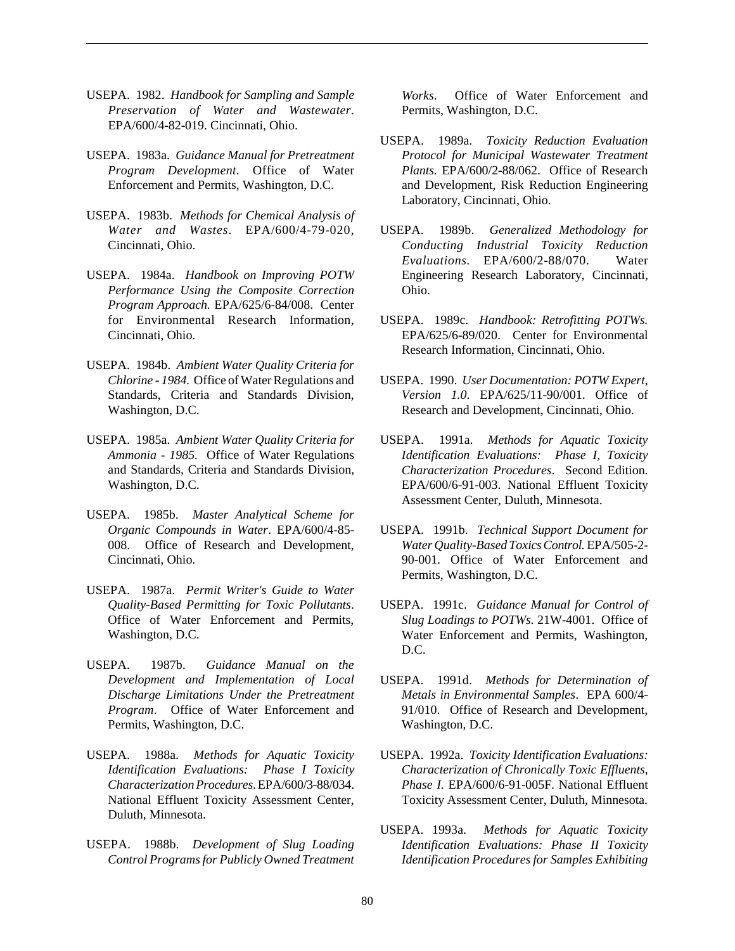- USEPA. 1982. *Handbook for Sampling and Sample Preservation of Water and Wastewater*. EPA/600/4-82-019. Cincinnati, Ohio.
- USEPA. 1983a. *Guidance Manual for Pretreatment Program Development*. Office of Water Enforcement and Permits, Washington, D.C.
- USEPA. 1983b. *Methods for Chemical Analysis of Water and Wastes*. EPA/600/4-79-020, Cincinnati, Ohio.
- USEPA. 1984a. *Handbook on Improving POTW Performance Using the Composite Correction Program Approach.* EPA/625/6-84/008. Center for Environmental Research Information, Cincinnati, Ohio.
- USEPA. 1984b. *Ambient Water Quality Criteria for Chlorine - 1984.* Office of Water Regulations and Standards, Criteria and Standards Division, Washington, D.C.
- USEPA. 1985a. *Ambient Water Quality Criteria for Ammonia - 1985.* Office of Water Regulations and Standards, Criteria and Standards Division, Washington, D.C.
- USEPA. 1985b. *Master Analytical Scheme for Organic Compounds in Water*. EPA/600/4-85- 008. Office of Research and Development, Cincinnati, Ohio.
- USEPA. 1987a. *Permit Writer's Guide to Water Quality-Based Permitting for Toxic Pollutants*. Office of Water Enforcement and Permits, Washington, D.C.
- USEPA. 1987b. *Guidance Manual on the Development and Implementation of Local Discharge Limitations Under the Pretreatment Program*. Office of Water Enforcement and Permits, Washington, D.C.
- USEPA. 1988a. *Methods for Aquatic Toxicity Identification Evaluations: Phase I Toxicity Characterization Procedures*. EPA/600/3-88/034. National Effluent Toxicity Assessment Center, Duluth, Minnesota.
- USEPA. 1988b. *Development of Slug Loading Control Programs for Publicly Owned Treatment*

*Works*. Office of Water Enforcement and Permits, Washington, D.C.

- USEPA. 1989a. *Toxicity Reduction Evaluation Protocol for Municipal Wastewater Treatment Plants.* EPA/600/2-88/062. Office of Research and Development, Risk Reduction Engineering Laboratory, Cincinnati, Ohio.
- USEPA. 1989b. *Generalized Methodology for Conducting Industrial Toxicity Reduction Evaluations.* EPA/600/2-88/070. Water Engineering Research Laboratory, Cincinnati, Ohio.
- USEPA. 1989c. *Handbook: Retrofitting POTWs.* EPA/625/6-89/020. Center for Environmental Research Information, Cincinnati, Ohio.
- USEPA. 1990. *User Documentation: POTW Expert, Version 1.0*. EPA/625/11-90/001. Office of Research and Development, Cincinnati, Ohio.
- USEPA. 1991a. *Methods for Aquatic Toxicity Identification Evaluations: Phase I, Toxicity Characterization Procedures*. Second Edition. EPA/600/6-91-003. National Effluent Toxicity Assessment Center, Duluth, Minnesota.
- USEPA. 1991b. *Technical Support Document for Water Quality-Based Toxics Control.* EPA/505-2- 90-001. Office of Water Enforcement and Permits, Washington, D.C.
- USEPA. 1991c. *Guidance Manual for Control of Slug Loadings to POTWs*. 21W-4001. Office of Water Enforcement and Permits, Washington, D.C.
- USEPA. 1991d. *Methods for Determination of Metals in Environmental Samples*. EPA 600/4- 91/010. Office of Research and Development, Washington, D.C.
- USEPA. 1992a. *Toxicity Identification Evaluations: Characterization of Chronically Toxic Effluents, Phase I*. EPA/600/6-91-005F. National Effluent Toxicity Assessment Center, Duluth, Minnesota.
- USEPA. 1993a. *Methods for Aquatic Toxicity Identification Evaluations: Phase II Toxicity Identification Procedures for Samples Exhibiting*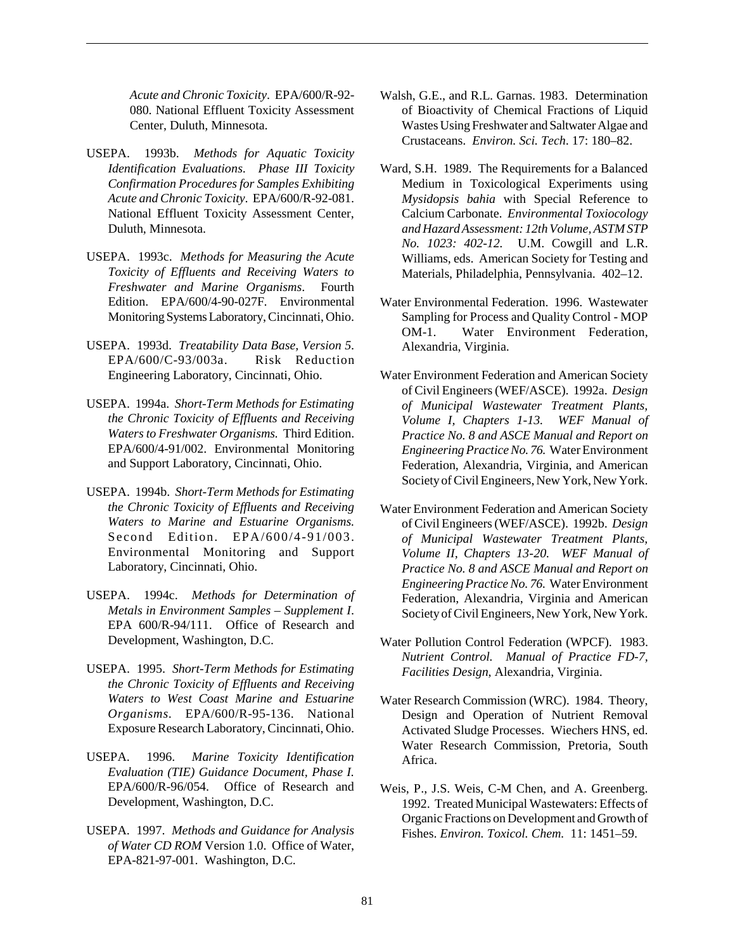*Acute and Chronic Toxicity*. EPA/600/R-92- 080. National Effluent Toxicity Assessment Center, Duluth, Minnesota.

- USEPA. 1993b. *Methods for Aquatic Toxicity Identification Evaluations. Phase III Toxicity Confirmation Procedures for Samples Exhibiting Acute and Chronic Toxicity*. EPA/600/R-92-081. National Effluent Toxicity Assessment Center, Duluth, Minnesota.
- USEPA. 1993c. *Methods for Measuring the Acute Toxicity of Effluents and Receiving Waters to Freshwater and Marine Organisms*. Fourth Edition. EPA/600/4-90-027F. Environmental Monitoring Systems Laboratory, Cincinnati, Ohio.
- USEPA. 1993d. *Treatability Data Base, Version 5*. EPA/600/C-93/003a. Risk Reduction Engineering Laboratory, Cincinnati, Ohio.
- USEPA. 1994a. *Short-Term Methods for Estimating the Chronic Toxicity of Effluents and Receiving Waters to Freshwater Organisms.* Third Edition. EPA/600/4-91/002. Environmental Monitoring and Support Laboratory, Cincinnati, Ohio.
- USEPA. 1994b. *Short-Term Methods for Estimating the Chronic Toxicity of Effluents and Receiving Waters to Marine and Estuarine Organisms.* Second Edition. EPA/600/4-91/003. Environmental Monitoring and Support Laboratory, Cincinnati, Ohio.
- USEPA. 1994c. *Methods for Determination of Metals in Environment Samples – Supplement I*. EPA 600/R-94/111. Office of Research and Development, Washington, D.C.
- USEPA. 1995. *Short-Term Methods for Estimating the Chronic Toxicity of Effluents and Receiving Waters to West Coast Marine and Estuarine Organisms.* EPA/600/R-95-136. National Exposure Research Laboratory, Cincinnati, Ohio.
- USEPA. 1996. *Marine Toxicity Identification Evaluation (TIE) Guidance Document, Phase I.* EPA/600/R-96/054. Office of Research and Development, Washington, D.C.
- USEPA. 1997. *Methods and Guidance for Analysis of Water CD ROM* Version 1.0. Office of Water, EPA-821-97-001. Washington, D.C.
- Walsh, G.E., and R.L. Garnas. 1983. Determination of Bioactivity of Chemical Fractions of Liquid Wastes Using Freshwater and Saltwater Algae and Crustaceans. *Environ. Sci. Tech*. 17: 180–82.
- Ward, S.H. 1989. The Requirements for a Balanced Medium in Toxicological Experiments using *Mysidopsis bahia* with Special Reference to Calcium Carbonate. *Environmental Toxiocology and Hazard Assessment: 12th Volume, ASTM STP No. 1023: 402-12.* U.M. Cowgill and L.R. Williams, eds. American Society for Testing and Materials, Philadelphia, Pennsylvania. 402–12.
- Water Environmental Federation. 1996. Wastewater Sampling for Process and Quality Control - MOP OM-1. Water Environment Federation, Alexandria, Virginia.
- Water Environment Federation and American Society of Civil Engineers (WEF/ASCE). 1992a. *Design of Municipal Wastewater Treatment Plants, Volume I, Chapters 1-13. WEF Manual of Practice No. 8 and ASCE Manual and Report on Engineering Practice No. 76.* Water Environment Federation, Alexandria, Virginia, and American Society of Civil Engineers, New York, New York.
- Water Environment Federation and American Society of Civil Engineers (WEF/ASCE). 1992b. *Design of Municipal Wastewater Treatment Plants, Volume II, Chapters 13-20. WEF Manual of Practice No. 8 and ASCE Manual and Report on Engineering Practice No. 76.* Water Environment Federation, Alexandria, Virginia and American Society of Civil Engineers, New York, New York.
- Water Pollution Control Federation (WPCF). 1983. *Nutrient Control. Manual of Practice FD-7, Facilities Design*, Alexandria, Virginia.
- Water Research Commission (WRC). 1984. Theory, Design and Operation of Nutrient Removal Activated Sludge Processes. Wiechers HNS, ed. Water Research Commission, Pretoria, South Africa.
- Weis, P., J.S. Weis, C-M Chen, and A. Greenberg. 1992. Treated Municipal Wastewaters: Effects of Organic Fractions on Development and Growth of Fishes. *Environ. Toxicol. Chem.* 11: 1451–59.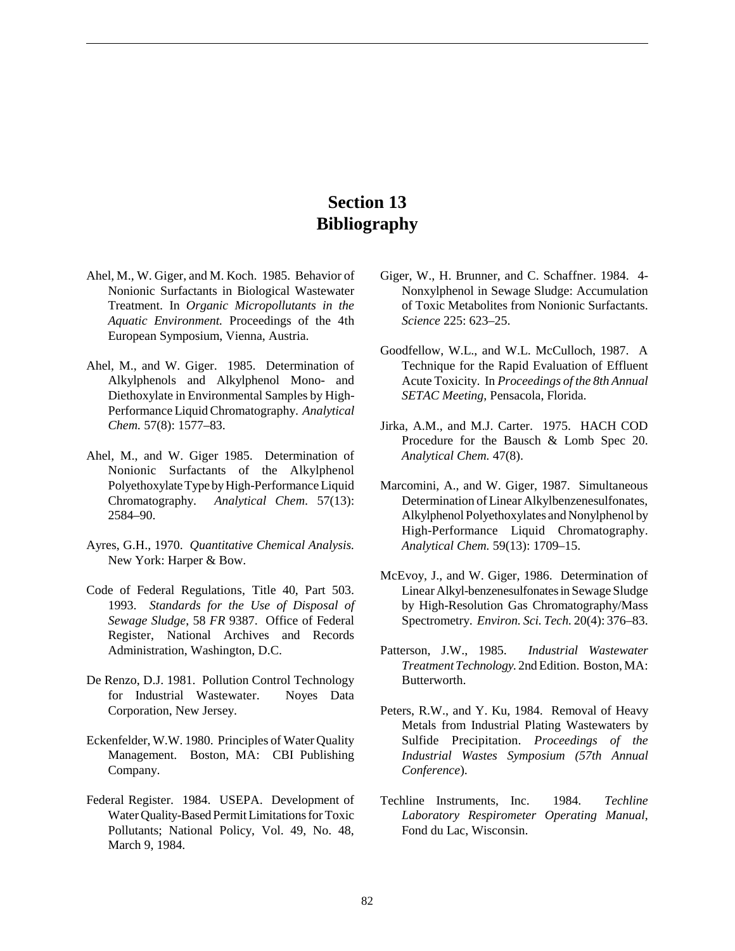# **Section 13 Bibliography**

- Ahel, M., W. Giger, and M. Koch. 1985. Behavior of Nonionic Surfactants in Biological Wastewater Treatment. In *Organic Micropollutants in the Aquatic Environment.* Proceedings of the 4th European Symposium, Vienna, Austria.
- Ahel, M., and W. Giger. 1985. Determination of Alkylphenols and Alkylphenol Mono- and Diethoxylate in Environmental Samples by High-Performance Liquid Chromatography. *Analytical Chem.* 57(8): 1577–83.
- Ahel, M., and W. Giger 1985. Determination of Nonionic Surfactants of the Alkylphenol Polyethoxylate Type by High-Performance Liquid Chromatography. *Analytical Chem.* 57(13): 2584–90.
- Ayres, G.H., 1970. *Quantitative Chemical Analysis.* New York: Harper & Bow.
- Code of Federal Regulations, Title 40, Part 503. 1993. *Standards for the Use of Disposal of Sewage Sludge*, 58 *FR* 9387. Office of Federal Register, National Archives and Records Administration, Washington, D.C.
- De Renzo, D.J. 1981. Pollution Control Technology for Industrial Wastewater. Noyes Data Corporation, New Jersey.
- Eckenfelder, W.W. 1980. Principles of Water Quality Management. Boston, MA: CBI Publishing Company.
- Federal Register. 1984. USEPA. Development of Water Quality-Based Permit Limitations for Toxic Pollutants; National Policy, Vol. 49, No. 48, March 9, 1984.
- Giger, W., H. Brunner, and C. Schaffner. 1984. 4- Nonxylphenol in Sewage Sludge: Accumulation of Toxic Metabolites from Nonionic Surfactants. *Science* 225: 623–25.
- Goodfellow, W.L., and W.L. McCulloch, 1987. A Technique for the Rapid Evaluation of Effluent Acute Toxicity. In *Proceedings of the 8th Annual SETAC Meeting*, Pensacola, Florida.
- Jirka, A.M., and M.J. Carter. 1975. HACH COD Procedure for the Bausch & Lomb Spec 20. *Analytical Chem.* 47(8).
- Marcomini, A., and W. Giger, 1987. Simultaneous Determination of Linear Alkylbenzenesulfonates, Alkylphenol Polyethoxylates and Nonylphenol by High-Performance Liquid Chromatography. *Analytical Chem.* 59(13): 1709–15.
- McEvoy, J., and W. Giger, 1986. Determination of Linear Alkyl-benzenesulfonates in Sewage Sludge by High-Resolution Gas Chromatography/Mass Spectrometry. *Environ. Sci. Tech.* 20(4): 376–83.
- Patterson, J.W., 1985. *Industrial Wastewater Treatment Technology.* 2nd Edition. Boston, MA: Butterworth.
- Peters, R.W., and Y. Ku, 1984. Removal of Heavy Metals from Industrial Plating Wastewaters by Sulfide Precipitation. *Proceedings of the Industrial Wastes Symposium (57th Annual Conference*).
- Techline Instruments, Inc. 1984. *Techline Laboratory Respirometer Operating Manual*, Fond du Lac, Wisconsin.